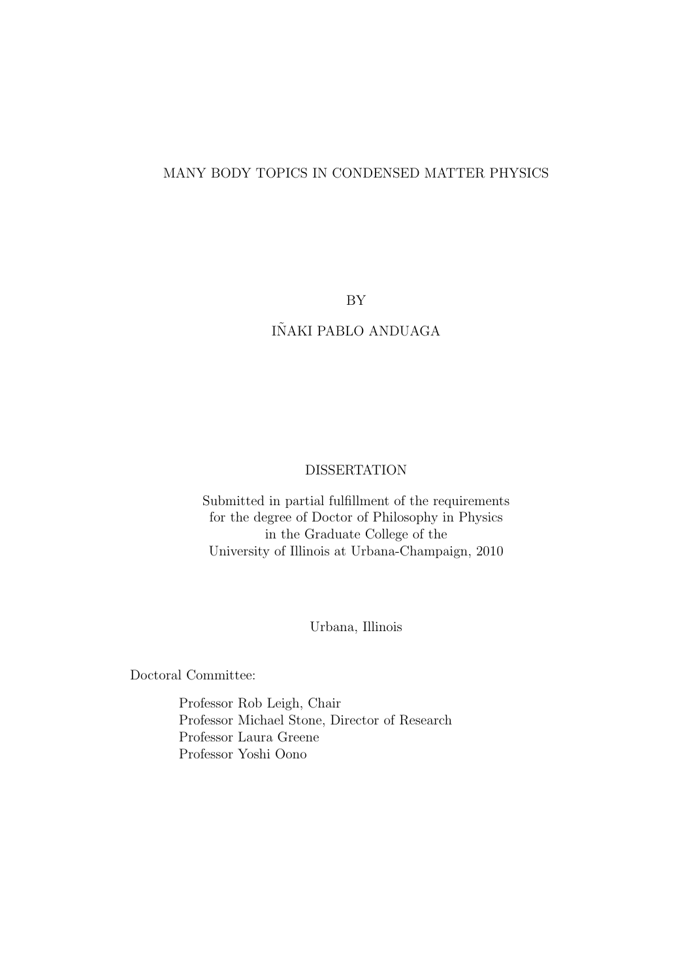#### MANY BODY TOPICS IN CONDENSED MATTER PHYSICS

BY

### IÑAKI PABLO ANDUAGA

#### DISSERTATION

Submitted in partial fulfillment of the requirements for the degree of Doctor of Philosophy in Physics in the Graduate College of the University of Illinois at Urbana-Champaign, 2010

Urbana, Illinois

Doctoral Committee:

Professor Rob Leigh, Chair Professor Michael Stone, Director of Research Professor Laura Greene Professor Yoshi Oono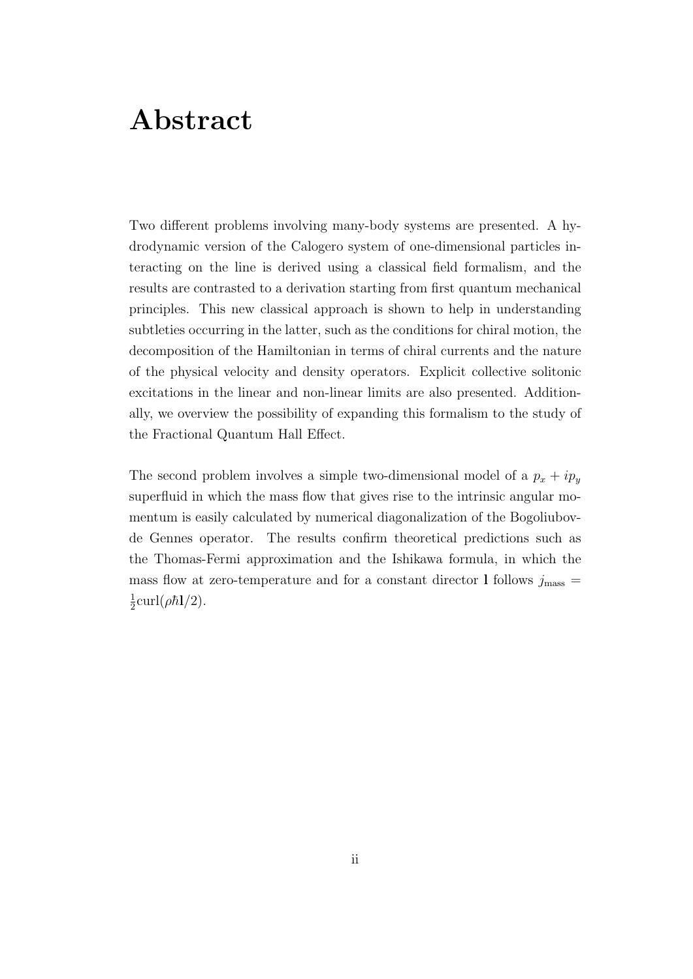## **Abstract**

Two different problems involving many-body systems are presented. A hydrodynamic version of the Calogero system of one-dimensional particles interacting on the line is derived using a classical field formalism, and the results are contrasted to a derivation starting from first quantum mechanical principles. This new classical approach is shown to help in understanding subtleties occurring in the latter, such as the conditions for chiral motion, the decomposition of the Hamiltonian in terms of chiral currents and the nature of the physical velocity and density operators. Explicit collective solitonic excitations in the linear and non-linear limits are also presented. Additionally, we overview the possibility of expanding this formalism to the study of the Fractional Quantum Hall Effect.

The second problem involves a simple two-dimensional model of a  $p_x + ip_y$ superfluid in which the mass flow that gives rise to the intrinsic angular momentum is easily calculated by numerical diagonalization of the Bogoliubovde Gennes operator. The results confirm theoretical predictions such as the Thomas-Fermi approximation and the Ishikawa formula, in which the mass flow at zero-temperature and for a constant director **l** follows  $j_{\text{mass}} =$ 1  $\frac{1}{2}$ curl( $\rho \hbar$ **l**/2).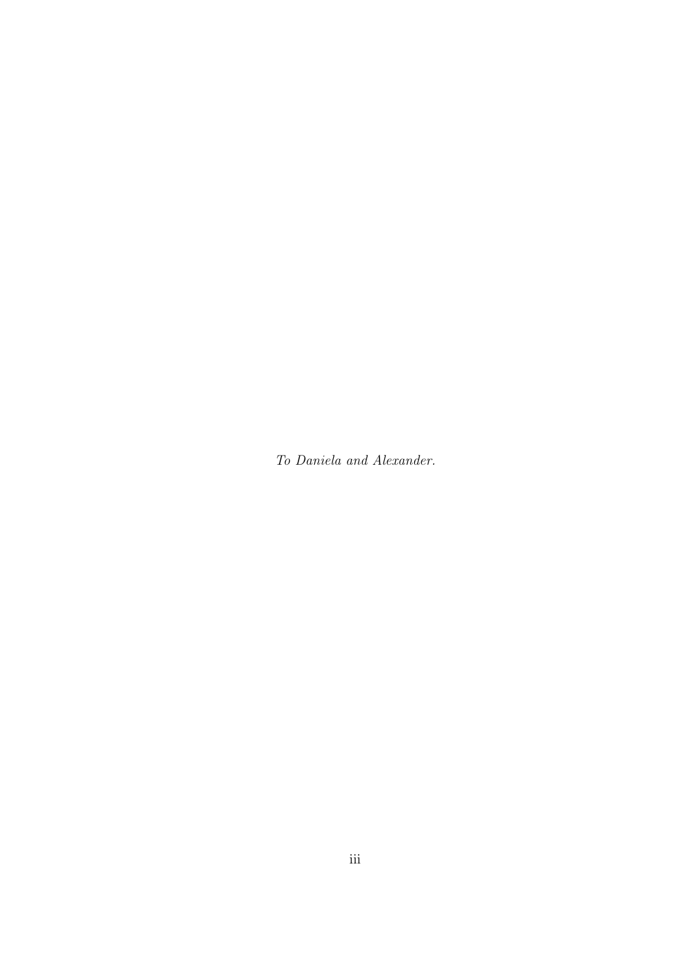*To Daniela and Alexander.*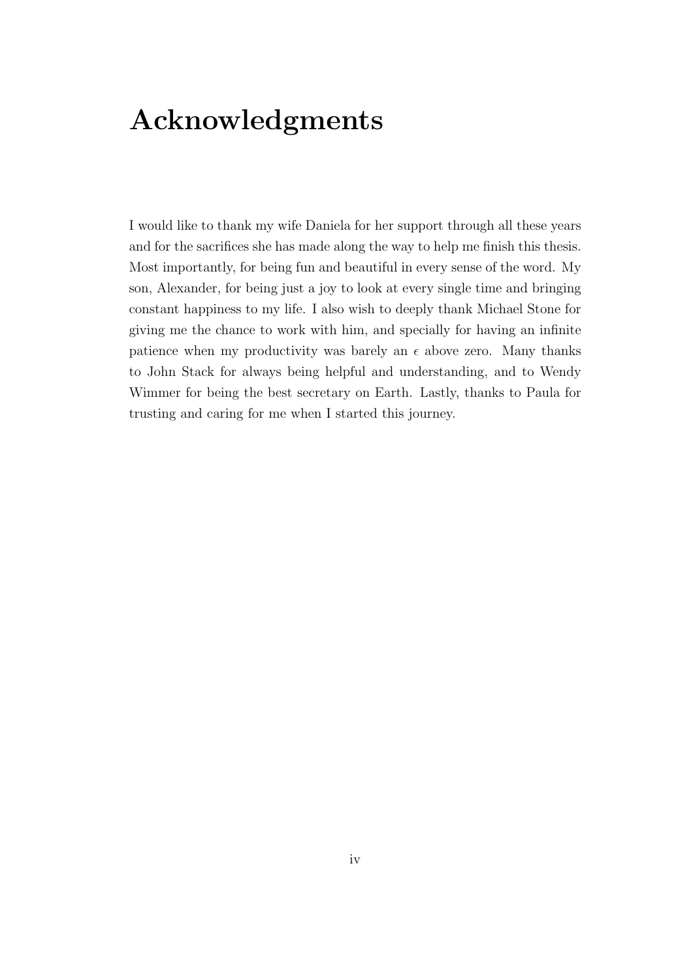## **Acknowledgments**

I would like to thank my wife Daniela for her support through all these years and for the sacrifices she has made along the way to help me finish this thesis. Most importantly, for being fun and beautiful in every sense of the word. My son, Alexander, for being just a joy to look at every single time and bringing constant happiness to my life. I also wish to deeply thank Michael Stone for giving me the chance to work with him, and specially for having an infinite patience when my productivity was barely an  $\epsilon$  above zero. Many thanks to John Stack for always being helpful and understanding, and to Wendy Wimmer for being the best secretary on Earth. Lastly, thanks to Paula for trusting and caring for me when I started this journey.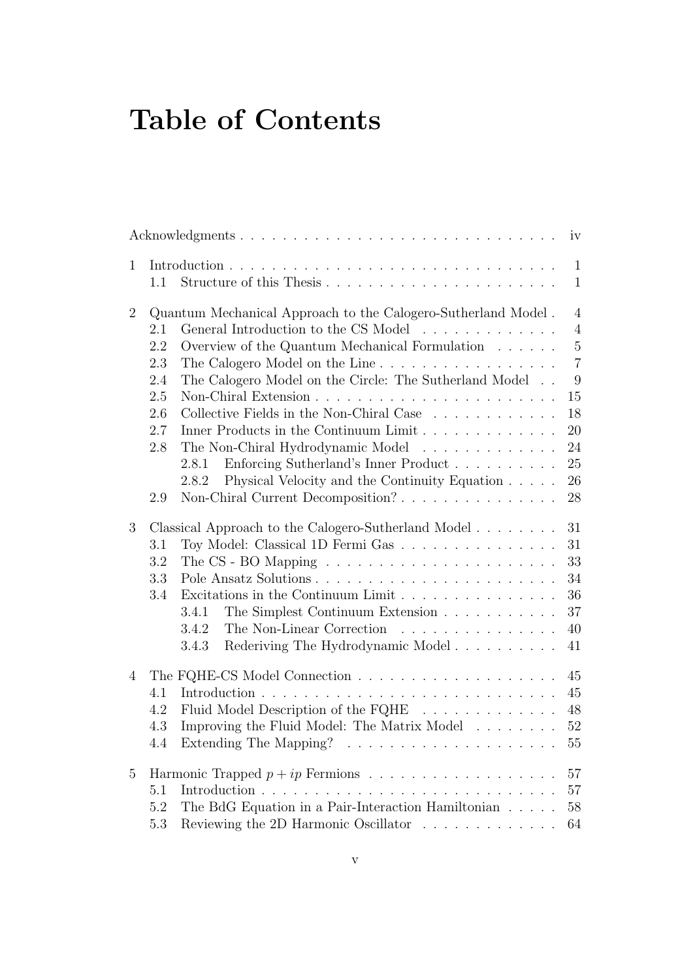## **Table of Contents**

|                | Acknowledgments                                                                                                                                                                                                                                                                                                                                                                                                                                                                                                                                                                                                            | iv                                                                                                                          |
|----------------|----------------------------------------------------------------------------------------------------------------------------------------------------------------------------------------------------------------------------------------------------------------------------------------------------------------------------------------------------------------------------------------------------------------------------------------------------------------------------------------------------------------------------------------------------------------------------------------------------------------------------|-----------------------------------------------------------------------------------------------------------------------------|
| $\mathbf{1}$   | Structure of this Thesis<br>1.1                                                                                                                                                                                                                                                                                                                                                                                                                                                                                                                                                                                            | $\mathbf{1}$<br>$\mathbf{1}$                                                                                                |
| $\overline{2}$ | Quantum Mechanical Approach to the Calogero-Sutherland Model.<br>General Introduction to the CS Model<br>2.1<br>2.2<br>Overview of the Quantum Mechanical Formulation<br>2.3<br>The Calogero Model on the Line<br>The Calogero Model on the Circle: The Sutherland Model<br>2.4<br>2.5<br>Collective Fields in the Non-Chiral Case $\ldots \ldots \ldots \ldots$<br>2.6<br>2.7<br>Inner Products in the Continuum Limit<br>The Non-Chiral Hydrodynamic Model<br>2.8<br>Enforcing Sutherland's Inner Product<br>2.8.1<br>2.8.2<br>Physical Velocity and the Continuity Equation<br>Non-Chiral Current Decomposition?<br>2.9 | $\overline{4}$<br>$\overline{4}$<br>$\bf 5$<br>$\overline{7}$<br>$\boldsymbol{9}$<br>15<br>18<br>20<br>24<br>25<br>26<br>28 |
| 3              | Classical Approach to the Calogero-Sutherland Model<br>Toy Model: Classical 1D Fermi Gas<br>3.1<br>3.2<br>The CS - BO Mapping $\ldots \ldots \ldots \ldots \ldots \ldots \ldots \ldots$<br>3.3<br>Excitations in the Continuum Limit<br>3.4<br>3.4.1<br>The Non-Linear Correction<br>3.4.2<br>Rederiving The Hydrodynamic Model<br>3.4.3                                                                                                                                                                                                                                                                                   | 31<br>31<br>33<br>34<br>36<br>37<br>40<br>41                                                                                |
| 4              | 4.1<br>Fluid Model Description of the FQHE<br>4.2<br>Improving the Fluid Model: The Matrix Model<br>4.3<br>Extending The Mapping? $\ldots \ldots \ldots \ldots \ldots \ldots \ldots$<br>4.4                                                                                                                                                                                                                                                                                                                                                                                                                                | 45<br>45<br>48<br>$52\,$<br>55                                                                                              |
| $\overline{5}$ | 5.1<br>The BdG Equation in a Pair-Interaction Hamiltonian<br>5.2<br>5.3<br>Reviewing the 2D Harmonic Oscillator                                                                                                                                                                                                                                                                                                                                                                                                                                                                                                            | 57<br>57<br>58<br>64                                                                                                        |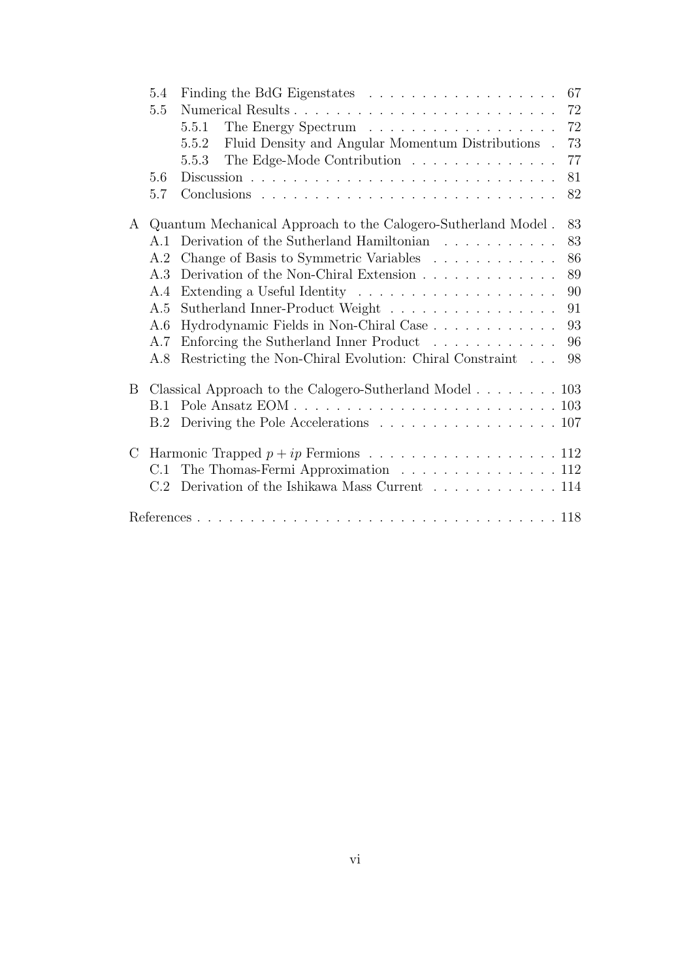|         | 5.4 |                                                                           | 67 |
|---------|-----|---------------------------------------------------------------------------|----|
|         | 5.5 |                                                                           | 72 |
|         |     | 5.5.1                                                                     | 72 |
|         |     | Fluid Density and Angular Momentum Distributions.<br>5.5.2                | 73 |
|         |     | The Edge-Mode Contribution<br>5.5.3                                       | 77 |
|         | 5.6 |                                                                           | 81 |
|         | 5.7 |                                                                           | 82 |
| A       |     | Quantum Mechanical Approach to the Calogero-Sutherland Model.             | 83 |
|         | A.1 | Derivation of the Sutherland Hamiltonian $\ldots \ldots \ldots$           | 83 |
|         | A.2 | Change of Basis to Symmetric Variables                                    | 86 |
|         | A.3 |                                                                           | 89 |
|         | A.4 |                                                                           | 90 |
|         | A.5 | Sutherland Inner-Product Weight                                           | 91 |
|         | A.6 | Hydrodynamic Fields in Non-Chiral Case                                    | 93 |
|         | A.7 | Enforcing the Sutherland Inner Product                                    | 96 |
|         | A.8 | Restricting the Non-Chiral Evolution: Chiral Constraint                   | 98 |
| B       |     |                                                                           |    |
|         | B.1 |                                                                           |    |
|         | B.2 | Deriving the Pole Accelerations 107                                       |    |
| $\rm C$ |     | Harmonic Trapped $p + ip$ Fermions 112                                    |    |
|         | C.1 | The Thomas-Fermi Approximation 112                                        |    |
|         | C.2 | Derivation of the Ishikawa Mass Current $\ldots \ldots \ldots \ldots 114$ |    |
|         |     |                                                                           |    |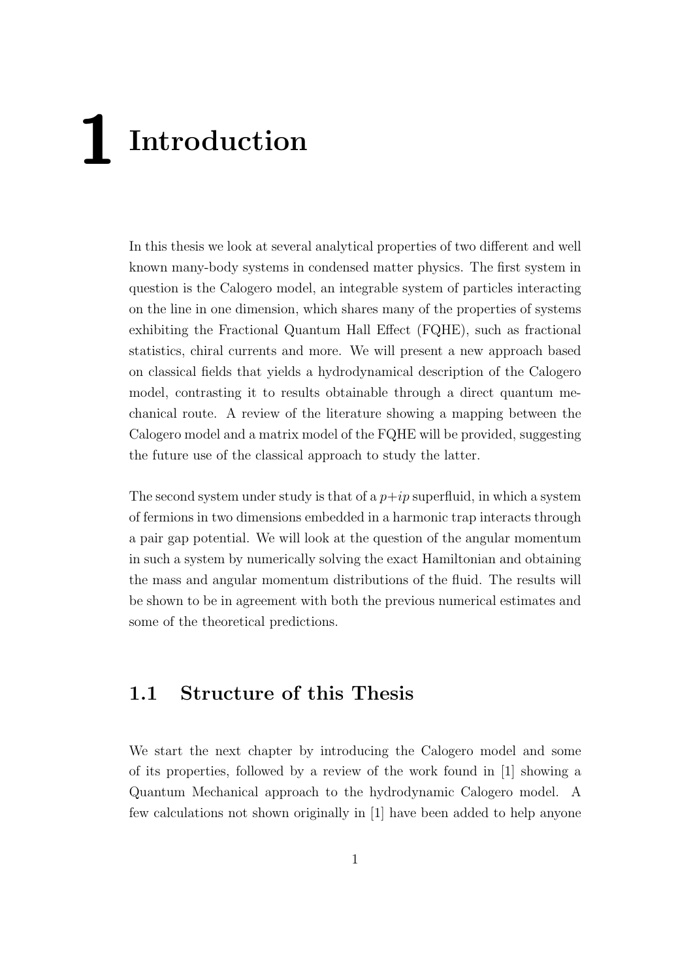# **1 Introduction**

In this thesis we look at several analytical properties of two different and well known many-body systems in condensed matter physics. The first system in question is the Calogero model, an integrable system of particles interacting on the line in one dimension, which shares many of the properties of systems exhibiting the Fractional Quantum Hall Effect (FQHE), such as fractional statistics, chiral currents and more. We will present a new approach based on classical fields that yields a hydrodynamical description of the Calogero model, contrasting it to results obtainable through a direct quantum mechanical route. A review of the literature showing a mapping between the Calogero model and a matrix model of the FQHE will be provided, suggesting the future use of the classical approach to study the latter.

The second system under study is that of a  $p+ip$  superfluid, in which a system of fermions in two dimensions embedded in a harmonic trap interacts through a pair gap potential. We will look at the question of the angular momentum in such a system by numerically solving the exact Hamiltonian and obtaining the mass and angular momentum distributions of the fluid. The results will be shown to be in agreement with both the previous numerical estimates and some of the theoretical predictions.

## **1.1 Structure of this Thesis**

We start the next chapter by introducing the Calogero model and some of its properties, followed by a review of the work found in [1] showing a Quantum Mechanical approach to the hydrodynamic Calogero model. A few calculations not shown originally in [1] have been added to help anyone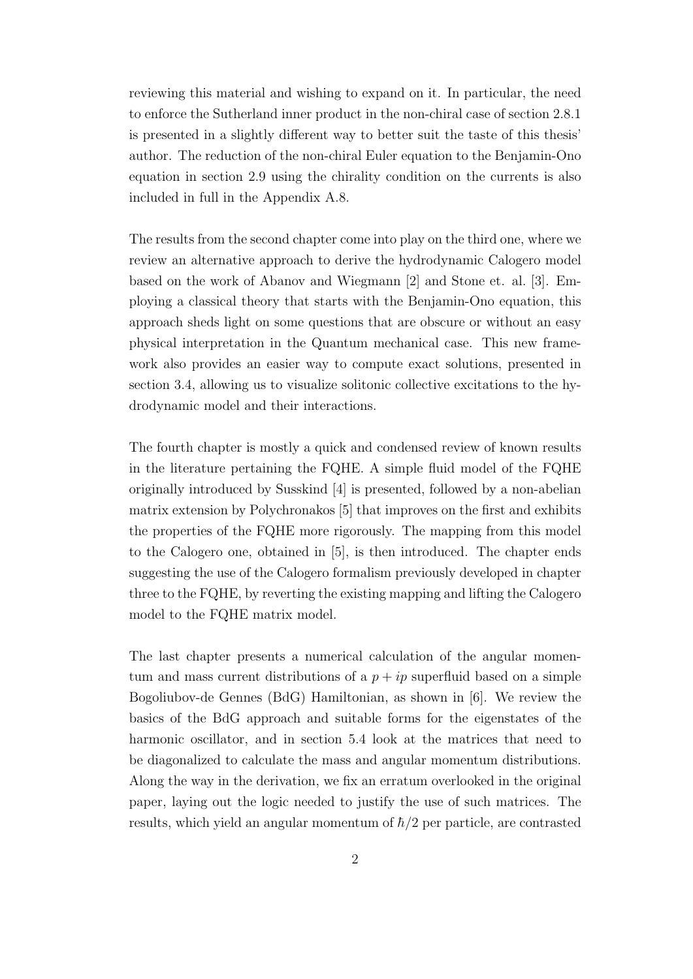reviewing this material and wishing to expand on it. In particular, the need to enforce the Sutherland inner product in the non-chiral case of section 2.8.1 is presented in a slightly different way to better suit the taste of this thesis' author. The reduction of the non-chiral Euler equation to the Benjamin-Ono equation in section 2.9 using the chirality condition on the currents is also included in full in the Appendix A.8.

The results from the second chapter come into play on the third one, where we review an alternative approach to derive the hydrodynamic Calogero model based on the work of Abanov and Wiegmann [2] and Stone et. al. [3]. Employing a classical theory that starts with the Benjamin-Ono equation, this approach sheds light on some questions that are obscure or without an easy physical interpretation in the Quantum mechanical case. This new framework also provides an easier way to compute exact solutions, presented in section 3.4, allowing us to visualize solitonic collective excitations to the hydrodynamic model and their interactions.

The fourth chapter is mostly a quick and condensed review of known results in the literature pertaining the FQHE. A simple fluid model of the FQHE originally introduced by Susskind [4] is presented, followed by a non-abelian matrix extension by Polychronakos [5] that improves on the first and exhibits the properties of the FQHE more rigorously. The mapping from this model to the Calogero one, obtained in [5], is then introduced. The chapter ends suggesting the use of the Calogero formalism previously developed in chapter three to the FQHE, by reverting the existing mapping and lifting the Calogero model to the FQHE matrix model.

The last chapter presents a numerical calculation of the angular momentum and mass current distributions of a  $p + ip$  superfluid based on a simple Bogoliubov-de Gennes (BdG) Hamiltonian, as shown in [6]. We review the basics of the BdG approach and suitable forms for the eigenstates of the harmonic oscillator, and in section 5.4 look at the matrices that need to be diagonalized to calculate the mass and angular momentum distributions. Along the way in the derivation, we fix an erratum overlooked in the original paper, laying out the logic needed to justify the use of such matrices. The results, which yield an angular momentum of  $\hbar/2$  per particle, are contrasted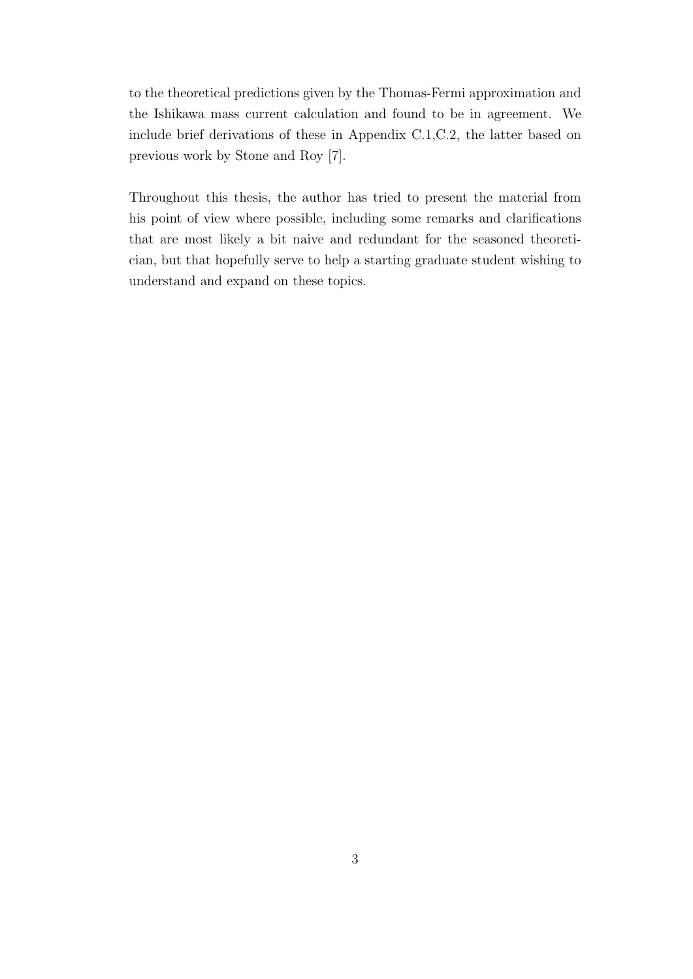to the theoretical predictions given by the Thomas-Fermi approximation and the Ishikawa mass current calculation and found to be in agreement. We include brief derivations of these in Appendix C.1,C.2, the latter based on previous work by Stone and Roy [7].

Throughout this thesis, the author has tried to present the material from his point of view where possible, including some remarks and clarifications that are most likely a bit naive and redundant for the seasoned theoretician, but that hopefully serve to help a starting graduate student wishing to understand and expand on these topics.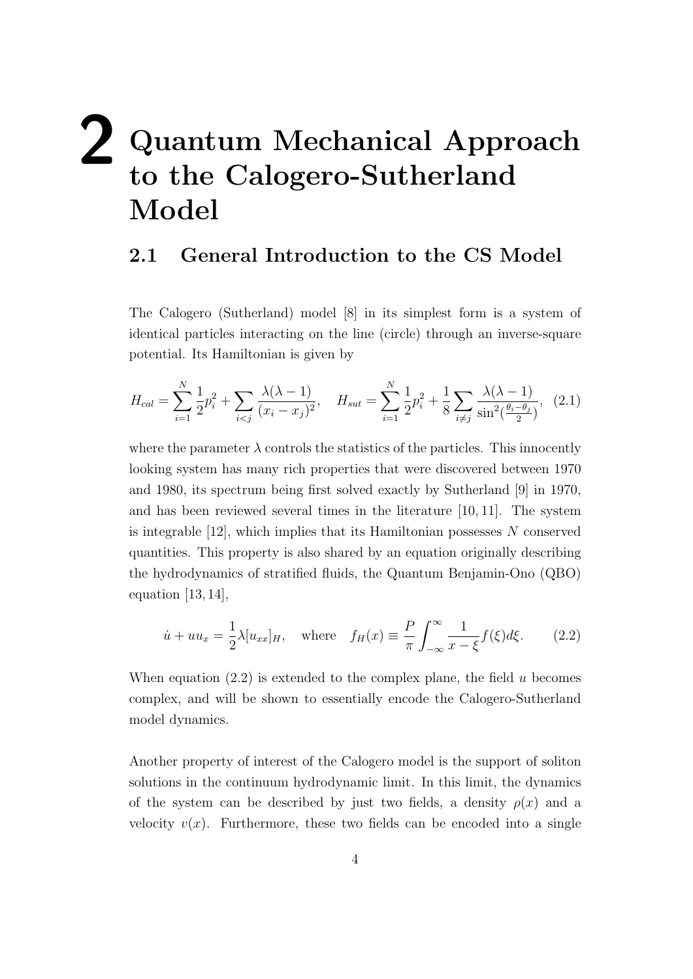# **2 Quantum Mechanical Approach to the Calogero-Sutherland Model**

## **2.1 General Introduction to the CS Model**

The Calogero (Sutherland) model [8] in its simplest form is a system of identical particles interacting on the line (circle) through an inverse-square potential. Its Hamiltonian is given by

$$
H_{cal} = \sum_{i=1}^{N} \frac{1}{2} p_i^2 + \sum_{i < j} \frac{\lambda(\lambda - 1)}{(x_i - x_j)^2}, \quad H_{sat} = \sum_{i=1}^{N} \frac{1}{2} p_i^2 + \frac{1}{8} \sum_{i \neq j} \frac{\lambda(\lambda - 1)}{\sin^2(\frac{\theta_i - \theta_j}{2})}, \tag{2.1}
$$

where the parameter  $\lambda$  controls the statistics of the particles. This innocently looking system has many rich properties that were discovered between 1970 and 1980, its spectrum being first solved exactly by Sutherland [9] in 1970, and has been reviewed several times in the literature [10, 11]. The system is integrable [12], which implies that its Hamiltonian possesses *N* conserved quantities. This property is also shared by an equation originally describing the hydrodynamics of stratified fluids, the Quantum Benjamin-Ono (QBO) equation  $[13, 14]$ ,

$$
\dot{u} + uu_x = \frac{1}{2}\lambda[u_{xx}]_H, \quad \text{where} \quad f_H(x) \equiv \frac{P}{\pi} \int_{-\infty}^{\infty} \frac{1}{x - \xi} f(\xi) d\xi. \tag{2.2}
$$

When equation (2.2) is extended to the complex plane, the field *u* becomes complex, and will be shown to essentially encode the Calogero-Sutherland model dynamics.

Another property of interest of the Calogero model is the support of soliton solutions in the continuum hydrodynamic limit. In this limit, the dynamics of the system can be described by just two fields, a density  $\rho(x)$  and a velocity  $v(x)$ . Furthermore, these two fields can be encoded into a single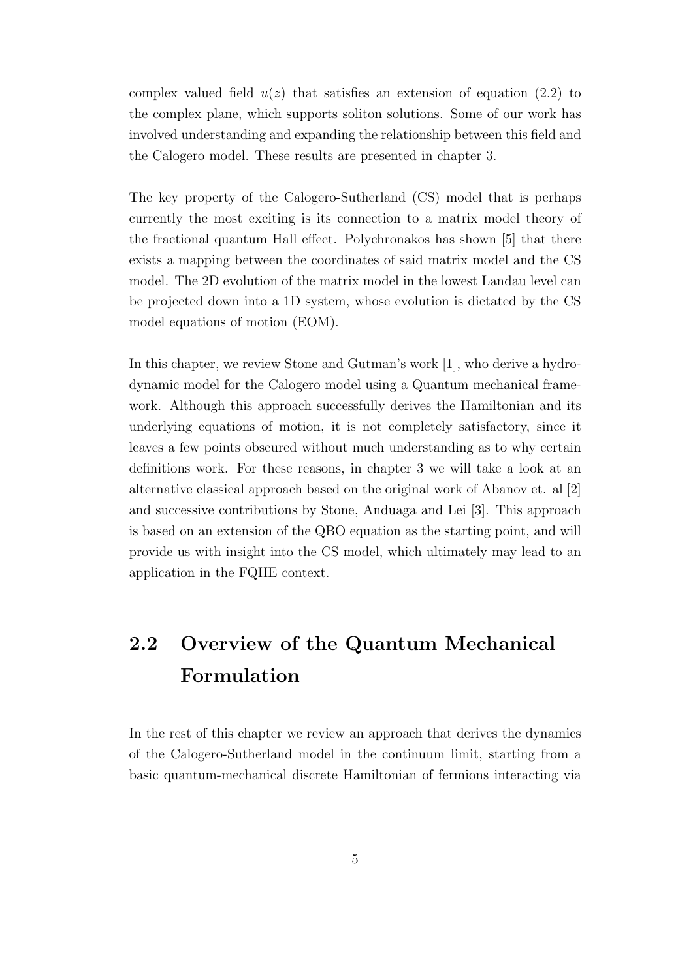complex valued field  $u(z)$  that satisfies an extension of equation (2.2) to the complex plane, which supports soliton solutions. Some of our work has involved understanding and expanding the relationship between this field and the Calogero model. These results are presented in chapter 3.

The key property of the Calogero-Sutherland (CS) model that is perhaps currently the most exciting is its connection to a matrix model theory of the fractional quantum Hall effect. Polychronakos has shown [5] that there exists a mapping between the coordinates of said matrix model and the CS model. The 2D evolution of the matrix model in the lowest Landau level can be projected down into a 1D system, whose evolution is dictated by the CS model equations of motion (EOM).

In this chapter, we review Stone and Gutman's work [1], who derive a hydrodynamic model for the Calogero model using a Quantum mechanical framework. Although this approach successfully derives the Hamiltonian and its underlying equations of motion, it is not completely satisfactory, since it leaves a few points obscured without much understanding as to why certain definitions work. For these reasons, in chapter 3 we will take a look at an alternative classical approach based on the original work of Abanov et. al [2] and successive contributions by Stone, Anduaga and Lei [3]. This approach is based on an extension of the QBO equation as the starting point, and will provide us with insight into the CS model, which ultimately may lead to an application in the FQHE context.

## **2.2 Overview of the Quantum Mechanical Formulation**

In the rest of this chapter we review an approach that derives the dynamics of the Calogero-Sutherland model in the continuum limit, starting from a basic quantum-mechanical discrete Hamiltonian of fermions interacting via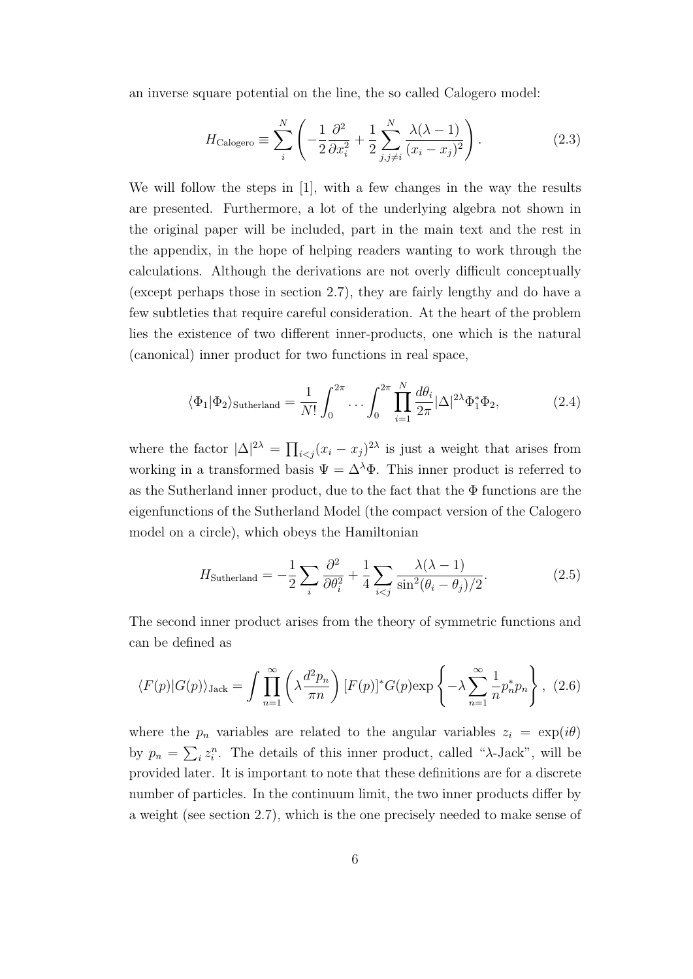an inverse square potential on the line, the so called Calogero model:

$$
H_{\text{Calogero}} \equiv \sum_{i}^{N} \left( -\frac{1}{2} \frac{\partial^2}{\partial x_i^2} + \frac{1}{2} \sum_{j,j \neq i}^{N} \frac{\lambda(\lambda - 1)}{(x_i - x_j)^2} \right). \tag{2.3}
$$

We will follow the steps in [1], with a few changes in the way the results are presented. Furthermore, a lot of the underlying algebra not shown in the original paper will be included, part in the main text and the rest in the appendix, in the hope of helping readers wanting to work through the calculations. Although the derivations are not overly difficult conceptually (except perhaps those in section 2.7), they are fairly lengthy and do have a few subtleties that require careful consideration. At the heart of the problem lies the existence of two different inner-products, one which is the natural (canonical) inner product for two functions in real space,

$$
\langle \Phi_1 | \Phi_2 \rangle_{\text{Sutherland}} = \frac{1}{N!} \int_0^{2\pi} \dots \int_0^{2\pi} \prod_{i=1}^N \frac{d\theta_i}{2\pi} |\Delta|^{2\lambda} \Phi_1^* \Phi_2, \tag{2.4}
$$

where the factor  $|\Delta|^{2\lambda} = \prod_{i < j} (x_i - x_j)^{2\lambda}$  is just a weight that arises from working in a transformed basis  $\Psi = \Delta^{\lambda} \Phi$ . This inner product is referred to as the Sutherland inner product, due to the fact that the Φ functions are the eigenfunctions of the Sutherland Model (the compact version of the Calogero model on a circle), which obeys the Hamiltonian

$$
H_{\text{Sutherland}} = -\frac{1}{2} \sum_{i} \frac{\partial^2}{\partial \theta_i^2} + \frac{1}{4} \sum_{i < j} \frac{\lambda(\lambda - 1)}{\sin^2(\theta_i - \theta_j)/2}.\tag{2.5}
$$

The second inner product arises from the theory of symmetric functions and can be defined as

$$
\langle F(p)|G(p)\rangle_{\text{Jack}} = \int \prod_{n=1}^{\infty} \left(\lambda \frac{d^2 p_n}{\pi n}\right) [F(p)]^* G(p) \exp\left\{-\lambda \sum_{n=1}^{\infty} \frac{1}{n} p_n^* p_n\right\}, (2.6)
$$

where the  $p_n$  variables are related to the angular variables  $z_i = \exp(i\theta)$ by  $p_n = \sum_i z_i^n$ . The details of this inner product, called "*λ*-Jack", will be provided later. It is important to note that these definitions are for a discrete number of particles. In the continuum limit, the two inner products differ by a weight (see section 2.7), which is the one precisely needed to make sense of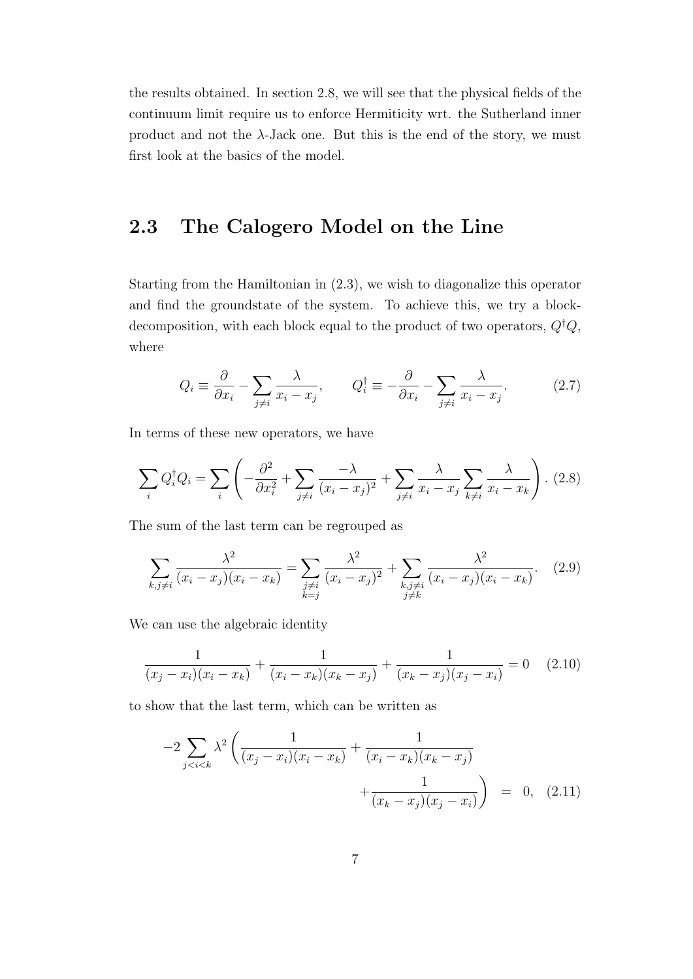the results obtained. In section 2.8, we will see that the physical fields of the continuum limit require us to enforce Hermiticity wrt. the Sutherland inner product and not the  $\lambda$ -Jack one. But this is the end of the story, we must first look at the basics of the model.

## **2.3 The Calogero Model on the Line**

Starting from the Hamiltonian in (2.3), we wish to diagonalize this operator and find the groundstate of the system. To achieve this, we try a blockdecomposition, with each block equal to the product of two operators, *Q†Q*, where

$$
Q_i \equiv \frac{\partial}{\partial x_i} - \sum_{j \neq i} \frac{\lambda}{x_i - x_j}, \qquad Q_i^{\dagger} \equiv -\frac{\partial}{\partial x_i} - \sum_{j \neq i} \frac{\lambda}{x_i - x_j}.
$$
 (2.7)

In terms of these new operators, we have

$$
\sum_{i} Q_i^{\dagger} Q_i = \sum_{i} \left( -\frac{\partial^2}{\partial x_i^2} + \sum_{j \neq i} \frac{-\lambda}{(x_i - x_j)^2} + \sum_{j \neq i} \frac{\lambda}{x_i - x_j} \sum_{k \neq i} \frac{\lambda}{x_i - x_k} \right). (2.8)
$$

The sum of the last term can be regrouped as

$$
\sum_{k,j\neq i} \frac{\lambda^2}{(x_i - x_j)(x_i - x_k)} = \sum_{\substack{j\neq i \\ k=j}} \frac{\lambda^2}{(x_i - x_j)^2} + \sum_{\substack{k,j\neq i \\ j\neq k}} \frac{\lambda^2}{(x_i - x_j)(x_i - x_k)}.
$$
 (2.9)

We can use the algebraic identity

$$
\frac{1}{(x_j - x_i)(x_i - x_k)} + \frac{1}{(x_i - x_k)(x_k - x_j)} + \frac{1}{(x_k - x_j)(x_j - x_i)} = 0 \quad (2.10)
$$

to show that the last term, which can be written as

$$
-2\sum_{j
$$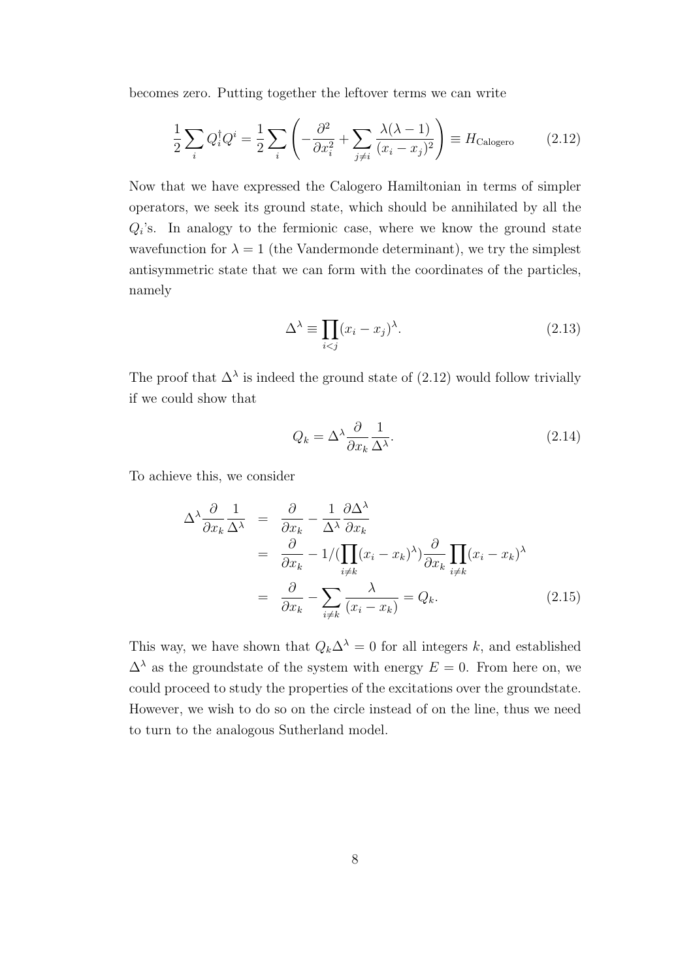becomes zero. Putting together the leftover terms we can write

$$
\frac{1}{2}\sum_{i} Q_i^{\dagger} Q^i = \frac{1}{2}\sum_{i} \left( -\frac{\partial^2}{\partial x_i^2} + \sum_{j \neq i} \frac{\lambda(\lambda - 1)}{(x_i - x_j)^2} \right) \equiv H_{\text{Calogero}} \tag{2.12}
$$

Now that we have expressed the Calogero Hamiltonian in terms of simpler operators, we seek its ground state, which should be annihilated by all the  $Q_i$ 's. In analogy to the fermionic case, where we know the ground state wavefunction for  $\lambda = 1$  (the Vandermonde determinant), we try the simplest antisymmetric state that we can form with the coordinates of the particles, namely

$$
\Delta^{\lambda} \equiv \prod_{i < j} (x_i - x_j)^{\lambda}.\tag{2.13}
$$

The proof that  $\Delta^{\lambda}$  is indeed the ground state of (2.12) would follow trivially if we could show that

$$
Q_k = \Delta^{\lambda} \frac{\partial}{\partial x_k} \frac{1}{\Delta^{\lambda}}.
$$
\n(2.14)

To achieve this, we consider

$$
\Delta^{\lambda} \frac{\partial}{\partial x_k} \frac{1}{\Delta^{\lambda}} = \frac{\partial}{\partial x_k} - \frac{1}{\Delta^{\lambda}} \frac{\partial \Delta^{\lambda}}{\partial x_k}
$$
  
= 
$$
\frac{\partial}{\partial x_k} - 1/(\prod_{i \neq k} (x_i - x_k)^{\lambda}) \frac{\partial}{\partial x_k} \prod_{i \neq k} (x_i - x_k)^{\lambda}
$$
  
= 
$$
\frac{\partial}{\partial x_k} - \sum_{i \neq k} \frac{\lambda}{(x_i - x_k)} = Q_k.
$$
 (2.15)

This way, we have shown that  $Q_k \Delta^{\lambda} = 0$  for all integers *k*, and established  $\Delta^{\lambda}$  as the groundstate of the system with energy  $E = 0$ . From here on, we could proceed to study the properties of the excitations over the groundstate. However, we wish to do so on the circle instead of on the line, thus we need to turn to the analogous Sutherland model.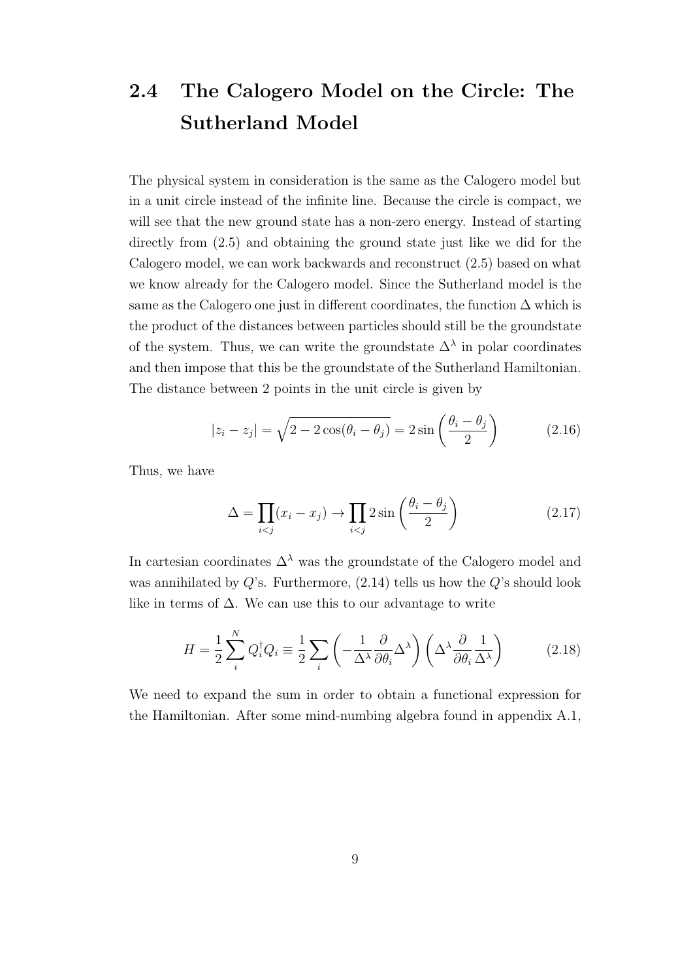## **2.4 The Calogero Model on the Circle: The Sutherland Model**

The physical system in consideration is the same as the Calogero model but in a unit circle instead of the infinite line. Because the circle is compact, we will see that the new ground state has a non-zero energy. Instead of starting directly from (2.5) and obtaining the ground state just like we did for the Calogero model, we can work backwards and reconstruct (2.5) based on what we know already for the Calogero model. Since the Sutherland model is the same as the Calogero one just in different coordinates, the function  $\Delta$  which is the product of the distances between particles should still be the groundstate of the system. Thus, we can write the groundstate  $\Delta^{\lambda}$  in polar coordinates and then impose that this be the groundstate of the Sutherland Hamiltonian. The distance between 2 points in the unit circle is given by

$$
|z_i - z_j| = \sqrt{2 - 2\cos(\theta_i - \theta_j)} = 2\sin\left(\frac{\theta_i - \theta_j}{2}\right) \tag{2.16}
$$

Thus, we have

$$
\Delta = \prod_{i < j} (x_i - x_j) \to \prod_{i < j} 2 \sin \left( \frac{\theta_i - \theta_j}{2} \right) \tag{2.17}
$$

In cartesian coordinates  $\Delta^{\lambda}$  was the groundstate of the Calogero model and was annihilated by *Q*'s. Furthermore, (2.14) tells us how the *Q*'s should look like in terms of  $\Delta$ . We can use this to our advantage to write

$$
H = \frac{1}{2} \sum_{i}^{N} Q_{i}^{\dagger} Q_{i} \equiv \frac{1}{2} \sum_{i} \left( -\frac{1}{\Delta^{\lambda}} \frac{\partial}{\partial \theta_{i}} \Delta^{\lambda} \right) \left( \Delta^{\lambda} \frac{\partial}{\partial \theta_{i}} \frac{1}{\Delta^{\lambda}} \right)
$$
(2.18)

We need to expand the sum in order to obtain a functional expression for the Hamiltonian. After some mind-numbing algebra found in appendix A.1,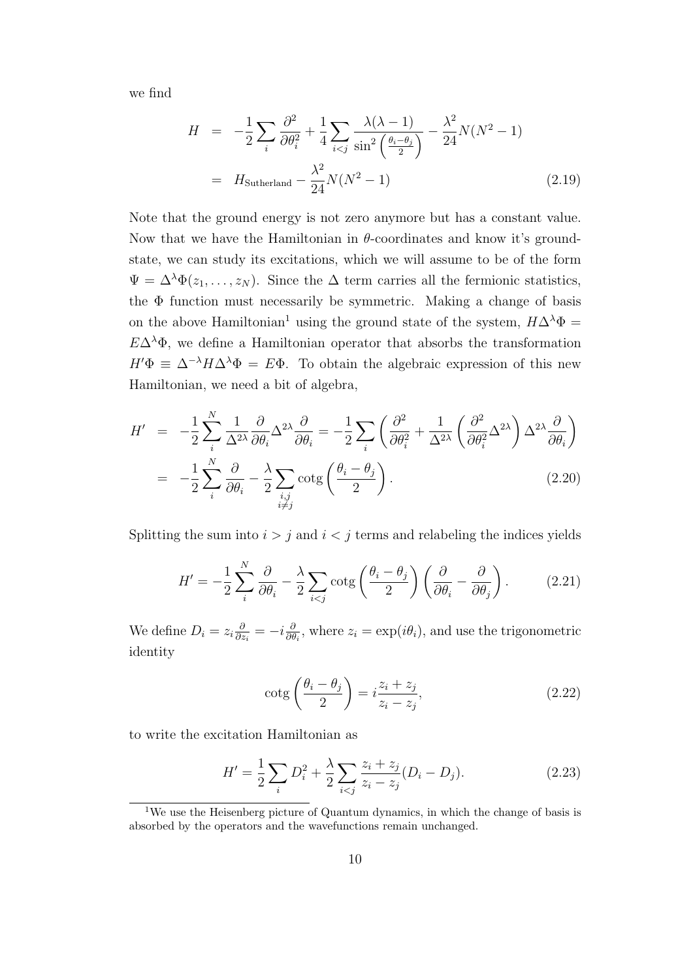we find

$$
H = -\frac{1}{2} \sum_{i} \frac{\partial^2}{\partial \theta_i^2} + \frac{1}{4} \sum_{i < j} \frac{\lambda(\lambda - 1)}{\sin^2\left(\frac{\theta_i - \theta_j}{2}\right)} - \frac{\lambda^2}{24} N(N^2 - 1)
$$
\n
$$
= H_{\text{Sutherland}} - \frac{\lambda^2}{24} N(N^2 - 1) \tag{2.19}
$$

Note that the ground energy is not zero anymore but has a constant value. Now that we have the Hamiltonian in  $\theta$ -coordinates and know it's groundstate, we can study its excitations, which we will assume to be of the form  $\Psi = \Delta^{\lambda} \Phi(z_1, \ldots, z_N)$ . Since the  $\Delta$  term carries all the fermionic statistics, the  $\Phi$  function must necessarily be symmetric. Making a change of basis on the above Hamiltonian<sup>1</sup> using the ground state of the system,  $H\Delta^{\lambda}\Phi =$  $E\Delta^{\lambda}\Phi$ , we define a Hamiltonian operator that absorbs the transformation  $H'$  $\Phi \equiv \Delta^{-\lambda} H \Delta^{\lambda} \Phi = E \Phi$ . To obtain the algebraic expression of this new Hamiltonian, we need a bit of algebra,

$$
H' = -\frac{1}{2} \sum_{i}^{N} \frac{1}{\Delta^{2\lambda}} \frac{\partial}{\partial \theta_{i}} \Delta^{2\lambda} \frac{\partial}{\partial \theta_{i}} = -\frac{1}{2} \sum_{i} \left( \frac{\partial^{2}}{\partial \theta_{i}^{2}} + \frac{1}{\Delta^{2\lambda}} \left( \frac{\partial^{2}}{\partial \theta_{i}^{2}} \Delta^{2\lambda} \right) \Delta^{2\lambda} \frac{\partial}{\partial \theta_{i}} \right)
$$
  

$$
= -\frac{1}{2} \sum_{i}^{N} \frac{\partial}{\partial \theta_{i}} - \frac{\lambda}{2} \sum_{\substack{i,j \ i \neq j}} \cot g \left( \frac{\theta_{i} - \theta_{j}}{2} \right).
$$
 (2.20)

Splitting the sum into  $i > j$  and  $i < j$  terms and relabeling the indices yields

$$
H' = -\frac{1}{2} \sum_{i}^{N} \frac{\partial}{\partial \theta_{i}} - \frac{\lambda}{2} \sum_{i < j} \cot g \left( \frac{\theta_{i} - \theta_{j}}{2} \right) \left( \frac{\partial}{\partial \theta_{i}} - \frac{\partial}{\partial \theta_{j}} \right). \tag{2.21}
$$

We define  $D_i = z_i \frac{\partial}{\partial z_i}$  $\frac{\partial}{\partial z_i} = -i\frac{\partial}{\partial t}$  $\frac{\partial}{\partial \theta_i}$ , where  $z_i = \exp(i\theta_i)$ , and use the trigonometric identity

$$
\cot g\left(\frac{\theta_i - \theta_j}{2}\right) = i\frac{z_i + z_j}{z_i - z_j},\tag{2.22}
$$

to write the excitation Hamiltonian as

$$
H' = \frac{1}{2} \sum_{i} D_i^2 + \frac{\lambda}{2} \sum_{i < j} \frac{z_i + z_j}{z_i - z_j} (D_i - D_j). \tag{2.23}
$$

<sup>&</sup>lt;sup>1</sup>We use the Heisenberg picture of Quantum dynamics, in which the change of basis is absorbed by the operators and the wavefunctions remain unchanged.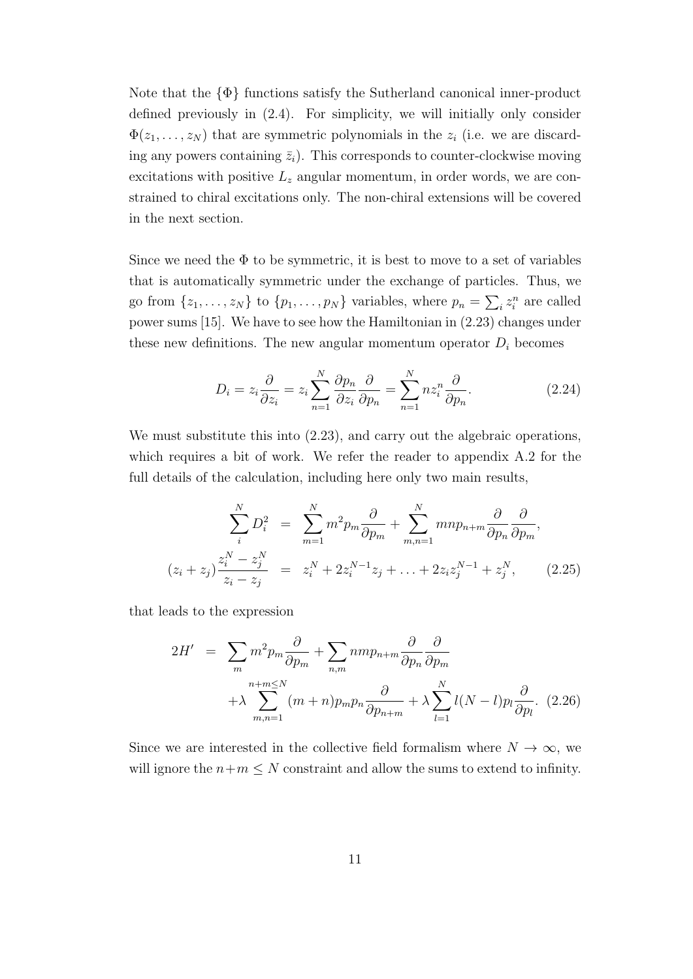Note that the *{*Φ*}* functions satisfy the Sutherland canonical inner-product defined previously in (2.4). For simplicity, we will initially only consider  $\Phi(z_1, \ldots, z_N)$  that are symmetric polynomials in the  $z_i$  (i.e. we are discarding any powers containing  $\bar{z}_i$ ). This corresponds to counter-clockwise moving excitations with positive *L<sup>z</sup>* angular momentum, in order words, we are constrained to chiral excitations only. The non-chiral extensions will be covered in the next section.

Since we need the  $\Phi$  to be symmetric, it is best to move to a set of variables that is automatically symmetric under the exchange of particles. Thus, we go from  $\{z_1, \ldots, z_N\}$  to  $\{p_1, \ldots, p_N\}$  variables, where  $p_n = \sum_i z_i^n$  are called power sums [15]. We have to see how the Hamiltonian in (2.23) changes under these new definitions. The new angular momentum operator  $D_i$  becomes

$$
D_i = z_i \frac{\partial}{\partial z_i} = z_i \sum_{n=1}^{N} \frac{\partial p_n}{\partial z_i} \frac{\partial}{\partial p_n} = \sum_{n=1}^{N} n z_i^n \frac{\partial}{\partial p_n}.
$$
 (2.24)

We must substitute this into  $(2.23)$ , and carry out the algebraic operations, which requires a bit of work. We refer the reader to appendix A.2 for the full details of the calculation, including here only two main results,

$$
\sum_{i}^{N} D_{i}^{2} = \sum_{m=1}^{N} m^{2} p_{m} \frac{\partial}{\partial p_{m}} + \sum_{m,n=1}^{N} m n p_{n+m} \frac{\partial}{\partial p_{n}} \frac{\partial}{\partial p_{m}},
$$
  

$$
(z_{i} + z_{j}) \frac{z_{i}^{N} - z_{j}^{N}}{z_{i} - z_{j}} = z_{i}^{N} + 2z_{i}^{N-1} z_{j} + \ldots + 2z_{i} z_{j}^{N-1} + z_{j}^{N}, \qquad (2.25)
$$

that leads to the expression

$$
2H' = \sum_{m} m^{2} p_{m} \frac{\partial}{\partial p_{m}} + \sum_{n,m} n m p_{n+m} \frac{\partial}{\partial p_{n}} \frac{\partial}{\partial p_{m}}
$$
  
+  $\lambda \sum_{m,n=1}^{n+m \le N} (m+n) p_{m} p_{n} \frac{\partial}{\partial p_{n+m}} + \lambda \sum_{l=1}^{N} l(N-l) p_{l} \frac{\partial}{\partial p_{l}}.$  (2.26)

Since we are interested in the collective field formalism where  $N \to \infty$ , we will ignore the  $n+m \leq N$  constraint and allow the sums to extend to infinity.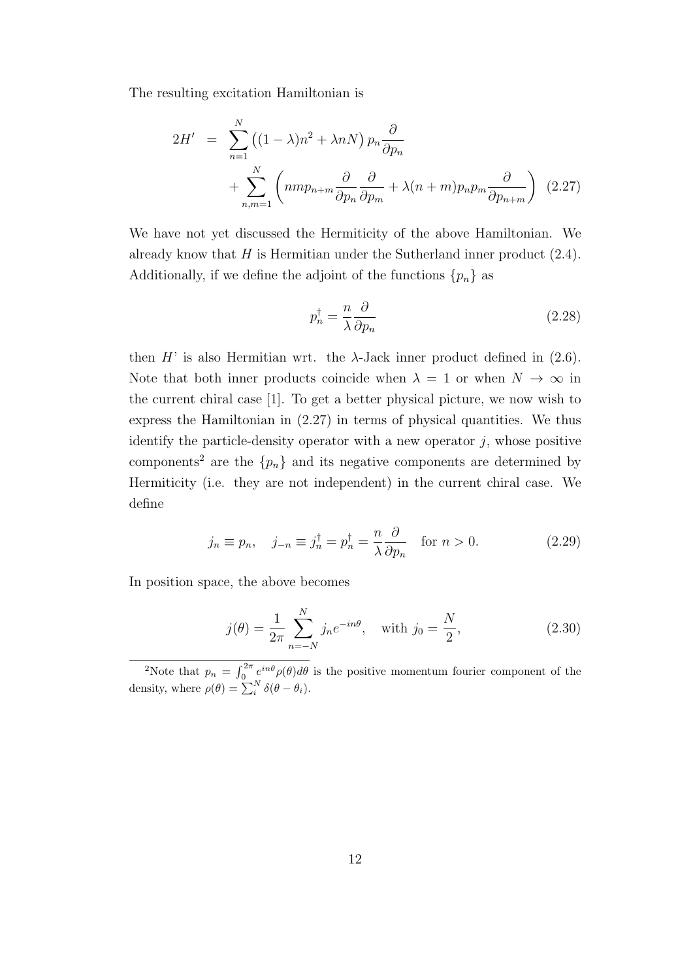The resulting excitation Hamiltonian is

$$
2H' = \sum_{n=1}^{N} ((1 - \lambda)n^2 + \lambda nN) p_n \frac{\partial}{\partial p_n} + \sum_{n,m=1}^{N} \left( nmp_{n+m} \frac{\partial}{\partial p_n} \frac{\partial}{\partial p_m} + \lambda (n+m) p_n p_m \frac{\partial}{\partial p_{n+m}} \right) (2.27)
$$

We have not yet discussed the Hermiticity of the above Hamiltonian. We already know that *H* is Hermitian under the Sutherland inner product (2.4). Additionally, if we define the adjoint of the functions  ${p_n}$  as

$$
p_n^{\dagger} = \frac{n}{\lambda} \frac{\partial}{\partial p_n} \tag{2.28}
$$

then  $H'$  is also Hermitian wrt. the  $\lambda$ -Jack inner product defined in (2.6). Note that both inner products coincide when  $\lambda = 1$  or when  $N \to \infty$  in the current chiral case [1]. To get a better physical picture, we now wish to express the Hamiltonian in (2.27) in terms of physical quantities. We thus identify the particle-density operator with a new operator *j*, whose positive components<sup>2</sup> are the  ${p_n}$  and its negative components are determined by Hermiticity (i.e. they are not independent) in the current chiral case. We define

$$
j_n \equiv p_n, \quad j_{-n} \equiv j_n^\dagger = p_n^\dagger = \frac{n}{\lambda} \frac{\partial}{\partial p_n} \quad \text{for } n > 0. \tag{2.29}
$$

In position space, the above becomes

$$
j(\theta) = \frac{1}{2\pi} \sum_{n=-N}^{N} j_n e^{-in\theta}, \text{ with } j_0 = \frac{N}{2}, \qquad (2.30)
$$

<sup>&</sup>lt;sup>2</sup>Note that  $p_n = \int_0^{2\pi} e^{in\theta} \rho(\theta) d\theta$  is the positive momentum fourier component of the density, where  $\rho(\theta) = \sum_{i}^{N} \delta(\theta - \theta_i)$ .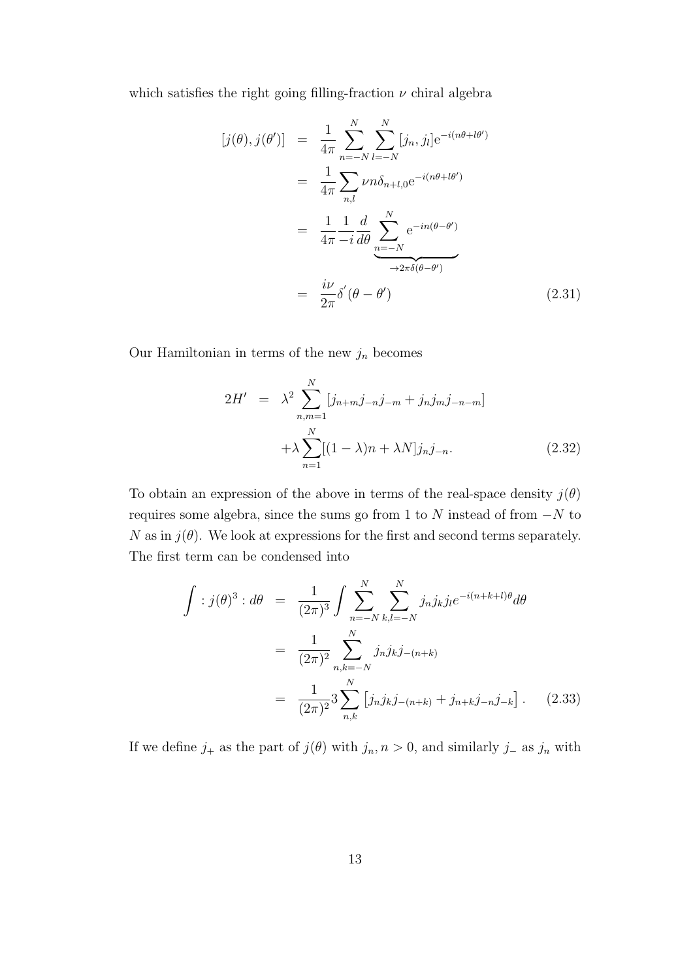which satisfies the right going filling-fraction  $\nu$  chiral algebra

$$
[j(\theta), j(\theta')] = \frac{1}{4\pi} \sum_{n=-N}^{N} \sum_{l=-N}^{N} [j_n, j_l] e^{-i(n\theta + l\theta')}
$$
  

$$
= \frac{1}{4\pi} \sum_{n,l} \nu n \delta_{n+l,0} e^{-i(n\theta + l\theta')}
$$
  

$$
= \frac{1}{4\pi} \frac{1}{-i} \frac{d}{d\theta} \sum_{\substack{n=-N \\ \lambda \neq 0}}^{N} e^{-in(\theta - \theta')}
$$
  

$$
= \frac{i\nu}{2\pi} \delta'(\theta - \theta')
$$
(2.31)

Our Hamiltonian in terms of the new  $j_n$  becomes

$$
2H' = \lambda^2 \sum_{n,m=1}^{N} [j_{n+m}j_{-n}j_{-m} + j_n j_m j_{-n-m}] + \lambda \sum_{n=1}^{N} [(1-\lambda)n + \lambda N] j_n j_{-n}.
$$
 (2.32)

To obtain an expression of the above in terms of the real-space density  $j(\theta)$ requires some algebra, since the sums go from 1 to *N* instead of from *−N* to *N* as in  $j(\theta)$ . We look at expressions for the first and second terms separately. The first term can be condensed into

$$
\int :j(\theta)^3: d\theta = \frac{1}{(2\pi)^3} \int \sum_{n=-N}^{N} \sum_{k,l=-N}^{N} j_n j_k j_l e^{-i(n+k+l)\theta} d\theta
$$

$$
= \frac{1}{(2\pi)^2} \sum_{n,k=-N}^{N} j_n j_k j_{-(n+k)}
$$

$$
= \frac{1}{(2\pi)^2} 3 \sum_{n,k}^{N} [j_n j_k j_{-(n+k)} + j_{n+k} j_{-n} j_{-k}]. \tag{2.33}
$$

If we define  $j_+$  as the part of  $j(\theta)$  with  $j_n, n > 0$ , and similarly  $j_-\$  as  $j_n$  with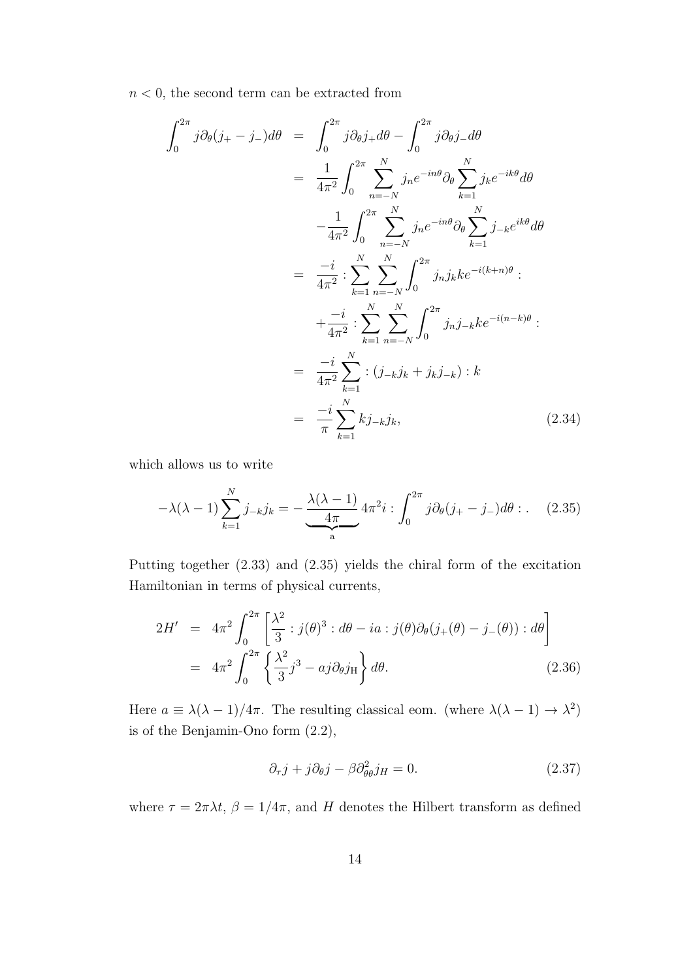$n < 0$ , the second term can be extracted from

$$
\int_{0}^{2\pi} j \partial_{\theta} (j_{+} - j_{-}) d\theta = \int_{0}^{2\pi} j \partial_{\theta} j_{+} d\theta - \int_{0}^{2\pi} j \partial_{\theta} j_{-} d\theta
$$
\n
$$
= \frac{1}{4\pi^{2}} \int_{0}^{2\pi} \sum_{n=-N}^{N} j_{n} e^{-in\theta} \partial_{\theta} \sum_{k=1}^{N} j_{k} e^{-ik\theta} d\theta
$$
\n
$$
- \frac{1}{4\pi^{2}} \int_{0}^{2\pi} \sum_{n=-N}^{N} j_{n} e^{-in\theta} \partial_{\theta} \sum_{k=1}^{N} j_{-k} e^{ik\theta} d\theta
$$
\n
$$
= \frac{-i}{4\pi^{2}} \sum_{k=1}^{N} \sum_{n=-N}^{N} \int_{0}^{2\pi} j_{n} j_{k} k e^{-i(k+n)\theta} :
$$
\n
$$
+ \frac{-i}{4\pi^{2}} \sum_{k=1}^{N} \sum_{n=-N}^{N} \int_{0}^{2\pi} j_{n} j_{-k} k e^{-i(n-k)\theta} :
$$
\n
$$
= \frac{-i}{4\pi^{2}} \sum_{k=1}^{N} \sum_{k=1}^{N} j_{-k} j_{k} ; \qquad (2.34)
$$

which allows us to write

$$
-\lambda(\lambda - 1) \sum_{k=1}^{N} j_{-k} j_k = -\underbrace{\frac{\lambda(\lambda - 1)}{4\pi}}_{a} 4\pi^2 i : \int_0^{2\pi} j \partial_{\theta} (j_{+} - j_{-}) d\theta : . \quad (2.35)
$$

Putting together (2.33) and (2.35) yields the chiral form of the excitation Hamiltonian in terms of physical currents,

$$
2H' = 4\pi^2 \int_0^{2\pi} \left[ \frac{\lambda^2}{3} : j(\theta)^3 : d\theta - ia : j(\theta)\partial_\theta(j_+(\theta) - j_-(\theta)) : d\theta \right]
$$
  
=  $4\pi^2 \int_0^{2\pi} \left\{ \frac{\lambda^2}{3} j^3 - aj \partial_\theta j_H \right\} d\theta.$  (2.36)

Here  $a \equiv \lambda(\lambda - 1)/4\pi$ . The resulting classical eom. (where  $\lambda(\lambda - 1) \rightarrow \lambda^2$ ) is of the Benjamin-Ono form (2.2),

$$
\partial_{\tau} j + j \partial_{\theta} j - \beta \partial_{\theta}^2 j_H = 0. \tag{2.37}
$$

where  $\tau = 2\pi\lambda t$ ,  $\beta = 1/4\pi$ , and *H* denotes the Hilbert transform as defined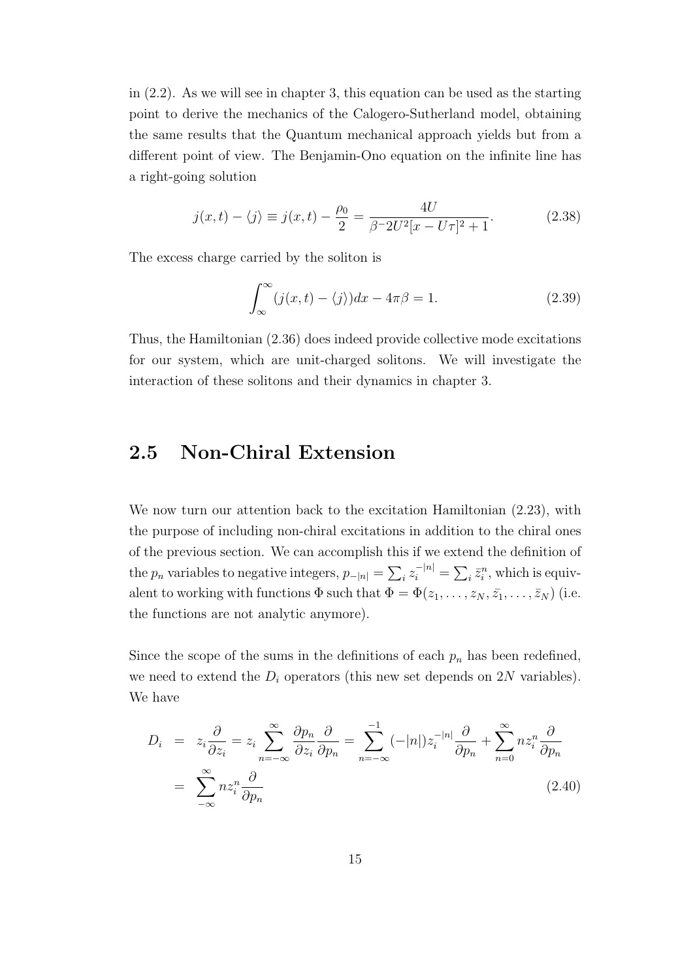in (2.2). As we will see in chapter 3, this equation can be used as the starting point to derive the mechanics of the Calogero-Sutherland model, obtaining the same results that the Quantum mechanical approach yields but from a different point of view. The Benjamin-Ono equation on the infinite line has a right-going solution

$$
j(x,t) - \langle j \rangle \equiv j(x,t) - \frac{\rho_0}{2} = \frac{4U}{\beta - 2U^2[x - U\tau]^2 + 1}.
$$
 (2.38)

The excess charge carried by the soliton is

$$
\int_{\infty}^{\infty} (j(x, t) - \langle j \rangle) dx - 4\pi \beta = 1.
$$
 (2.39)

Thus, the Hamiltonian (2.36) does indeed provide collective mode excitations for our system, which are unit-charged solitons. We will investigate the interaction of these solitons and their dynamics in chapter 3.

## **2.5 Non-Chiral Extension**

We now turn our attention back to the excitation Hamiltonian (2.23), with the purpose of including non-chiral excitations in addition to the chiral ones of the previous section. We can accomplish this if we extend the definition of the  $p_n$  variables to negative integers,  $p_{-|n|} = \sum_i z_i^{-|n|} = \sum_i \bar{z}_i^n$ , which is equivalent to working with functions  $\Phi$  such that  $\Phi = \Phi(z_1, \ldots, z_N, \bar{z_1}, \ldots, \bar{z_N})$  (i.e. the functions are not analytic anymore).

Since the scope of the sums in the definitions of each  $p_n$  has been redefined, we need to extend the  $D_i$  operators (this new set depends on  $2N$  variables). We have

$$
D_i = z_i \frac{\partial}{\partial z_i} = z_i \sum_{n=-\infty}^{\infty} \frac{\partial p_n}{\partial z_i} \frac{\partial}{\partial p_n} = \sum_{n=-\infty}^{-1} (-|n|) z_i^{-|n|} \frac{\partial}{\partial p_n} + \sum_{n=0}^{\infty} n z_i^n \frac{\partial}{\partial p_n}
$$
  
= 
$$
\sum_{-\infty}^{\infty} n z_i^n \frac{\partial}{\partial p_n}
$$
 (2.40)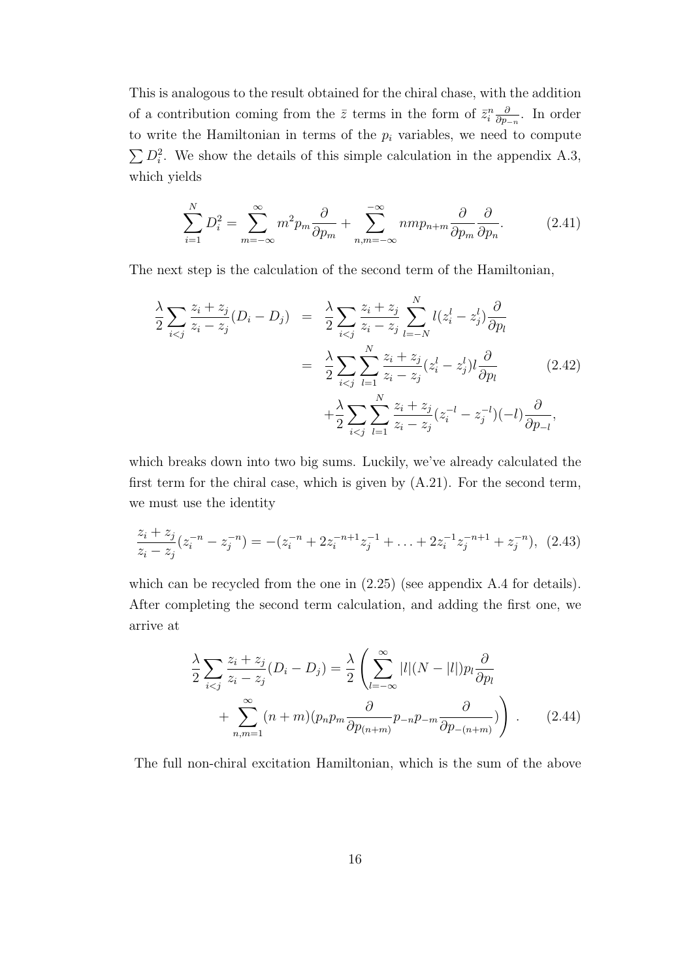This is analogous to the result obtained for the chiral chase, with the addition of a contribution coming from the  $\bar{z}$  terms in the form of  $\bar{z}_i^n \frac{\partial}{\partial p_i}$ *∂p−<sup>n</sup>* . In order to write the Hamiltonian in terms of the  $p_i$  variables, we need to compute  $\sum D_i^2$ . We show the details of this simple calculation in the appendix A.3, which yields

$$
\sum_{i=1}^{N} D_i^2 = \sum_{m=-\infty}^{\infty} m^2 p_m \frac{\partial}{\partial p_m} + \sum_{n,m=-\infty}^{-\infty} n m p_{n+m} \frac{\partial}{\partial p_m} \frac{\partial}{\partial p_n}.
$$
 (2.41)

The next step is the calculation of the second term of the Hamiltonian,

$$
\frac{\lambda}{2} \sum_{i < j} \frac{z_i + z_j}{z_i - z_j} (D_i - D_j) = \frac{\lambda}{2} \sum_{i < j} \frac{z_i + z_j}{z_i - z_j} \sum_{l = -N}^{N} l(z_i^l - z_j^l) \frac{\partial}{\partial p_l} \\
= \frac{\lambda}{2} \sum_{i < j} \sum_{l = 1}^{N} \frac{z_i + z_j}{z_i - z_j} (z_i^l - z_j^l) l \frac{\partial}{\partial p_l} \\
+ \frac{\lambda}{2} \sum_{i < j} \sum_{l = 1}^{N} \frac{z_i + z_j}{z_i - z_j} (z_i^{-l} - z_j^{-l}) (-l) \frac{\partial}{\partial p_{-l}},
$$
\n(2.42)

which breaks down into two big sums. Luckily, we've already calculated the first term for the chiral case, which is given by (A.21). For the second term, we must use the identity

$$
\frac{z_i + z_j}{z_i - z_j}(z_i^{-n} - z_j^{-n}) = -(z_i^{-n} + 2z_i^{-n+1}z_j^{-1} + \dots + 2z_i^{-1}z_j^{-n+1} + z_j^{-n}), \tag{2.43}
$$

which can be recycled from the one in  $(2.25)$  (see appendix A.4 for details). After completing the second term calculation, and adding the first one, we arrive at

$$
\frac{\lambda}{2} \sum_{i < j} \frac{z_i + z_j}{z_i - z_j} (D_i - D_j) = \frac{\lambda}{2} \left( \sum_{l = -\infty}^{\infty} |l| (N - |l|) p_l \frac{\partial}{\partial p_l} + \sum_{n,m=1}^{\infty} (n + m) (p_n p_m \frac{\partial}{\partial p_{(n+m)}} p_{-n} p_{-m} \frac{\partial}{\partial p_{-(n+m)}}) \right) . \tag{2.44}
$$

The full non-chiral excitation Hamiltonian, which is the sum of the above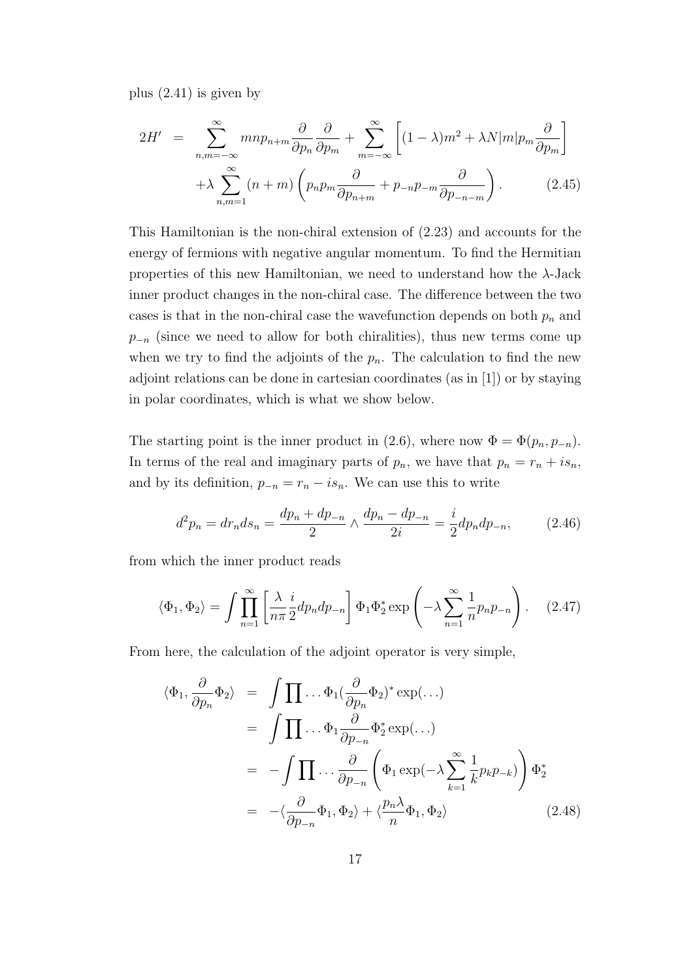plus (2.41) is given by

$$
2H' = \sum_{n,m=-\infty}^{\infty} m n p_{n+m} \frac{\partial}{\partial p_n} \frac{\partial}{\partial p_m} + \sum_{m=-\infty}^{\infty} \left[ (1-\lambda) m^2 + \lambda N |m| p_m \frac{\partial}{\partial p_m} \right] + \lambda \sum_{n,m=1}^{\infty} (n+m) \left( p_n p_m \frac{\partial}{\partial p_{n+m}} + p_{-n} p_{-m} \frac{\partial}{\partial p_{-n-m}} \right). \tag{2.45}
$$

This Hamiltonian is the non-chiral extension of (2.23) and accounts for the energy of fermions with negative angular momentum. To find the Hermitian properties of this new Hamiltonian, we need to understand how the *λ*-Jack inner product changes in the non-chiral case. The difference between the two cases is that in the non-chiral case the wavefunction depends on both *p<sup>n</sup>* and *p*<sup>−*n*</sup> (since we need to allow for both chiralities), thus new terms come up when we try to find the adjoints of the  $p_n$ . The calculation to find the new adjoint relations can be done in cartesian coordinates (as in [1]) or by staying in polar coordinates, which is what we show below.

The starting point is the inner product in (2.6), where now  $\Phi = \Phi(p_n, p_{-n})$ . In terms of the real and imaginary parts of  $p_n$ , we have that  $p_n = r_n + i s_n$ , and by its definition,  $p_{-n} = r_n - i s_n$ . We can use this to write

$$
d^2 p_n = dr_n ds_n = \frac{dp_n + dp_{-n}}{2} \wedge \frac{dp_n - dp_{-n}}{2i} = \frac{i}{2} dp_n dp_{-n}, \qquad (2.46)
$$

from which the inner product reads

$$
\langle \Phi_1, \Phi_2 \rangle = \int \prod_{n=1}^{\infty} \left[ \frac{\lambda}{n\pi} \frac{i}{2} dp_n dp_{-n} \right] \Phi_1 \Phi_2^* \exp\left(-\lambda \sum_{n=1}^{\infty} \frac{1}{n} p_n p_{-n}\right).
$$
 (2.47)

From here, the calculation of the adjoint operator is very simple,

$$
\langle \Phi_1, \frac{\partial}{\partial p_n} \Phi_2 \rangle = \int \prod \dots \Phi_1 (\frac{\partial}{\partial p_n} \Phi_2)^* \exp(\dots)
$$
  
\n
$$
= \int \prod \dots \Phi_1 \frac{\partial}{\partial p_{-n}} \Phi_2^* \exp(\dots)
$$
  
\n
$$
= - \int \prod \dots \frac{\partial}{\partial p_{-n}} \left( \Phi_1 \exp(-\lambda \sum_{k=1}^\infty \frac{1}{k} p_k p_{-k}) \right) \Phi_2^*
$$
  
\n
$$
= - \langle \frac{\partial}{\partial p_{-n}} \Phi_1, \Phi_2 \rangle + \langle \frac{p_n \lambda}{n} \Phi_1, \Phi_2 \rangle
$$
 (2.48)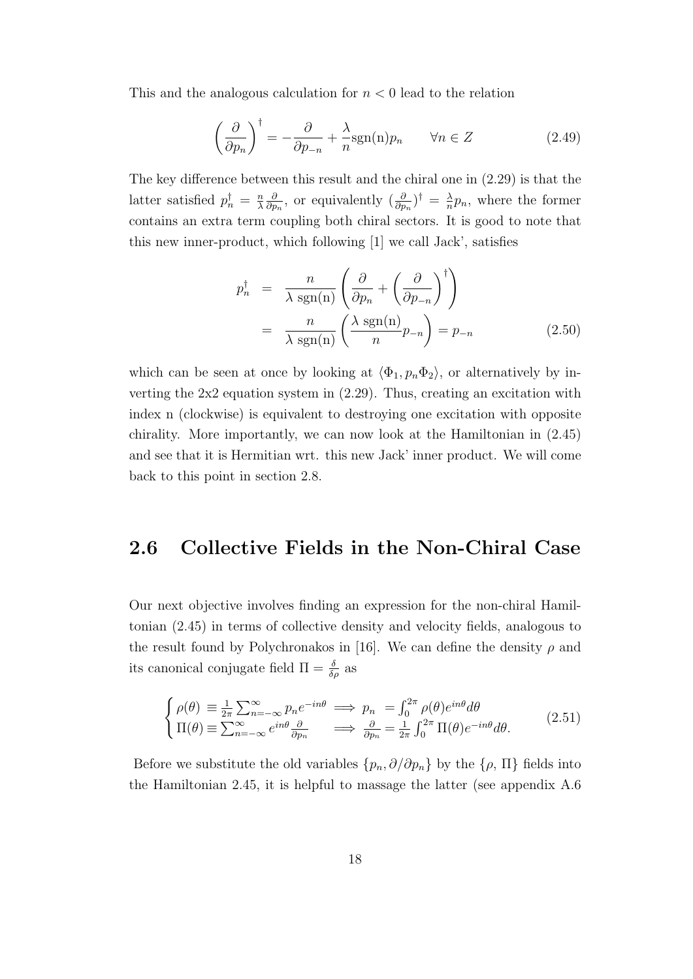This and the analogous calculation for *n <* 0 lead to the relation

$$
\left(\frac{\partial}{\partial p_n}\right)^{\dagger} = -\frac{\partial}{\partial p_{-n}} + \frac{\lambda}{n} \text{sgn}(n) p_n \qquad \forall n \in Z \tag{2.49}
$$

The key difference between this result and the chiral one in (2.29) is that the latter satisfied  $p_n^{\dagger} = \frac{n}{\lambda}$ *λ ∂*  $\frac{\partial}{\partial p_n}$ , or equivalently  $\left(\frac{\partial}{\partial p_n}\right)^{\dagger} = \frac{\lambda}{n}$  $\frac{\lambda}{n}p_n$ , where the former contains an extra term coupling both chiral sectors. It is good to note that this new inner-product, which following [1] we call Jack', satisfies

$$
p_n^{\dagger} = \frac{n}{\lambda \operatorname{sgn}(n)} \left( \frac{\partial}{\partial p_n} + \left( \frac{\partial}{\partial p_{-n}} \right)^{\dagger} \right)
$$
  
= 
$$
\frac{n}{\lambda \operatorname{sgn}(n)} \left( \frac{\lambda \operatorname{sgn}(n)}{n} p_{-n} \right) = p_{-n}
$$
 (2.50)

which can be seen at once by looking at  $\langle \Phi_1, p_n \Phi_2 \rangle$ , or alternatively by inverting the 2x2 equation system in (2.29). Thus, creating an excitation with index n (clockwise) is equivalent to destroying one excitation with opposite chirality. More importantly, we can now look at the Hamiltonian in (2.45) and see that it is Hermitian wrt. this new Jack' inner product. We will come back to this point in section 2.8.

## **2.6 Collective Fields in the Non-Chiral Case**

Our next objective involves finding an expression for the non-chiral Hamiltonian (2.45) in terms of collective density and velocity fields, analogous to the result found by Polychronakos in [16]. We can define the density  $\rho$  and its canonical conjugate field  $\Pi = \frac{\delta}{\delta \rho}$  as

$$
\begin{cases}\n\rho(\theta) \equiv \frac{1}{2\pi} \sum_{n=-\infty}^{\infty} p_n e^{-in\theta} \implies p_n = \int_0^{2\pi} \rho(\theta) e^{in\theta} d\theta \\
\Pi(\theta) \equiv \sum_{n=-\infty}^{\infty} e^{in\theta} \frac{\partial}{\partial p_n} \implies \frac{\partial}{\partial p_n} = \frac{1}{2\pi} \int_0^{2\pi} \Pi(\theta) e^{-in\theta} d\theta.\n\end{cases} (2.51)
$$

Before we substitute the old variables  $\{p_n, \partial/\partial p_n\}$  by the  $\{\rho, \Pi\}$  fields into the Hamiltonian 2.45, it is helpful to massage the latter (see appendix A.6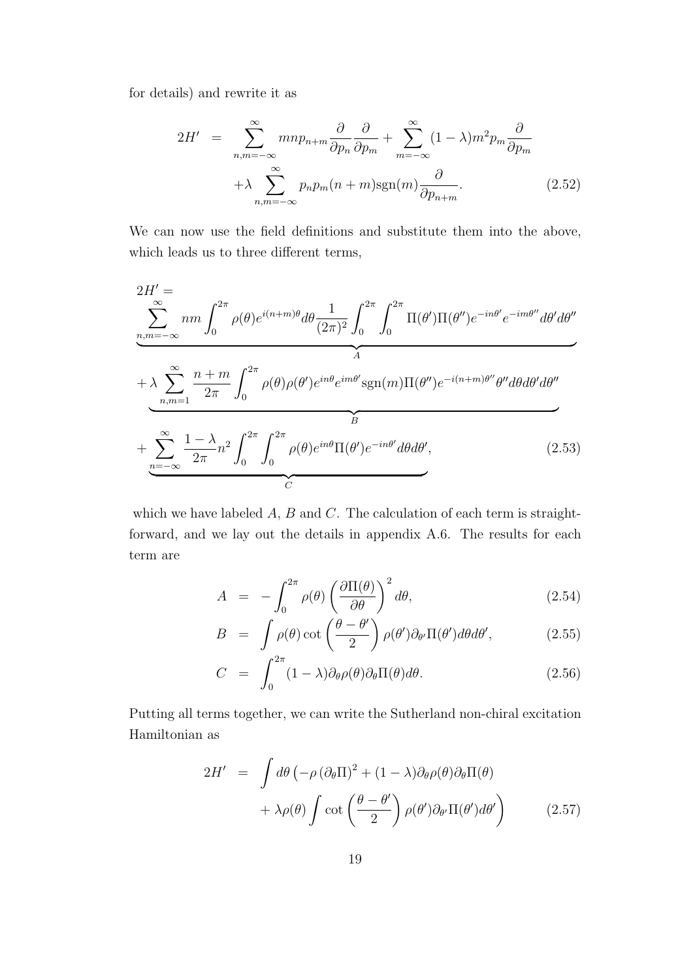for details) and rewrite it as

$$
2H' = \sum_{n,m=-\infty}^{\infty} m n p_{n+m} \frac{\partial}{\partial p_n} \frac{\partial}{\partial p_m} + \sum_{m=-\infty}^{\infty} (1 - \lambda) m^2 p_m \frac{\partial}{\partial p_m}
$$

$$
+ \lambda \sum_{n,m=-\infty}^{\infty} p_n p_m (n+m) \text{sgn}(m) \frac{\partial}{\partial p_{n+m}}.
$$
(2.52)

We can now use the field definitions and substitute them into the above, which leads us to three different terms,

$$
2H' = \sum_{n,m=-\infty}^{\infty} nm \int_0^{2\pi} \rho(\theta) e^{i(n+m)\theta} d\theta \frac{1}{(2\pi)^2} \int_0^{2\pi} \int_0^{2\pi} \Pi(\theta') \Pi(\theta'') e^{-in\theta'} e^{-im\theta''} d\theta' d\theta''
$$
  
+ 
$$
\lambda \sum_{n,m=1}^{\infty} \frac{n+m}{2\pi} \int_0^{2\pi} \rho(\theta) \rho(\theta') e^{in\theta} e^{im\theta'} sgn(m) \Pi(\theta'') e^{-i(n+m)\theta''} \theta'' d\theta d\theta' d\theta''
$$
  
+ 
$$
\sum_{n=-\infty}^{\infty} \frac{1-\lambda}{2\pi} n^2 \int_0^{2\pi} \int_0^{2\pi} \rho(\theta) e^{in\theta} \Pi(\theta') e^{-in\theta'} d\theta d\theta',
$$
(2.53)

which we have labeled *A*, *B* and *C*. The calculation of each term is straightforward, and we lay out the details in appendix A.6. The results for each term are

$$
A = -\int_0^{2\pi} \rho(\theta) \left(\frac{\partial \Pi(\theta)}{\partial \theta}\right)^2 d\theta, \tag{2.54}
$$

$$
B = \int \rho(\theta) \cot\left(\frac{\theta - \theta'}{2}\right) \rho(\theta') \partial_{\theta'} \Pi(\theta') d\theta d\theta', \qquad (2.55)
$$

$$
C = \int_0^{2\pi} (1 - \lambda) \partial_{\theta} \rho(\theta) \partial_{\theta} \Pi(\theta) d\theta.
$$
 (2.56)

Putting all terms together, we can write the Sutherland non-chiral excitation Hamiltonian as

$$
2H' = \int d\theta \left( -\rho \left( \partial_{\theta} \Pi \right)^{2} + (1 - \lambda) \partial_{\theta} \rho(\theta) \partial_{\theta} \Pi(\theta) \right. \\ \left. + \lambda \rho(\theta) \int \cot \left( \frac{\theta - \theta'}{2} \right) \rho(\theta') \partial_{\theta'} \Pi(\theta') d\theta' \right) \tag{2.57}
$$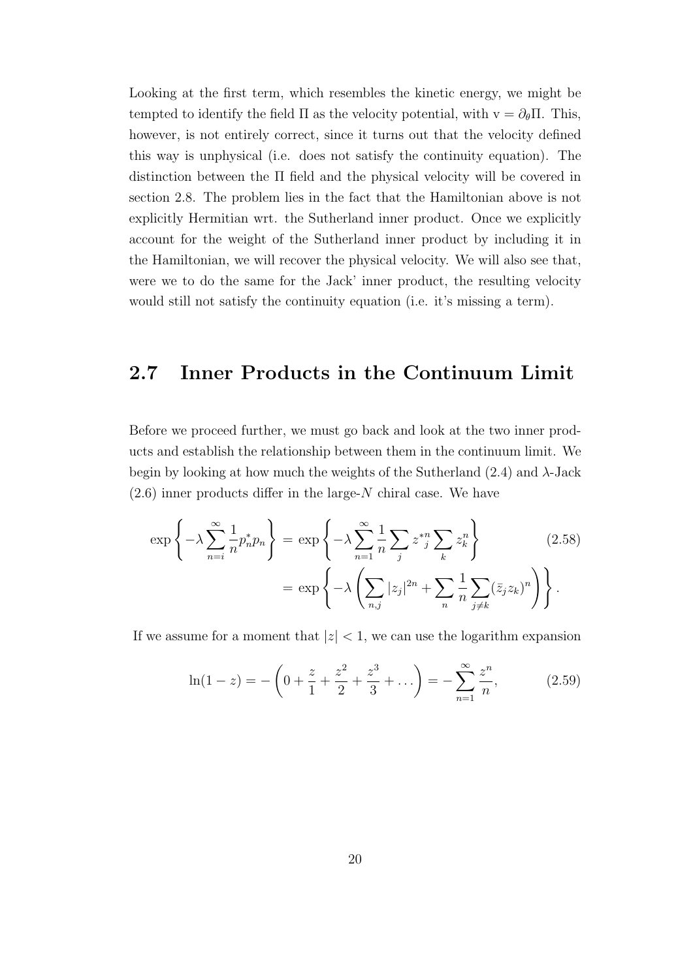Looking at the first term, which resembles the kinetic energy, we might be tempted to identify the field  $\Pi$  as the velocity potential, with  $v = \partial_{\theta} \Pi$ . This, however, is not entirely correct, since it turns out that the velocity defined this way is unphysical (i.e. does not satisfy the continuity equation). The distinction between the Π field and the physical velocity will be covered in section 2.8. The problem lies in the fact that the Hamiltonian above is not explicitly Hermitian wrt. the Sutherland inner product. Once we explicitly account for the weight of the Sutherland inner product by including it in the Hamiltonian, we will recover the physical velocity. We will also see that, were we to do the same for the Jack' inner product, the resulting velocity would still not satisfy the continuity equation (i.e. it's missing a term).

## **2.7 Inner Products in the Continuum Limit**

Before we proceed further, we must go back and look at the two inner products and establish the relationship between them in the continuum limit. We begin by looking at how much the weights of the Sutherland (2.4) and *λ*-Jack (2.6) inner products differ in the large-*N* chiral case. We have

$$
\exp\left\{-\lambda \sum_{n=i}^{\infty} \frac{1}{n} p_n^* p_n\right\} = \exp\left\{-\lambda \sum_{n=1}^{\infty} \frac{1}{n} \sum_j z^*_{j} \sum_k z_k^n\right\}
$$
(2.58)  

$$
= \exp\left\{-\lambda \left(\sum_{n,j} |z_j|^{2n} + \sum_n \frac{1}{n} \sum_{j \neq k} (\bar{z}_j z_k)^n\right)\right\}.
$$

If we assume for a moment that  $|z| < 1$ , we can use the logarithm expansion

$$
\ln(1-z) = -\left(0 + \frac{z}{1} + \frac{z^2}{2} + \frac{z^3}{3} + \dots\right) = -\sum_{n=1}^{\infty} \frac{z^n}{n},\tag{2.59}
$$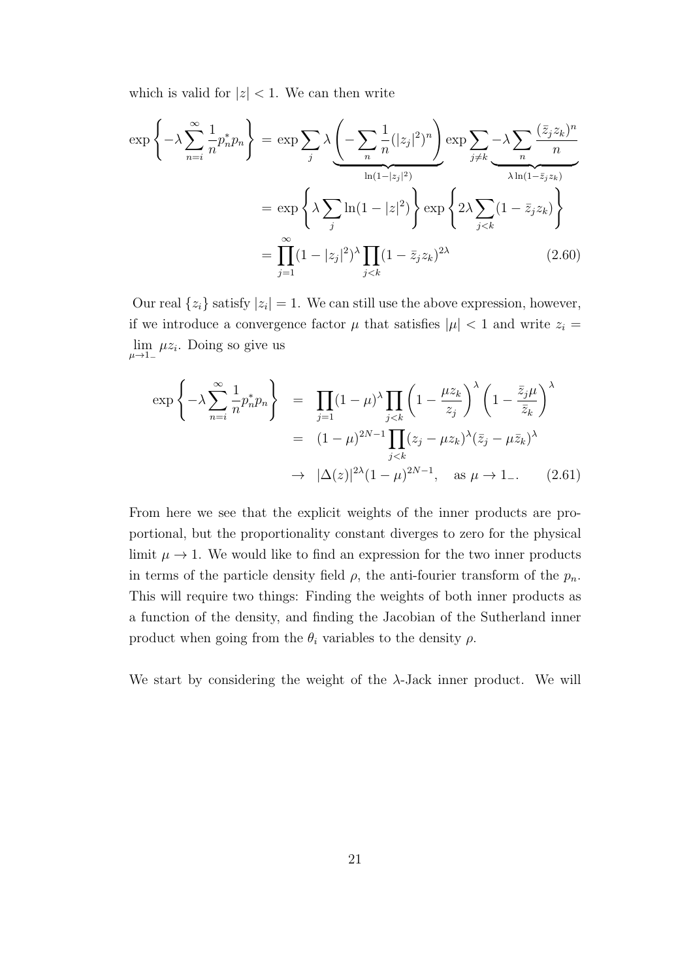which is valid for  $|z| < 1$ . We can then write

$$
\exp\left\{-\lambda \sum_{n=i}^{\infty} \frac{1}{n} p_n^* p_n\right\} = \exp \sum_j \lambda \underbrace{\left(-\sum_n \frac{1}{n} (|z_j|^2)^n\right)}_{\ln(1-|z_j|^2)} \exp \sum_{j \neq k} -\lambda \sum_n \frac{(\bar{z}_j z_k)^n}{n}
$$
\n
$$
= \exp\left\{\lambda \sum_j \ln(1-|z|^2)\right\} \exp\left\{2\lambda \sum_{j < k} (1-\bar{z}_j z_k)\right\}
$$
\n
$$
= \prod_{j=1}^{\infty} (1-|z_j|^2)^{\lambda} \prod_{j < k} (1-\bar{z}_j z_k)^{2\lambda} \tag{2.60}
$$

Our real  $\{z_i\}$  satisfy  $|z_i|=1$ . We can still use the above expression, however, if we introduce a convergence factor  $\mu$  that satisfies  $|\mu| < 1$  and write  $z_i =$ lim *µ→*1*<sup>−</sup>*  $\mu z_i$ . Doing so give us

$$
\exp\left\{-\lambda \sum_{n=i}^{\infty} \frac{1}{n} p_n^* p_n \right\} = \prod_{j=1} (1 - \mu)^{\lambda} \prod_{j < k} \left(1 - \frac{\mu z_k}{z_j}\right)^{\lambda} \left(1 - \frac{\bar{z}_j \mu}{\bar{z}_k}\right)^{\lambda}
$$
\n
$$
= (1 - \mu)^{2N-1} \prod_{j < k} (z_j - \mu z_k)^{\lambda} (\bar{z}_j - \mu \bar{z}_k)^{\lambda}
$$
\n
$$
\to |\Delta(z)|^{2\lambda} (1 - \mu)^{2N-1}, \text{ as } \mu \to 1_{-}.
$$
\n(2.61)

From here we see that the explicit weights of the inner products are proportional, but the proportionality constant diverges to zero for the physical limit  $\mu \to 1$ . We would like to find an expression for the two inner products in terms of the particle density field  $\rho$ , the anti-fourier transform of the  $p_n$ . This will require two things: Finding the weights of both inner products as a function of the density, and finding the Jacobian of the Sutherland inner product when going from the  $\theta_i$  variables to the density  $\rho$ .

We start by considering the weight of the *λ*-Jack inner product. We will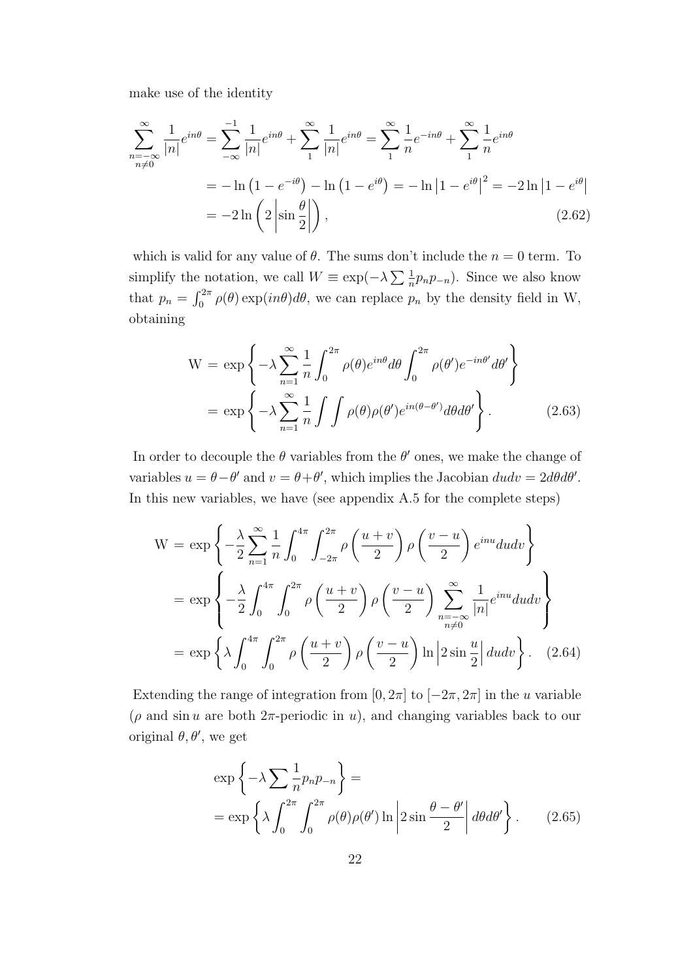make use of the identity

$$
\sum_{\substack{n=-\infty\\n\neq 0}}^{\infty} \frac{1}{|n|} e^{in\theta} = \sum_{-\infty}^{-1} \frac{1}{|n|} e^{in\theta} + \sum_{1}^{\infty} \frac{1}{|n|} e^{in\theta} = \sum_{1}^{\infty} \frac{1}{n} e^{-in\theta} + \sum_{1}^{\infty} \frac{1}{n} e^{in\theta}
$$

$$
= -\ln\left(1 - e^{-i\theta}\right) - \ln\left(1 - e^{i\theta}\right) = -\ln\left|1 - e^{i\theta}\right|^2 = -2\ln\left|1 - e^{i\theta}\right|
$$

$$
= -2\ln\left(2\left|\sin\frac{\theta}{2}\right|\right),\tag{2.62}
$$

which is valid for any value of  $\theta$ . The sums don't include the  $n = 0$  term. To simplify the notation, we call  $W \equiv \exp(-\lambda \sum \frac{1}{n}p_np-n)$ . Since we also know that  $p_n = \int_0^{2\pi} \rho(\theta) \exp(in\theta) d\theta$ , we can replace  $p_n$  by the density field in W, obtaining

$$
W = \exp\left\{-\lambda \sum_{n=1}^{\infty} \frac{1}{n} \int_{0}^{2\pi} \rho(\theta) e^{in\theta} d\theta \int_{0}^{2\pi} \rho(\theta') e^{-in\theta'} d\theta' \right\}
$$

$$
= \exp\left\{-\lambda \sum_{n=1}^{\infty} \frac{1}{n} \int \int \rho(\theta) \rho(\theta') e^{in(\theta-\theta')} d\theta d\theta' \right\}.
$$
(2.63)

In order to decouple the  $\theta$  variables from the  $\theta'$  ones, we make the change of variables  $u = \theta - \theta'$  and  $v = \theta + \theta'$ , which implies the Jacobian  $dudv = 2d\theta d\theta'$ . In this new variables, we have (see appendix A.5 for the complete steps)

$$
W = \exp\left\{-\frac{\lambda}{2}\sum_{n=1}^{\infty}\frac{1}{n}\int_{0}^{4\pi}\int_{-2\pi}^{2\pi}\rho\left(\frac{u+v}{2}\right)\rho\left(\frac{v-u}{2}\right)e^{inu}dudv\right\}
$$

$$
= \exp\left\{-\frac{\lambda}{2}\int_{0}^{4\pi}\int_{0}^{2\pi}\rho\left(\frac{u+v}{2}\right)\rho\left(\frac{v-u}{2}\right)\sum_{\substack{n=-\infty\\n\neq 0}}^{\infty}\frac{1}{|n|}e^{inu}dudv\right\}
$$

$$
= \exp\left\{\lambda\int_{0}^{4\pi}\int_{0}^{2\pi}\rho\left(\frac{u+v}{2}\right)\rho\left(\frac{v-u}{2}\right)\ln\left|2\sin\frac{u}{2}\right|dudv\right\}.
$$
 (2.64)

Extending the range of integration from  $[0, 2\pi]$  to  $[-2\pi, 2\pi]$  in the *u* variable  $(\rho$  and sin *u* are both  $2\pi$ -periodic in *u*), and changing variables back to our original *θ, θ′* , we get

$$
\exp\left\{-\lambda \sum_{n} \frac{1}{n} p_n p_{-n}\right\} =
$$
  
= 
$$
\exp\left\{\lambda \int_0^{2\pi} \int_0^{2\pi} \rho(\theta) \rho(\theta') \ln \left|2 \sin \frac{\theta - \theta'}{2}\right| d\theta d\theta'\right\}.
$$
 (2.65)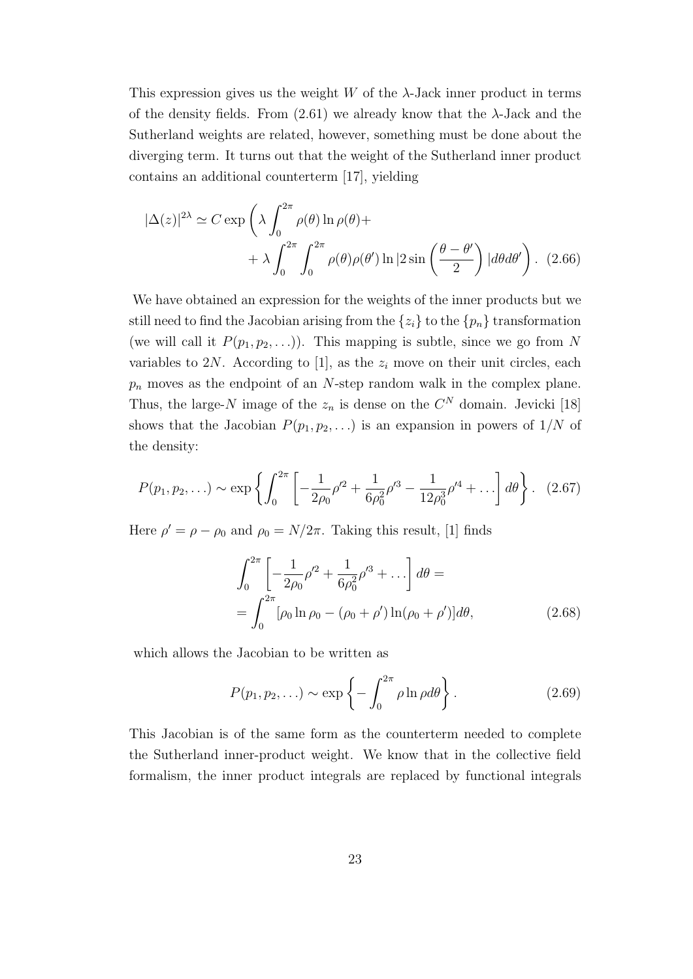This expression gives us the weight *W* of the *λ*-Jack inner product in terms of the density fields. From  $(2.61)$  we already know that the  $\lambda$ -Jack and the Sutherland weights are related, however, something must be done about the diverging term. It turns out that the weight of the Sutherland inner product contains an additional counterterm [17], yielding

$$
|\Delta(z)|^{2\lambda} \simeq C \exp\left(\lambda \int_0^{2\pi} \rho(\theta) \ln \rho(\theta) + \right.
$$
  
 
$$
+ \lambda \int_0^{2\pi} \int_0^{2\pi} \rho(\theta) \rho(\theta') \ln |2 \sin\left(\frac{\theta - \theta'}{2}\right)| d\theta d\theta'\right).
$$
 (2.66)

We have obtained an expression for the weights of the inner products but we still need to find the Jacobian arising from the  $\{z_i\}$  to the  $\{p_n\}$  transformation (we will call it  $P(p_1, p_2, \ldots)$ ). This mapping is subtle, since we go from N variables to  $2N$ . According to [1], as the  $z_i$  move on their unit circles, each *p<sup>n</sup>* moves as the endpoint of an *N*-step random walk in the complex plane. Thus, the large- $N$  image of the  $z_n$  is dense on the  $C^N$  domain. Jevicki [18] shows that the Jacobian  $P(p_1, p_2, \ldots)$  is an expansion in powers of  $1/N$  of the density:

$$
P(p_1, p_2, \ldots) \sim \exp\left\{ \int_0^{2\pi} \left[ -\frac{1}{2\rho_0} \rho'^2 + \frac{1}{6\rho_0^2} \rho'^3 - \frac{1}{12\rho_0^3} \rho'^4 + \ldots \right] d\theta \right\}. \tag{2.67}
$$

Here  $\rho' = \rho - \rho_0$  and  $\rho_0 = N/2\pi$ . Taking this result, [1] finds

$$
\int_0^{2\pi} \left[ -\frac{1}{2\rho_0} \rho'^2 + \frac{1}{6\rho_0^2} \rho'^3 + \ldots \right] d\theta =
$$
\n
$$
= \int_0^{2\pi} \left[ \rho_0 \ln \rho_0 - (\rho_0 + \rho') \ln(\rho_0 + \rho') \right] d\theta, \tag{2.68}
$$

which allows the Jacobian to be written as

$$
P(p_1, p_2, \ldots) \sim \exp\left\{-\int_0^{2\pi} \rho \ln \rho d\theta\right\}.
$$
 (2.69)

This Jacobian is of the same form as the counterterm needed to complete the Sutherland inner-product weight. We know that in the collective field formalism, the inner product integrals are replaced by functional integrals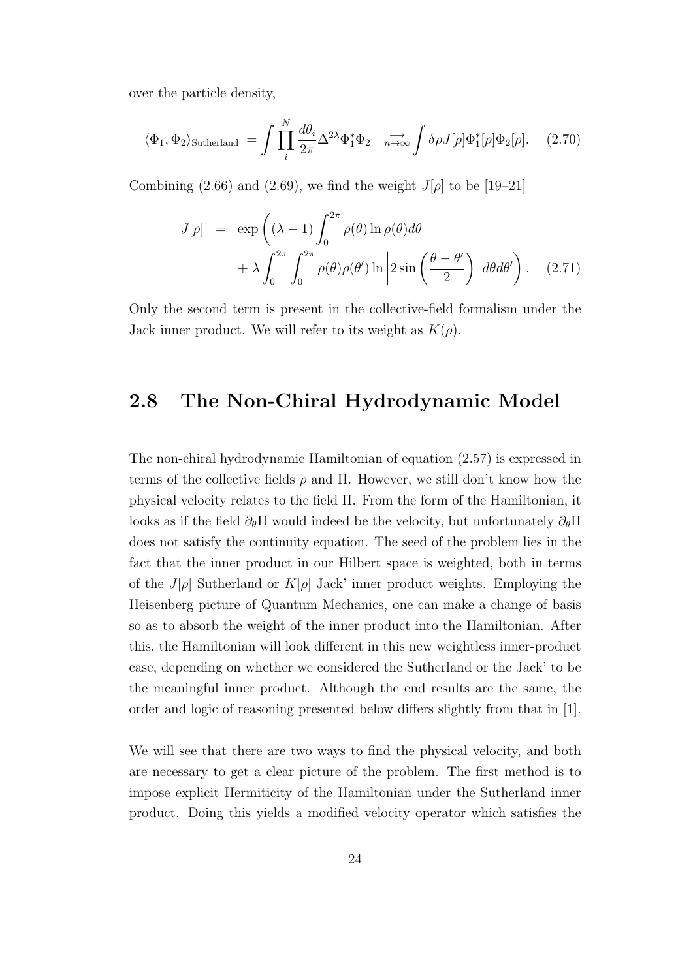over the particle density,

$$
\langle \Phi_1, \Phi_2 \rangle_{\text{Sutherland}} = \int \prod_i^N \frac{d\theta_i}{2\pi} \Delta^{2\lambda} \Phi_1^* \Phi_2 \quad \longrightarrow_{\text{max}} \int \delta \rho J[\rho] \Phi_1^*[\rho] \Phi_2[\rho]. \quad (2.70)
$$

Combining (2.66) and (2.69), we find the weight  $J[\rho]$  to be [19–21]

$$
J[\rho] = \exp\left((\lambda - 1) \int_0^{2\pi} \rho(\theta) \ln \rho(\theta) d\theta + \lambda \int_0^{2\pi} \int_0^{2\pi} \rho(\theta) \rho(\theta') \ln \left| 2 \sin\left(\frac{\theta - \theta'}{2}\right) \right| d\theta d\theta' \right).
$$
 (2.71)

Only the second term is present in the collective-field formalism under the Jack inner product. We will refer to its weight as  $K(\rho)$ .

## **2.8 The Non-Chiral Hydrodynamic Model**

The non-chiral hydrodynamic Hamiltonian of equation (2.57) is expressed in terms of the collective fields  $\rho$  and  $\Pi$ . However, we still don't know how the physical velocity relates to the field Π. From the form of the Hamiltonian, it looks as if the field *∂θ*Π would indeed be the velocity, but unfortunately *∂θ*Π does not satisfy the continuity equation. The seed of the problem lies in the fact that the inner product in our Hilbert space is weighted, both in terms of the *J*[ $\rho$ ] Sutherland or  $K[\rho]$  Jack' inner product weights. Employing the Heisenberg picture of Quantum Mechanics, one can make a change of basis so as to absorb the weight of the inner product into the Hamiltonian. After this, the Hamiltonian will look different in this new weightless inner-product case, depending on whether we considered the Sutherland or the Jack' to be the meaningful inner product. Although the end results are the same, the order and logic of reasoning presented below differs slightly from that in [1].

We will see that there are two ways to find the physical velocity, and both are necessary to get a clear picture of the problem. The first method is to impose explicit Hermiticity of the Hamiltonian under the Sutherland inner product. Doing this yields a modified velocity operator which satisfies the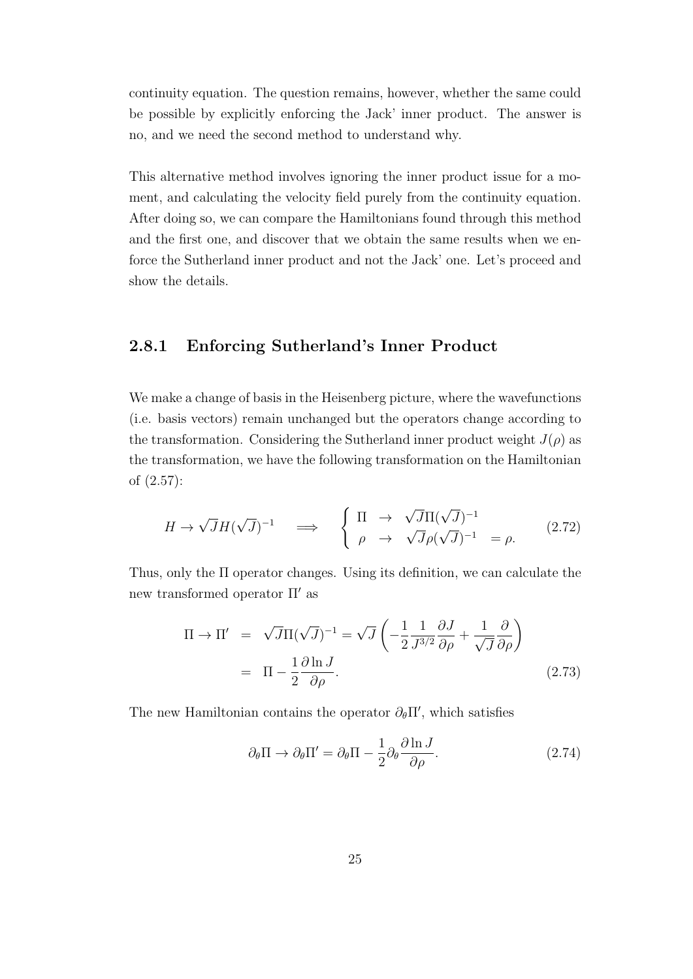continuity equation. The question remains, however, whether the same could be possible by explicitly enforcing the Jack' inner product. The answer is no, and we need the second method to understand why.

This alternative method involves ignoring the inner product issue for a moment, and calculating the velocity field purely from the continuity equation. After doing so, we can compare the Hamiltonians found through this method and the first one, and discover that we obtain the same results when we enforce the Sutherland inner product and not the Jack' one. Let's proceed and show the details.

#### **2.8.1 Enforcing Sutherland's Inner Product**

We make a change of basis in the Heisenberg picture, where the wavefunctions (i.e. basis vectors) remain unchanged but the operators change according to the transformation. Considering the Sutherland inner product weight  $J(\rho)$  as the transformation, we have the following transformation on the Hamiltonian of (2.57):

$$
H \to \sqrt{J}H(\sqrt{J})^{-1} \quad \Longrightarrow \quad \begin{cases} \Pi \to \sqrt{J}\Pi(\sqrt{J})^{-1} \\ \rho \to \sqrt{J}\rho(\sqrt{J})^{-1} \end{cases} = \rho. \tag{2.72}
$$

Thus, only the Π operator changes. Using its definition, we can calculate the new transformed operator Π*′* as

$$
\Pi \to \Pi' = \sqrt{J} \Pi (\sqrt{J})^{-1} = \sqrt{J} \left( -\frac{1}{2} \frac{1}{J^{3/2}} \frac{\partial J}{\partial \rho} + \frac{1}{\sqrt{J}} \frac{\partial}{\partial \rho} \right)
$$
  
=  $\Pi - \frac{1}{2} \frac{\partial \ln J}{\partial \rho}.$  (2.73)

The new Hamiltonian contains the operator  $\partial_{\theta} \Pi'$ , which satisfies

$$
\partial_{\theta} \Pi \to \partial_{\theta} \Pi' = \partial_{\theta} \Pi - \frac{1}{2} \partial_{\theta} \frac{\partial \ln J}{\partial \rho}.
$$
 (2.74)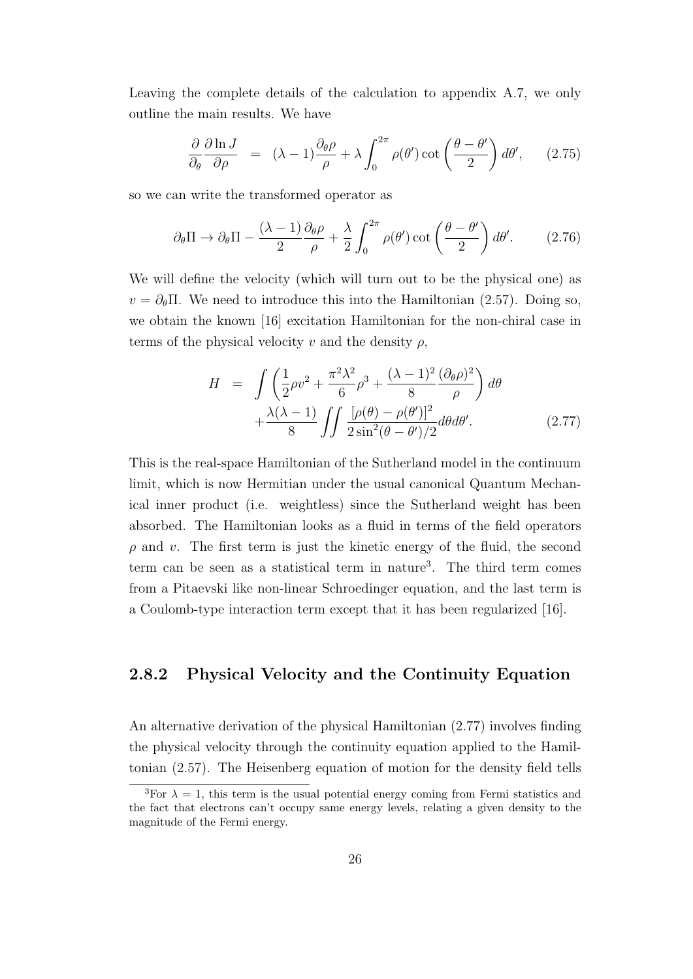Leaving the complete details of the calculation to appendix A.7, we only outline the main results. We have

$$
\frac{\partial}{\partial_{\theta}} \frac{\partial \ln J}{\partial \rho} = (\lambda - 1) \frac{\partial_{\theta} \rho}{\rho} + \lambda \int_{0}^{2\pi} \rho(\theta') \cot \left(\frac{\theta - \theta'}{2}\right) d\theta', \qquad (2.75)
$$

so we can write the transformed operator as

$$
\partial_{\theta} \Pi \to \partial_{\theta} \Pi - \frac{(\lambda - 1)}{2} \frac{\partial_{\theta} \rho}{\rho} + \frac{\lambda}{2} \int_0^{2\pi} \rho(\theta') \cot\left(\frac{\theta - \theta'}{2}\right) d\theta'. \tag{2.76}
$$

We will define the velocity (which will turn out to be the physical one) as  $v = \partial_{\theta} \Pi$ . We need to introduce this into the Hamiltonian (2.57). Doing so, we obtain the known [16] excitation Hamiltonian for the non-chiral case in terms of the physical velocity  $v$  and the density  $\rho$ ,

$$
H = \int \left(\frac{1}{2}\rho v^2 + \frac{\pi^2 \lambda^2}{6}\rho^3 + \frac{(\lambda - 1)^2}{8}\frac{(\partial_\theta \rho)^2}{\rho}\right) d\theta
$$

$$
+ \frac{\lambda(\lambda - 1)}{8} \int \int \frac{[\rho(\theta) - \rho(\theta')]^2}{2\sin^2(\theta - \theta')/2} d\theta d\theta'.
$$
(2.77)

This is the real-space Hamiltonian of the Sutherland model in the continuum limit, which is now Hermitian under the usual canonical Quantum Mechanical inner product (i.e. weightless) since the Sutherland weight has been absorbed. The Hamiltonian looks as a fluid in terms of the field operators *ρ* and *v*. The first term is just the kinetic energy of the fluid, the second term can be seen as a statistical term in nature<sup>3</sup> . The third term comes from a Pitaevski like non-linear Schroedinger equation, and the last term is a Coulomb-type interaction term except that it has been regularized [16].

#### **2.8.2 Physical Velocity and the Continuity Equation**

An alternative derivation of the physical Hamiltonian (2.77) involves finding the physical velocity through the continuity equation applied to the Hamiltonian (2.57). The Heisenberg equation of motion for the density field tells

<sup>&</sup>lt;sup>3</sup>For  $\lambda = 1$ , this term is the usual potential energy coming from Fermi statistics and the fact that electrons can't occupy same energy levels, relating a given density to the magnitude of the Fermi energy.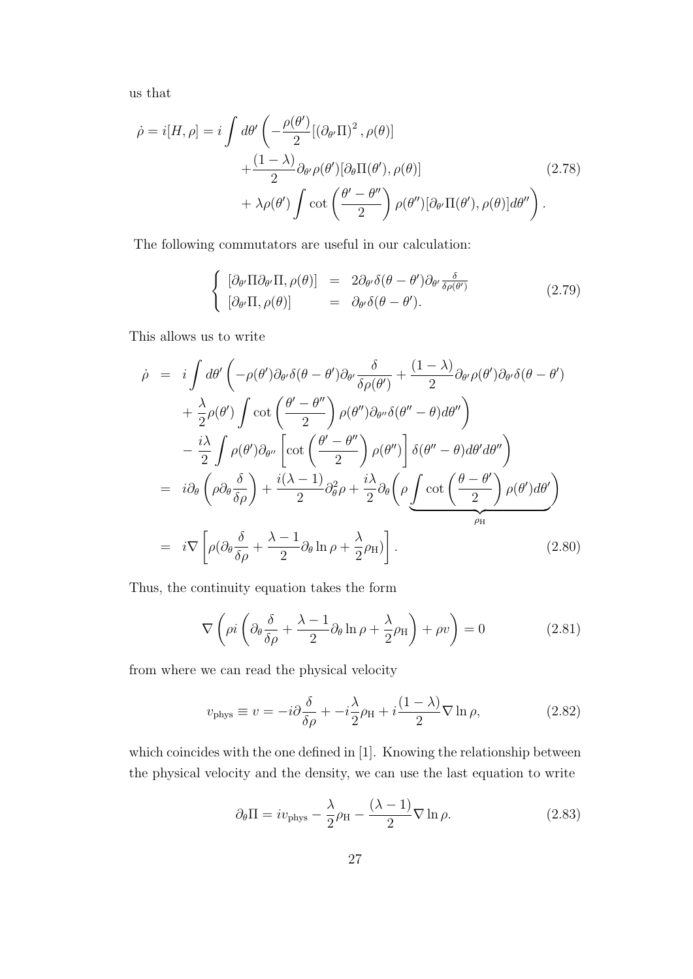us that

$$
\dot{\rho} = i[H, \rho] = i \int d\theta' \left( -\frac{\rho(\theta')}{2} [(\partial_{\theta'} \Pi)^2, \rho(\theta)] + \frac{(1-\lambda)}{2} \partial_{\theta'} \rho(\theta') [\partial_{\theta} \Pi(\theta'), \rho(\theta)] + \lambda \rho(\theta') \int \cot \left(\frac{\theta' - \theta''}{2}\right) \rho(\theta'') [\partial_{\theta'} \Pi(\theta'), \rho(\theta)] d\theta'' \right) .
$$
\n(2.78)

The following commutators are useful in our calculation:

$$
\begin{cases}\n[\partial_{\theta'} \Pi \partial_{\theta'} \Pi, \rho(\theta)] = 2 \partial_{\theta'} \delta(\theta - \theta') \partial_{\theta'} \frac{\delta}{\delta \rho(\theta')} \\
[\partial_{\theta'} \Pi, \rho(\theta)] = \partial_{\theta'} \delta(\theta - \theta').\n\end{cases}
$$
\n(2.79)

This allows us to write

$$
\dot{\rho} = i \int d\theta' \left( -\rho(\theta') \partial_{\theta'} \delta(\theta - \theta') \partial_{\theta'} \frac{\delta}{\delta \rho(\theta')} + \frac{(1 - \lambda)}{2} \partial_{\theta'} \rho(\theta') \partial_{\theta'} \delta(\theta - \theta') \right. \\
\left. + \frac{\lambda}{2} \rho(\theta') \int \cot \left( \frac{\theta' - \theta''}{2} \right) \rho(\theta'') \partial_{\theta''} \delta(\theta'' - \theta) d\theta'' \right) \\
- \frac{i\lambda}{2} \int \rho(\theta') \partial_{\theta''} \left[ \cot \left( \frac{\theta' - \theta''}{2} \right) \rho(\theta'') \right] \delta(\theta'' - \theta) d\theta' d\theta'' \right] \\
= i \partial_{\theta} \left( \rho \partial_{\theta} \frac{\delta}{\delta \rho} \right) + \frac{i(\lambda - 1)}{2} \partial_{\theta}^2 \rho + \frac{i\lambda}{2} \partial_{\theta} \left( \rho \int \cot \left( \frac{\theta - \theta'}{2} \right) \rho(\theta') d\theta' \right) \\
= i \nabla \left[ \rho (\partial_{\theta} \frac{\delta}{\delta \rho} + \frac{\lambda - 1}{2} \partial_{\theta} \ln \rho + \frac{\lambda}{2} \rho_{H}) \right].\n\tag{2.80}
$$

Thus, the continuity equation takes the form

$$
\nabla \left( \rho i \left( \partial_{\theta} \frac{\delta}{\delta \rho} + \frac{\lambda - 1}{2} \partial_{\theta} \ln \rho + \frac{\lambda}{2} \rho_{\mathrm{H}} \right) + \rho v \right) = 0 \tag{2.81}
$$

from where we can read the physical velocity

$$
v_{\text{phys}} \equiv v = -i\partial \frac{\delta}{\delta \rho} + -i\frac{\lambda}{2}\rho_{\text{H}} + i\frac{(1-\lambda)}{2}\nabla \ln \rho, \tag{2.82}
$$

which coincides with the one defined in [1]. Knowing the relationship between the physical velocity and the density, we can use the last equation to write

$$
\partial_{\theta} \Pi = i v_{\text{phys}} - \frac{\lambda}{2} \rho_{\text{H}} - \frac{(\lambda - 1)}{2} \nabla \ln \rho.
$$
 (2.83)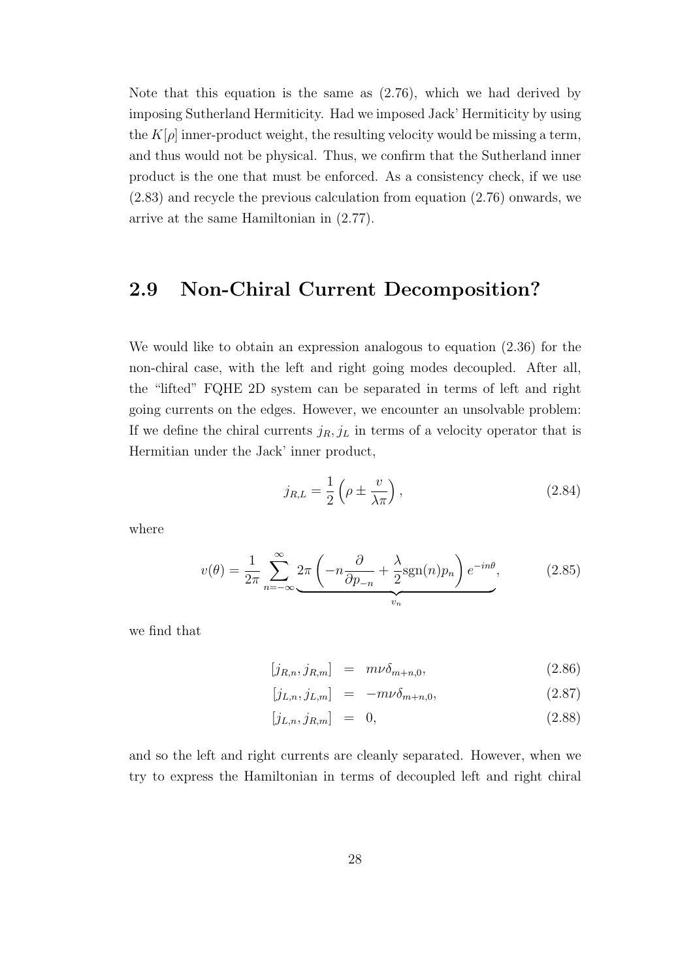Note that this equation is the same as (2.76), which we had derived by imposing Sutherland Hermiticity. Had we imposed Jack' Hermiticity by using the  $K[\rho]$  inner-product weight, the resulting velocity would be missing a term, and thus would not be physical. Thus, we confirm that the Sutherland inner product is the one that must be enforced. As a consistency check, if we use (2.83) and recycle the previous calculation from equation (2.76) onwards, we arrive at the same Hamiltonian in (2.77).

## **2.9 Non-Chiral Current Decomposition?**

We would like to obtain an expression analogous to equation (2.36) for the non-chiral case, with the left and right going modes decoupled. After all, the "lifted" FQHE 2D system can be separated in terms of left and right going currents on the edges. However, we encounter an unsolvable problem: If we define the chiral currents  $j_R$ ,  $j_L$  in terms of a velocity operator that is Hermitian under the Jack' inner product,

$$
j_{R,L} = \frac{1}{2} \left( \rho \pm \frac{v}{\lambda \pi} \right),\tag{2.84}
$$

where

$$
v(\theta) = \frac{1}{2\pi} \sum_{n=-\infty}^{\infty} \underbrace{2\pi \left( -n \frac{\partial}{\partial p_{-n}} + \frac{\lambda}{2} \text{sgn}(n) p_n \right) e^{-in\theta}}_{v_n},\tag{2.85}
$$

we find that

$$
[j_{R,n}, j_{R,m}] = m\nu \delta_{m+n,0}, \qquad (2.86)
$$

$$
[j_{L,n}, j_{L,m}] = -m\nu \delta_{m+n,0}, \qquad (2.87)
$$

$$
[j_{L,n}, j_{R,m}] = 0, \t(2.88)
$$

and so the left and right currents are cleanly separated. However, when we try to express the Hamiltonian in terms of decoupled left and right chiral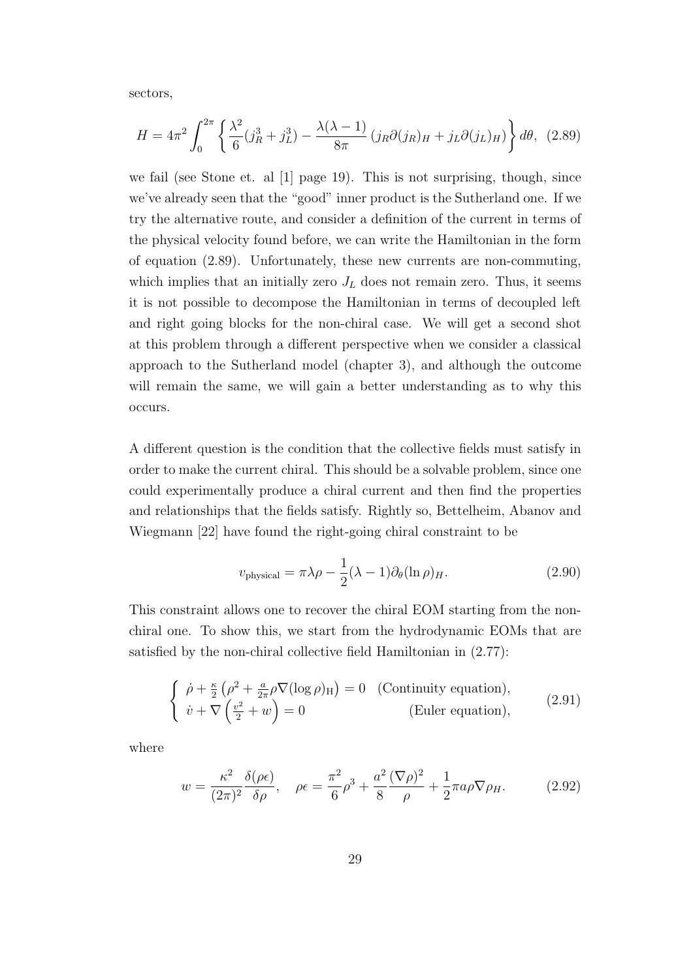sectors,

$$
H = 4\pi^2 \int_0^{2\pi} \left\{ \frac{\lambda^2}{6} (j_R^3 + j_L^3) - \frac{\lambda(\lambda - 1)}{8\pi} (j_R \partial (j_R)_H + j_L \partial (j_L)_H) \right\} d\theta, \tag{2.89}
$$

we fail (see Stone et. al [1] page 19). This is not surprising, though, since we've already seen that the "good" inner product is the Sutherland one. If we try the alternative route, and consider a definition of the current in terms of the physical velocity found before, we can write the Hamiltonian in the form of equation (2.89). Unfortunately, these new currents are non-commuting, which implies that an initially zero  $J_L$  does not remain zero. Thus, it seems it is not possible to decompose the Hamiltonian in terms of decoupled left and right going blocks for the non-chiral case. We will get a second shot at this problem through a different perspective when we consider a classical approach to the Sutherland model (chapter 3), and although the outcome will remain the same, we will gain a better understanding as to why this occurs.

A different question is the condition that the collective fields must satisfy in order to make the current chiral. This should be a solvable problem, since one could experimentally produce a chiral current and then find the properties and relationships that the fields satisfy. Rightly so, Bettelheim, Abanov and Wiegmann [22] have found the right-going chiral constraint to be

$$
v_{\text{physical}} = \pi \lambda \rho - \frac{1}{2} (\lambda - 1) \partial_{\theta} (\ln \rho)_{H}.
$$
 (2.90)

This constraint allows one to recover the chiral EOM starting from the nonchiral one. To show this, we start from the hydrodynamic EOMs that are satisfied by the non-chiral collective field Hamiltonian in (2.77):

$$
\begin{cases}\n\dot{\rho} + \frac{\kappa}{2} \left( \rho^2 + \frac{a}{2\pi} \rho \nabla (\log \rho)_{\mathrm{H}} \right) = 0 & \text{(Continuity equation)}, \\
\dot{v} + \nabla \left( \frac{v^2}{2} + w \right) = 0 & \text{(Euler equation)},\n\end{cases}
$$
\n(2.91)

where

$$
w = \frac{\kappa^2}{(2\pi)^2} \frac{\delta(\rho \epsilon)}{\delta \rho}, \quad \rho \epsilon = \frac{\pi^2}{6} \rho^3 + \frac{a^2}{8} \frac{(\nabla \rho)^2}{\rho} + \frac{1}{2} \pi a \rho \nabla \rho_H.
$$
 (2.92)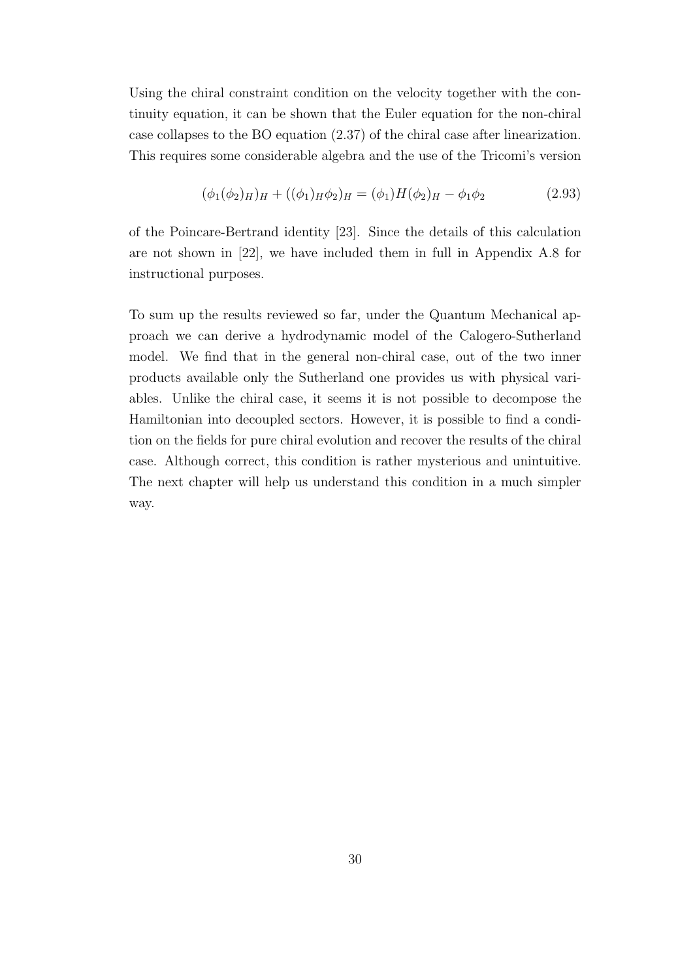Using the chiral constraint condition on the velocity together with the continuity equation, it can be shown that the Euler equation for the non-chiral case collapses to the BO equation (2.37) of the chiral case after linearization. This requires some considerable algebra and the use of the Tricomi's version

$$
(\phi_1(\phi_2)_H)_H + ((\phi_1)_H \phi_2)_H = (\phi_1)H(\phi_2)_H - \phi_1 \phi_2 \tag{2.93}
$$

of the Poincare-Bertrand identity [23]. Since the details of this calculation are not shown in [22], we have included them in full in Appendix A.8 for instructional purposes.

To sum up the results reviewed so far, under the Quantum Mechanical approach we can derive a hydrodynamic model of the Calogero-Sutherland model. We find that in the general non-chiral case, out of the two inner products available only the Sutherland one provides us with physical variables. Unlike the chiral case, it seems it is not possible to decompose the Hamiltonian into decoupled sectors. However, it is possible to find a condition on the fields for pure chiral evolution and recover the results of the chiral case. Although correct, this condition is rather mysterious and unintuitive. The next chapter will help us understand this condition in a much simpler way.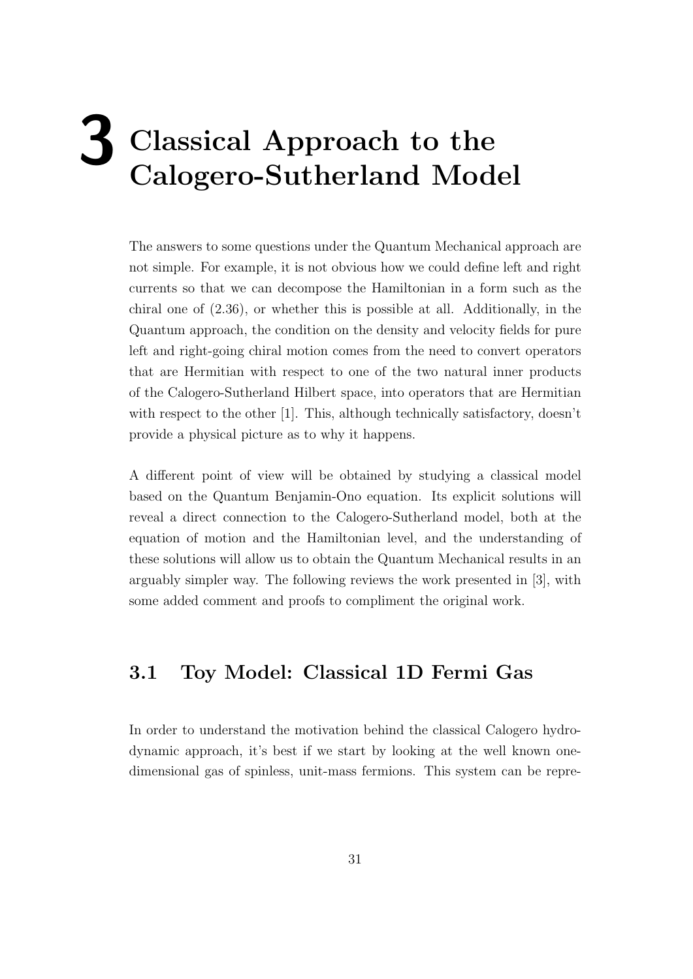# **3 Classical Approach to the Calogero-Sutherland Model**

The answers to some questions under the Quantum Mechanical approach are not simple. For example, it is not obvious how we could define left and right currents so that we can decompose the Hamiltonian in a form such as the chiral one of (2.36), or whether this is possible at all. Additionally, in the Quantum approach, the condition on the density and velocity fields for pure left and right-going chiral motion comes from the need to convert operators that are Hermitian with respect to one of the two natural inner products of the Calogero-Sutherland Hilbert space, into operators that are Hermitian with respect to the other [1]. This, although technically satisfactory, doesn't provide a physical picture as to why it happens.

A different point of view will be obtained by studying a classical model based on the Quantum Benjamin-Ono equation. Its explicit solutions will reveal a direct connection to the Calogero-Sutherland model, both at the equation of motion and the Hamiltonian level, and the understanding of these solutions will allow us to obtain the Quantum Mechanical results in an arguably simpler way. The following reviews the work presented in [3], with some added comment and proofs to compliment the original work.

### **3.1 Toy Model: Classical 1D Fermi Gas**

In order to understand the motivation behind the classical Calogero hydrodynamic approach, it's best if we start by looking at the well known onedimensional gas of spinless, unit-mass fermions. This system can be repre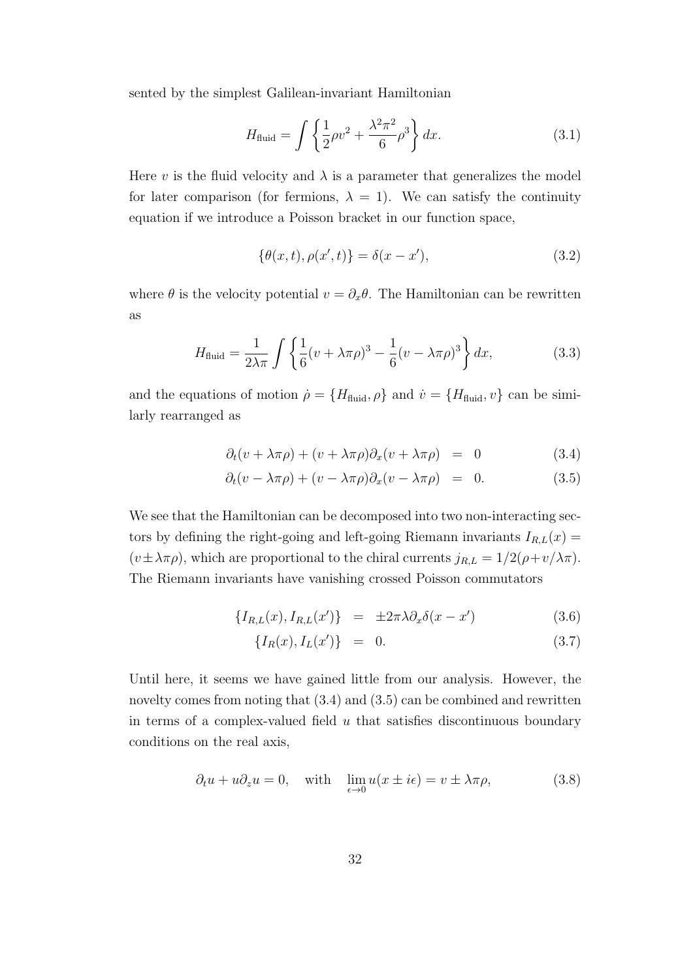sented by the simplest Galilean-invariant Hamiltonian

$$
H_{\text{fluid}} = \int \left\{ \frac{1}{2} \rho v^2 + \frac{\lambda^2 \pi^2}{6} \rho^3 \right\} dx. \tag{3.1}
$$

Here *v* is the fluid velocity and  $\lambda$  is a parameter that generalizes the model for later comparison (for fermions,  $\lambda = 1$ ). We can satisfy the continuity equation if we introduce a Poisson bracket in our function space,

$$
\{\theta(x,t), \rho(x',t)\} = \delta(x-x'),\tag{3.2}
$$

where  $\theta$  is the velocity potential  $v = \partial_x \theta$ . The Hamiltonian can be rewritten as

$$
H_{\text{fluid}} = \frac{1}{2\lambda\pi} \int \left\{ \frac{1}{6} (v + \lambda\pi\rho)^3 - \frac{1}{6} (v - \lambda\pi\rho)^3 \right\} dx,\tag{3.3}
$$

and the equations of motion  $\rho = \{H_{\text{fluid}}, \rho\}$  and  $\dot{v} = \{H_{\text{fluid}}, v\}$  can be similarly rearranged as

$$
\partial_t (v + \lambda \pi \rho) + (v + \lambda \pi \rho) \partial_x (v + \lambda \pi \rho) = 0 \tag{3.4}
$$

$$
\partial_t (v - \lambda \pi \rho) + (v - \lambda \pi \rho) \partial_x (v - \lambda \pi \rho) = 0. \tag{3.5}
$$

We see that the Hamiltonian can be decomposed into two non-interacting sectors by defining the right-going and left-going Riemann invariants  $I_{R,L}(x)$  =  $(v \pm \lambda \pi \rho)$ , which are proportional to the chiral currents  $j_{R,L} = 1/2(\rho + v/\lambda \pi)$ . The Riemann invariants have vanishing crossed Poisson commutators

$$
\{I_{R,L}(x), I_{R,L}(x')\} = \pm 2\pi\lambda \partial_x \delta(x - x')
$$
\n(3.6)

$$
\{I_R(x), I_L(x')\} = 0. \t(3.7)
$$

Until here, it seems we have gained little from our analysis. However, the novelty comes from noting that (3.4) and (3.5) can be combined and rewritten in terms of a complex-valued field *u* that satisfies discontinuous boundary conditions on the real axis,

$$
\partial_t u + u \partial_z u = 0, \quad \text{with} \quad \lim_{\epsilon \to 0} u(x \pm i\epsilon) = v \pm \lambda \pi \rho,
$$
 (3.8)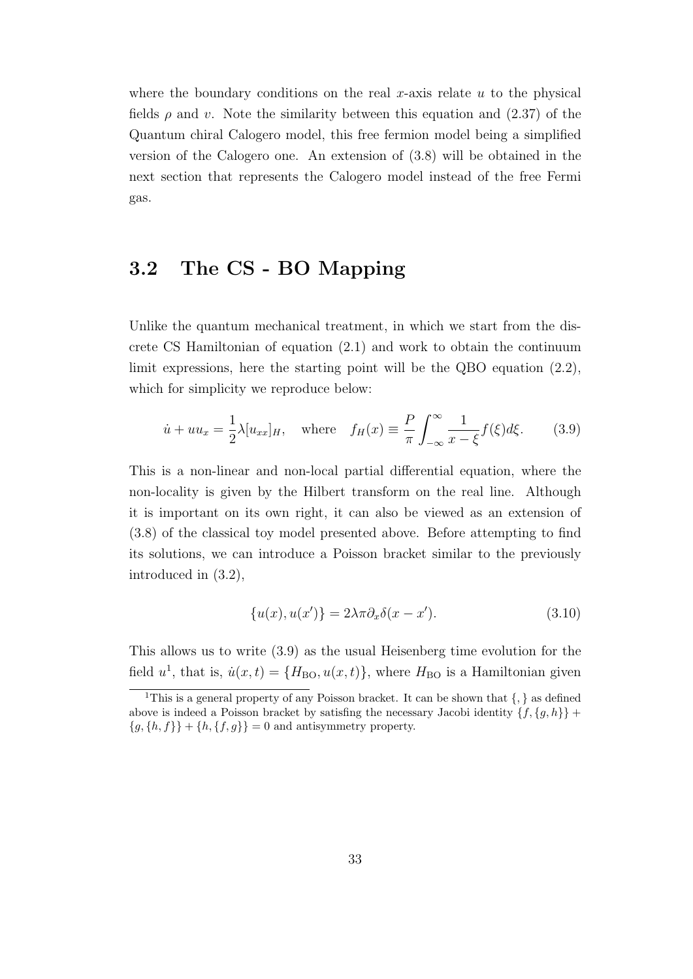where the boundary conditions on the real *x*-axis relate *u* to the physical fields  $\rho$  and *v*. Note the similarity between this equation and (2.37) of the Quantum chiral Calogero model, this free fermion model being a simplified version of the Calogero one. An extension of (3.8) will be obtained in the next section that represents the Calogero model instead of the free Fermi gas.

### **3.2 The CS - BO Mapping**

Unlike the quantum mechanical treatment, in which we start from the discrete CS Hamiltonian of equation (2.1) and work to obtain the continuum limit expressions, here the starting point will be the QBO equation (2.2), which for simplicity we reproduce below:

$$
\dot{u} + uu_x = \frac{1}{2}\lambda[u_{xx}]_H, \quad \text{where} \quad f_H(x) \equiv \frac{P}{\pi} \int_{-\infty}^{\infty} \frac{1}{x - \xi} f(\xi) d\xi. \tag{3.9}
$$

This is a non-linear and non-local partial differential equation, where the non-locality is given by the Hilbert transform on the real line. Although it is important on its own right, it can also be viewed as an extension of (3.8) of the classical toy model presented above. Before attempting to find its solutions, we can introduce a Poisson bracket similar to the previously introduced in (3.2),

$$
\{u(x), u(x')\} = 2\lambda \pi \partial_x \delta(x - x'). \tag{3.10}
$$

This allows us to write (3.9) as the usual Heisenberg time evolution for the field  $u^1$ , that is,  $\dot{u}(x,t) = \{H_{\text{BO}}, u(x,t)\}$ , where  $H_{\text{BO}}$  is a Hamiltonian given

<sup>1</sup>This is a general property of any Poisson bracket. It can be shown that *{, }* as defined above is indeed a Poisson bracket by satisfing the necessary Jacobi identity  $\{f, \{g, h\}\}\$  ${g, {h, f}}$  +  ${h, {f, g}}$  = 0 and antisymmetry property.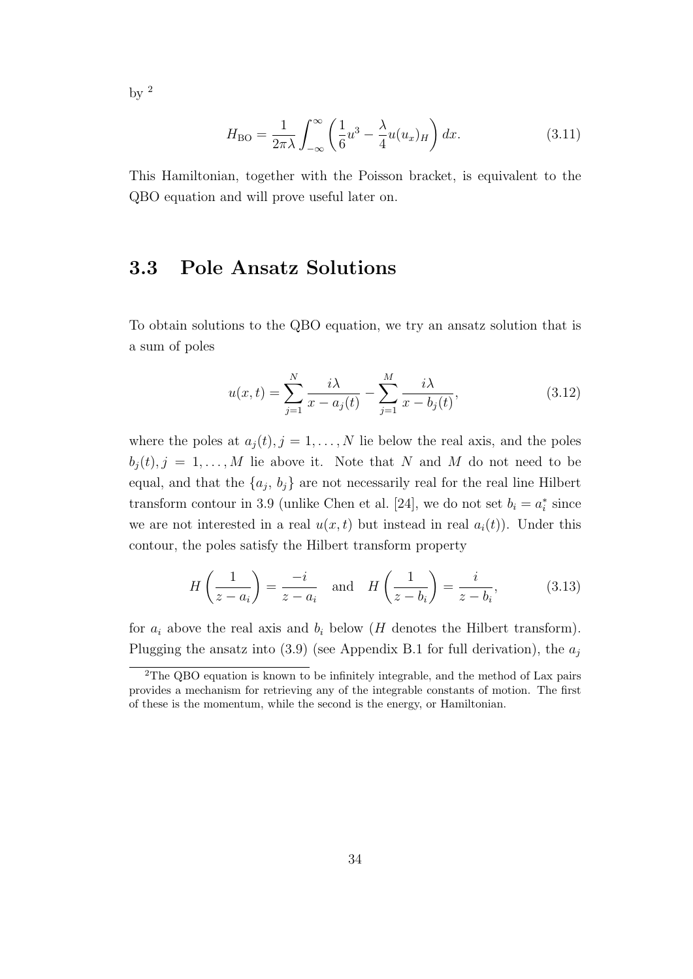by  $2$ 

$$
H_{\rm BO} = \frac{1}{2\pi\lambda} \int_{-\infty}^{\infty} \left(\frac{1}{6}u^3 - \frac{\lambda}{4}u(u_x)_H\right) dx.
$$
 (3.11)

This Hamiltonian, together with the Poisson bracket, is equivalent to the QBO equation and will prove useful later on.

#### **3.3 Pole Ansatz Solutions**

To obtain solutions to the QBO equation, we try an ansatz solution that is a sum of poles

$$
u(x,t) = \sum_{j=1}^{N} \frac{i\lambda}{x - a_j(t)} - \sum_{j=1}^{M} \frac{i\lambda}{x - b_j(t)},
$$
\n(3.12)

where the poles at  $a_j(t)$ ,  $j = 1, ..., N$  lie below the real axis, and the poles  $b_j(t), j = 1, \ldots, M$  lie above it. Note that *N* and *M* do not need to be equal, and that the  $\{a_j, b_j\}$  are not necessarily real for the real line Hilbert transform contour in 3.9 (unlike Chen et al. [24], we do not set  $b_i = a_i^*$  since we are not interested in a real  $u(x, t)$  but instead in real  $a_i(t)$ ). Under this contour, the poles satisfy the Hilbert transform property

$$
H\left(\frac{1}{z-a_i}\right) = \frac{-i}{z-a_i} \quad \text{and} \quad H\left(\frac{1}{z-b_i}\right) = \frac{i}{z-b_i},\tag{3.13}
$$

for  $a_i$  above the real axis and  $b_i$  below (*H* denotes the Hilbert transform). Plugging the ansatz into  $(3.9)$  (see Appendix B.1 for full derivation), the  $a_j$ 

<sup>&</sup>lt;sup>2</sup>The QBO equation is known to be infinitely integrable, and the method of Lax pairs provides a mechanism for retrieving any of the integrable constants of motion. The first of these is the momentum, while the second is the energy, or Hamiltonian.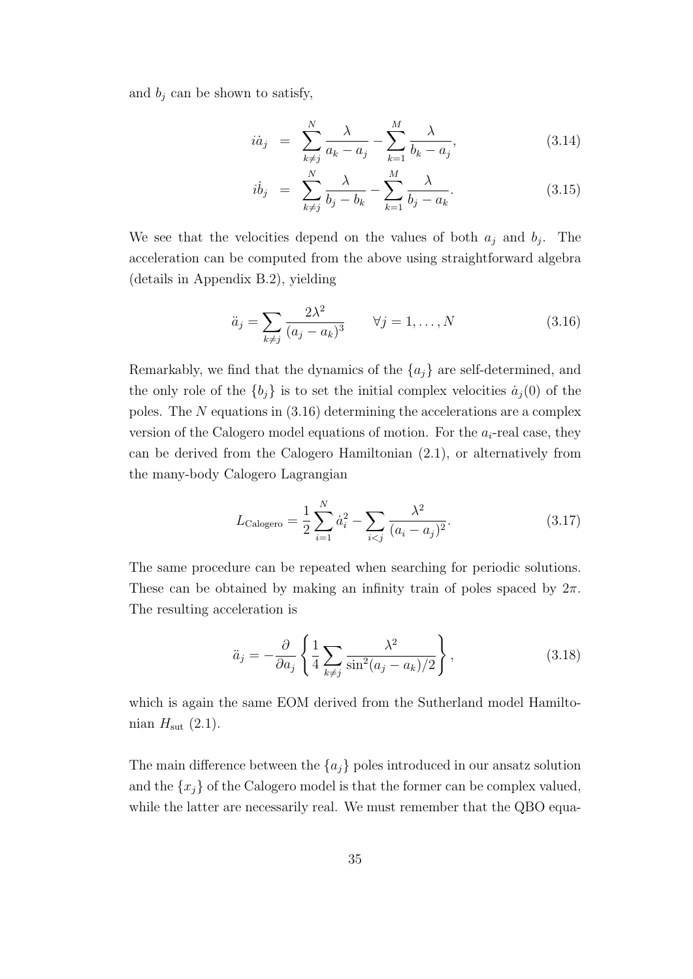and  $b_j$  can be shown to satisfy,

$$
i\dot{a}_j = \sum_{k \neq j}^{N} \frac{\lambda}{a_k - a_j} - \sum_{k=1}^{M} \frac{\lambda}{b_k - a_j},
$$
\n(3.14)

$$
i\dot{b}_j = \sum_{k \neq j}^{N} \frac{\lambda}{b_j - b_k} - \sum_{k=1}^{M} \frac{\lambda}{b_j - a_k}.
$$
 (3.15)

We see that the velocities depend on the values of both  $a_j$  and  $b_j$ . The acceleration can be computed from the above using straightforward algebra (details in Appendix B.2), yielding

$$
\ddot{a}_j = \sum_{k \neq j} \frac{2\lambda^2}{(a_j - a_k)^3} \qquad \forall j = 1, \dots, N \tag{3.16}
$$

Remarkably, we find that the dynamics of the *{aj}* are self-determined, and the only role of the  ${b_j}$  is to set the initial complex velocities  $\dot{a}_j(0)$  of the poles. The *N* equations in (3.16) determining the accelerations are a complex version of the Calogero model equations of motion. For the *ai*-real case, they can be derived from the Calogero Hamiltonian (2.1), or alternatively from the many-body Calogero Lagrangian

$$
L_{\text{Calogero}} = \frac{1}{2} \sum_{i=1}^{N} \dot{a}_i^2 - \sum_{i < j} \frac{\lambda^2}{(a_i - a_j)^2}.
$$
\n(3.17)

The same procedure can be repeated when searching for periodic solutions. These can be obtained by making an infinity train of poles spaced by  $2\pi$ . The resulting acceleration is

$$
\ddot{a}_j = -\frac{\partial}{\partial a_j} \left\{ \frac{1}{4} \sum_{k \neq j} \frac{\lambda^2}{\sin^2(a_j - a_k)/2} \right\},\tag{3.18}
$$

which is again the same EOM derived from the Sutherland model Hamiltonian  $H_{\text{sut}}$  (2.1).

The main difference between the  ${a_j}$  poles introduced in our ansatz solution and the  $\{x_j\}$  of the Calogero model is that the former can be complex valued, while the latter are necessarily real. We must remember that the QBO equa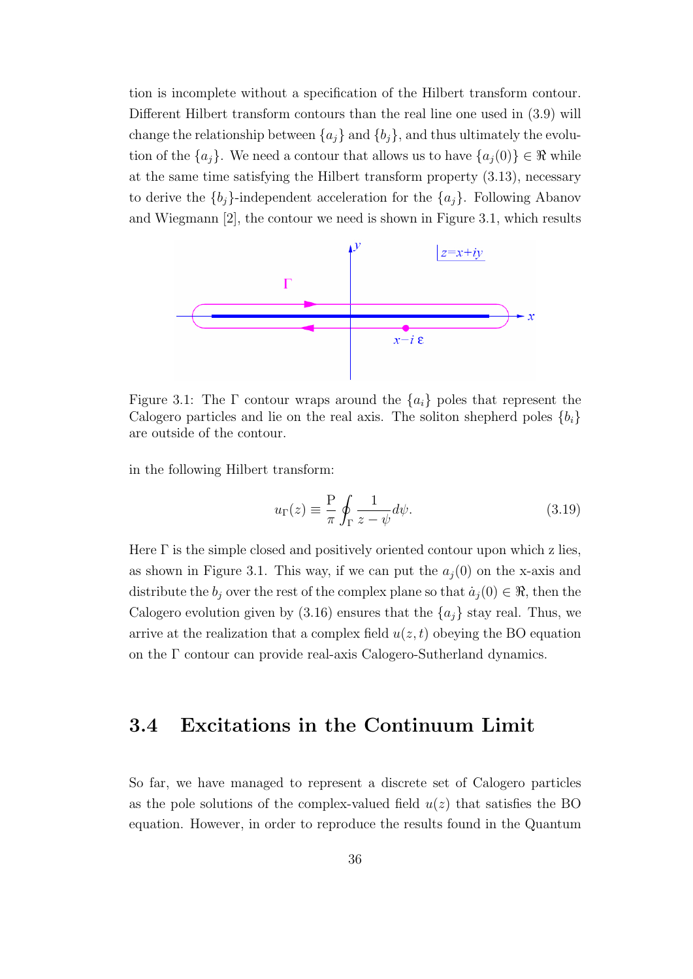tion is incomplete without a specification of the Hilbert transform contour. Different Hilbert transform contours than the real line one used in (3.9) will change the relationship between  $\{a_j\}$  and  $\{b_j\}$ , and thus ultimately the evolution of the  ${a_j}$ . We need a contour that allows us to have  ${a_j(0)} \in \Re$  while at the same time satisfying the Hilbert transform property (3.13), necessary to derive the  ${b_i}$ -independent acceleration for the  ${a_i}$ . Following Abanov and Wiegmann [2], the contour we need is shown in Figure 3.1, which results



Figure 3.1: The  $\Gamma$  contour wraps around the  $\{a_i\}$  poles that represent the Calogero particles and lie on the real axis. The soliton shepherd poles  ${b_i}$ are outside of the contour.

in the following Hilbert transform:

$$
u_{\Gamma}(z) \equiv \frac{\mathcal{P}}{\pi} \oint_{\Gamma} \frac{1}{z - \psi} d\psi.
$$
 (3.19)

Here  $\Gamma$  is the simple closed and positively oriented contour upon which z lies, as shown in Figure 3.1. This way, if we can put the  $a_j(0)$  on the x-axis and distribute the  $b_j$  over the rest of the complex plane so that  $\dot{a}_j(0) \in \Re$ , then the Calogero evolution given by  $(3.16)$  ensures that the  $\{a_i\}$  stay real. Thus, we arrive at the realization that a complex field  $u(z, t)$  obeying the BO equation on the Γ contour can provide real-axis Calogero-Sutherland dynamics.

#### **3.4 Excitations in the Continuum Limit**

So far, we have managed to represent a discrete set of Calogero particles as the pole solutions of the complex-valued field  $u(z)$  that satisfies the BO equation. However, in order to reproduce the results found in the Quantum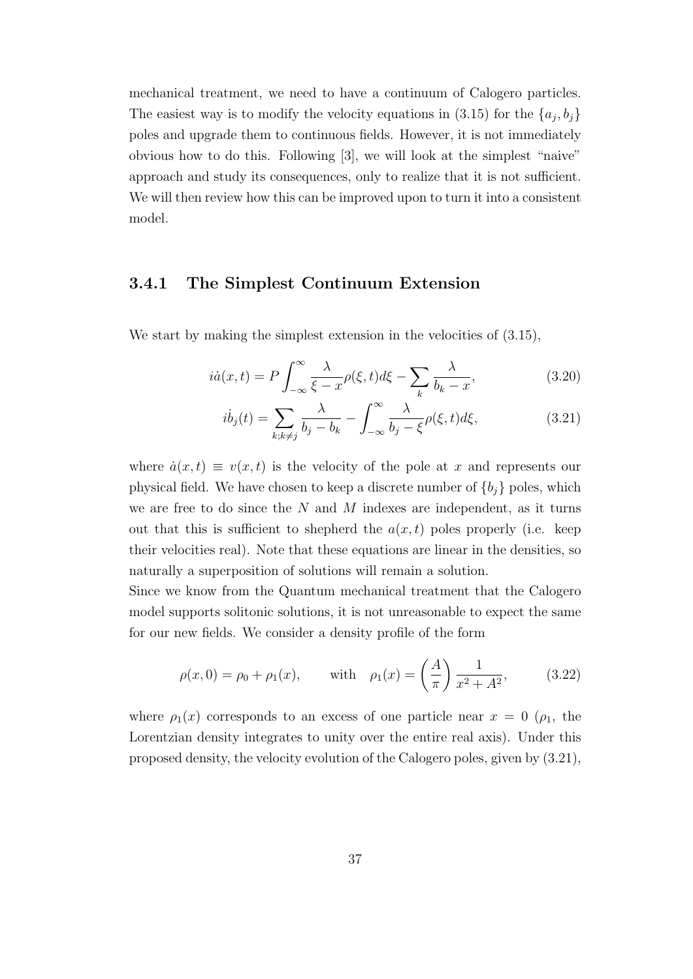mechanical treatment, we need to have a continuum of Calogero particles. The easiest way is to modify the velocity equations in  $(3.15)$  for the  $\{a_j, b_j\}$ poles and upgrade them to continuous fields. However, it is not immediately obvious how to do this. Following [3], we will look at the simplest "naive" approach and study its consequences, only to realize that it is not sufficient. We will then review how this can be improved upon to turn it into a consistent model.

#### **3.4.1 The Simplest Continuum Extension**

We start by making the simplest extension in the velocities of  $(3.15)$ ,

$$
i\dot{a}(x,t) = P \int_{-\infty}^{\infty} \frac{\lambda}{\xi - x} \rho(\xi, t) d\xi - \sum_{k} \frac{\lambda}{b_k - x},
$$
\n(3.20)

$$
i\dot{b}_j(t) = \sum_{k;k\neq j} \frac{\lambda}{b_j - b_k} - \int_{-\infty}^{\infty} \frac{\lambda}{b_j - \xi} \rho(\xi, t) d\xi,
$$
 (3.21)

where  $\dot{a}(x, t) \equiv v(x, t)$  is the velocity of the pole at x and represents our physical field. We have chosen to keep a discrete number of  ${b_j}$  poles, which we are free to do since the *N* and *M* indexes are independent, as it turns out that this is sufficient to shepherd the  $a(x,t)$  poles properly (i.e. keep their velocities real). Note that these equations are linear in the densities, so naturally a superposition of solutions will remain a solution.

Since we know from the Quantum mechanical treatment that the Calogero model supports solitonic solutions, it is not unreasonable to expect the same for our new fields. We consider a density profile of the form

$$
\rho(x,0) = \rho_0 + \rho_1(x)
$$
, with  $\rho_1(x) = \left(\frac{A}{\pi}\right) \frac{1}{x^2 + A^2}$ , (3.22)

where  $\rho_1(x)$  corresponds to an excess of one particle near  $x = 0$  ( $\rho_1$ , the Lorentzian density integrates to unity over the entire real axis). Under this proposed density, the velocity evolution of the Calogero poles, given by (3.21),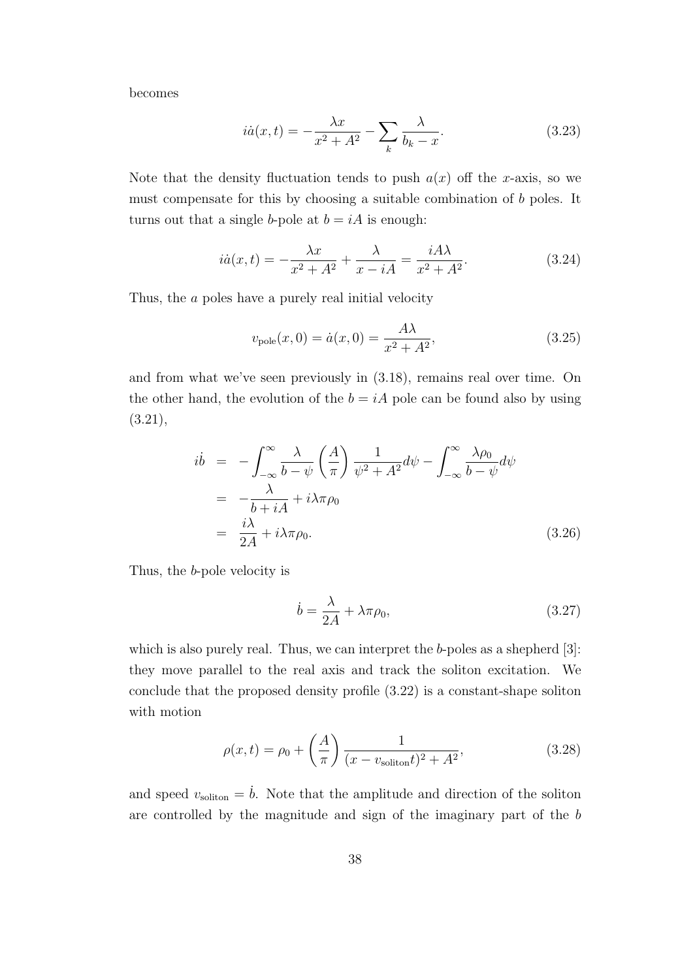becomes

$$
i\dot{a}(x,t) = -\frac{\lambda x}{x^2 + A^2} - \sum_{k} \frac{\lambda}{b_k - x}.
$$
\n(3.23)

Note that the density fluctuation tends to push  $a(x)$  off the *x*-axis, so we must compensate for this by choosing a suitable combination of *b* poles. It turns out that a single *b*-pole at  $b = iA$  is enough:

$$
i\dot{a}(x,t) = -\frac{\lambda x}{x^2 + A^2} + \frac{\lambda}{x - iA} = \frac{iA\lambda}{x^2 + A^2}.
$$
 (3.24)

Thus, the *a* poles have a purely real initial velocity

$$
v_{\text{pole}}(x,0) = \dot{a}(x,0) = \frac{A\lambda}{x^2 + A^2},
$$
\n(3.25)

and from what we've seen previously in (3.18), remains real over time. On the other hand, the evolution of the  $b = iA$  pole can be found also by using (3.21),

$$
\begin{split}\ni\dot{b} &= -\int_{-\infty}^{\infty} \frac{\lambda}{b - \psi} \left(\frac{A}{\pi}\right) \frac{1}{\psi^2 + A^2} d\psi - \int_{-\infty}^{\infty} \frac{\lambda \rho_0}{b - \psi} d\psi \\
&= -\frac{\lambda}{b + iA} + i\lambda \pi \rho_0 \\
&= \frac{i\lambda}{2A} + i\lambda \pi \rho_0.\n\end{split} \tag{3.26}
$$

Thus, the *b*-pole velocity is

$$
\dot{b} = \frac{\lambda}{2A} + \lambda \pi \rho_0,\tag{3.27}
$$

which is also purely real. Thus, we can interpret the *b*-poles as a shepherd [3]: they move parallel to the real axis and track the soliton excitation. We conclude that the proposed density profile (3.22) is a constant-shape soliton with motion

$$
\rho(x,t) = \rho_0 + \left(\frac{A}{\pi}\right) \frac{1}{(x - v_{\text{soliton}}t)^2 + A^2},
$$
\n(3.28)

and speed  $v_{\text{soliton}} = \dot{b}$ . Note that the amplitude and direction of the soliton are controlled by the magnitude and sign of the imaginary part of the *b*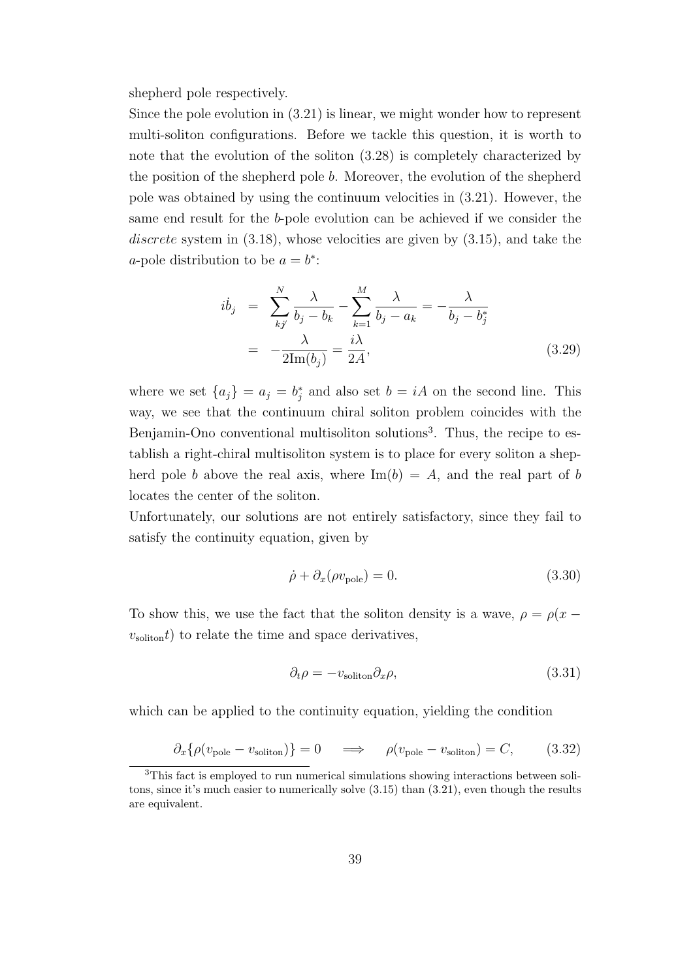shepherd pole respectively.

Since the pole evolution in (3.21) is linear, we might wonder how to represent multi-soliton configurations. Before we tackle this question, it is worth to note that the evolution of the soliton (3.28) is completely characterized by the position of the shepherd pole *b*. Moreover, the evolution of the shepherd pole was obtained by using the continuum velocities in (3.21). However, the same end result for the *b*-pole evolution can be achieved if we consider the *discrete* system in (3.18), whose velocities are given by (3.15), and take the *a*-pole distribution to be  $a = b^*$ :

$$
i\dot{b}_j = \sum_{k}^{N} \frac{\lambda}{b_j - b_k} - \sum_{k=1}^{M} \frac{\lambda}{b_j - a_k} = -\frac{\lambda}{b_j - b_j^*}
$$

$$
= -\frac{\lambda}{2\text{Im}(b_j)} = \frac{i\lambda}{2A},
$$
(3.29)

where we set  $\{a_j\} = a_j = b_j^*$  and also set  $b = iA$  on the second line. This way, we see that the continuum chiral soliton problem coincides with the Benjamin-Ono conventional multisoliton solutions<sup>3</sup>. Thus, the recipe to establish a right-chiral multisoliton system is to place for every soliton a shepherd pole *b* above the real axis, where  $\text{Im}(b) = A$ , and the real part of *b* locates the center of the soliton.

Unfortunately, our solutions are not entirely satisfactory, since they fail to satisfy the continuity equation, given by

$$
\dot{\rho} + \partial_x(\rho v_{\text{pole}}) = 0. \tag{3.30}
$$

To show this, we use the fact that the soliton density is a wave,  $\rho = \rho(x - \rho)^2$  $v_{\text{soliton}}(t)$  to relate the time and space derivatives,

$$
\partial_t \rho = -v_{\text{soliton}} \partial_x \rho,\tag{3.31}
$$

which can be applied to the continuity equation, yielding the condition

$$
\partial_x \{\rho(v_{\text{pole}} - v_{\text{soliton}})\} = 0 \quad \implies \quad \rho(v_{\text{pole}} - v_{\text{soliton}}) = C, \tag{3.32}
$$

<sup>3</sup>This fact is employed to run numerical simulations showing interactions between solitons, since it's much easier to numerically solve (3.15) than (3.21), even though the results are equivalent.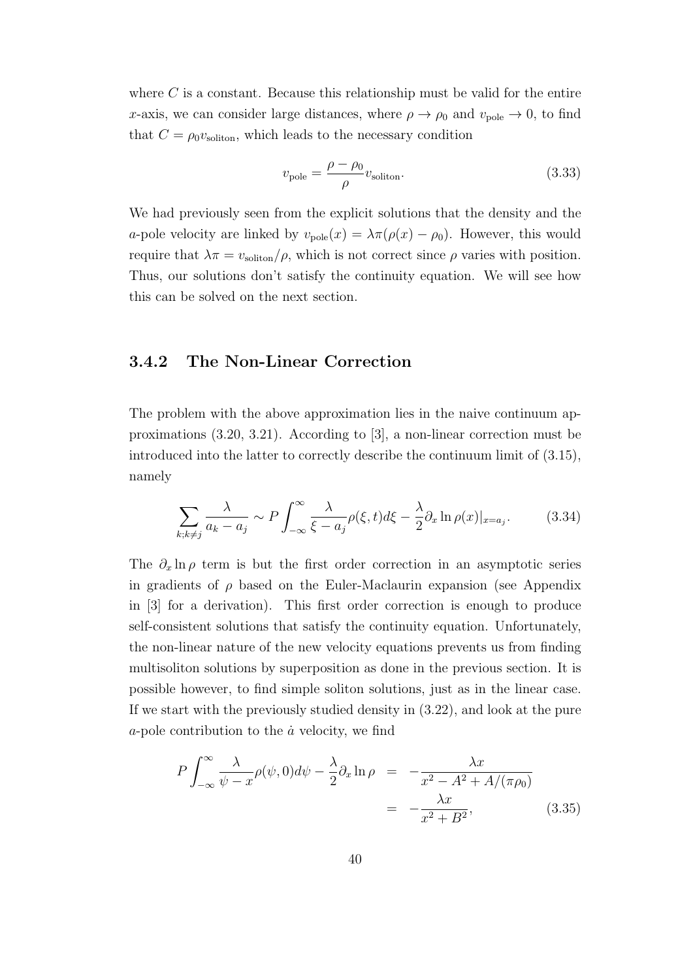where *C* is a constant. Because this relationship must be valid for the entire *x*-axis, we can consider large distances, where  $\rho \rightarrow \rho_0$  and  $v_{\text{pole}} \rightarrow 0$ , to find that  $C = \rho_0 v_{\text{soliton}}$ , which leads to the necessary condition

$$
v_{\text{pole}} = \frac{\rho - \rho_0}{\rho} v_{\text{soliton}}.\tag{3.33}
$$

We had previously seen from the explicit solutions that the density and the *a*-pole velocity are linked by  $v_{\text{pole}}(x) = \lambda \pi (\rho(x) - \rho_0)$ . However, this would require that  $\lambda \pi = v_{\text{soliton}}/\rho$ , which is not correct since  $\rho$  varies with position. Thus, our solutions don't satisfy the continuity equation. We will see how this can be solved on the next section.

#### **3.4.2 The Non-Linear Correction**

The problem with the above approximation lies in the naive continuum approximations (3.20, 3.21). According to [3], a non-linear correction must be introduced into the latter to correctly describe the continuum limit of (3.15), namely

$$
\sum_{k;k\neq j} \frac{\lambda}{a_k - a_j} \sim P \int_{-\infty}^{\infty} \frac{\lambda}{\xi - a_j} \rho(\xi, t) d\xi - \frac{\lambda}{2} \partial_x \ln \rho(x)|_{x = a_j}.
$$
 (3.34)

The  $\partial_x \ln \rho$  term is but the first order correction in an asymptotic series in gradients of  $\rho$  based on the Euler-Maclaurin expansion (see Appendix in [3] for a derivation). This first order correction is enough to produce self-consistent solutions that satisfy the continuity equation. Unfortunately, the non-linear nature of the new velocity equations prevents us from finding multisoliton solutions by superposition as done in the previous section. It is possible however, to find simple soliton solutions, just as in the linear case. If we start with the previously studied density in (3.22), and look at the pure  $a$ -pole contribution to the  $\dot{a}$  velocity, we find

$$
P \int_{-\infty}^{\infty} \frac{\lambda}{\psi - x} \rho(\psi, 0) d\psi - \frac{\lambda}{2} \partial_x \ln \rho = -\frac{\lambda x}{x^2 - A^2 + A/(\pi \rho_0)}
$$
  
= 
$$
-\frac{\lambda x}{x^2 + B^2}, \qquad (3.35)
$$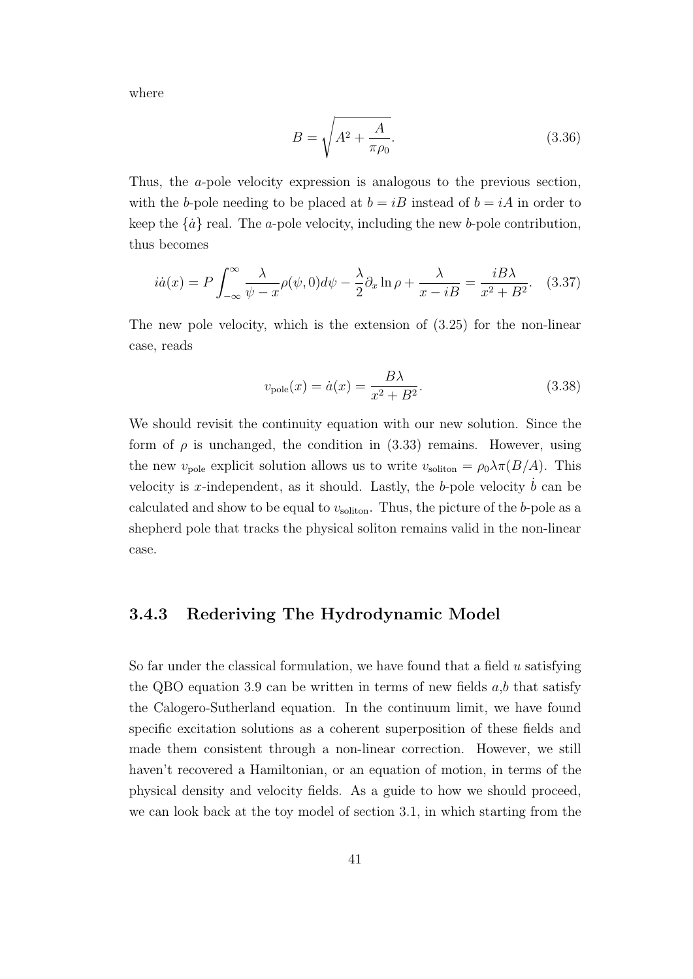where

$$
B = \sqrt{A^2 + \frac{A}{\pi \rho_0}}.\t(3.36)
$$

Thus, the *a*-pole velocity expression is analogous to the previous section, with the *b*-pole needing to be placed at  $b = iB$  instead of  $b = iA$  in order to keep the  $\{\dot{a}\}\$  real. The *a*-pole velocity, including the new *b*-pole contribution, thus becomes

$$
i\dot{a}(x) = P \int_{-\infty}^{\infty} \frac{\lambda}{\psi - x} \rho(\psi, 0) d\psi - \frac{\lambda}{2} \partial_x \ln \rho + \frac{\lambda}{x - iB} = \frac{iB\lambda}{x^2 + B^2}.
$$
 (3.37)

The new pole velocity, which is the extension of (3.25) for the non-linear case, reads

$$
v_{\text{pole}}(x) = \dot{a}(x) = \frac{B\lambda}{x^2 + B^2}.\tag{3.38}
$$

We should revisit the continuity equation with our new solution. Since the form of  $\rho$  is unchanged, the condition in  $(3.33)$  remains. However, using the new  $v_{\text{pole}}$  explicit solution allows us to write  $v_{\text{soliton}} = \rho_0 \lambda \pi (B/A)$ . This velocity is *x*-independent, as it should. Lastly, the *b*-pole velocity  $b$  can be calculated and show to be equal to  $v_{\text{soliton}}$ . Thus, the picture of the *b*-pole as a shepherd pole that tracks the physical soliton remains valid in the non-linear case.

#### **3.4.3 Rederiving The Hydrodynamic Model**

So far under the classical formulation, we have found that a field *u* satisfying the QBO equation 3.9 can be written in terms of new fields *a*,*b* that satisfy the Calogero-Sutherland equation. In the continuum limit, we have found specific excitation solutions as a coherent superposition of these fields and made them consistent through a non-linear correction. However, we still haven't recovered a Hamiltonian, or an equation of motion, in terms of the physical density and velocity fields. As a guide to how we should proceed, we can look back at the toy model of section 3.1, in which starting from the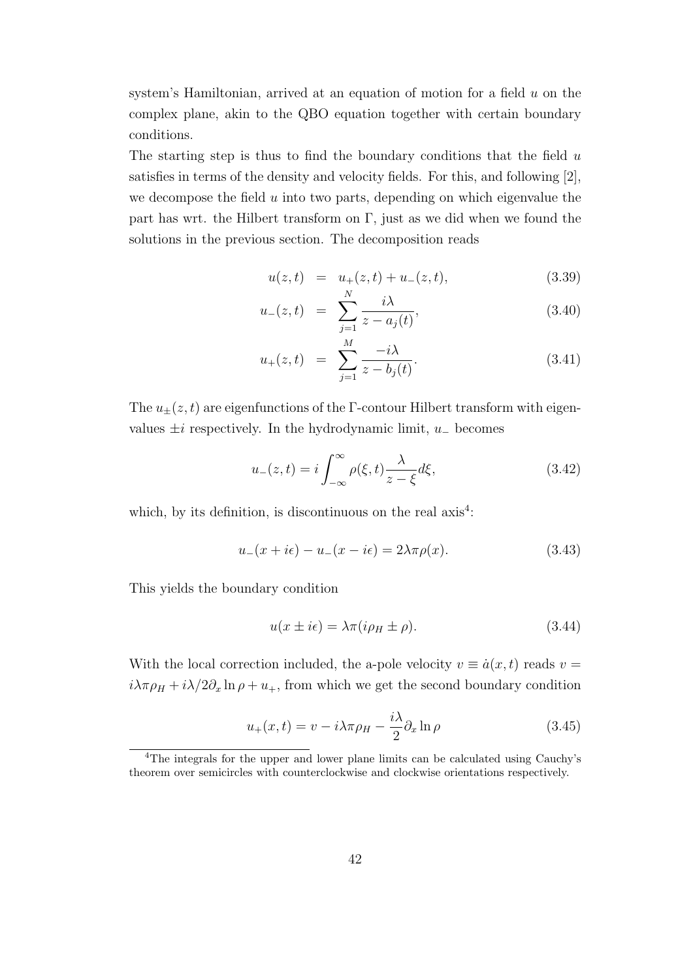system's Hamiltonian, arrived at an equation of motion for a field *u* on the complex plane, akin to the QBO equation together with certain boundary conditions.

The starting step is thus to find the boundary conditions that the field *u* satisfies in terms of the density and velocity fields. For this, and following [2], we decompose the field *u* into two parts, depending on which eigenvalue the part has wrt. the Hilbert transform on  $\Gamma$ , just as we did when we found the solutions in the previous section. The decomposition reads

$$
u(z,t) = u_{+}(z,t) + u_{-}(z,t), \qquad (3.39)
$$

$$
u_{-}(z,t) = \sum_{j=1}^{N} \frac{i\lambda}{z - a_j(t)},
$$
\n(3.40)

$$
u_{+}(z,t) = \sum_{j=1}^{M} \frac{-i\lambda}{z - b_{j}(t)}.
$$
\n(3.41)

The  $u_{\pm}(z, t)$  are eigenfunctions of the Γ-contour Hilbert transform with eigenvalues  $\pm i$  respectively. In the hydrodynamic limit,  $u_-\$ becomes

$$
u_{-}(z,t) = i \int_{-\infty}^{\infty} \rho(\xi, t) \frac{\lambda}{z - \xi} d\xi,
$$
\n(3.42)

which, by its definition, is discontinuous on the real  $axis<sup>4</sup>$ :

$$
u_{-}(x+i\epsilon) - u_{-}(x-i\epsilon) = 2\lambda \pi \rho(x). \tag{3.43}
$$

This yields the boundary condition

$$
u(x \pm i\epsilon) = \lambda \pi (i\rho_H \pm \rho).
$$
 (3.44)

With the local correction included, the a-pole velocity  $v \equiv \dot{a}(x, t)$  reads  $v =$  $i\lambda\pi\rho_H + i\lambda/2\partial_x\ln\rho + u_+$ , from which we get the second boundary condition

$$
u_{+}(x,t) = v - i\lambda\pi\rho_{H} - \frac{i\lambda}{2}\partial_{x}\ln\rho
$$
\n(3.45)

<sup>4</sup>The integrals for the upper and lower plane limits can be calculated using Cauchy's theorem over semicircles with counterclockwise and clockwise orientations respectively.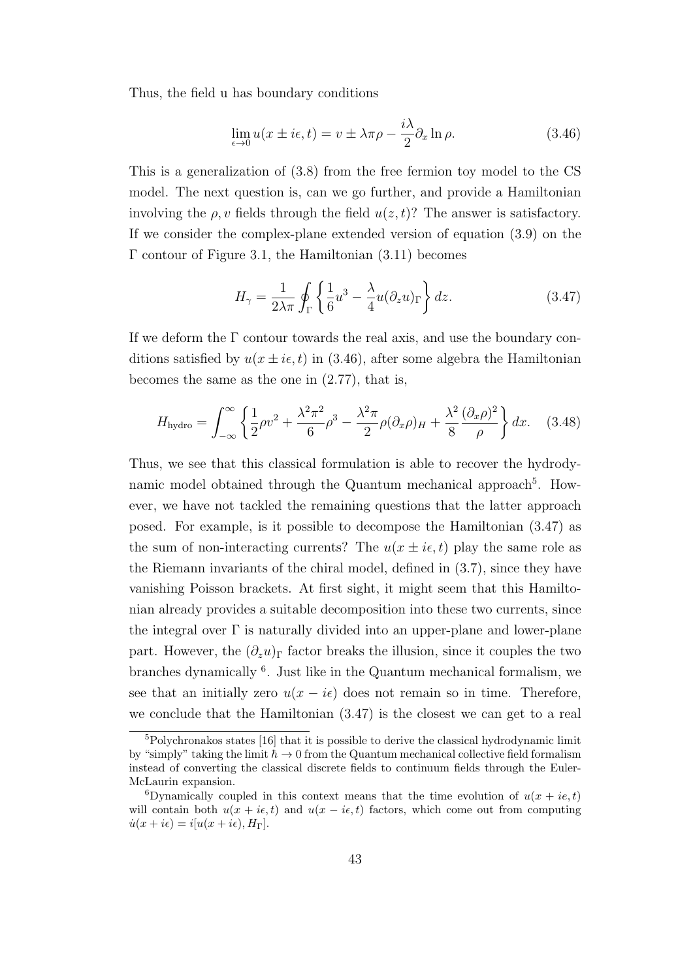Thus, the field u has boundary conditions

$$
\lim_{\epsilon \to 0} u(x \pm i\epsilon, t) = v \pm \lambda \pi \rho - \frac{i\lambda}{2} \partial_x \ln \rho.
$$
\n(3.46)

This is a generalization of (3.8) from the free fermion toy model to the CS model. The next question is, can we go further, and provide a Hamiltonian involving the  $\rho$ , *v* fields through the field  $u(z, t)$ ? The answer is satisfactory. If we consider the complex-plane extended version of equation (3.9) on the Γ contour of Figure 3.1, the Hamiltonian (3.11) becomes

$$
H_{\gamma} = \frac{1}{2\lambda\pi} \oint_{\Gamma} \left\{ \frac{1}{6} u^3 - \frac{\lambda}{4} u (\partial_z u)_{\Gamma} \right\} dz.
$$
 (3.47)

If we deform the  $\Gamma$  contour towards the real axis, and use the boundary conditions satisfied by  $u(x \pm i\epsilon, t)$  in (3.46), after some algebra the Hamiltonian becomes the same as the one in (2.77), that is,

$$
H_{\text{hydro}} = \int_{-\infty}^{\infty} \left\{ \frac{1}{2} \rho v^2 + \frac{\lambda^2 \pi^2}{6} \rho^3 - \frac{\lambda^2 \pi}{2} \rho (\partial_x \rho)_H + \frac{\lambda^2}{8} \frac{(\partial_x \rho)^2}{\rho} \right\} dx. \quad (3.48)
$$

Thus, we see that this classical formulation is able to recover the hydrodynamic model obtained through the Quantum mechanical approach<sup>5</sup>. However, we have not tackled the remaining questions that the latter approach posed. For example, is it possible to decompose the Hamiltonian (3.47) as the sum of non-interacting currents? The  $u(x \pm i\epsilon, t)$  play the same role as the Riemann invariants of the chiral model, defined in (3.7), since they have vanishing Poisson brackets. At first sight, it might seem that this Hamiltonian already provides a suitable decomposition into these two currents, since the integral over  $\Gamma$  is naturally divided into an upper-plane and lower-plane part. However, the  $(\partial_z u)_\Gamma$  factor breaks the illusion, since it couples the two branches dynamically <sup>6</sup> . Just like in the Quantum mechanical formalism, we see that an initially zero  $u(x - i\epsilon)$  does not remain so in time. Therefore, we conclude that the Hamiltonian (3.47) is the closest we can get to a real

 $5Polychronakos states [16] that it is possible to derive the classical hydrodynamic limit$ by "simply" taking the limit  $\hbar \rightarrow 0$  from the Quantum mechanical collective field formalism instead of converting the classical discrete fields to continuum fields through the Euler-McLaurin expansion.

<sup>&</sup>lt;sup>6</sup>Dynamically coupled in this context means that the time evolution of  $u(x + ie, t)$ will contain both  $u(x + i\epsilon, t)$  and  $u(x - i\epsilon, t)$  factors, which come out from computing  $\dot{u}(x+i\epsilon) = i[u(x+i\epsilon),H_{\Gamma}].$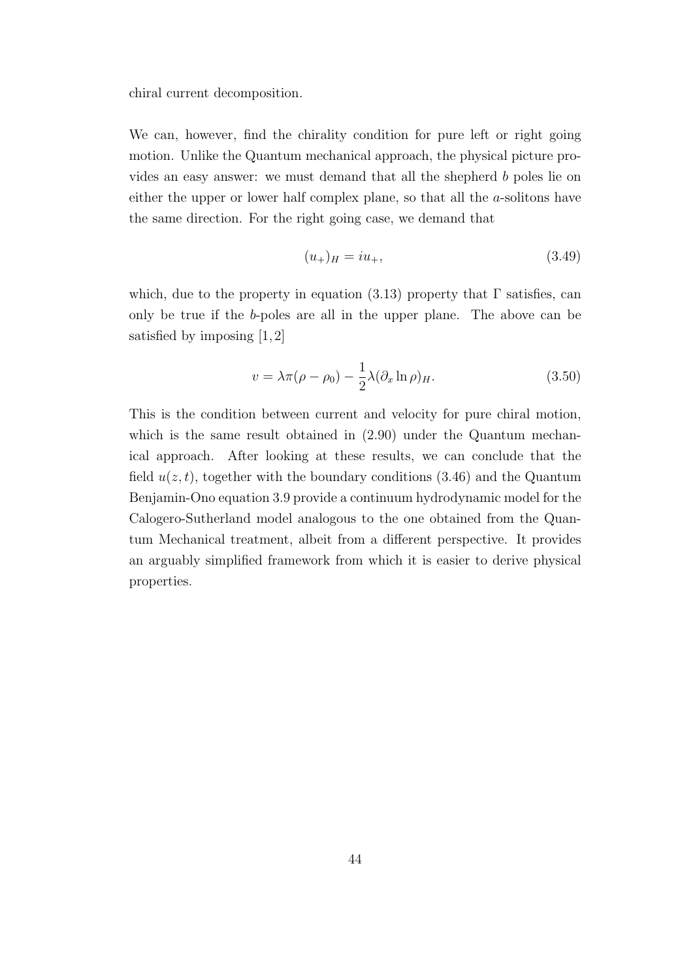chiral current decomposition.

We can, however, find the chirality condition for pure left or right going motion. Unlike the Quantum mechanical approach, the physical picture provides an easy answer: we must demand that all the shepherd *b* poles lie on either the upper or lower half complex plane, so that all the *a*-solitons have the same direction. For the right going case, we demand that

$$
(u_{+})_{H} = iu_{+}, \t\t(3.49)
$$

which, due to the property in equation (3.13) property that  $\Gamma$  satisfies, can only be true if the *b*-poles are all in the upper plane. The above can be satisfied by imposing [1, 2]

$$
v = \lambda \pi (\rho - \rho_0) - \frac{1}{2} \lambda (\partial_x \ln \rho)_H.
$$
 (3.50)

This is the condition between current and velocity for pure chiral motion, which is the same result obtained in  $(2.90)$  under the Quantum mechanical approach. After looking at these results, we can conclude that the field  $u(z, t)$ , together with the boundary conditions  $(3.46)$  and the Quantum Benjamin-Ono equation 3.9 provide a continuum hydrodynamic model for the Calogero-Sutherland model analogous to the one obtained from the Quantum Mechanical treatment, albeit from a different perspective. It provides an arguably simplified framework from which it is easier to derive physical properties.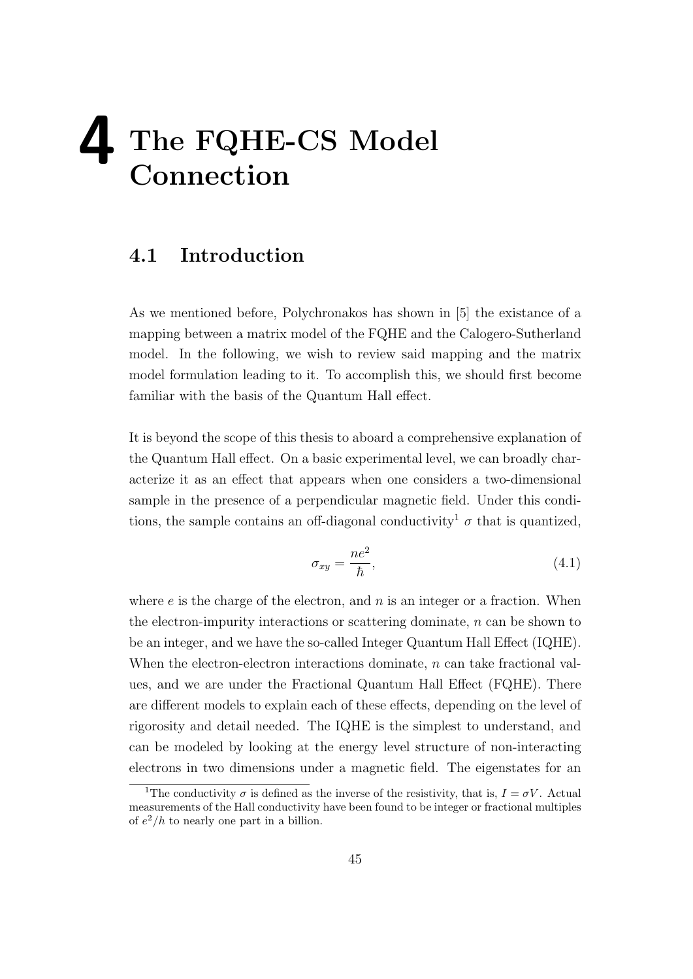# **4 The FQHE-CS Model Connection**

#### **4.1 Introduction**

As we mentioned before, Polychronakos has shown in [5] the existance of a mapping between a matrix model of the FQHE and the Calogero-Sutherland model. In the following, we wish to review said mapping and the matrix model formulation leading to it. To accomplish this, we should first become familiar with the basis of the Quantum Hall effect.

It is beyond the scope of this thesis to aboard a comprehensive explanation of the Quantum Hall effect. On a basic experimental level, we can broadly characterize it as an effect that appears when one considers a two-dimensional sample in the presence of a perpendicular magnetic field. Under this conditions, the sample contains an off-diagonal conductivity<sup>1</sup>  $\sigma$  that is quantized,

$$
\sigma_{xy} = \frac{ne^2}{\hbar},\tag{4.1}
$$

where *e* is the charge of the electron, and *n* is an integer or a fraction. When the electron-impurity interactions or scattering dominate, *n* can be shown to be an integer, and we have the so-called Integer Quantum Hall Effect (IQHE). When the electron-electron interactions dominate, *n* can take fractional values, and we are under the Fractional Quantum Hall Effect (FQHE). There are different models to explain each of these effects, depending on the level of rigorosity and detail needed. The IQHE is the simplest to understand, and can be modeled by looking at the energy level structure of non-interacting electrons in two dimensions under a magnetic field. The eigenstates for an

<sup>&</sup>lt;sup>1</sup>The conductivity  $\sigma$  is defined as the inverse of the resistivity, that is,  $I = \sigma V$ . Actual measurements of the Hall conductivity have been found to be integer or fractional multiples of  $e^2/h$  to nearly one part in a billion.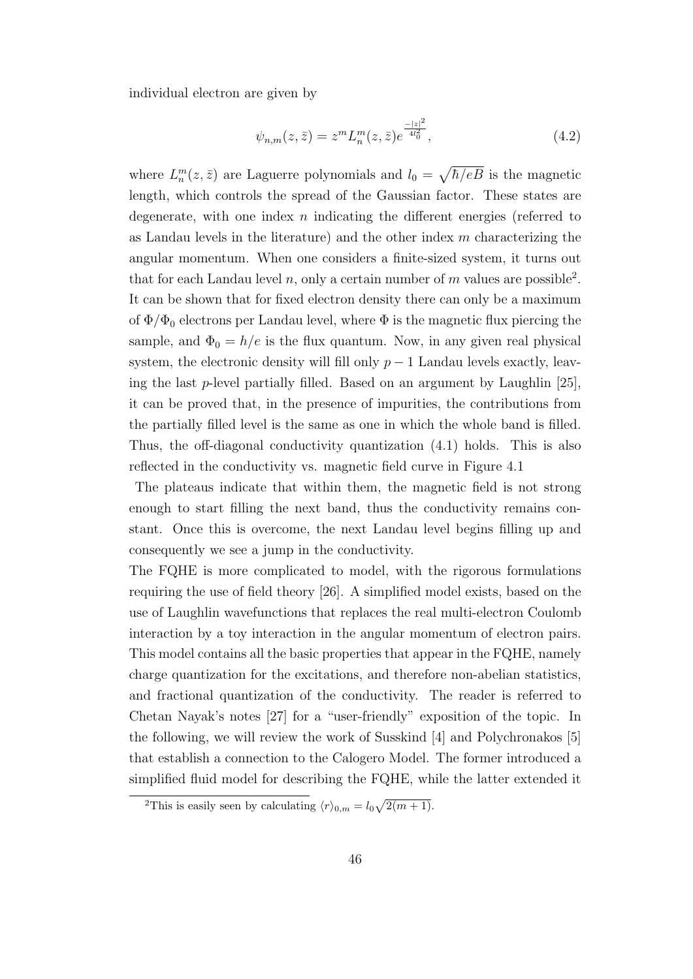individual electron are given by

$$
\psi_{n,m}(z,\bar{z}) = z^m L_n^m(z,\bar{z}) e^{\frac{-|z|^2}{4l_0^2}},\tag{4.2}
$$

where  $L_n^m(z, \bar{z})$  are Laguerre polynomials and  $l_0 = \sqrt{\hbar/eB}$  is the magnetic length, which controls the spread of the Gaussian factor. These states are degenerate, with one index *n* indicating the different energies (referred to as Landau levels in the literature) and the other index *m* characterizing the angular momentum. When one considers a finite-sized system, it turns out that for each Landau level  $n$ , only a certain number of  $m$  values are possible<sup>2</sup>. It can be shown that for fixed electron density there can only be a maximum of  $\Phi/\Phi_0$  electrons per Landau level, where  $\Phi$  is the magnetic flux piercing the sample, and  $\Phi_0 = h/e$  is the flux quantum. Now, in any given real physical system, the electronic density will fill only  $p-1$  Landau levels exactly, leaving the last *p*-level partially filled. Based on an argument by Laughlin [25], it can be proved that, in the presence of impurities, the contributions from the partially filled level is the same as one in which the whole band is filled. Thus, the off-diagonal conductivity quantization (4.1) holds. This is also reflected in the conductivity vs. magnetic field curve in Figure 4.1

The plateaus indicate that within them, the magnetic field is not strong enough to start filling the next band, thus the conductivity remains constant. Once this is overcome, the next Landau level begins filling up and consequently we see a jump in the conductivity.

The FQHE is more complicated to model, with the rigorous formulations requiring the use of field theory [26]. A simplified model exists, based on the use of Laughlin wavefunctions that replaces the real multi-electron Coulomb interaction by a toy interaction in the angular momentum of electron pairs. This model contains all the basic properties that appear in the FQHE, namely charge quantization for the excitations, and therefore non-abelian statistics, and fractional quantization of the conductivity. The reader is referred to Chetan Nayak's notes [27] for a "user-friendly" exposition of the topic. In the following, we will review the work of Susskind [4] and Polychronakos [5] that establish a connection to the Calogero Model. The former introduced a simplified fluid model for describing the FQHE, while the latter extended it

<sup>&</sup>lt;sup>2</sup>This is easily seen by calculating  $\langle r \rangle_{0,m} = l_0 \sqrt{2(m+1)}$ .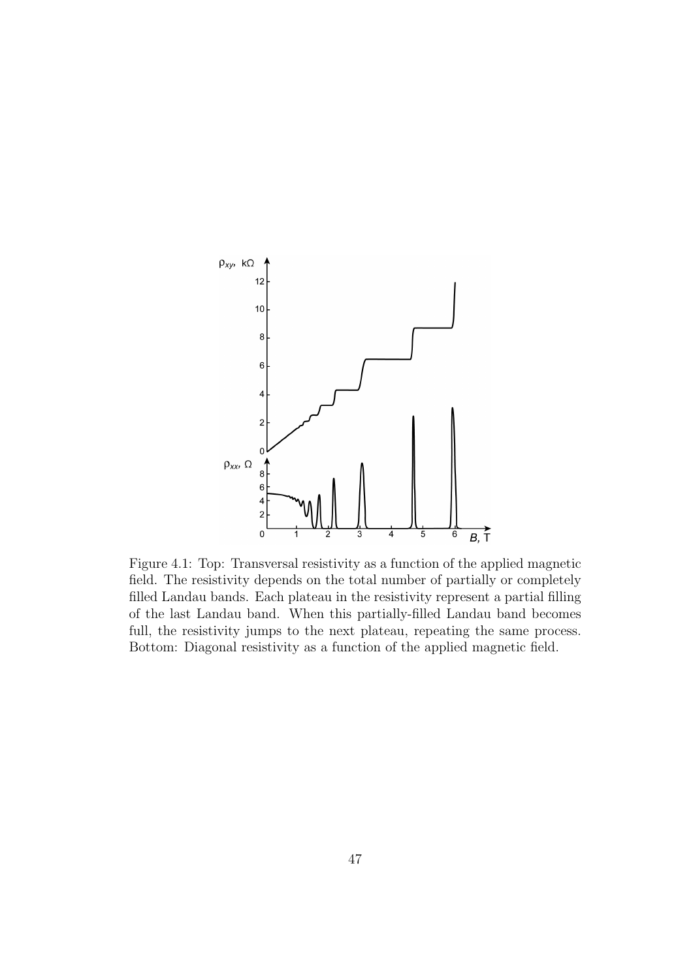

Figure 4.1: Top: Transversal resistivity as a function of the applied magnetic field. The resistivity depends on the total number of partially or completely filled Landau bands. Each plateau in the resistivity represent a partial filling of the last Landau band. When this partially-filled Landau band becomes full, the resistivity jumps to the next plateau, repeating the same process. Bottom: Diagonal resistivity as a function of the applied magnetic field.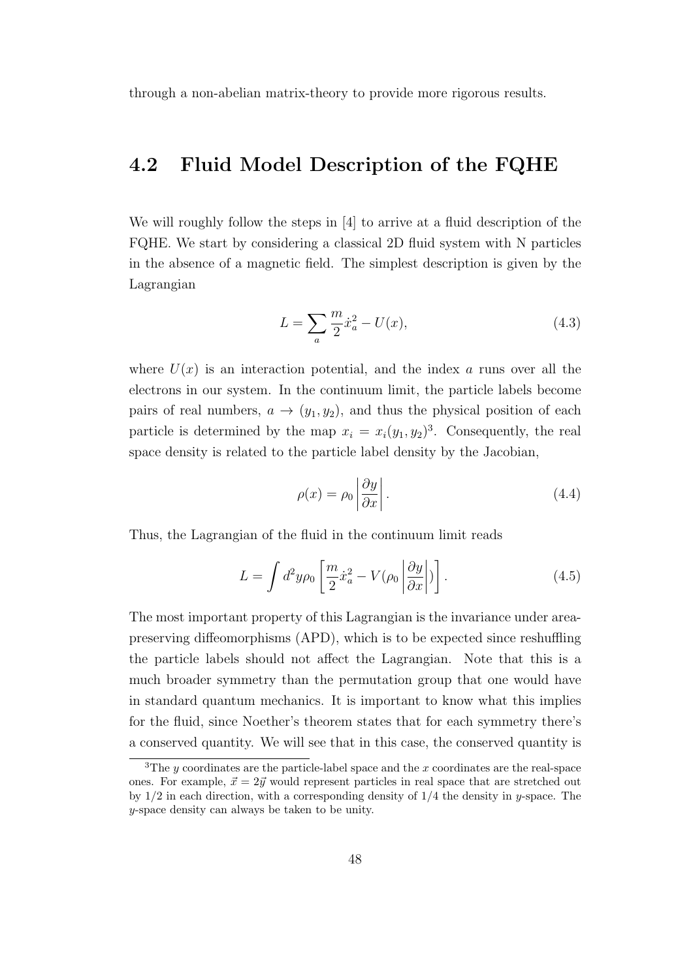through a non-abelian matrix-theory to provide more rigorous results.

#### **4.2 Fluid Model Description of the FQHE**

We will roughly follow the steps in [4] to arrive at a fluid description of the FQHE. We start by considering a classical 2D fluid system with N particles in the absence of a magnetic field. The simplest description is given by the Lagrangian

$$
L = \sum_{a} \frac{m}{2} \dot{x}_a^2 - U(x),
$$
\n(4.3)

where  $U(x)$  is an interaction potential, and the index *a* runs over all the electrons in our system. In the continuum limit, the particle labels become pairs of real numbers,  $a \rightarrow (y_1, y_2)$ , and thus the physical position of each particle is determined by the map  $x_i = x_i(y_1, y_2)^3$ . Consequently, the real space density is related to the particle label density by the Jacobian,

$$
\rho(x) = \rho_0 \left| \frac{\partial y}{\partial x} \right|.
$$
\n(4.4)

Thus, the Lagrangian of the fluid in the continuum limit reads

$$
L = \int d^2 y \rho_0 \left[ \frac{m}{2} \dot{x}_a^2 - V(\rho_0 \left| \frac{\partial y}{\partial x} \right|) \right]. \tag{4.5}
$$

The most important property of this Lagrangian is the invariance under areapreserving diffeomorphisms (APD), which is to be expected since reshuffling the particle labels should not affect the Lagrangian. Note that this is a much broader symmetry than the permutation group that one would have in standard quantum mechanics. It is important to know what this implies for the fluid, since Noether's theorem states that for each symmetry there's a conserved quantity. We will see that in this case, the conserved quantity is

<sup>&</sup>lt;sup>3</sup>The *y* coordinates are the particle-label space and the *x* coordinates are the real-space ones. For example,  $\vec{x} = 2\vec{y}$  would represent particles in real space that are stretched out by 1/2 in each direction, with a corresponding density of 1/4 the density in *y*-space. The *y*-space density can always be taken to be unity.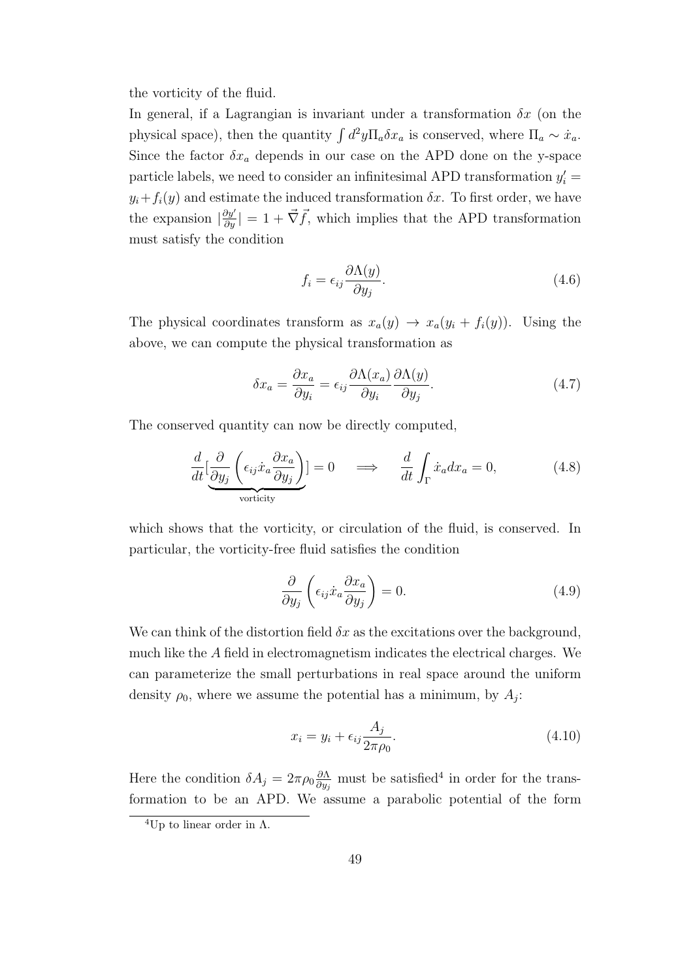the vorticity of the fluid.

In general, if a Lagrangian is invariant under a transformation  $\delta x$  (on the physical space), then the quantity  $\int d^2y \Pi_a \delta x_a$  is conserved, where  $\Pi_a \sim \dot{x}_a$ . Since the factor  $\delta x_a$  depends in our case on the APD done on the y-space particle labels, we need to consider an infinitesimal APD transformation  $y_i'$  =  $y_i + f_i(y)$  and estimate the induced transformation  $\delta x$ . To first order, we have the expansion  $|\frac{\partial y'}{\partial y}| = 1 + \vec{\nabla} \vec{f}$ , which implies that the APD transformation must satisfy the condition

$$
f_i = \epsilon_{ij} \frac{\partial \Lambda(y)}{\partial y_j}.
$$
\n(4.6)

The physical coordinates transform as  $x_a(y) \to x_a(y_i + f_i(y))$ . Using the above, we can compute the physical transformation as

$$
\delta x_a = \frac{\partial x_a}{\partial y_i} = \epsilon_{ij} \frac{\partial \Lambda(x_a)}{\partial y_i} \frac{\partial \Lambda(y)}{\partial y_j}.
$$
\n(4.7)

The conserved quantity can now be directly computed,

$$
\frac{d}{dt} \left[ \underbrace{\frac{\partial}{\partial y_j} \left( \epsilon_{ij} \dot{x}_a \frac{\partial x_a}{\partial y_j} \right)}_{\text{vorticity}} \right] = 0 \quad \implies \quad \frac{d}{dt} \int_{\Gamma} \dot{x}_a dx_a = 0, \tag{4.8}
$$

which shows that the vorticity, or circulation of the fluid, is conserved. In particular, the vorticity-free fluid satisfies the condition

$$
\frac{\partial}{\partial y_j} \left( \epsilon_{ij} \dot{x}_a \frac{\partial x_a}{\partial y_j} \right) = 0. \tag{4.9}
$$

We can think of the distortion field  $\delta x$  as the excitations over the background, much like the *A* field in electromagnetism indicates the electrical charges. We can parameterize the small perturbations in real space around the uniform density  $\rho_0$ , where we assume the potential has a minimum, by  $A_j$ :

$$
x_i = y_i + \epsilon_{ij} \frac{A_j}{2\pi \rho_0}.\tag{4.10}
$$

Here the condition  $\delta A_j = 2\pi \rho_0 \frac{\partial \Lambda}{\partial u_j}$  $\frac{\partial \Lambda}{\partial y_j}$  must be satisfied<sup>4</sup> in order for the transformation to be an APD. We assume a parabolic potential of the form

<sup>&</sup>lt;sup>4</sup>Up to linear order in  $\Lambda$ .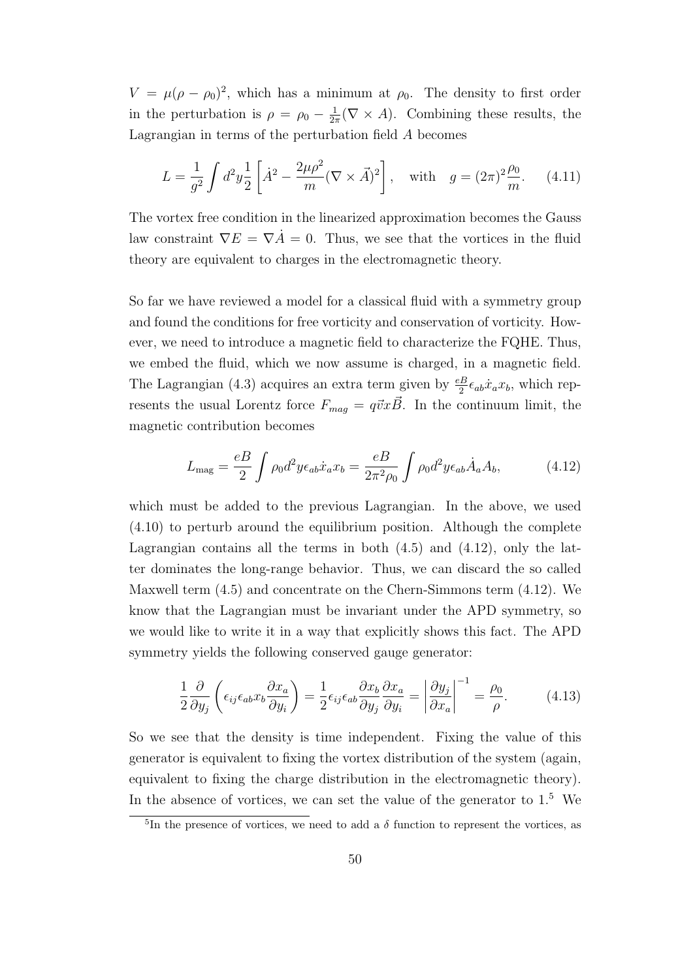$V = \mu(\rho - \rho_0)^2$ , which has a minimum at  $\rho_0$ . The density to first order in the perturbation is  $\rho = \rho_0 - \frac{1}{2a}$  $\frac{1}{2\pi}(\nabla \times A)$ . Combining these results, the Lagrangian in terms of the perturbation field *A* becomes

$$
L = \frac{1}{g^2} \int d^2 y \frac{1}{2} \left[ \dot{A}^2 - \frac{2\mu \rho^2}{m} (\nabla \times \vec{A})^2 \right], \quad \text{with} \quad g = (2\pi)^2 \frac{\rho_0}{m}.
$$
 (4.11)

The vortex free condition in the linearized approximation becomes the Gauss law constraint  $\nabla E = \nabla \vec{A} = 0$ . Thus, we see that the vortices in the fluid theory are equivalent to charges in the electromagnetic theory.

So far we have reviewed a model for a classical fluid with a symmetry group and found the conditions for free vorticity and conservation of vorticity. However, we need to introduce a magnetic field to characterize the FQHE. Thus, we embed the fluid, which we now assume is charged, in a magnetic field. The Lagrangian (4.3) acquires an extra term given by  $\frac{e}{2} \epsilon_{ab} \dot{x}_a x_b$ , which represents the usual Lorentz force  $F_{mag} = q\vec{v}x\vec{B}$ . In the continuum limit, the magnetic contribution becomes

$$
L_{\text{mag}} = \frac{eB}{2} \int \rho_0 d^2 y \epsilon_{ab} \dot{x}_a x_b = \frac{eB}{2\pi^2 \rho_0} \int \rho_0 d^2 y \epsilon_{ab} \dot{A}_a A_b,\tag{4.12}
$$

which must be added to the previous Lagrangian. In the above, we used (4.10) to perturb around the equilibrium position. Although the complete Lagrangian contains all the terms in both  $(4.5)$  and  $(4.12)$ , only the latter dominates the long-range behavior. Thus, we can discard the so called Maxwell term (4.5) and concentrate on the Chern-Simmons term (4.12). We know that the Lagrangian must be invariant under the APD symmetry, so we would like to write it in a way that explicitly shows this fact. The APD symmetry yields the following conserved gauge generator:

$$
\frac{1}{2}\frac{\partial}{\partial y_j}\left(\epsilon_{ij}\epsilon_{ab}x_b\frac{\partial x_a}{\partial y_i}\right) = \frac{1}{2}\epsilon_{ij}\epsilon_{ab}\frac{\partial x_b}{\partial y_j}\frac{\partial x_a}{\partial y_i} = \left|\frac{\partial y_j}{\partial x_a}\right|^{-1} = \frac{\rho_0}{\rho}.\tag{4.13}
$$

So we see that the density is time independent. Fixing the value of this generator is equivalent to fixing the vortex distribution of the system (again, equivalent to fixing the charge distribution in the electromagnetic theory). In the absence of vortices, we can set the value of the generator to  $1<sup>5</sup>$  We

<sup>&</sup>lt;sup>5</sup>In the presence of vortices, we need to add a  $\delta$  function to represent the vortices, as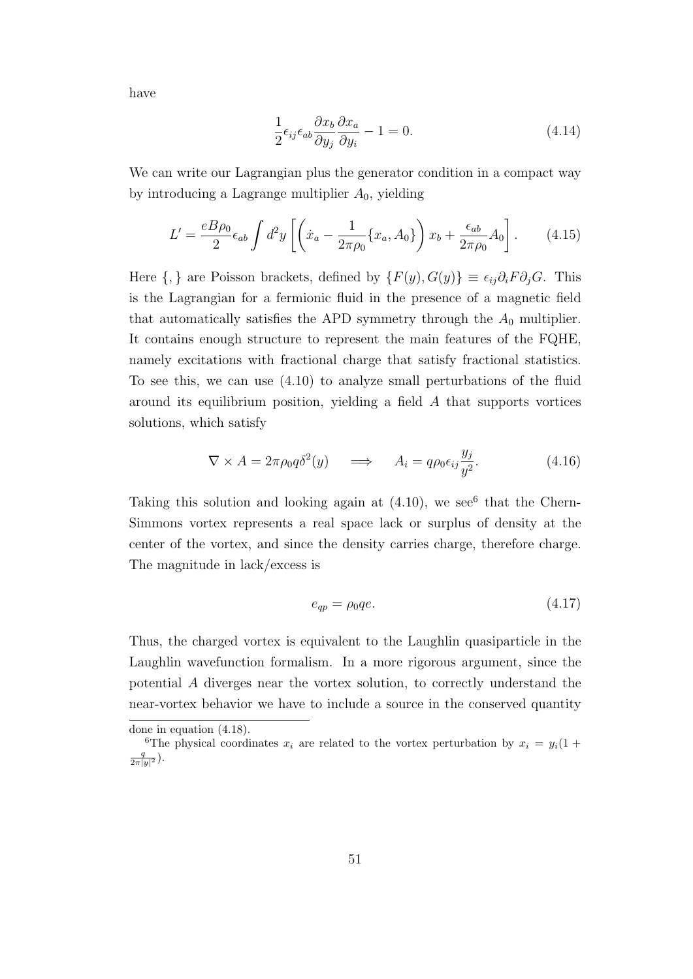have

$$
\frac{1}{2}\epsilon_{ij}\epsilon_{ab}\frac{\partial x_b}{\partial y_j}\frac{\partial x_a}{\partial y_i} - 1 = 0.
$$
\n(4.14)

We can write our Lagrangian plus the generator condition in a compact way by introducing a Lagrange multiplier *A*0, yielding

$$
L' = \frac{eB\rho_0}{2}\epsilon_{ab} \int d^2y \left[ \left( \dot{x}_a - \frac{1}{2\pi\rho_0} \{x_a, A_0\} \right) x_b + \frac{\epsilon_{ab}}{2\pi\rho_0} A_0 \right]. \tag{4.15}
$$

Here  $\{,\}$  are Poisson brackets, defined by  $\{F(y), G(y)\}\equiv \epsilon_{ij}\partial_i F \partial_j G$ . This is the Lagrangian for a fermionic fluid in the presence of a magnetic field that automatically satisfies the APD symmetry through the  $A_0$  multiplier. It contains enough structure to represent the main features of the FQHE, namely excitations with fractional charge that satisfy fractional statistics. To see this, we can use (4.10) to analyze small perturbations of the fluid around its equilibrium position, yielding a field *A* that supports vortices solutions, which satisfy

$$
\nabla \times A = 2\pi \rho_0 q \delta^2(y) \quad \Longrightarrow \quad A_i = q \rho_0 \epsilon_{ij} \frac{y_j}{y^2}.
$$
 (4.16)

Taking this solution and looking again at  $(4.10)$ , we see<sup>6</sup> that the Chern-Simmons vortex represents a real space lack or surplus of density at the center of the vortex, and since the density carries charge, therefore charge. The magnitude in lack/excess is

$$
e_{qp} = \rho_0 q e. \tag{4.17}
$$

Thus, the charged vortex is equivalent to the Laughlin quasiparticle in the Laughlin wavefunction formalism. In a more rigorous argument, since the potential *A* diverges near the vortex solution, to correctly understand the near-vortex behavior we have to include a source in the conserved quantity

done in equation (4.18).

<sup>&</sup>lt;sup>6</sup>The physical coordinates  $x_i$  are related to the vortex perturbation by  $x_i = y_i(1 +$  $\frac{q}{2\pi |y|^2}$ ).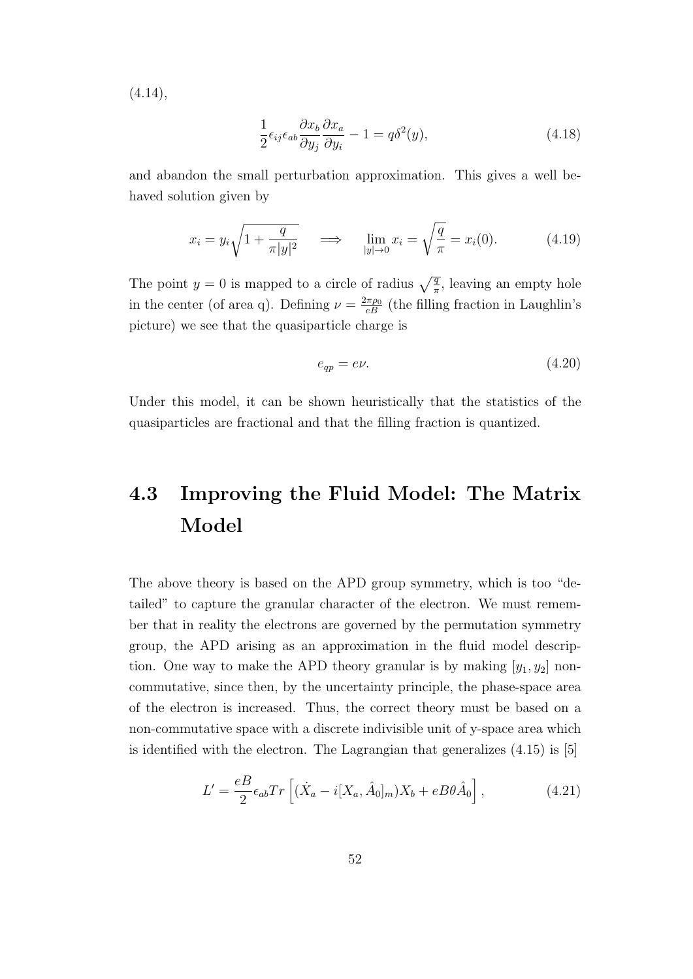$(4.14),$ 

$$
\frac{1}{2}\epsilon_{ij}\epsilon_{ab}\frac{\partial x_b}{\partial y_j}\frac{\partial x_a}{\partial y_i} - 1 = q\delta^2(y),\tag{4.18}
$$

and abandon the small perturbation approximation. This gives a well behaved solution given by

$$
x_i = y_i \sqrt{1 + \frac{q}{\pi |y|^2}} \quad \implies \quad \lim_{|y| \to 0} x_i = \sqrt{\frac{q}{\pi}} = x_i(0). \tag{4.19}
$$

The point  $y = 0$  is mapped to a circle of radius  $\sqrt{\frac{q}{\pi}}$ , leaving an empty hole in the center (of area q). Defining  $\nu = \frac{2\pi \rho_0}{eB}$  (the filling fraction in Laughlin's picture) we see that the quasiparticle charge is

$$
e_{qp} = e\nu. \tag{4.20}
$$

Under this model, it can be shown heuristically that the statistics of the quasiparticles are fractional and that the filling fraction is quantized.

## **4.3 Improving the Fluid Model: The Matrix Model**

The above theory is based on the APD group symmetry, which is too "detailed" to capture the granular character of the electron. We must remember that in reality the electrons are governed by the permutation symmetry group, the APD arising as an approximation in the fluid model description. One way to make the APD theory granular is by making  $[y_1, y_2]$  noncommutative, since then, by the uncertainty principle, the phase-space area of the electron is increased. Thus, the correct theory must be based on a non-commutative space with a discrete indivisible unit of y-space area which is identified with the electron. The Lagrangian that generalizes  $(4.15)$  is [5]

$$
L' = \frac{eB}{2} \epsilon_{ab} Tr \left[ (\dot{X}_a - i[X_a, \hat{A}_0]_m) X_b + eB\theta \hat{A}_0 \right],
$$
 (4.21)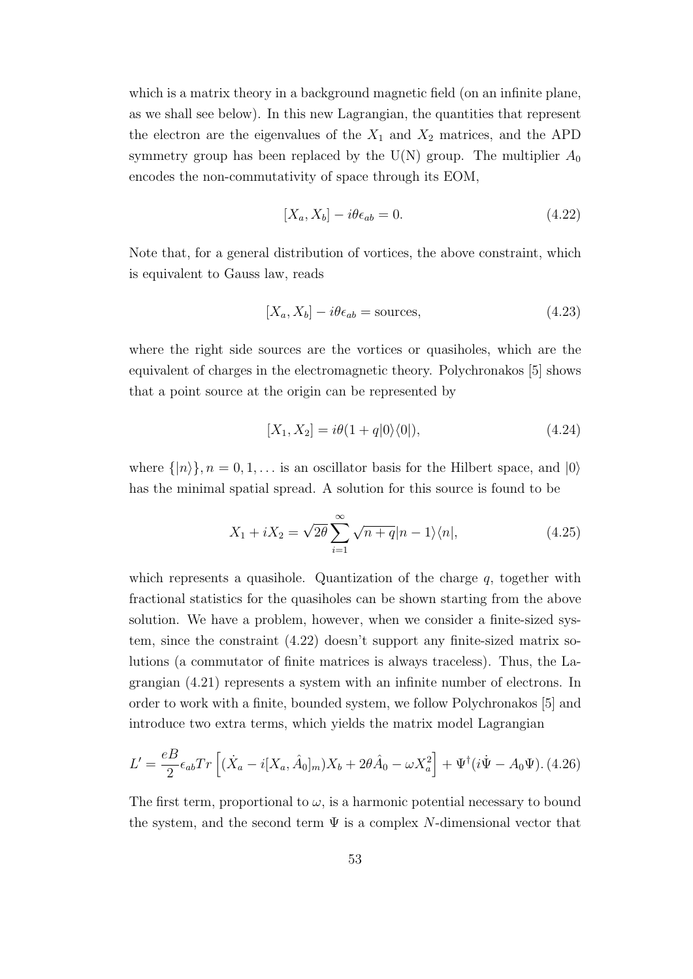which is a matrix theory in a background magnetic field (on an infinite plane, as we shall see below). In this new Lagrangian, the quantities that represent the electron are the eigenvalues of the  $X_1$  and  $X_2$  matrices, and the APD symmetry group has been replaced by the  $U(N)$  group. The multiplier  $A_0$ encodes the non-commutativity of space through its EOM,

$$
[X_a, X_b] - i\theta \epsilon_{ab} = 0. \tag{4.22}
$$

Note that, for a general distribution of vortices, the above constraint, which is equivalent to Gauss law, reads

$$
[X_a, X_b] - i\theta \epsilon_{ab} = \text{sources},\tag{4.23}
$$

where the right side sources are the vortices or quasiholes, which are the equivalent of charges in the electromagnetic theory. Polychronakos [5] shows that a point source at the origin can be represented by

$$
[X_1, X_2] = i\theta(1 + q|0\rangle\langle 0|),\tag{4.24}
$$

where  $\{|n\rangle\}, n = 0, 1, \ldots$  is an oscillator basis for the Hilbert space, and  $|0\rangle$ has the minimal spatial spread. A solution for this source is found to be

$$
X_1 + iX_2 = \sqrt{2\theta} \sum_{i=1}^{\infty} \sqrt{n+q} |n-1\rangle\langle n|,
$$
\n(4.25)

which represents a quasihole. Quantization of the charge *q*, together with fractional statistics for the quasiholes can be shown starting from the above solution. We have a problem, however, when we consider a finite-sized system, since the constraint (4.22) doesn't support any finite-sized matrix solutions (a commutator of finite matrices is always traceless). Thus, the Lagrangian (4.21) represents a system with an infinite number of electrons. In order to work with a finite, bounded system, we follow Polychronakos [5] and introduce two extra terms, which yields the matrix model Lagrangian

$$
L' = \frac{eB}{2} \epsilon_{ab} Tr \left[ (\dot{X}_a - i[X_a, \hat{A}_0]_m) X_b + 2\theta \hat{A}_0 - \omega X_a^2 \right] + \Psi^{\dagger} (i\dot{\Psi} - A_0 \Psi). \ (4.26)
$$

The first term, proportional to  $\omega$ , is a harmonic potential necessary to bound the system, and the second term  $\Psi$  is a complex *N*-dimensional vector that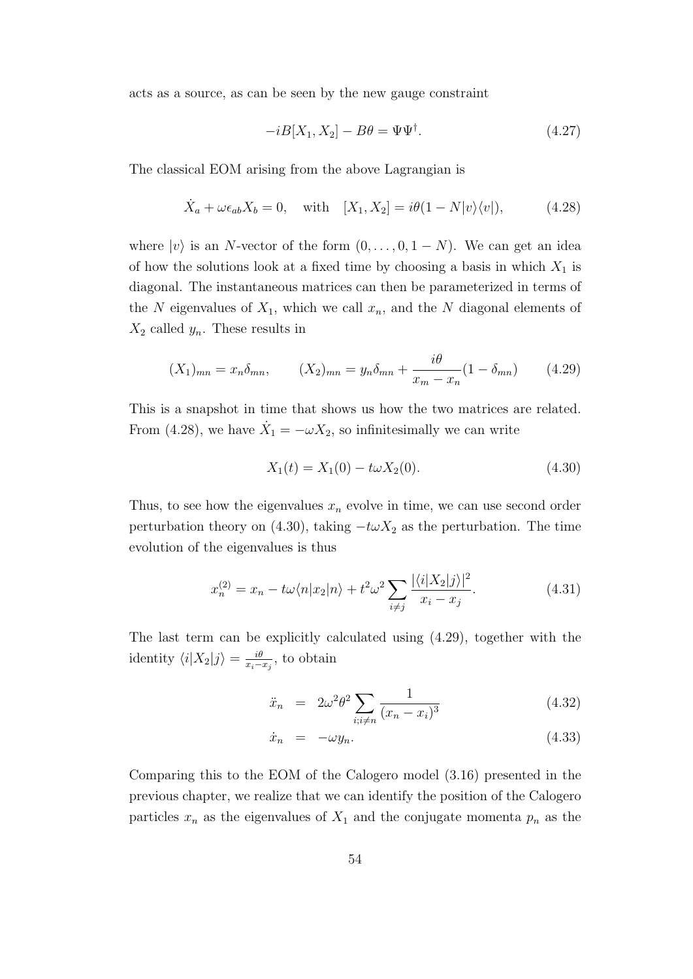acts as a source, as can be seen by the new gauge constraint

$$
-iB[X_1, X_2] - B\theta = \Psi\Psi^\dagger. \tag{4.27}
$$

The classical EOM arising from the above Lagrangian is

$$
\dot{X}_a + \omega \epsilon_{ab} X_b = 0, \quad \text{with} \quad [X_1, X_2] = i\theta (1 - N|v\rangle \langle v|), \tag{4.28}
$$

where  $|v\rangle$  is an *N*-vector of the form  $(0, \ldots, 0, 1 - N)$ . We can get an idea of how the solutions look at a fixed time by choosing a basis in which  $X_1$  is diagonal. The instantaneous matrices can then be parameterized in terms of the N eigenvalues of  $X_1$ , which we call  $x_n$ , and the N diagonal elements of  $X_2$  called  $y_n$ . These results in

$$
(X_1)_{mn} = x_n \delta_{mn}, \qquad (X_2)_{mn} = y_n \delta_{mn} + \frac{i\theta}{x_m - x_n} (1 - \delta_{mn}) \qquad (4.29)
$$

This is a snapshot in time that shows us how the two matrices are related. From (4.28), we have  $\dot{X}_1 = -\omega X_2$ , so infinitesimally we can write

$$
X_1(t) = X_1(0) - t\omega X_2(0). \tag{4.30}
$$

Thus, to see how the eigenvalues  $x_n$  evolve in time, we can use second order perturbation theory on (4.30), taking  $-t\omega X_2$  as the perturbation. The time evolution of the eigenvalues is thus

$$
x_n^{(2)} = x_n - t\omega \langle n|x_2|n \rangle + t^2 \omega^2 \sum_{i \neq j} \frac{|\langle i|X_2|j \rangle|^2}{x_i - x_j}.
$$
 (4.31)

The last term can be explicitly calculated using (4.29), together with the identity  $\langle i | X_2 | j \rangle = \frac{i\theta}{x_i - \theta}$  $\frac{i\theta}{x_i - x_j}$ , to obtain

$$
\ddot{x}_n = 2\omega^2 \theta^2 \sum_{i; i \neq n} \frac{1}{(x_n - x_i)^3}
$$
 (4.32)

$$
\dot{x}_n = -\omega y_n. \tag{4.33}
$$

Comparing this to the EOM of the Calogero model (3.16) presented in the previous chapter, we realize that we can identify the position of the Calogero particles  $x_n$  as the eigenvalues of  $X_1$  and the conjugate momenta  $p_n$  as the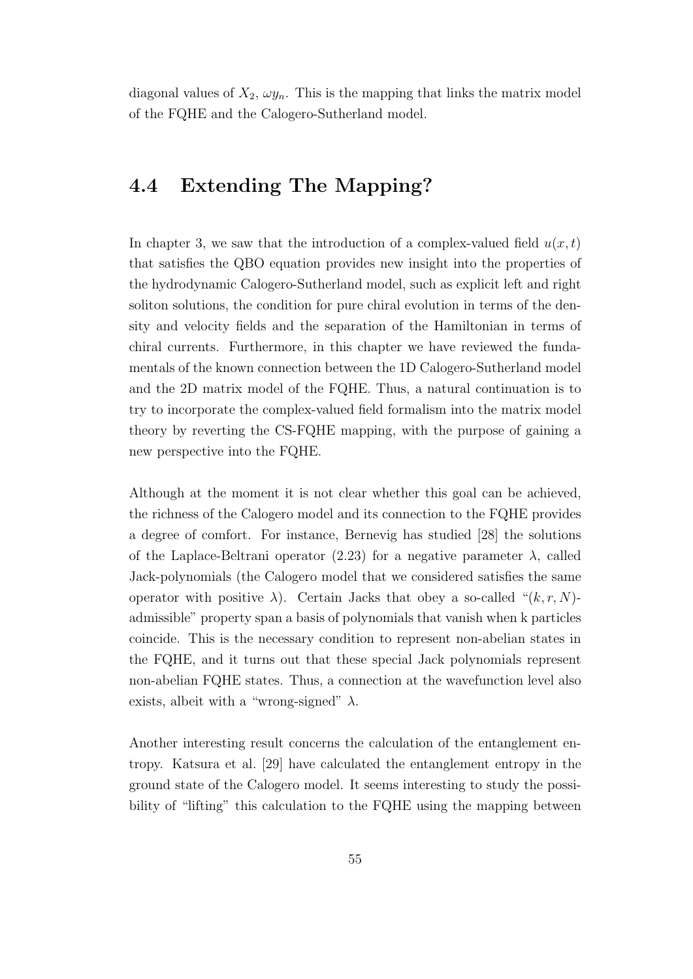diagonal values of  $X_2$ ,  $\omega y_n$ . This is the mapping that links the matrix model of the FQHE and the Calogero-Sutherland model.

### **4.4 Extending The Mapping?**

In chapter 3, we saw that the introduction of a complex-valued field  $u(x, t)$ that satisfies the QBO equation provides new insight into the properties of the hydrodynamic Calogero-Sutherland model, such as explicit left and right soliton solutions, the condition for pure chiral evolution in terms of the density and velocity fields and the separation of the Hamiltonian in terms of chiral currents. Furthermore, in this chapter we have reviewed the fundamentals of the known connection between the 1D Calogero-Sutherland model and the 2D matrix model of the FQHE. Thus, a natural continuation is to try to incorporate the complex-valued field formalism into the matrix model theory by reverting the CS-FQHE mapping, with the purpose of gaining a new perspective into the FQHE.

Although at the moment it is not clear whether this goal can be achieved, the richness of the Calogero model and its connection to the FQHE provides a degree of comfort. For instance, Bernevig has studied [28] the solutions of the Laplace-Beltrani operator  $(2.23)$  for a negative parameter  $\lambda$ , called Jack-polynomials (the Calogero model that we considered satisfies the same operator with positive  $\lambda$ ). Certain Jacks that obey a so-called " $(k, r, N)$ admissible" property span a basis of polynomials that vanish when k particles coincide. This is the necessary condition to represent non-abelian states in the FQHE, and it turns out that these special Jack polynomials represent non-abelian FQHE states. Thus, a connection at the wavefunction level also exists, albeit with a "wrong-signed" *λ*.

Another interesting result concerns the calculation of the entanglement entropy. Katsura et al. [29] have calculated the entanglement entropy in the ground state of the Calogero model. It seems interesting to study the possibility of "lifting" this calculation to the FQHE using the mapping between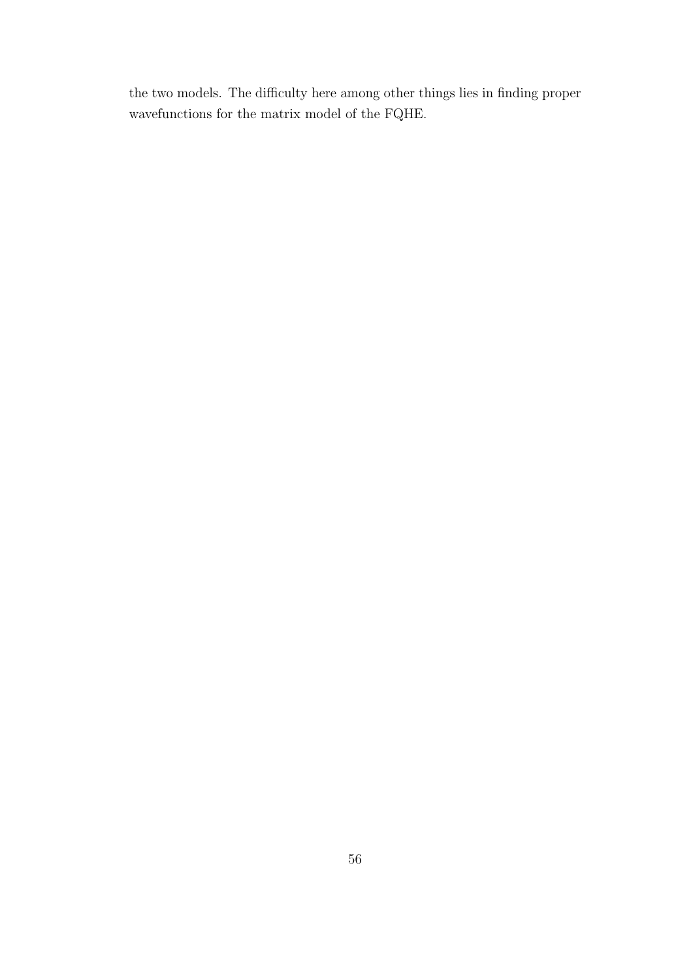the two models. The difficulty here among other things lies in finding proper wavefunctions for the matrix model of the FQHE.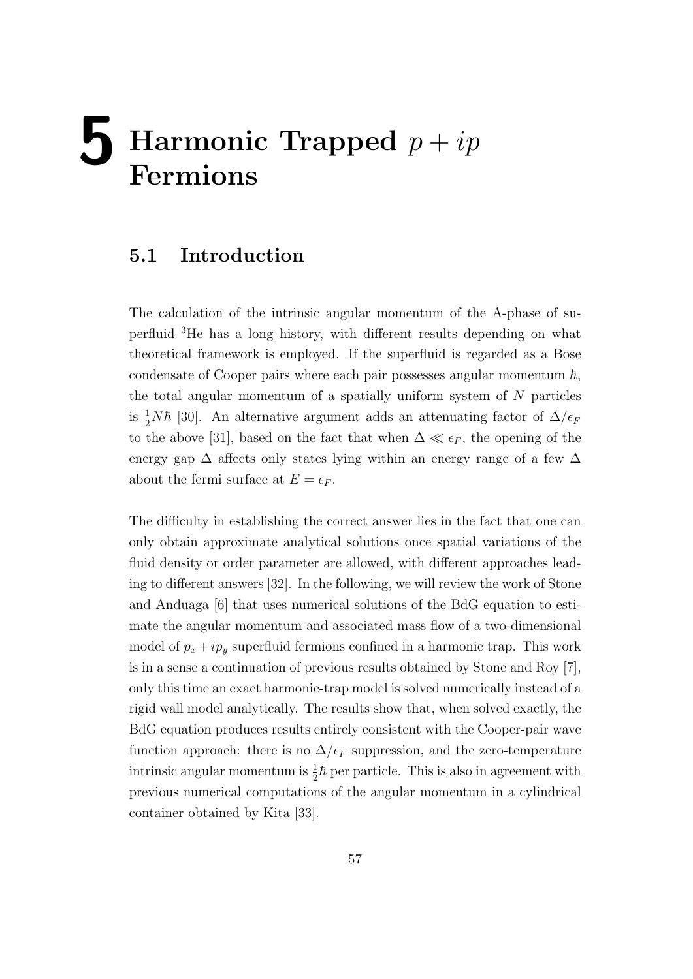# **5 Harmonic Trapped** *<sup>p</sup>* <sup>+</sup> *ip* **Fermions**

#### **5.1 Introduction**

The calculation of the intrinsic angular momentum of the A-phase of superfluid <sup>3</sup>He has a long history, with different results depending on what theoretical framework is employed. If the superfluid is regarded as a Bose condensate of Cooper pairs where each pair possesses angular momentum  $\hbar$ , the total angular momentum of a spatially uniform system of *N* particles is  $\frac{1}{2}N\hbar$  [30]. An alternative argument adds an attenuating factor of  $\Delta/\epsilon_F$ to the above [31], based on the fact that when  $\Delta \ll \epsilon_F$ , the opening of the energy gap  $\Delta$  affects only states lying within an energy range of a few  $\Delta$ about the fermi surface at  $E = \epsilon_F$ .

The difficulty in establishing the correct answer lies in the fact that one can only obtain approximate analytical solutions once spatial variations of the fluid density or order parameter are allowed, with different approaches leading to different answers [32]. In the following, we will review the work of Stone and Anduaga [6] that uses numerical solutions of the BdG equation to estimate the angular momentum and associated mass flow of a two-dimensional model of  $p_x + ip_y$  superfluid fermions confined in a harmonic trap. This work is in a sense a continuation of previous results obtained by Stone and Roy [7], only this time an exact harmonic-trap model is solved numerically instead of a rigid wall model analytically. The results show that, when solved exactly, the BdG equation produces results entirely consistent with the Cooper-pair wave function approach: there is no  $\Delta/\epsilon_F$  suppression, and the zero-temperature intrinsic angular momentum is  $\frac{1}{2}\hbar$  per particle. This is also in agreement with previous numerical computations of the angular momentum in a cylindrical container obtained by Kita [33].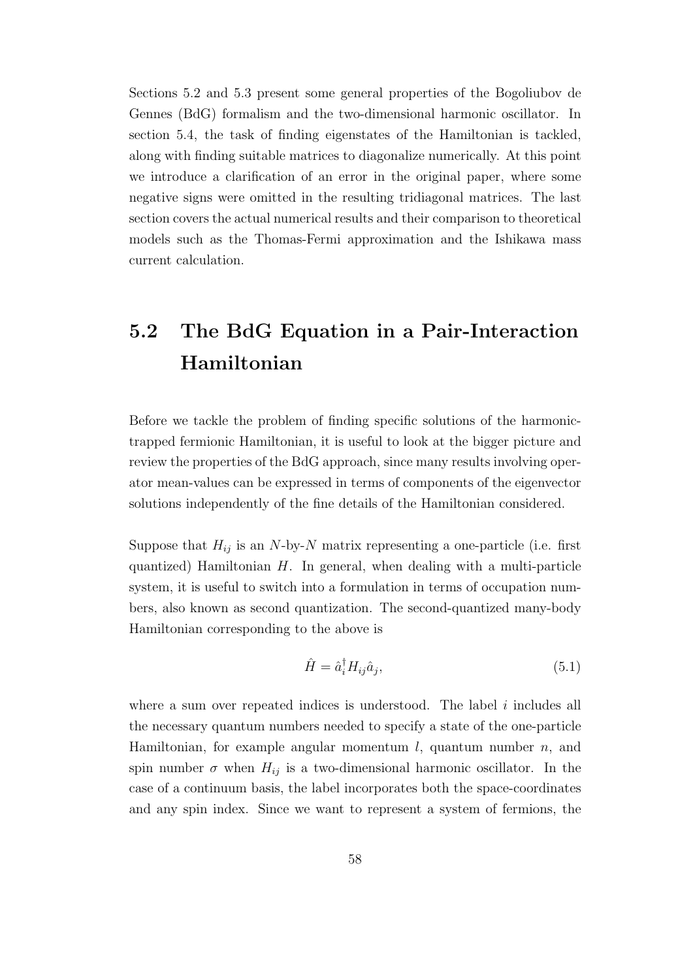Sections 5.2 and 5.3 present some general properties of the Bogoliubov de Gennes (BdG) formalism and the two-dimensional harmonic oscillator. In section 5.4, the task of finding eigenstates of the Hamiltonian is tackled, along with finding suitable matrices to diagonalize numerically. At this point we introduce a clarification of an error in the original paper, where some negative signs were omitted in the resulting tridiagonal matrices. The last section covers the actual numerical results and their comparison to theoretical models such as the Thomas-Fermi approximation and the Ishikawa mass current calculation.

## **5.2 The BdG Equation in a Pair-Interaction Hamiltonian**

Before we tackle the problem of finding specific solutions of the harmonictrapped fermionic Hamiltonian, it is useful to look at the bigger picture and review the properties of the BdG approach, since many results involving operator mean-values can be expressed in terms of components of the eigenvector solutions independently of the fine details of the Hamiltonian considered.

Suppose that  $H_{ij}$  is an *N*-by-*N* matrix representing a one-particle (i.e. first quantized) Hamiltonian *H*. In general, when dealing with a multi-particle system, it is useful to switch into a formulation in terms of occupation numbers, also known as second quantization. The second-quantized many-body Hamiltonian corresponding to the above is

$$
\hat{H} = \hat{a}_i^{\dagger} H_{ij} \hat{a}_j,\tag{5.1}
$$

where a sum over repeated indices is understood. The label *i* includes all the necessary quantum numbers needed to specify a state of the one-particle Hamiltonian, for example angular momentum *l*, quantum number *n*, and spin number  $\sigma$  when  $H_{ij}$  is a two-dimensional harmonic oscillator. In the case of a continuum basis, the label incorporates both the space-coordinates and any spin index. Since we want to represent a system of fermions, the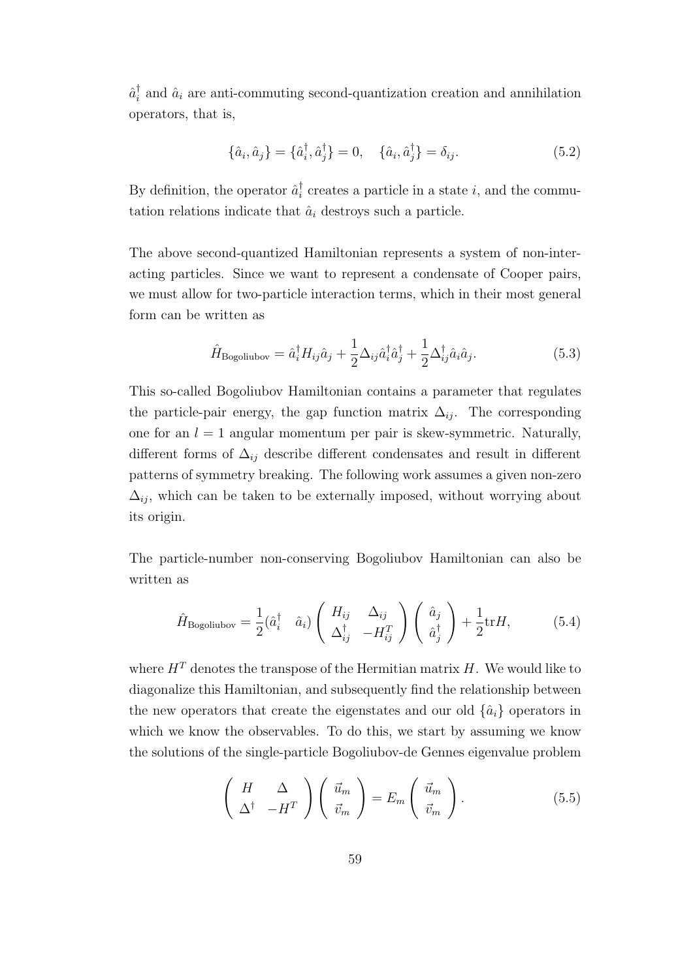$\hat{a}_i^{\dagger}$  and  $\hat{a}_i$  are anti-commuting second-quantization creation and annihilation operators, that is,

$$
\{\hat{a}_i, \hat{a}_j\} = \{\hat{a}_i^{\dagger}, \hat{a}_j^{\dagger}\} = 0, \quad \{\hat{a}_i, \hat{a}_j^{\dagger}\} = \delta_{ij}.
$$
 (5.2)

By definition, the operator  $\hat{a}_i^{\dagger}$  creates a particle in a state *i*, and the commutation relations indicate that  $\hat{a}_i$  destroys such a particle.

The above second-quantized Hamiltonian represents a system of non-interacting particles. Since we want to represent a condensate of Cooper pairs, we must allow for two-particle interaction terms, which in their most general form can be written as

$$
\hat{H}_{\text{Bogoliubov}} = \hat{a}_i^{\dagger} H_{ij} \hat{a}_j + \frac{1}{2} \Delta_{ij} \hat{a}_i^{\dagger} \hat{a}_j^{\dagger} + \frac{1}{2} \Delta_{ij}^{\dagger} \hat{a}_i \hat{a}_j. \tag{5.3}
$$

This so-called Bogoliubov Hamiltonian contains a parameter that regulates the particle-pair energy, the gap function matrix  $\Delta_{ij}$ . The corresponding one for an  $l = 1$  angular momentum per pair is skew-symmetric. Naturally, different forms of  $\Delta_{ij}$  describe different condensates and result in different patterns of symmetry breaking. The following work assumes a given non-zero  $\Delta_{ij}$ , which can be taken to be externally imposed, without worrying about its origin.

The particle-number non-conserving Bogoliubov Hamiltonian can also be written as

$$
\hat{H}_{\text{Bogoliubov}} = \frac{1}{2} (\hat{a}_i^\dagger \quad \hat{a}_i) \begin{pmatrix} H_{ij} & \Delta_{ij} \\ \Delta_{ij}^\dagger & -H_{ij}^T \end{pmatrix} \begin{pmatrix} \hat{a}_j \\ \hat{a}_j^\dagger \end{pmatrix} + \frac{1}{2} \text{tr} H, \tag{5.4}
$$

where  $H<sup>T</sup>$  denotes the transpose of the Hermitian matrix *H*. We would like to diagonalize this Hamiltonian, and subsequently find the relationship between the new operators that create the eigenstates and our old  $\{\hat{a}_i\}$  operators in which we know the observables. To do this, we start by assuming we know the solutions of the single-particle Bogoliubov-de Gennes eigenvalue problem

$$
\begin{pmatrix} H & \Delta \\ \Delta^{\dagger} & -H^T \end{pmatrix} \begin{pmatrix} \vec{u}_m \\ \vec{v}_m \end{pmatrix} = E_m \begin{pmatrix} \vec{u}_m \\ \vec{v}_m \end{pmatrix} . \tag{5.5}
$$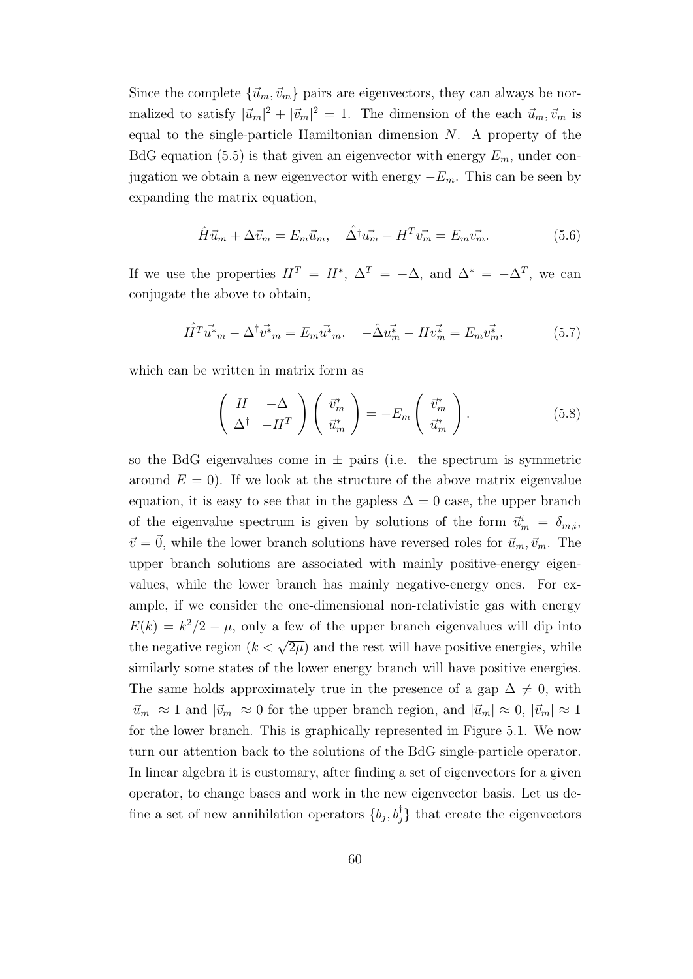Since the complete  $\{\vec{u}_m, \vec{v}_m\}$  pairs are eigenvectors, they can always be normalized to satisfy  $|\vec{u}_m|^2 + |\vec{v}_m|^2 = 1$ . The dimension of the each  $\vec{u}_m, \vec{v}_m$  is equal to the single-particle Hamiltonian dimension *N*. A property of the BdG equation (5.5) is that given an eigenvector with energy *Em*, under conjugation we obtain a new eigenvector with energy *−Em*. This can be seen by expanding the matrix equation,

$$
\hat{H}\vec{u}_m + \Delta \vec{v}_m = E_m \vec{u}_m, \quad \hat{\Delta}^\dagger \vec{u}_m - H^T \vec{v}_m = E_m \vec{v}_m. \tag{5.6}
$$

If we use the properties  $H^T = H^*$ ,  $\Delta^T = -\Delta$ , and  $\Delta^* = -\Delta^T$ , we can conjugate the above to obtain,

$$
\hat{H}^T \vec{u}^*{}_{m} - \Delta^{\dagger} \vec{v}^*{}_{m} = E_m \vec{u}^*{}_{m}, \quad -\hat{\Delta} \vec{u}^*{}_{m} - H \vec{v}^*{}_{m} = E_m \vec{v}^*{}_{m}, \tag{5.7}
$$

which can be written in matrix form as

$$
\begin{pmatrix} H & -\Delta \\ \Delta^{\dagger} & -H^T \end{pmatrix} \begin{pmatrix} \vec{v}_m^* \\ \vec{u}_m^* \end{pmatrix} = -E_m \begin{pmatrix} \vec{v}_m^* \\ \vec{u}_m^* \end{pmatrix} . \tag{5.8}
$$

so the BdG eigenvalues come in  $\pm$  pairs (i.e. the spectrum is symmetric around  $E = 0$ ). If we look at the structure of the above matrix eigenvalue equation, it is easy to see that in the gapless  $\Delta = 0$  case, the upper branch of the eigenvalue spectrum is given by solutions of the form  $\vec{u}_m^i = \delta_{m,i}$ ,  $\vec{v} = \vec{0}$ , while the lower branch solutions have reversed roles for  $\vec{u}_m, \vec{v}_m$ . The upper branch solutions are associated with mainly positive-energy eigenvalues, while the lower branch has mainly negative-energy ones. For example, if we consider the one-dimensional non-relativistic gas with energy  $E(k) = k^2/2 - \mu$ , only a few of the upper branch eigenvalues will dip into the negative region  $(k < \sqrt{2\mu})$  and the rest will have positive energies, while similarly some states of the lower energy branch will have positive energies. The same holds approximately true in the presence of a gap  $\Delta \neq 0$ , with  $|\vec{u}_m| \approx 1$  and  $|\vec{v}_m| \approx 0$  for the upper branch region, and  $|\vec{u}_m| \approx 0$ ,  $|\vec{v}_m| \approx 1$ for the lower branch. This is graphically represented in Figure 5.1. We now turn our attention back to the solutions of the BdG single-particle operator. In linear algebra it is customary, after finding a set of eigenvectors for a given operator, to change bases and work in the new eigenvector basis. Let us define a set of new annihilation operators  $\{b_j, b_j^{\dagger}\}\$  that create the eigenvectors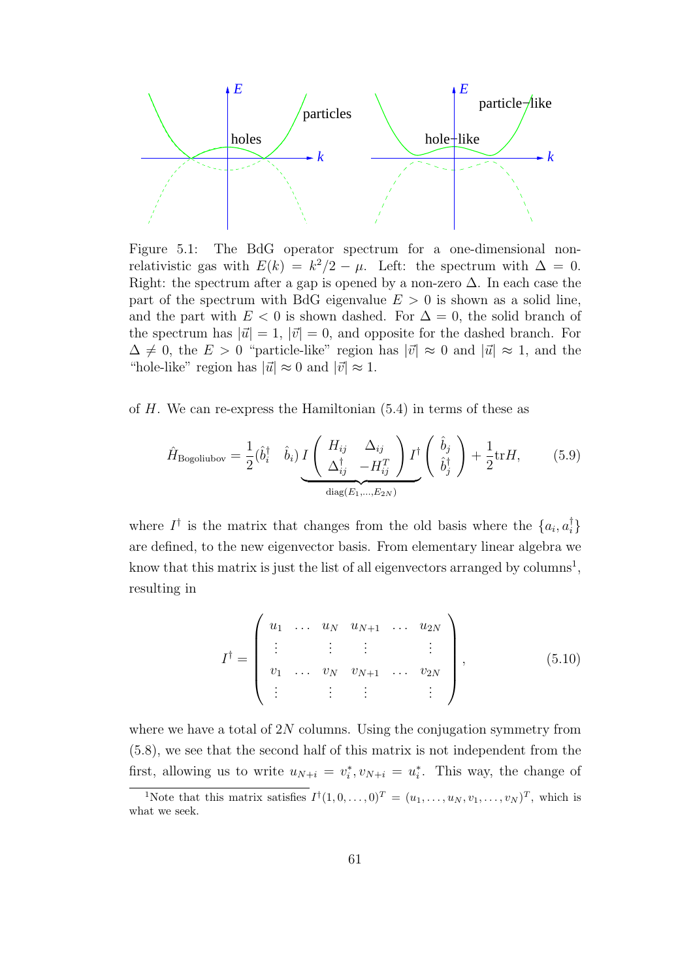

Figure 5.1: The BdG operator spectrum for a one-dimensional nonrelativistic gas with  $E(k) = k^2/2 - \mu$ . Left: the spectrum with  $\Delta = 0$ . Right: the spectrum after a gap is opened by a non-zero  $\Delta$ . In each case the part of the spectrum with BdG eigenvalue  $E > 0$  is shown as a solid line, and the part with  $E < 0$  is shown dashed. For  $\Delta = 0$ , the solid branch of the spectrum has  $|\vec{u}| = 1$ ,  $|\vec{v}| = 0$ , and opposite for the dashed branch. For  $\Delta \neq 0$ , the  $E > 0$  "particle-like" region has  $|\vec{v}| \approx 0$  and  $|\vec{u}| \approx 1$ , and the "hole-like" region has  $|\vec{u}| \approx 0$  and  $|\vec{v}| \approx 1$ .

of *H*. We can re-express the Hamiltonian (5.4) in terms of these as

$$
\hat{H}_{\text{Bogoliubov}} = \frac{1}{2} (\hat{b}_i^\dagger \quad \hat{b}_i) \, I \left( \begin{array}{cc} H_{ij} & \Delta_{ij} \\ \Delta_{ij}^\dagger & -H_{ij}^T \end{array} \right) I^\dagger \left( \begin{array}{c} \hat{b}_j \\ \hat{b}_j^\dagger \end{array} \right) + \frac{1}{2} \text{tr} H, \tag{5.9}
$$

where  $I^{\dagger}$  is the matrix that changes from the old basis where the  $\{a_i, a_i^{\dagger}\}\$ are defined, to the new eigenvector basis. From elementary linear algebra we know that this matrix is just the list of all eigenvectors arranged by columns<sup>1</sup>, resulting in

$$
I^{\dagger} = \begin{pmatrix} u_1 & \dots & u_N & u_{N+1} & \dots & u_{2N} \\ \vdots & & \vdots & & \vdots & \\ v_1 & \dots & v_N & v_{N+1} & \dots & v_{2N} \\ \vdots & & \vdots & & \vdots & \vdots \end{pmatrix}, \qquad (5.10)
$$

where we have a total of 2*N* columns. Using the conjugation symmetry from (5.8), we see that the second half of this matrix is not independent from the first, allowing us to write  $u_{N+i} = v_i^*$ ,  $v_{N+i} = u_i^*$ . This way, the change of

<sup>&</sup>lt;sup>1</sup>Note that this matrix satisfies  $I^{\dagger}(1,0,\ldots,0)^{T} = (u_1,\ldots,u_N,v_1,\ldots,v_N)^{T}$ , which is what we seek.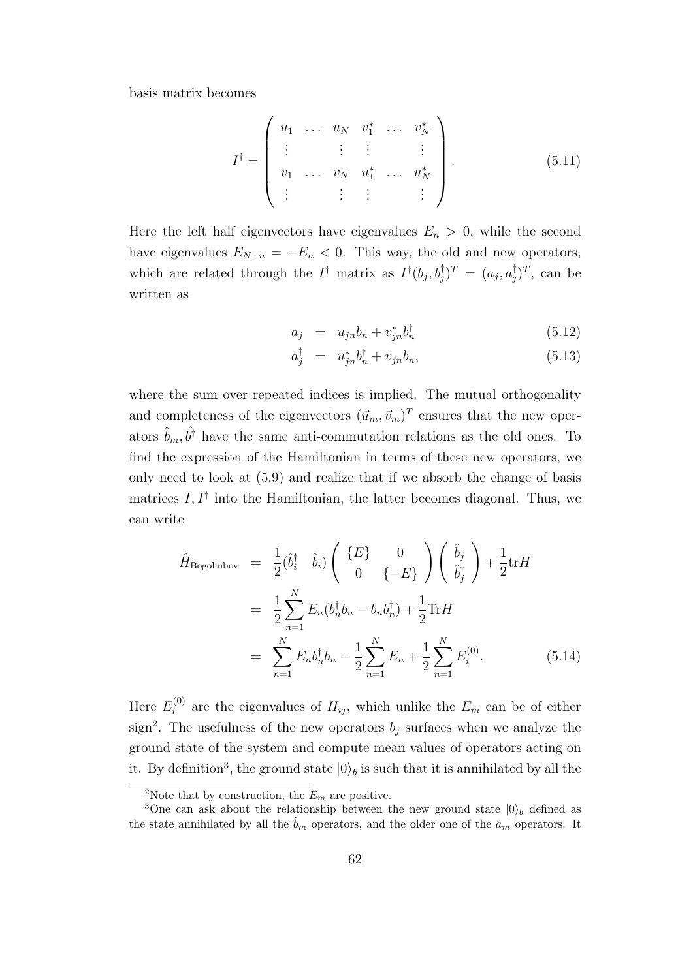basis matrix becomes

$$
I^{\dagger} = \left( \begin{array}{cccc} u_1 & \dots & u_N & v_1^* & \dots & v_N^* \\ \vdots & & \vdots & \vdots & & \vdots \\ v_1 & \dots & v_N & u_1^* & \dots & u_N^* \\ \vdots & & \vdots & \vdots & & \vdots \end{array} \right). \tag{5.11}
$$

Here the left half eigenvectors have eigenvalues  $E_n > 0$ , while the second have eigenvalues  $E_{N+n} = -E_n < 0$ . This way, the old and new operators, which are related through the  $I^{\dagger}$  matrix as  $I^{\dagger}(b_j, b_j^{\dagger})^T = (a_j, a_j^{\dagger})^T$ , can be written as

$$
a_j = u_{jn}b_n + v_{jn}^*b_n^{\dagger} \tag{5.12}
$$

$$
a_j^{\dagger} = u_{jn}^* b_n^{\dagger} + v_{jn} b_n, \tag{5.13}
$$

where the sum over repeated indices is implied. The mutual orthogonality and completeness of the eigenvectors  $(\vec{u}_m, \vec{v}_m)^T$  ensures that the new operators  $\hat{b}_m, \hat{b}^{\dagger}$  have the same anti-commutation relations as the old ones. To find the expression of the Hamiltonian in terms of these new operators, we only need to look at (5.9) and realize that if we absorb the change of basis matrices *I, I†* into the Hamiltonian, the latter becomes diagonal. Thus, we can write

$$
\hat{H}_{\text{Bogoliubov}} = \frac{1}{2} (\hat{b}_i^{\dagger} \quad \hat{b}_i) \left( \begin{array}{c} \{E\} & 0 \\ 0 & \{-E\} \end{array} \right) \left( \begin{array}{c} \hat{b}_j \\ \hat{b}_j^{\dagger} \end{array} \right) + \frac{1}{2} \text{tr} H \n= \frac{1}{2} \sum_{n=1}^{N} E_n (b_n^{\dagger} b_n - b_n b_n^{\dagger}) + \frac{1}{2} \text{Tr} H \n= \sum_{n=1}^{N} E_n b_n^{\dagger} b_n - \frac{1}{2} \sum_{n=1}^{N} E_n + \frac{1}{2} \sum_{n=1}^{N} E_i^{(0)}.
$$
\n(5.14)

Here  $E_i^{(0)}$  $I_i^{(0)}$  are the eigenvalues of  $H_{ij}$ , which unlike the  $E_m$  can be of either sign<sup>2</sup>. The usefulness of the new operators  $b_j$  surfaces when we analyze the ground state of the system and compute mean values of operators acting on it. By definition<sup>3</sup>, the ground state  $|0\rangle_b$  is such that it is annihilated by all the

<sup>&</sup>lt;sup>2</sup>Note that by construction, the  $E_m$  are positive.

<sup>&</sup>lt;sup>3</sup>One can ask about the relationship between the new ground state  $|0\rangle$ <sup>*b*</sup> defined as the state annihilated by all the  $\hat{b}_m$  operators, and the older one of the  $\hat{a}_m$  operators. It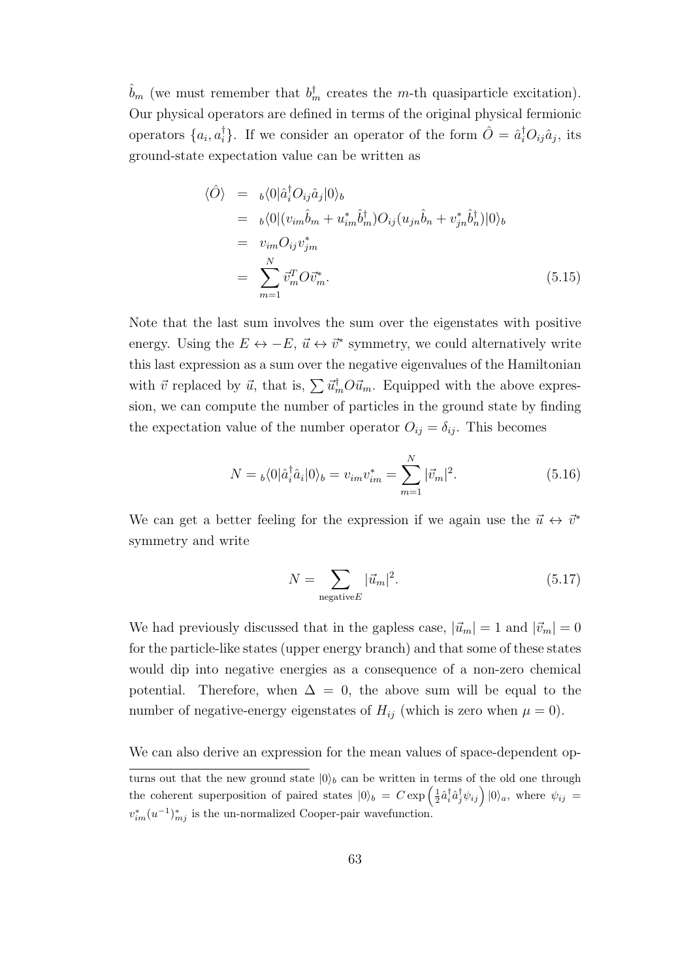$\hat{b}_m$  (we must remember that  $b_m^{\dagger}$  creates the *m*-th quasiparticle excitation). Our physical operators are defined in terms of the original physical fermionic operators  $\{a_i, a_i^{\dagger}\}\$ . If we consider an operator of the form  $\hat{O} = \hat{a}_i^{\dagger}O_{ij}\hat{a}_j$ , its ground-state expectation value can be written as

$$
\langle \hat{O} \rangle = b \langle 0 | \hat{a}_i^{\dagger} O_{ij} \hat{a}_j | 0 \rangle_b
$$
  
\n
$$
= b \langle 0 | (v_{im} \hat{b}_m + u_{im}^* \hat{b}_m^{\dagger}) O_{ij} (u_{jn} \hat{b}_n + v_{jn}^* \hat{b}_n^{\dagger}) | 0 \rangle_b
$$
  
\n
$$
= v_{im} O_{ij} v_{jm}^*
$$
  
\n
$$
= \sum_{m=1}^N \bar{v}_m^T O \bar{v}_m^*.
$$
\n(5.15)

Note that the last sum involves the sum over the eigenstates with positive energy. Using the  $E \leftrightarrow -E$ ,  $\vec{u} \leftrightarrow \vec{v}^*$  symmetry, we could alternatively write this last expression as a sum over the negative eigenvalues of the Hamiltonian with  $\vec{v}$  replaced by  $\vec{u}$ , that is,  $\sum \vec{u}_m^{\dagger} O \vec{u}_m$ . Equipped with the above expression, we can compute the number of particles in the ground state by finding the expectation value of the number operator  $O_{ij} = \delta_{ij}$ . This becomes

$$
N = {}_{b}\langle 0|\hat{a}_{i}^{\dagger}\hat{a}_{i}|0\rangle_{b} = v_{im}v_{im}^{*} = \sum_{m=1}^{N} |\vec{v}_{m}|^{2}.
$$
 (5.16)

We can get a better feeling for the expression if we again use the  $\vec{u} \leftrightarrow \vec{v}^*$ symmetry and write

$$
N = \sum_{\text{negative}E} |\vec{u}_m|^2. \tag{5.17}
$$

We had previously discussed that in the gapless case,  $|\vec{u}_m| = 1$  and  $|\vec{v}_m| = 0$ for the particle-like states (upper energy branch) and that some of these states would dip into negative energies as a consequence of a non-zero chemical potential. Therefore, when  $\Delta = 0$ , the above sum will be equal to the number of negative-energy eigenstates of  $H_{ij}$  (which is zero when  $\mu = 0$ ).

We can also derive an expression for the mean values of space-dependent op-

turns out that the new ground state  $|0\rangle_b$  can be written in terms of the old one through the coherent superposition of paired states  $|0\rangle_b = C \exp\left(\frac{1}{2}\hat{a}_i^{\dagger}\hat{a}_j^{\dagger}\psi_{ij}\right)|0\rangle_a$ , where  $\psi_{ij} =$  $v_{im}^*(u^{-1})_{mj}^*$  is the un-normalized Cooper-pair wavefunction.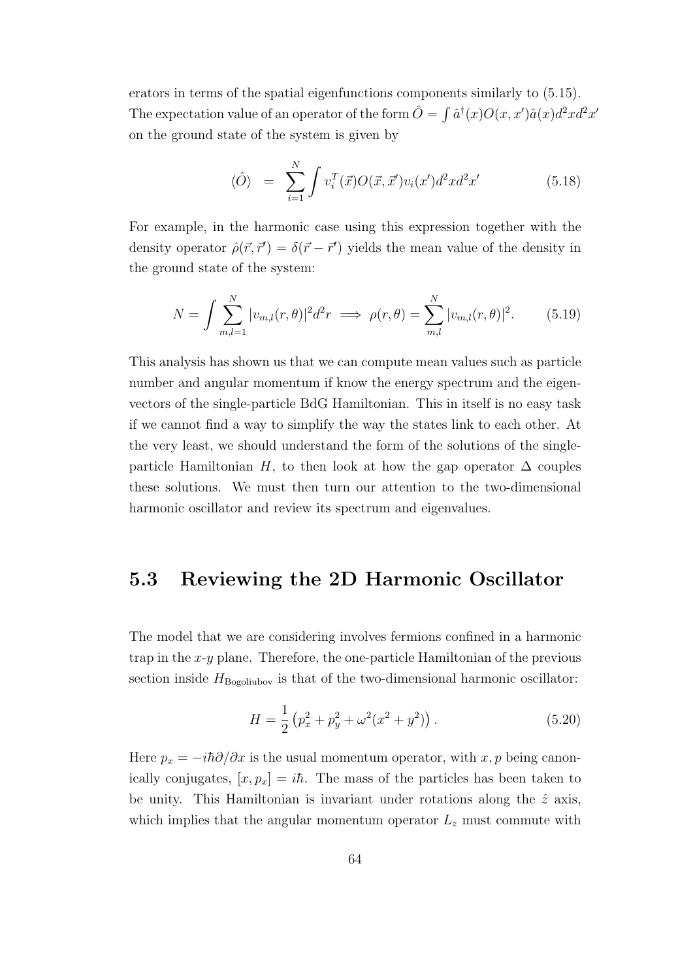erators in terms of the spatial eigenfunctions components similarly to (5.15). The expectation value of an operator of the form  $\hat{O} = \int \hat{a}^{\dagger}(x)O(x, x')\hat{a}(x)d^2xd^2x'$ on the ground state of the system is given by

$$
\langle \hat{O} \rangle = \sum_{i=1}^{N} \int v_i^T(\vec{x}) O(\vec{x}, \vec{x}') v_i(x') d^2x d^2x' \qquad (5.18)
$$

For example, in the harmonic case using this expression together with the density operator  $\hat{\rho}(\vec{r}, \vec{r}') = \delta(\vec{r} - \vec{r}')$  yields the mean value of the density in the ground state of the system:

$$
N = \int \sum_{m,l=1}^{N} |v_{m,l}(r,\theta)|^2 d^2r \implies \rho(r,\theta) = \sum_{m,l}^{N} |v_{m,l}(r,\theta)|^2. \tag{5.19}
$$

This analysis has shown us that we can compute mean values such as particle number and angular momentum if know the energy spectrum and the eigenvectors of the single-particle BdG Hamiltonian. This in itself is no easy task if we cannot find a way to simplify the way the states link to each other. At the very least, we should understand the form of the solutions of the singleparticle Hamiltonian *H*, to then look at how the gap operator  $\Delta$  couples these solutions. We must then turn our attention to the two-dimensional harmonic oscillator and review its spectrum and eigenvalues.

#### **5.3 Reviewing the 2D Harmonic Oscillator**

The model that we are considering involves fermions confined in a harmonic trap in the *x*-*y* plane. Therefore, the one-particle Hamiltonian of the previous section inside  $H_{\text{Bogoliubov}}$  is that of the two-dimensional harmonic oscillator:

$$
H = \frac{1}{2} \left( p_x^2 + p_y^2 + \omega^2 (x^2 + y^2) \right). \tag{5.20}
$$

Here  $p_x = -i\hbar\partial/\partial x$  is the usual momentum operator, with *x*, *p* being canonically conjugates,  $[x, p_x] = i\hbar$ . The mass of the particles has been taken to be unity. This Hamiltonian is invariant under rotations along the  $\hat{z}$  axis, which implies that the angular momentum operator  $L_z$  must commute with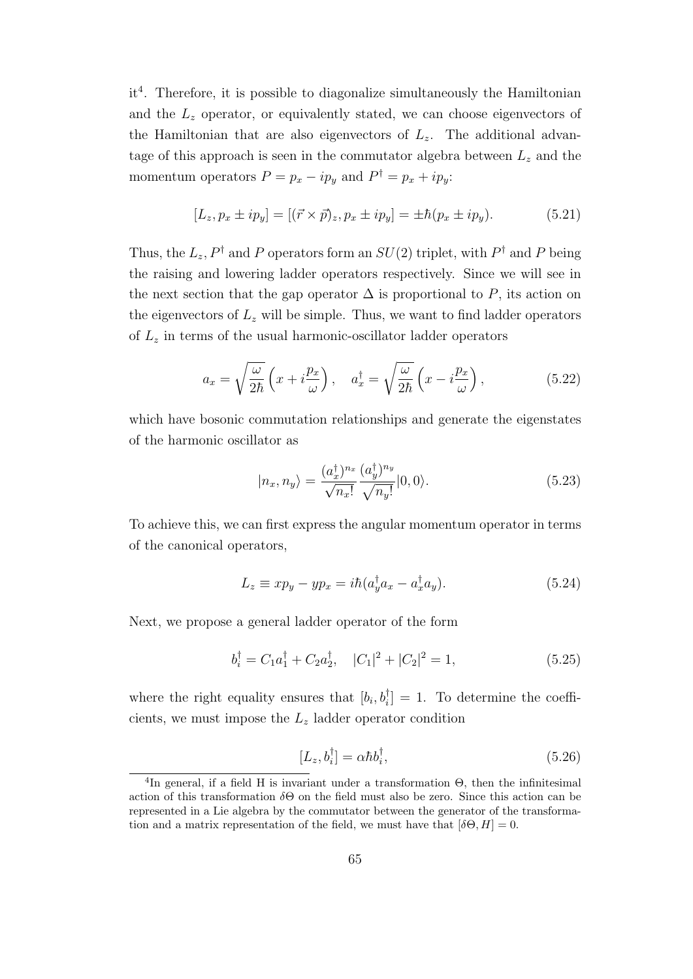it<sup>4</sup>. Therefore, it is possible to diagonalize simultaneously the Hamiltonian and the *L<sup>z</sup>* operator, or equivalently stated, we can choose eigenvectors of the Hamiltonian that are also eigenvectors of  $L_z$ . The additional advantage of this approach is seen in the commutator algebra between  $L<sub>z</sub>$  and the momentum operators  $P = p_x - ip_y$  and  $P^{\dagger} = p_x + ip_y$ :

$$
[L_z, p_x \pm i p_y] = [(\vec{r} \times \vec{p})_z, p_x \pm i p_y] = \pm \hbar (p_x \pm i p_y). \tag{5.21}
$$

Thus, the  $L_z$ ,  $P^{\dagger}$  and  $P$  operators form an  $SU(2)$  triplet, with  $P^{\dagger}$  and  $P$  being the raising and lowering ladder operators respectively. Since we will see in the next section that the gap operator  $\Delta$  is proportional to P, its action on the eigenvectors of  $L_z$  will be simple. Thus, we want to find ladder operators of *L<sup>z</sup>* in terms of the usual harmonic-oscillator ladder operators

$$
a_x = \sqrt{\frac{\omega}{2\hbar}} \left( x + i \frac{p_x}{\omega} \right), \quad a_x^{\dagger} = \sqrt{\frac{\omega}{2\hbar}} \left( x - i \frac{p_x}{\omega} \right), \tag{5.22}
$$

which have bosonic commutation relationships and generate the eigenstates of the harmonic oscillator as

$$
|n_x, n_y\rangle = \frac{(a_x^\dagger)^{n_x}}{\sqrt{n_x!}} \frac{(a_y^\dagger)^{n_y}}{\sqrt{n_y!}} |0, 0\rangle.
$$
 (5.23)

To achieve this, we can first express the angular momentum operator in terms of the canonical operators,

$$
L_z \equiv xp_y - yp_x = i\hbar (a_y^{\dagger} a_x - a_x^{\dagger} a_y). \tag{5.24}
$$

Next, we propose a general ladder operator of the form

$$
b_i^{\dagger} = C_1 a_1^{\dagger} + C_2 a_2^{\dagger}, \quad |C_1|^2 + |C_2|^2 = 1,\tag{5.25}
$$

where the right equality ensures that  $[b_i, b_i] = 1$ . To determine the coefficients, we must impose the *L<sup>z</sup>* ladder operator condition

$$
[L_z, b_i^{\dagger}] = \alpha \hbar b_i^{\dagger}, \qquad (5.26)
$$

<sup>&</sup>lt;sup>4</sup>In general, if a field H is invariant under a transformation  $\Theta$ , then the infinitesimal action of this transformation *δ*Θ on the field must also be zero. Since this action can be represented in a Lie algebra by the commutator between the generator of the transformation and a matrix representation of the field, we must have that  $[\delta\Theta, H] = 0$ .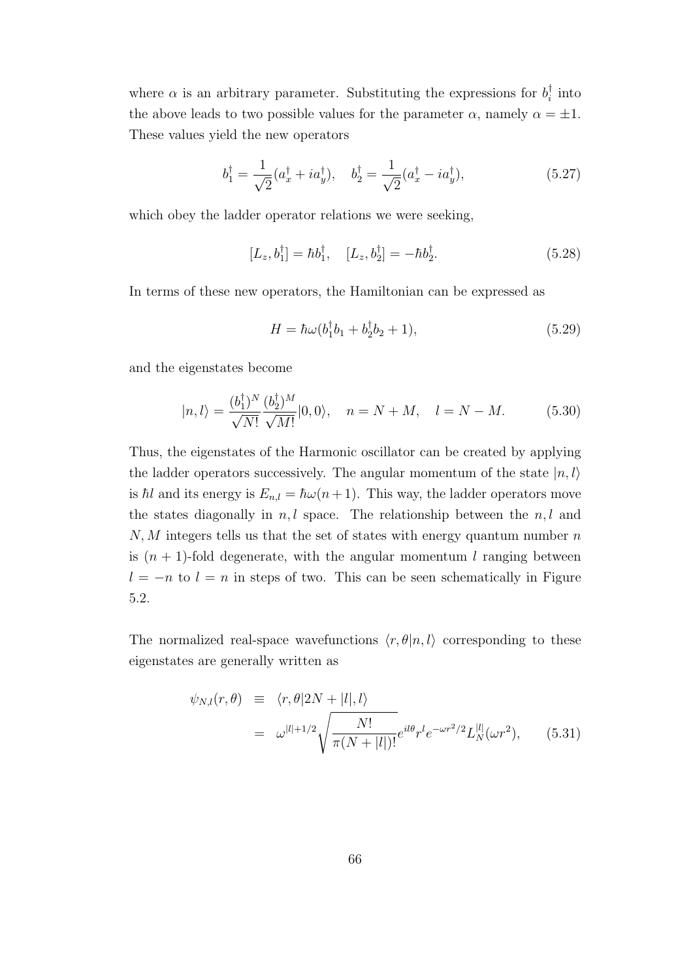where  $\alpha$  is an arbitrary parameter. Substituting the expressions for  $b_i^{\dagger}$  into the above leads to two possible values for the parameter  $\alpha$ , namely  $\alpha = \pm 1$ . These values yield the new operators

$$
b_1^{\dagger} = \frac{1}{\sqrt{2}} (a_x^{\dagger} + i a_y^{\dagger}), \quad b_2^{\dagger} = \frac{1}{\sqrt{2}} (a_x^{\dagger} - i a_y^{\dagger}), \tag{5.27}
$$

which obey the ladder operator relations we were seeking,

$$
[L_z, b_1^{\dagger}] = \hbar b_1^{\dagger}, \quad [L_z, b_2^{\dagger}] = -\hbar b_2^{\dagger}.
$$
 (5.28)

In terms of these new operators, the Hamiltonian can be expressed as

$$
H = \hbar\omega(b_1^{\dagger}b_1 + b_2^{\dagger}b_2 + 1),\tag{5.29}
$$

and the eigenstates become

$$
|n,l\rangle = \frac{(b_1^{\dagger})^N}{\sqrt{N!}} \frac{(b_2^{\dagger})^M}{\sqrt{M!}} |0,0\rangle, \quad n = N + M, \quad l = N - M. \tag{5.30}
$$

Thus, the eigenstates of the Harmonic oscillator can be created by applying the ladder operators successively. The angular momentum of the state  $|n, l\rangle$ is  $\hbar$ *l* and its energy is  $E_{n,l} = \hbar \omega(n+1)$ . This way, the ladder operators move the states diagonally in  $n, l$  space. The relationship between the  $n, l$  and *N, M* integers tells us that the set of states with energy quantum number *n* is  $(n + 1)$ -fold degenerate, with the angular momentum *l* ranging between  $l = -n$  to  $l = n$  in steps of two. This can be seen schematically in Figure 5.2.

The normalized real-space wavefunctions  $\langle r, \theta | n, l \rangle$  corresponding to these eigenstates are generally written as

$$
\psi_{N,l}(r,\theta) \equiv \langle r, \theta | 2N + |l|, l \rangle
$$
  
=  $\omega^{|l|+1/2} \sqrt{\frac{N!}{\pi (N+|l|)!}} e^{il\theta} r^l e^{-\omega r^2/2} L_N^{|l|}(\omega r^2),$  (5.31)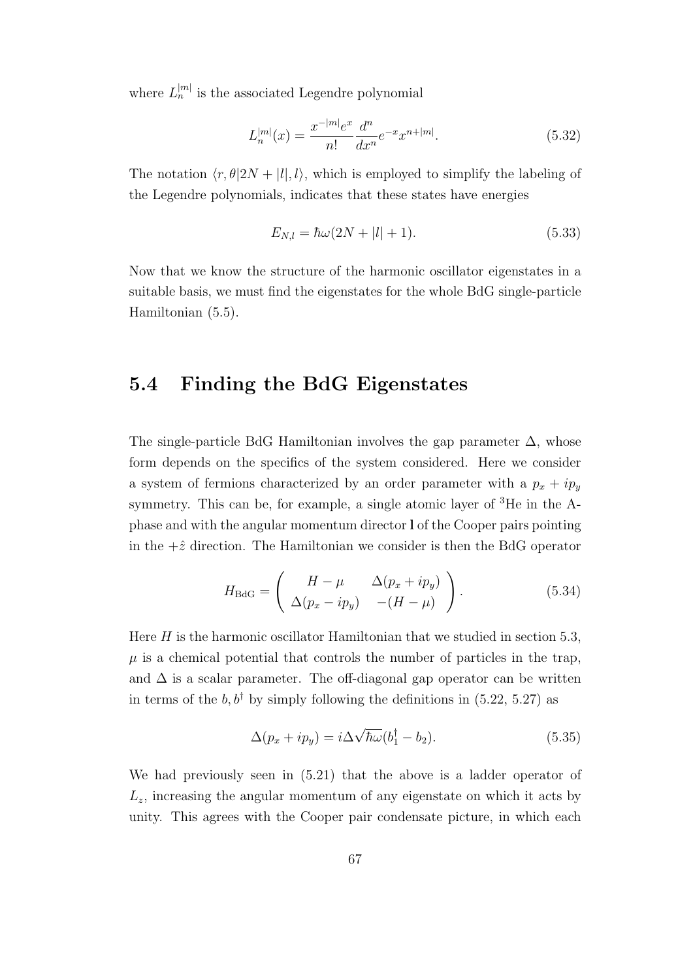where  $L_n^{|m|}$  is the associated Legendre polynomial

$$
L_n^{|m|}(x) = \frac{x^{-|m|}e^x}{n!} \frac{d^n}{dx^n} e^{-x} x^{n+|m|}.
$$
\n(5.32)

The notation  $\langle r, \theta | 2N + |l|, l \rangle$ , which is employed to simplify the labeling of the Legendre polynomials, indicates that these states have energies

$$
E_{N,l} = \hbar\omega(2N + |l| + 1). \tag{5.33}
$$

Now that we know the structure of the harmonic oscillator eigenstates in a suitable basis, we must find the eigenstates for the whole BdG single-particle Hamiltonian (5.5).

### **5.4 Finding the BdG Eigenstates**

The single-particle BdG Hamiltonian involves the gap parameter  $\Delta$ , whose form depends on the specifics of the system considered. Here we consider a system of fermions characterized by an order parameter with a  $p_x + ip_y$ symmetry. This can be, for example, a single atomic layer of <sup>3</sup>He in the Aphase and with the angular momentum director **l** of the Cooper pairs pointing in the  $+\hat{z}$  direction. The Hamiltonian we consider is then the BdG operator

$$
H_{\text{BdG}} = \begin{pmatrix} H - \mu & \Delta(p_x + ip_y) \\ \Delta(p_x - ip_y) & -(H - \mu) \end{pmatrix}.
$$
 (5.34)

Here  $H$  is the harmonic oscillator Hamiltonian that we studied in section 5.3,  $\mu$  is a chemical potential that controls the number of particles in the trap, and  $\Delta$  is a scalar parameter. The off-diagonal gap operator can be written in terms of the  $b, b^{\dagger}$  by simply following the definitions in (5.22, 5.27) as

$$
\Delta(p_x + ip_y) = i\Delta\sqrt{\hbar\omega}(b_1^\dagger - b_2). \tag{5.35}
$$

We had previously seen in (5.21) that the above is a ladder operator of  $L<sub>z</sub>$ , increasing the angular momentum of any eigenstate on which it acts by unity. This agrees with the Cooper pair condensate picture, in which each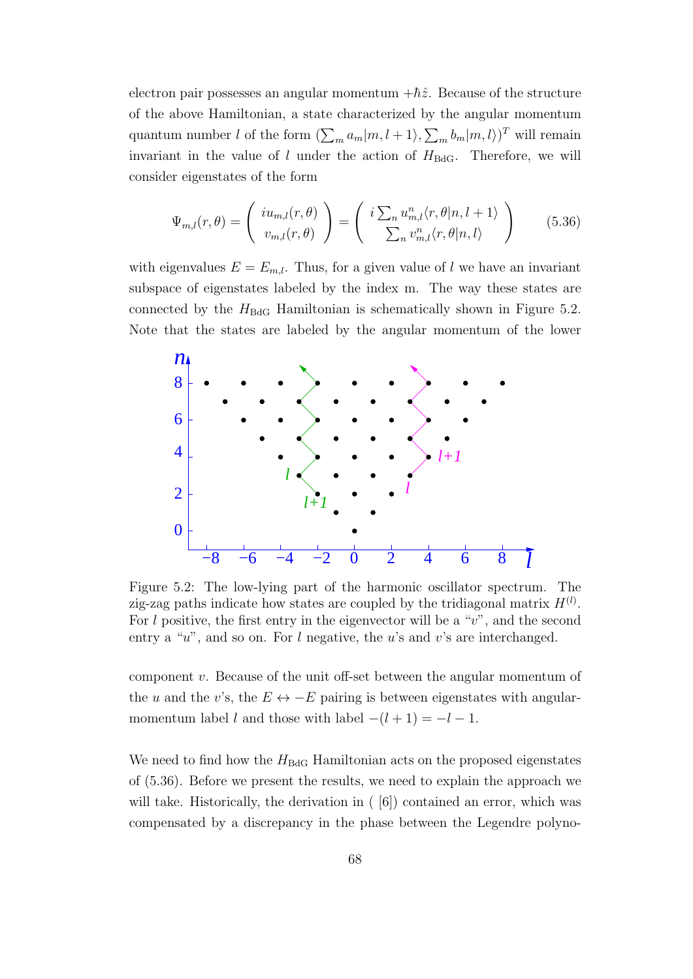electron pair possesses an angular momentum  $+\hbar\hat{z}$ . Because of the structure of the above Hamiltonian, a state characterized by the angular momentum quantum number *l* of the form  $(\sum_{m} a_m | m, l + 1, \sum_{m} b_m | m, l)$ <sup>T</sup> will remain invariant in the value of  $l$  under the action of  $H_{BdG}$ . Therefore, we will consider eigenstates of the form

$$
\Psi_{m,l}(r,\theta) = \begin{pmatrix} i u_{m,l}(r,\theta) \\ v_{m,l}(r,\theta) \end{pmatrix} = \begin{pmatrix} i \sum_n u_{m,l}^n \langle r,\theta | n,l+1 \rangle \\ \sum_n v_{m,l}^n \langle r,\theta | n,l \rangle \end{pmatrix}
$$
(5.36)

with eigenvalues  $E = E_{m,l}$ . Thus, for a given value of *l* we have an invariant subspace of eigenstates labeled by the index m. The way these states are connected by the  $H_{BdG}$  Hamiltonian is schematically shown in Figure 5.2. Note that the states are labeled by the angular momentum of the lower



Figure 5.2: The low-lying part of the harmonic oscillator spectrum. The zig-zag paths indicate how states are coupled by the tridiagonal matrix  $H^{(l)}$ . For *l* positive, the first entry in the eigenvector will be a "*v*", and the second entry a "*u*", and so on. For *l* negative, the *u*'s and *v*'s are interchanged.

component *v*. Because of the unit off-set between the angular momentum of the *u* and the *v*'s, the  $E \leftrightarrow -E$  pairing is between eigenstates with angularmomentum label *l* and those with label  $-(l + 1) = -l - 1$ .

We need to find how the  $H_{\text{BdG}}$  Hamiltonian acts on the proposed eigenstates of (5.36). Before we present the results, we need to explain the approach we will take. Historically, the derivation in  $(6)$  contained an error, which was compensated by a discrepancy in the phase between the Legendre polyno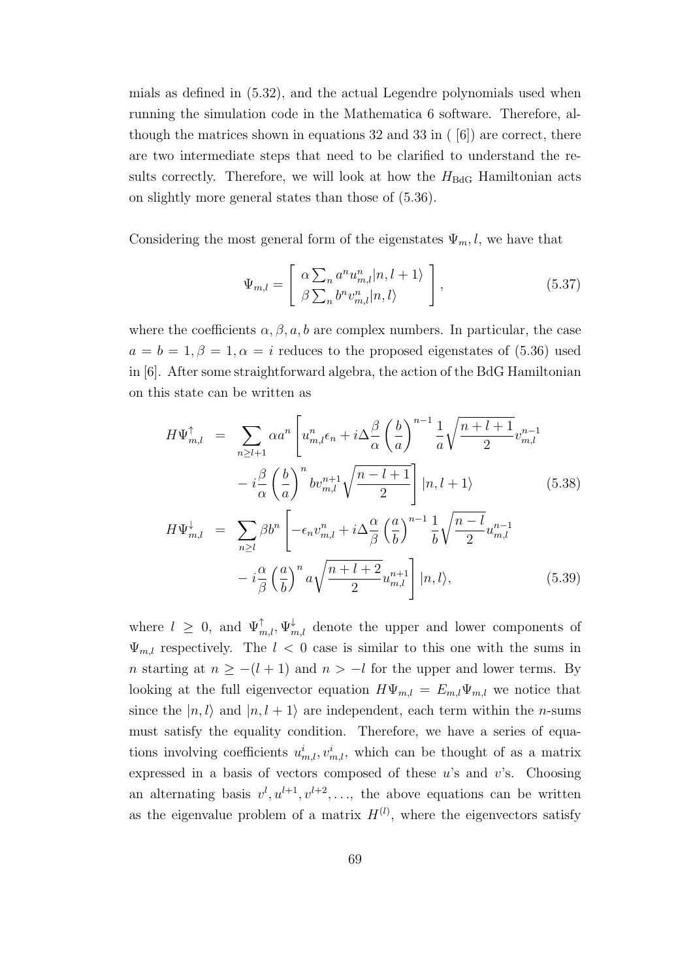mials as defined in (5.32), and the actual Legendre polynomials used when running the simulation code in the Mathematica 6 software. Therefore, although the matrices shown in equations 32 and 33 in ( [6]) are correct, there are two intermediate steps that need to be clarified to understand the results correctly. Therefore, we will look at how the  $H_{\text{BdG}}$  Hamiltonian acts on slightly more general states than those of (5.36).

Considering the most general form of the eigenstates  $\Psi_m$ , l, we have that

$$
\Psi_{m,l} = \begin{bmatrix} \alpha \sum_{n} a^n u_{m,l}^n |n, l+1 \rangle \\ \beta \sum_{n} b^n v_{m,l}^n |n, l \rangle \end{bmatrix},
$$
\n(5.37)

where the coefficients  $\alpha, \beta, a, b$  are complex numbers. In particular, the case  $a = b = 1, \beta = 1, \alpha = i$  reduces to the proposed eigenstates of (5.36) used in [6]. After some straightforward algebra, the action of the BdG Hamiltonian on this state can be written as

$$
H\Psi_{m,l}^{\uparrow} = \sum_{n \ge l+1} \alpha a^n \left[ u_{m,l}^n \epsilon_n + i \Delta \frac{\beta}{\alpha} \left( \frac{b}{a} \right)^{n-1} \frac{1}{a} \sqrt{\frac{n+l+1}{2}} v_{m,l}^{n-1} - i \frac{\beta}{\alpha} \left( \frac{b}{a} \right)^n b v_{m,l}^{n+1} \sqrt{\frac{n-l+1}{2}} \right] |n, l+1\rangle \qquad (5.38)
$$
  

$$
H\Psi_{m,l}^{\downarrow} = \sum_{n \ge l} \beta b^n \left[ -\epsilon_n v_{m,l}^n + i \Delta \frac{\alpha}{\beta} \left( \frac{a}{b} \right)^{n-1} \frac{1}{b} \sqrt{\frac{n-l}{2}} u_{m,l}^{n-1} - i \frac{\alpha}{\beta} \left( \frac{a}{b} \right)^n a \sqrt{\frac{n+l+2}{2}} u_{m,l}^{n+1} \right] |n, l\rangle, \qquad (5.39)
$$

where  $l \geq 0$ , and  $\Psi_{m,l}^{\uparrow}, \Psi_{m,l}^{\downarrow}$  denote the upper and lower components of  $\Psi_{m,l}$  respectively. The  $l < 0$  case is similar to this one with the sums in *n* starting at  $n \ge -(l + 1)$  and  $n > -l$  for the upper and lower terms. By looking at the full eigenvector equation  $H\Psi_{m,l} = E_{m,l}\Psi_{m,l}$  we notice that since the  $|n, l\rangle$  and  $|n, l + 1\rangle$  are independent, each term within the *n*-sums must satisfy the equality condition. Therefore, we have a series of equations involving coefficients  $u^i_{m,l}, v^i_{m,l}$ , which can be thought of as a matrix expressed in a basis of vectors composed of these *u*'s and *v*'s. Choosing an alternating basis  $v^l, u^{l+1}, v^{l+2}, \ldots$ , the above equations can be written as the eigenvalue problem of a matrix  $H^{(l)}$ , where the eigenvectors satisfy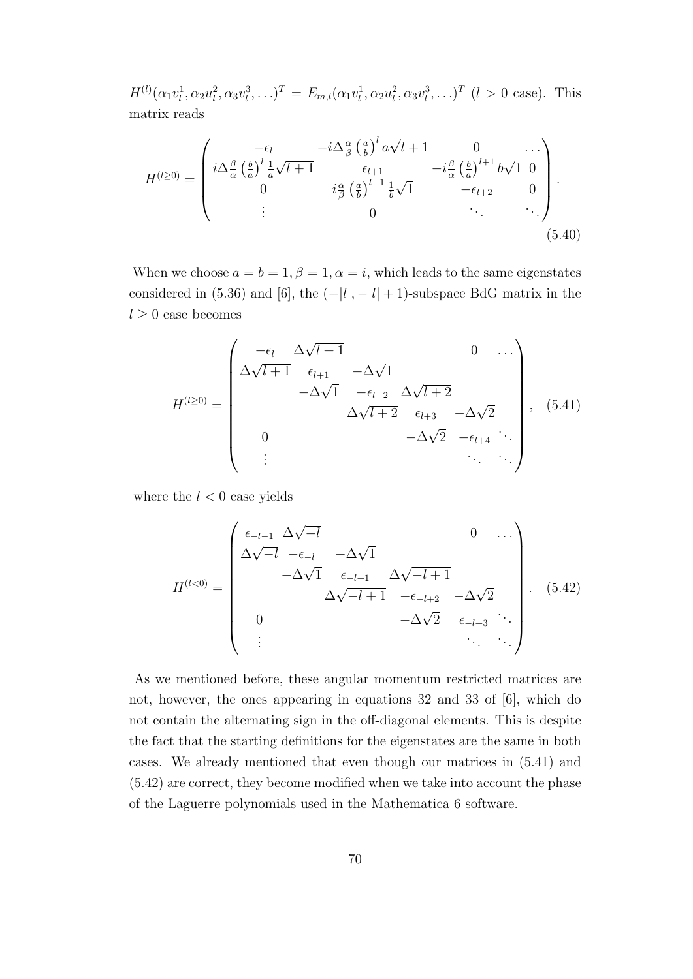$H^{(l)}(\alpha_1 v_l^1, \alpha_2 u_l^2, \alpha_3 v_l^3, \ldots)^T = E_{m,l}(\alpha_1 v_l^1, \alpha_2 u_l^2, \alpha_3 v_l^3, \ldots)^T$  (*l* > 0 case). This matrix reads

$$
H^{(l\geq 0)} = \begin{pmatrix} -\epsilon_l & -i\Delta_{\beta}^{\alpha} \left(\frac{a}{b}\right)^{l} a\sqrt{l+1} & 0 & \cdots \\ i\Delta_{\alpha}^{\beta} \left(\frac{b}{a}\right)^{l} \frac{1}{a}\sqrt{l+1} & \epsilon_{l+1} & -i\frac{\beta}{\alpha} \left(\frac{b}{a}\right)^{l+1} b\sqrt{1} & 0 \\ 0 & i\frac{\alpha}{\beta} \left(\frac{a}{b}\right)^{l+1} \frac{1}{b}\sqrt{1} & -\epsilon_{l+2} & 0 \\ \vdots & 0 & \ddots & \ddots \end{pmatrix} . \tag{5.40}
$$

When we choose  $a = b = 1, \beta = 1, \alpha = i$ , which leads to the same eigenstates considered in (5.36) and [6], the  $(-|l|, -|l| + 1)$ -subspace BdG matrix in the  $l \geq 0$  case becomes

$$
H^{(l\geq 0)} = \begin{pmatrix} -\epsilon_l & \Delta\sqrt{l+1} & 0 & \cdots \\ \Delta\sqrt{l+1} & \epsilon_{l+1} & -\Delta\sqrt{1} & & & \\ & -\Delta\sqrt{1} & -\epsilon_{l+2} & \Delta\sqrt{l+2} & & \\ & & \Delta\sqrt{l+2} & \epsilon_{l+3} & -\Delta\sqrt{2} & \\ 0 & & & -\Delta\sqrt{2} & -\epsilon_{l+4} & \cdots \\ & \vdots & & & \ddots & \ddots \end{pmatrix}, (5.41)
$$

where the  $l < 0$  case yields

$$
H^{(l<0)} = \begin{pmatrix} \epsilon_{-l-1} & \Delta\sqrt{-l} & & 0 & \dots \\ \Delta\sqrt{-l} & -\epsilon_{-l} & -\Delta\sqrt{1} & & \\ -\Delta\sqrt{1} & \epsilon_{-l+1} & \Delta\sqrt{-l+1} & \\ 0 & & -\Delta\sqrt{2} & \epsilon_{-l+3} & \dots \\ \vdots & & & \ddots & \ddots \end{pmatrix} . \tag{5.42}
$$

As we mentioned before, these angular momentum restricted matrices are not, however, the ones appearing in equations 32 and 33 of [6], which do not contain the alternating sign in the off-diagonal elements. This is despite the fact that the starting definitions for the eigenstates are the same in both cases. We already mentioned that even though our matrices in (5.41) and (5.42) are correct, they become modified when we take into account the phase of the Laguerre polynomials used in the Mathematica 6 software.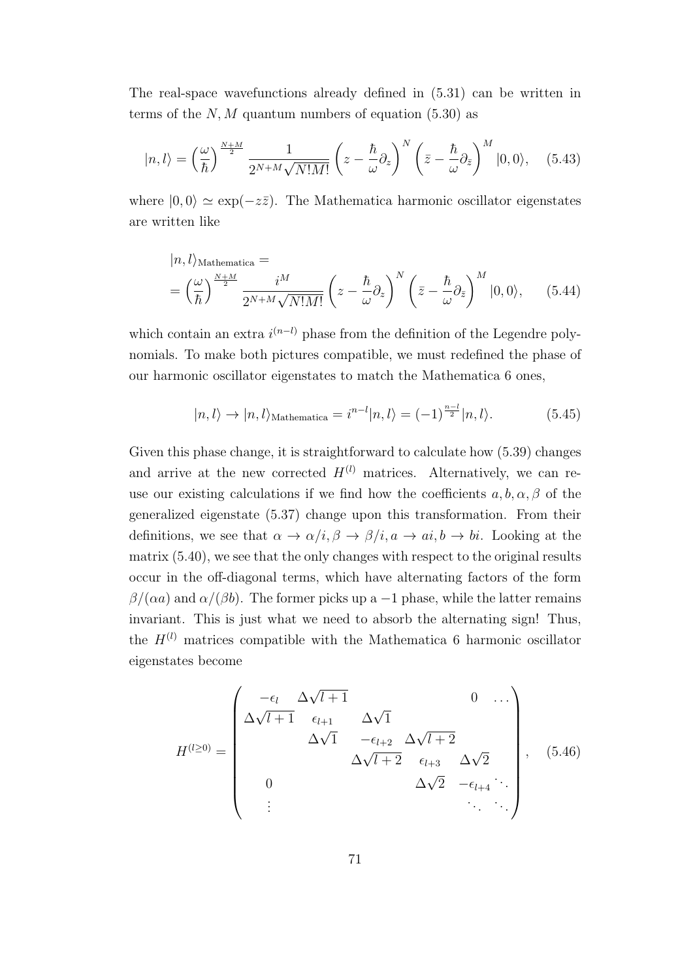The real-space wavefunctions already defined in (5.31) can be written in terms of the  $N, M$  quantum numbers of equation  $(5.30)$  as

$$
|n,l\rangle = \left(\frac{\omega}{\hbar}\right)^{\frac{N+M}{2}} \frac{1}{2^{N+M}\sqrt{N!M!}} \left(z - \frac{\hbar}{\omega}\partial_z\right)^N \left(\bar{z} - \frac{\hbar}{\omega}\partial_{\bar{z}}\right)^M |0,0\rangle, \quad (5.43)
$$

where  $|0,0\rangle \simeq \exp(-z\overline{z})$ . The Mathematica harmonic oscillator eigenstates are written like

$$
|n,l\rangle_{\text{Mathematica}} =\n\left(\frac{\omega}{\hbar}\right)^{\frac{N+M}{2}}\n\frac{i^M}{2^{N+M}\sqrt{N!M!}}\n\left(z - \frac{\hbar}{\omega}\partial_z\right)^N\n\left(\bar{z} - \frac{\hbar}{\omega}\partial_{\bar{z}}\right)^M|0,0\rangle,\n\tag{5.44}
$$

which contain an extra  $i^{(n-l)}$  phase from the definition of the Legendre polynomials. To make both pictures compatible, we must redefined the phase of our harmonic oscillator eigenstates to match the Mathematica 6 ones,

$$
|n,l\rangle \to |n,l\rangle_{\text{Mathematica}} = i^{n-l}|n,l\rangle = (-1)^{\frac{n-l}{2}}|n,l\rangle. \tag{5.45}
$$

Given this phase change, it is straightforward to calculate how (5.39) changes and arrive at the new corrected  $H^{(l)}$  matrices. Alternatively, we can reuse our existing calculations if we find how the coefficients  $a, b, \alpha, \beta$  of the generalized eigenstate (5.37) change upon this transformation. From their definitions, we see that  $\alpha \to \alpha/i$ ,  $\beta \to \beta/i$ ,  $a \to ai$ ,  $b \to bi$ . Looking at the matrix (5.40), we see that the only changes with respect to the original results occur in the off-diagonal terms, which have alternating factors of the form  $\beta/(\alpha a)$  and  $\alpha/(\beta b)$ . The former picks up a -1 phase, while the latter remains invariant. This is just what we need to absorb the alternating sign! Thus, the  $H^{(l)}$  matrices compatible with the Mathematica 6 harmonic oscillator eigenstates become

$$
H^{(l\geq 0)} = \begin{pmatrix} -\epsilon_l & \Delta\sqrt{l+1} & & 0 & \dots \\ \Delta\sqrt{l+1} & \epsilon_{l+1} & \Delta\sqrt{1} & & \\ & \Delta\sqrt{1} & -\epsilon_{l+2} & \Delta\sqrt{l+2} & \\ & & \Delta\sqrt{l+2} & \epsilon_{l+3} & \Delta\sqrt{2} \\ 0 & & & \Delta\sqrt{2} & -\epsilon_{l+4} & \dots \\ & \vdots & & & \ddots & \ddots \end{pmatrix}, \quad (5.46)
$$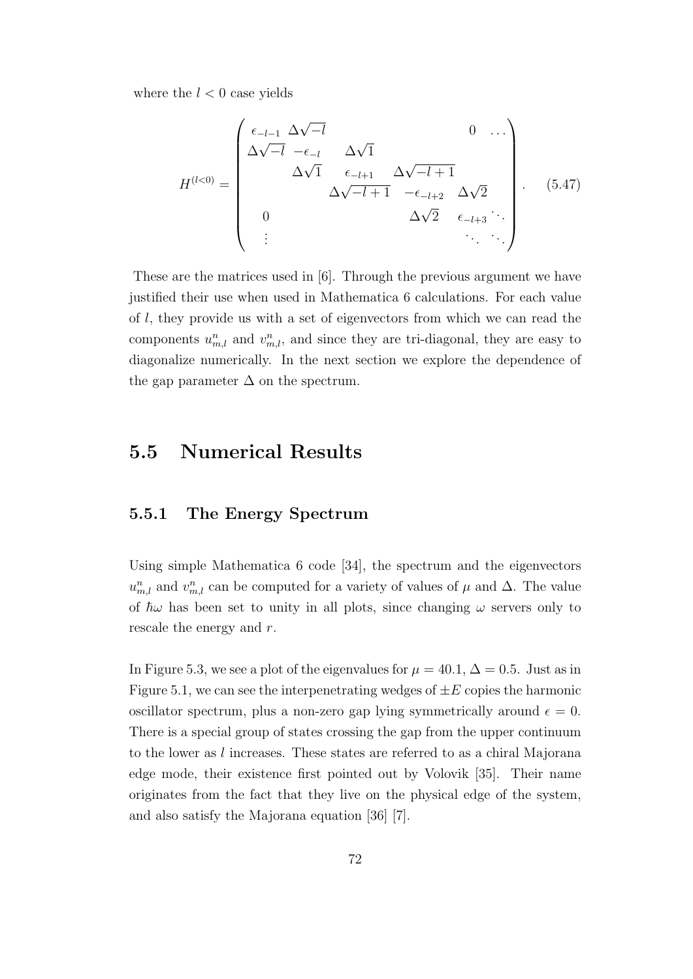where the  $l < 0$  case yields

$$
H^{(l<0)} = \begin{pmatrix} \epsilon_{-l-1} \Delta \sqrt{-l} & 0 & \dots \\ \Delta \sqrt{-l} & -\epsilon_{-l} & \Delta \sqrt{1} & \\ \Delta \sqrt{1} & \epsilon_{-l+1} & \Delta \sqrt{-l+1} & \\ 0 & \Delta \sqrt{2} & \epsilon_{-l+3} & \ddots \\ \vdots & \vdots & \ddots & \ddots \end{pmatrix} . \tag{5.47}
$$

These are the matrices used in [6]. Through the previous argument we have justified their use when used in Mathematica 6 calculations. For each value of *l*, they provide us with a set of eigenvectors from which we can read the components  $u_{m,l}^n$  and  $v_{m,l}^n$ , and since they are tri-diagonal, they are easy to diagonalize numerically. In the next section we explore the dependence of the gap parameter  $\Delta$  on the spectrum.

# **5.5 Numerical Results**

#### **5.5.1 The Energy Spectrum**

Using simple Mathematica 6 code [34], the spectrum and the eigenvectors  $u_{m,l}^n$  and  $v_{m,l}^n$  can be computed for a variety of values of  $\mu$  and  $\Delta$ . The value of  $\hbar\omega$  has been set to unity in all plots, since changing  $\omega$  servers only to rescale the energy and *r*.

In Figure 5.3, we see a plot of the eigenvalues for  $\mu = 40.1$ ,  $\Delta = 0.5$ . Just as in Figure 5.1, we can see the interpenetrating wedges of  $\pm E$  copies the harmonic oscillator spectrum, plus a non-zero gap lying symmetrically around  $\epsilon = 0$ . There is a special group of states crossing the gap from the upper continuum to the lower as *l* increases. These states are referred to as a chiral Majorana edge mode, their existence first pointed out by Volovik [35]. Their name originates from the fact that they live on the physical edge of the system, and also satisfy the Majorana equation [36] [7].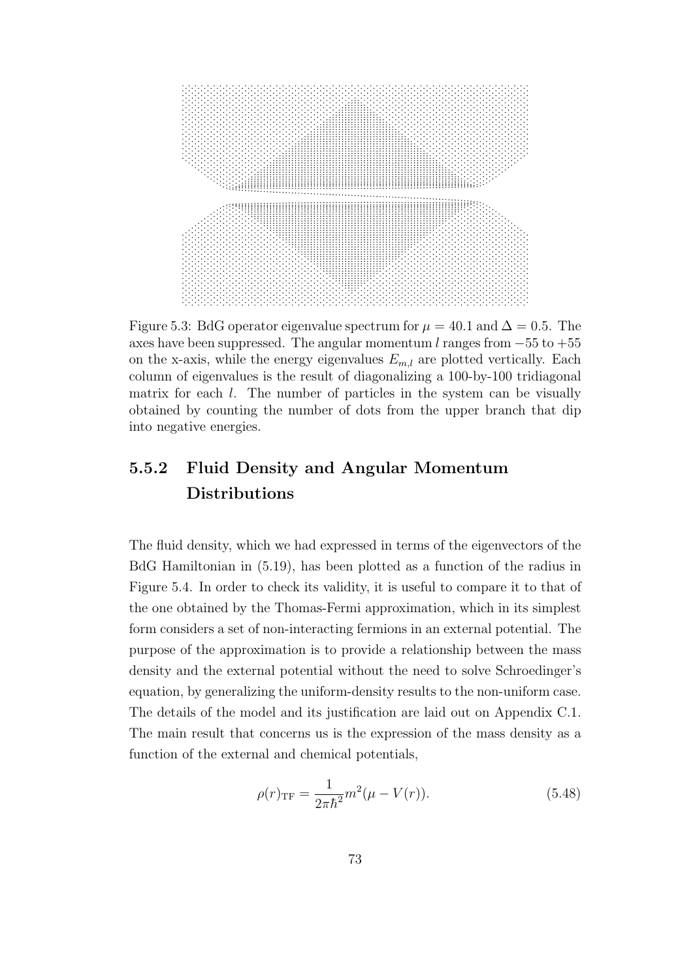

Figure 5.3: BdG operator eigenvalue spectrum for  $\mu = 40.1$  and  $\Delta = 0.5$ . The axes have been suppressed. The angular momentum *l* ranges from *−*55 to +55 on the x-axis, while the energy eigenvalues  $E_{m,l}$  are plotted vertically. Each column of eigenvalues is the result of diagonalizing a 100-by-100 tridiagonal matrix for each *l*. The number of particles in the system can be visually obtained by counting the number of dots from the upper branch that dip into negative energies.

### **5.5.2 Fluid Density and Angular Momentum Distributions**

The fluid density, which we had expressed in terms of the eigenvectors of the BdG Hamiltonian in (5.19), has been plotted as a function of the radius in Figure 5.4. In order to check its validity, it is useful to compare it to that of the one obtained by the Thomas-Fermi approximation, which in its simplest form considers a set of non-interacting fermions in an external potential. The purpose of the approximation is to provide a relationship between the mass density and the external potential without the need to solve Schroedinger's equation, by generalizing the uniform-density results to the non-uniform case. The details of the model and its justification are laid out on Appendix C.1. The main result that concerns us is the expression of the mass density as a function of the external and chemical potentials,

$$
\rho(r)_{\rm TF} = \frac{1}{2\pi\hbar^2} m^2(\mu - V(r)).
$$
\n(5.48)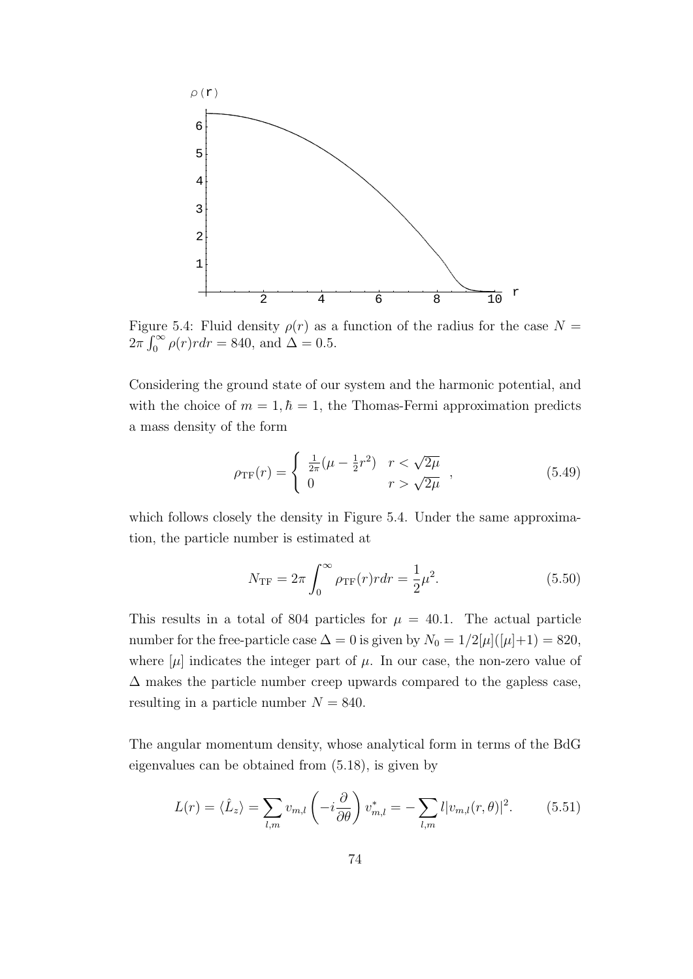

Figure 5.4: Fluid density  $\rho(r)$  as a function of the radius for the case  $N =$  $2\pi \int_0^\infty \rho(r) r dr = 840$ , and  $\Delta = 0.5$ .

Considering the ground state of our system and the harmonic potential, and with the choice of  $m = 1, \hbar = 1$ , the Thomas-Fermi approximation predicts a mass density of the form

$$
\rho_{\rm TF}(r) = \begin{cases} \frac{1}{2\pi}(\mu - \frac{1}{2}r^2) & r < \sqrt{2\mu} \\ 0 & r > \sqrt{2\mu} \end{cases},
$$
(5.49)

which follows closely the density in Figure 5.4. Under the same approximation, the particle number is estimated at

$$
N_{\rm TF} = 2\pi \int_0^\infty \rho_{\rm TF}(r) r dr = \frac{1}{2}\mu^2.
$$
 (5.50)

This results in a total of 804 particles for  $\mu = 40.1$ . The actual particle number for the free-particle case  $\Delta = 0$  is given by  $N_0 = 1/2[\mu]([\mu]+1) = 820$ , where  $[\mu]$  indicates the integer part of  $\mu$ . In our case, the non-zero value of  $\Delta$  makes the particle number creep upwards compared to the gapless case, resulting in a particle number  $N = 840$ .

The angular momentum density, whose analytical form in terms of the BdG eigenvalues can be obtained from (5.18), is given by

$$
L(r) = \langle \hat{L}_z \rangle = \sum_{l,m} v_{m,l} \left( -i \frac{\partial}{\partial \theta} \right) v_{m,l}^* = - \sum_{l,m} l |v_{m,l}(r,\theta)|^2.
$$
 (5.51)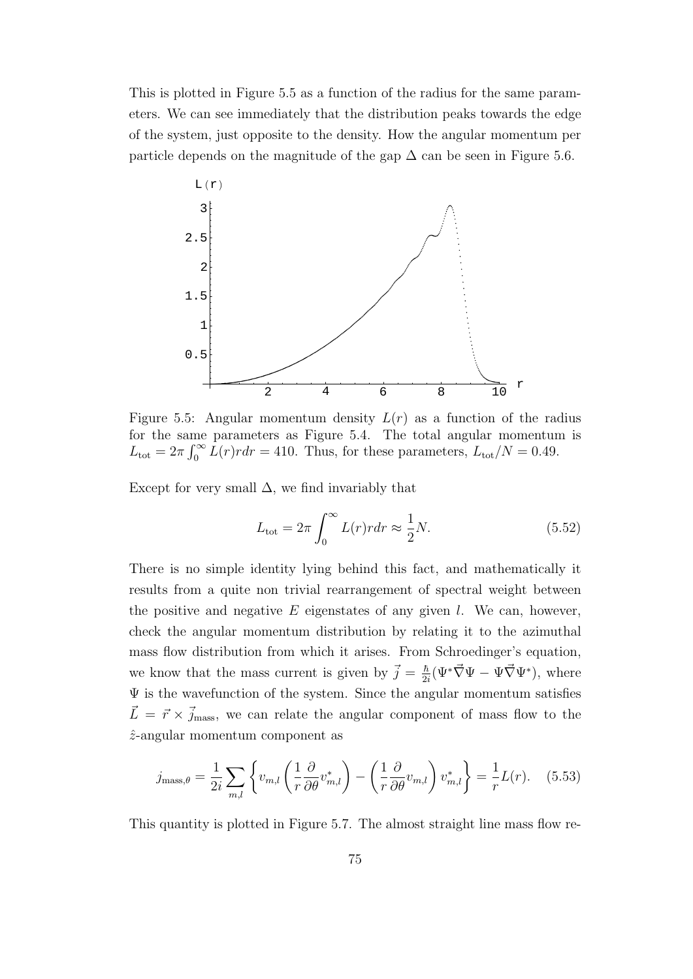This is plotted in Figure 5.5 as a function of the radius for the same parameters. We can see immediately that the distribution peaks towards the edge of the system, just opposite to the density. How the angular momentum per particle depends on the magnitude of the gap  $\Delta$  can be seen in Figure 5.6.



Figure 5.5: Angular momentum density  $L(r)$  as a function of the radius for the same parameters as Figure 5.4. The total angular momentum is  $L_{\text{tot}} = 2\pi \int_0^\infty L(r) r dr = 410$ . Thus, for these parameters,  $L_{\text{tot}}/N = 0.49$ .

Except for very small  $\Delta$ , we find invariably that

$$
L_{\text{tot}} = 2\pi \int_0^\infty L(r)r dr \approx \frac{1}{2}N. \tag{5.52}
$$

There is no simple identity lying behind this fact, and mathematically it results from a quite non trivial rearrangement of spectral weight between the positive and negative *E* eigenstates of any given *l*. We can, however, check the angular momentum distribution by relating it to the azimuthal mass flow distribution from which it arises. From Schroedinger's equation, we know that the mass current is given by  $\vec{j} = \frac{\hbar}{2}$  $\frac{\hbar}{2i}(\Psi^*\vec{\nabla}\Psi - \Psi\vec{\nabla}\Psi^*)$ , where  $\Psi$  is the wavefunction of the system. Since the angular momentum satisfies  $\vec{L} = \vec{r} \times \vec{j}_{\text{mass}}$ , we can relate the angular component of mass flow to the *z*ˆ-angular momentum component as

$$
j_{\text{mass},\theta} = \frac{1}{2i} \sum_{m,l} \left\{ v_{m,l} \left( \frac{1}{r} \frac{\partial}{\partial \theta} v_{m,l}^* \right) - \left( \frac{1}{r} \frac{\partial}{\partial \theta} v_{m,l} \right) v_{m,l}^* \right\} = \frac{1}{r} L(r). \quad (5.53)
$$

This quantity is plotted in Figure 5.7. The almost straight line mass flow re-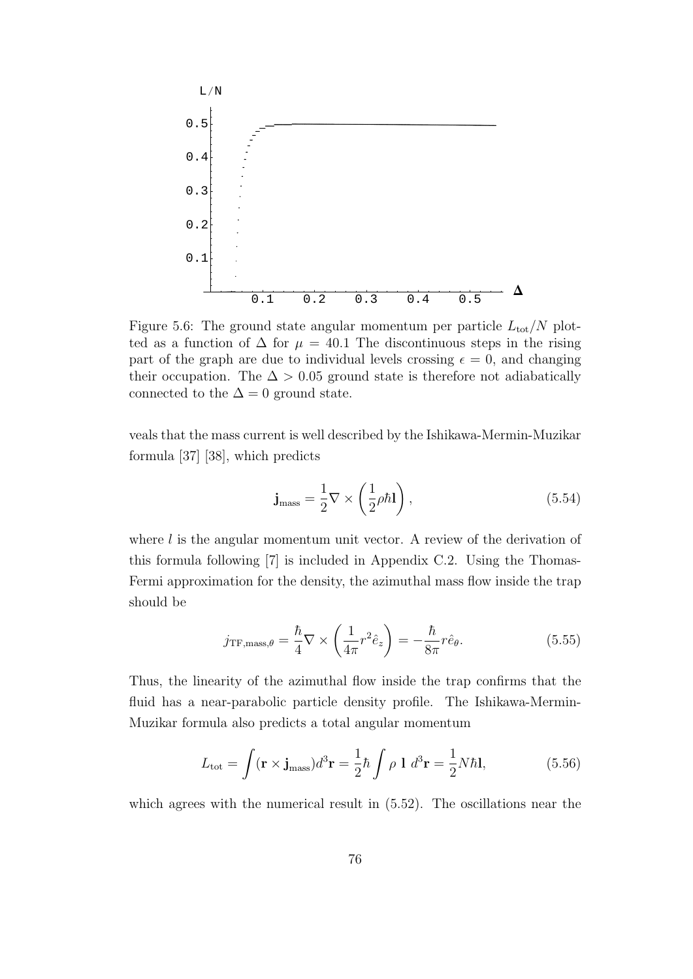

Figure 5.6: The ground state angular momentum per particle  $L_{\text{tot}}/N$  plotted as a function of  $\Delta$  for  $\mu = 40.1$  The discontinuous steps in the rising part of the graph are due to individual levels crossing  $\epsilon = 0$ , and changing their occupation. The  $\Delta > 0.05$  ground state is therefore not adiabatically connected to the  $\Delta = 0$  ground state.

veals that the mass current is well described by the Ishikawa-Mermin-Muzikar formula [37] [38], which predicts

$$
\mathbf{j}_{\text{mass}} = \frac{1}{2} \nabla \times \left( \frac{1}{2} \rho \hbar \mathbf{l} \right),\tag{5.54}
$$

where *l* is the angular momentum unit vector. A review of the derivation of this formula following [7] is included in Appendix C.2. Using the Thomas-Fermi approximation for the density, the azimuthal mass flow inside the trap should be

$$
j_{\text{TF},\text{mass},\theta} = \frac{\hbar}{4} \nabla \times \left( \frac{1}{4\pi} r^2 \hat{e}_z \right) = -\frac{\hbar}{8\pi} r \hat{e}_\theta.
$$
 (5.55)

Thus, the linearity of the azimuthal flow inside the trap confirms that the fluid has a near-parabolic particle density profile. The Ishikawa-Mermin-Muzikar formula also predicts a total angular momentum

$$
L_{\text{tot}} = \int (\mathbf{r} \times \mathbf{j}_{\text{mass}}) d^3 \mathbf{r} = \frac{1}{2} \hbar \int \rho \, \mathbf{l} \, d^3 \mathbf{r} = \frac{1}{2} N \hbar \mathbf{l}, \qquad (5.56)
$$

which agrees with the numerical result in  $(5.52)$ . The oscillations near the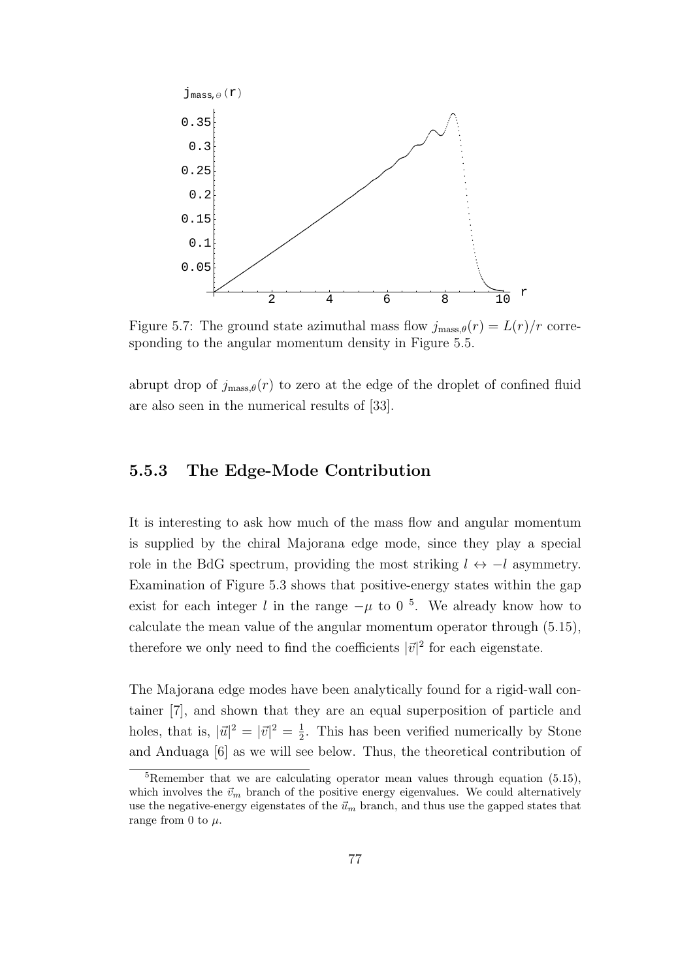

Figure 5.7: The ground state azimuthal mass flow  $j_{\text{mass},\theta}(r) = L(r)/r$  corresponding to the angular momentum density in Figure 5.5.

abrupt drop of  $j_{\text{mass},\theta}(r)$  to zero at the edge of the droplet of confined fluid are also seen in the numerical results of [33].

#### **5.5.3 The Edge-Mode Contribution**

It is interesting to ask how much of the mass flow and angular momentum is supplied by the chiral Majorana edge mode, since they play a special role in the BdG spectrum, providing the most striking  $l \leftrightarrow -l$  asymmetry. Examination of Figure 5.3 shows that positive-energy states within the gap exist for each integer *l* in the range  $-\mu$  to 0<sup>5</sup>. We already know how to calculate the mean value of the angular momentum operator through (5.15), therefore we only need to find the coefficients  $|\vec{v}|^2$  for each eigenstate.

The Majorana edge modes have been analytically found for a rigid-wall container [7], and shown that they are an equal superposition of particle and holes, that is,  $|\vec{u}|^2 = |\vec{v}|^2 = \frac{1}{2}$  $\frac{1}{2}$ . This has been verified numerically by Stone and Anduaga [6] as we will see below. Thus, the theoretical contribution of

<sup>5</sup>Remember that we are calculating operator mean values through equation (5.15), which involves the  $\vec{v}_m$  branch of the positive energy eigenvalues. We could alternatively use the negative-energy eigenstates of the  $\vec{u}_m$  branch, and thus use the gapped states that range from 0 to  $\mu$ .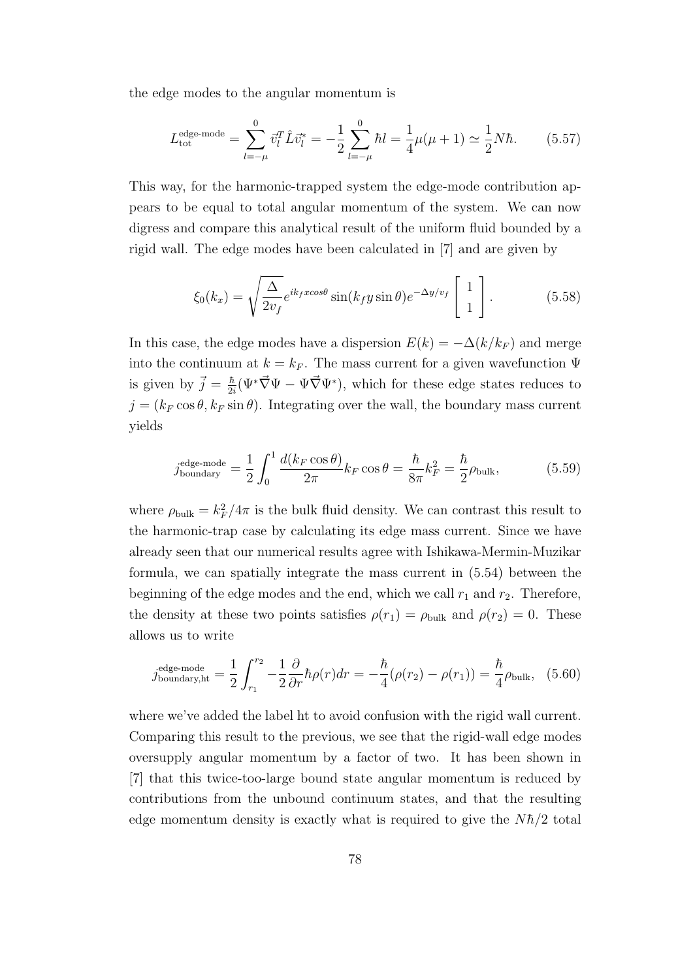the edge modes to the angular momentum is

$$
L_{\text{tot}}^{\text{edge-mode}} = \sum_{l=-\mu}^{0} \vec{v}_l^T \hat{L} \vec{v}_l^* = -\frac{1}{2} \sum_{l=-\mu}^{0} \hbar l = \frac{1}{4} \mu(\mu + 1) \simeq \frac{1}{2} N \hbar. \tag{5.57}
$$

This way, for the harmonic-trapped system the edge-mode contribution appears to be equal to total angular momentum of the system. We can now digress and compare this analytical result of the uniform fluid bounded by a rigid wall. The edge modes have been calculated in [7] and are given by

$$
\xi_0(k_x) = \sqrt{\frac{\Delta}{2v_f}} e^{ik_f x \cos \theta} \sin(k_f y \sin \theta) e^{-\Delta y/v_f} \begin{bmatrix} 1 \\ 1 \end{bmatrix}.
$$
 (5.58)

In this case, the edge modes have a dispersion  $E(k) = -\Delta(k/k_F)$  and merge into the continuum at  $k = k_F$ . The mass current for a given wavefunction  $\Psi$ is given by  $\vec{j} = \frac{\hbar}{2i}$  $\frac{\hbar}{2i}(\Psi^*\vec{\nabla}\Psi - \Psi\vec{\nabla}\Psi^*)$ , which for these edge states reduces to  $j = (k_F \cos \theta, k_F \sin \theta)$ . Integrating over the wall, the boundary mass current yields

$$
j_{\text{boundary}}^{\text{edge-mode}} = \frac{1}{2} \int_0^1 \frac{d(k_F \cos \theta)}{2\pi} k_F \cos \theta = \frac{\hbar}{8\pi} k_F^2 = \frac{\hbar}{2} \rho_{\text{bulk}},\tag{5.59}
$$

where  $\rho_{\text{bulk}} = k_F^2/4\pi$  is the bulk fluid density. We can contrast this result to the harmonic-trap case by calculating its edge mass current. Since we have already seen that our numerical results agree with Ishikawa-Mermin-Muzikar formula, we can spatially integrate the mass current in (5.54) between the beginning of the edge modes and the end, which we call  $r_1$  and  $r_2$ . Therefore, the density at these two points satisfies  $\rho(r_1) = \rho_{\text{bulk}}$  and  $\rho(r_2) = 0$ . These allows us to write

$$
j_{\text{boundary},\text{ht}}^{\text{edge-mode}} = \frac{1}{2} \int_{r_1}^{r_2} -\frac{1}{2} \frac{\partial}{\partial r} \hbar \rho(r) dr = -\frac{\hbar}{4} (\rho(r_2) - \rho(r_1)) = \frac{\hbar}{4} \rho_{\text{bulk}}, \tag{5.60}
$$

where we've added the label ht to avoid confusion with the rigid wall current. Comparing this result to the previous, we see that the rigid-wall edge modes oversupply angular momentum by a factor of two. It has been shown in [7] that this twice-too-large bound state angular momentum is reduced by contributions from the unbound continuum states, and that the resulting edge momentum density is exactly what is required to give the  $N\hbar/2$  total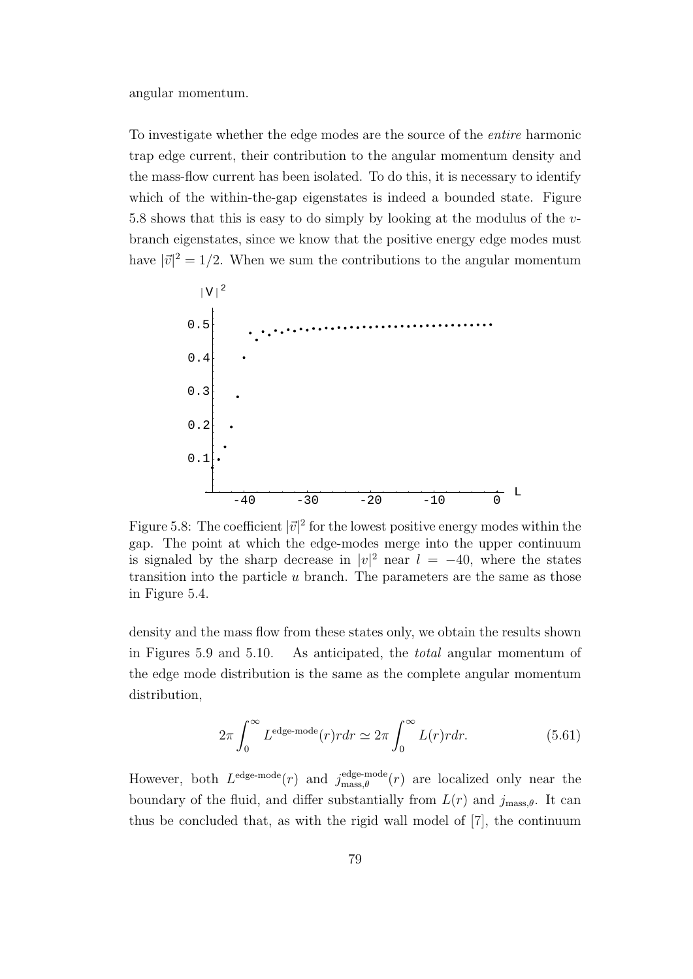angular momentum.

To investigate whether the edge modes are the source of the *entire* harmonic trap edge current, their contribution to the angular momentum density and the mass-flow current has been isolated. To do this, it is necessary to identify which of the within-the-gap eigenstates is indeed a bounded state. Figure 5.8 shows that this is easy to do simply by looking at the modulus of the *v*branch eigenstates, since we know that the positive energy edge modes must have  $|\vec{v}|^2 = 1/2$ . When we sum the contributions to the angular momentum



Figure 5.8: The coefficient  $|\vec{v}|^2$  for the lowest positive energy modes within the gap. The point at which the edge-modes merge into the upper continuum is signaled by the sharp decrease in  $|v|^2$  near  $l = -40$ , where the states transition into the particle *u* branch. The parameters are the same as those in Figure 5.4.

density and the mass flow from these states only, we obtain the results shown in Figures 5.9 and 5.10. As anticipated, the *total* angular momentum of the edge mode distribution is the same as the complete angular momentum distribution,

$$
2\pi \int_0^\infty L^{\text{edge-mode}}(r) r dr \simeq 2\pi \int_0^\infty L(r) r dr. \tag{5.61}
$$

However, both  $L^{\text{edge-mode}}(r)$  and  $j_{\text{mass }\theta}^{\text{edge-mode}}$  $\frac{\text{edge-mode}}{\text{mass},\theta}(r)$  are localized only near the boundary of the fluid, and differ substantially from  $L(r)$  and  $j_{\text{mass},\theta}$ . It can thus be concluded that, as with the rigid wall model of [7], the continuum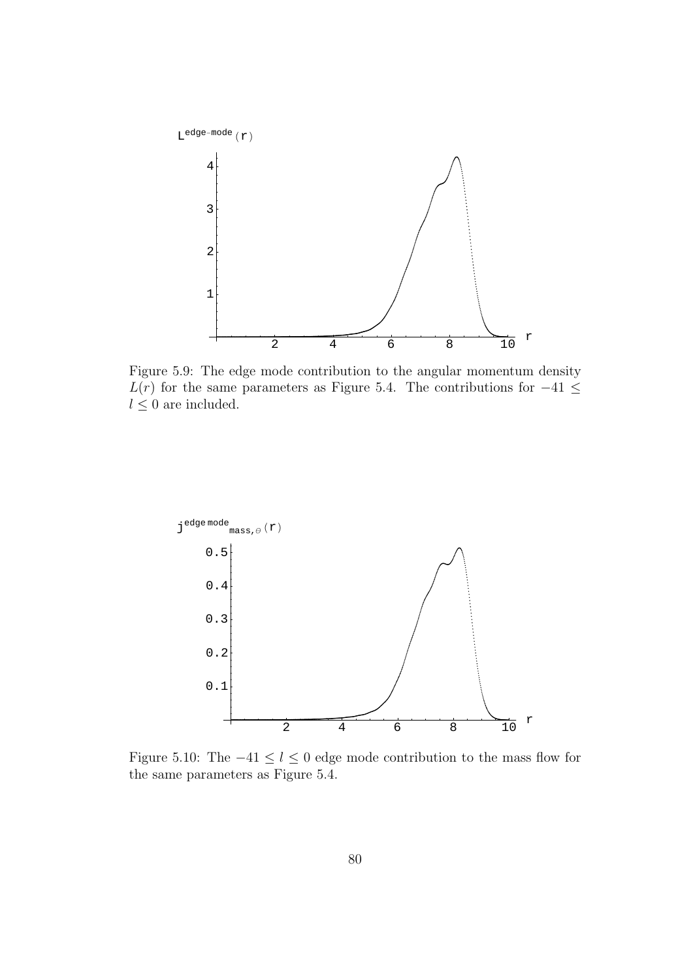

Figure 5.9: The edge mode contribution to the angular momentum density  $L(r)$  for the same parameters as Figure 5.4. The contributions for  $-41 \leq$  $l\leq 0$  are included.



Figure 5.10: The  $-41 \leq l \leq 0$  edge mode contribution to the mass flow for the same parameters as Figure 5.4.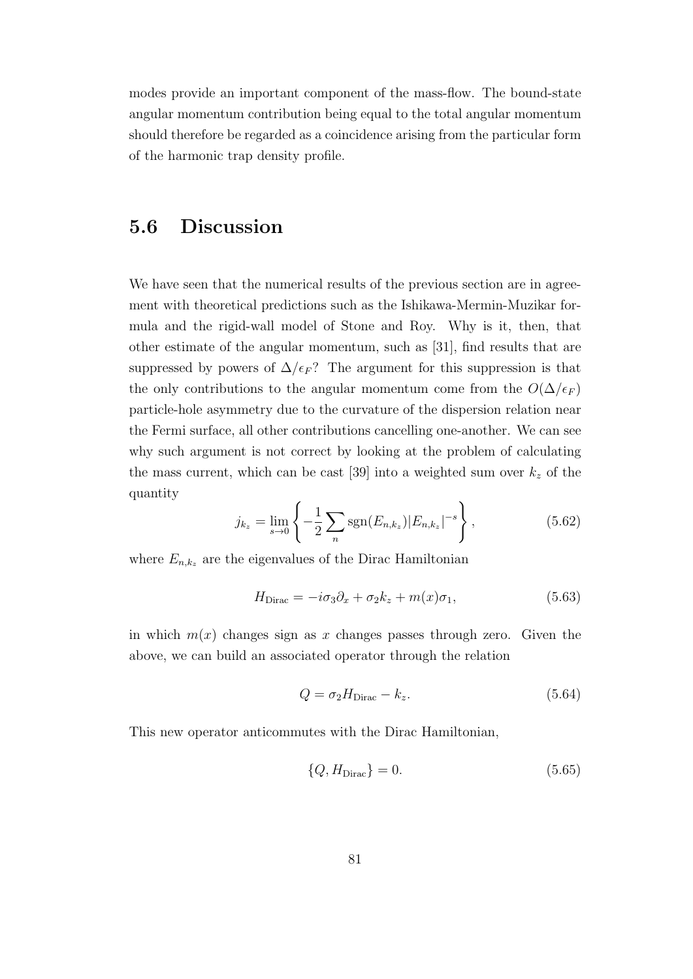modes provide an important component of the mass-flow. The bound-state angular momentum contribution being equal to the total angular momentum should therefore be regarded as a coincidence arising from the particular form of the harmonic trap density profile.

### **5.6 Discussion**

We have seen that the numerical results of the previous section are in agreement with theoretical predictions such as the Ishikawa-Mermin-Muzikar formula and the rigid-wall model of Stone and Roy. Why is it, then, that other estimate of the angular momentum, such as [31], find results that are suppressed by powers of  $\Delta/\epsilon_F$ ? The argument for this suppression is that the only contributions to the angular momentum come from the  $O(\Delta/\epsilon_F)$ particle-hole asymmetry due to the curvature of the dispersion relation near the Fermi surface, all other contributions cancelling one-another. We can see why such argument is not correct by looking at the problem of calculating the mass current, which can be cast  $[39]$  into a weighted sum over  $k_z$  of the quantity

$$
j_{k_z} = \lim_{s \to 0} \left\{ -\frac{1}{2} \sum_n \text{sgn}(E_{n,k_z}) |E_{n,k_z}|^{-s} \right\},\tag{5.62}
$$

where  $E_{n,k_z}$  are the eigenvalues of the Dirac Hamiltonian

$$
H_{\text{Dirac}} = -i\sigma_3 \partial_x + \sigma_2 k_z + m(x)\sigma_1, \tag{5.63}
$$

in which  $m(x)$  changes sign as x changes passes through zero. Given the above, we can build an associated operator through the relation

$$
Q = \sigma_2 H_{\text{Dirac}} - k_z. \tag{5.64}
$$

This new operator anticommutes with the Dirac Hamiltonian,

$$
\{Q, H_{\text{Dirac}}\} = 0. \tag{5.65}
$$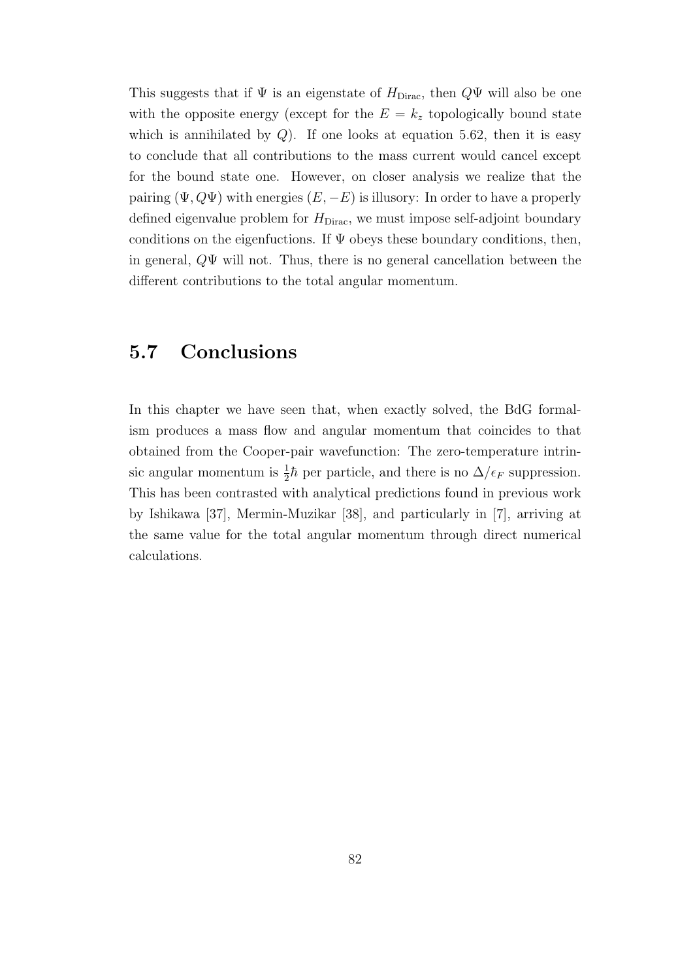This suggests that if  $\Psi$  is an eigenstate of  $H_{\text{Dirac}}$ , then  $Q\Psi$  will also be one with the opposite energy (except for the  $E = k_z$  topologically bound state which is annihilated by  $Q$ ). If one looks at equation 5.62, then it is easy to conclude that all contributions to the mass current would cancel except for the bound state one. However, on closer analysis we realize that the pairing  $(\Psi, Q\Psi)$  with energies  $(E, -E)$  is illusory: In order to have a properly defined eigenvalue problem for  $H_{\text{Dirac}}$ , we must impose self-adjoint boundary conditions on the eigenfuctions. If  $\Psi$  obeys these boundary conditions, then, in general, *Q*Ψ will not. Thus, there is no general cancellation between the different contributions to the total angular momentum.

### **5.7 Conclusions**

In this chapter we have seen that, when exactly solved, the BdG formalism produces a mass flow and angular momentum that coincides to that obtained from the Cooper-pair wavefunction: The zero-temperature intrinsic angular momentum is  $\frac{1}{2}\hbar$  per particle, and there is no  $\Delta/\epsilon_F$  suppression. This has been contrasted with analytical predictions found in previous work by Ishikawa [37], Mermin-Muzikar [38], and particularly in [7], arriving at the same value for the total angular momentum through direct numerical calculations.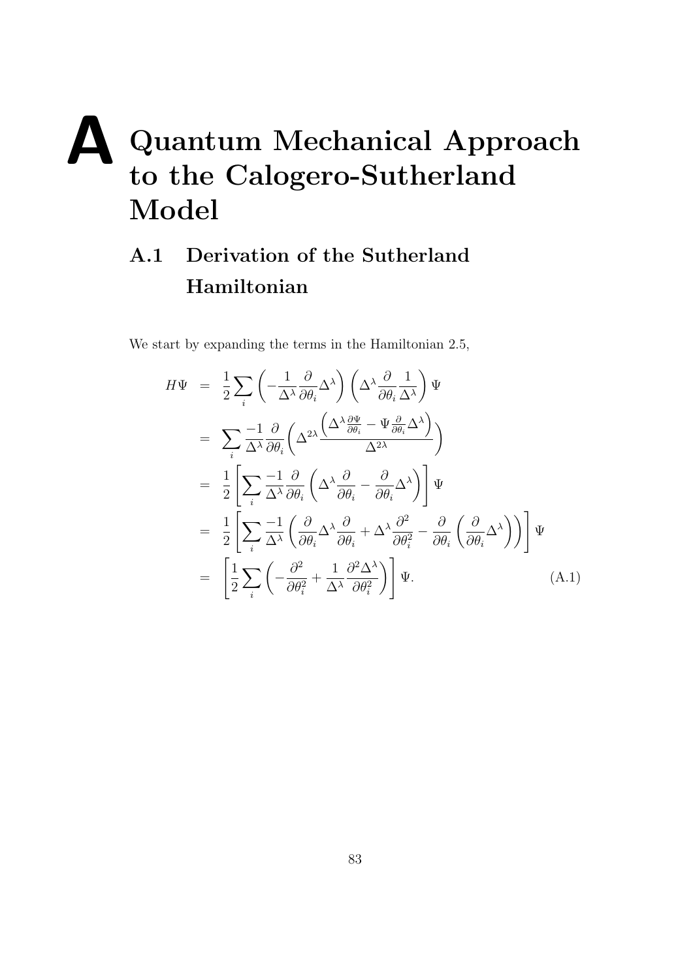# **A Quantum Mechanical Approach to the Calogero-Sutherland Model**

# **A.1 Derivation of the Sutherland Hamiltonian**

We start by expanding the terms in the Hamiltonian 2.5,

$$
H\Psi = \frac{1}{2} \sum_{i} \left( -\frac{1}{\Delta^{\lambda}} \frac{\partial}{\partial \theta_{i}} \Delta^{\lambda} \right) \left( \Delta^{\lambda} \frac{\partial}{\partial \theta_{i}} \frac{1}{\Delta^{\lambda}} \right) \Psi
$$
  
\n
$$
= \sum_{i} \frac{-1}{\Delta^{\lambda}} \frac{\partial}{\partial \theta_{i}} \left( \Delta^{2\lambda} \frac{\left( \Delta^{\lambda} \frac{\partial \Psi}{\partial \theta_{i}} - \Psi \frac{\partial}{\partial \theta_{i}} \Delta^{\lambda} \right)}{\Delta^{2\lambda}} \right)
$$
  
\n
$$
= \frac{1}{2} \left[ \sum_{i} \frac{-1}{\Delta^{\lambda}} \frac{\partial}{\partial \theta_{i}} \left( \Delta^{\lambda} \frac{\partial}{\partial \theta_{i}} - \frac{\partial}{\partial \theta_{i}} \Delta^{\lambda} \right) \right] \Psi
$$
  
\n
$$
= \frac{1}{2} \left[ \sum_{i} \frac{-1}{\Delta^{\lambda}} \left( \frac{\partial}{\partial \theta_{i}} \Delta^{\lambda} \frac{\partial}{\partial \theta_{i}} + \Delta^{\lambda} \frac{\partial^{2}}{\partial \theta_{i}^{2}} - \frac{\partial}{\partial \theta_{i}} \left( \frac{\partial}{\partial \theta_{i}} \Delta^{\lambda} \right) \right) \right] \Psi
$$
  
\n
$$
= \left[ \frac{1}{2} \sum_{i} \left( -\frac{\partial^{2}}{\partial \theta_{i}^{2}} + \frac{1}{\Delta^{\lambda}} \frac{\partial^{2} \Delta^{\lambda}}{\partial \theta_{i}^{2}} \right) \right] \Psi.
$$
 (A.1)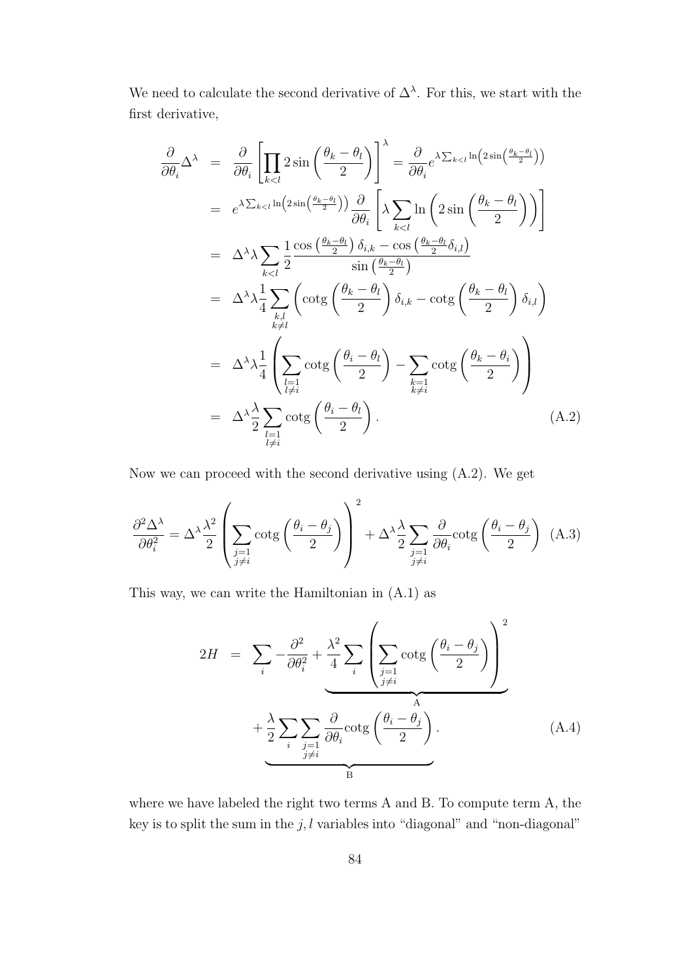We need to calculate the second derivative of  $\Delta^{\lambda}$ . For this, we start with the first derivative,

$$
\frac{\partial}{\partial \theta_{i}} \Delta^{\lambda} = \frac{\partial}{\partial \theta_{i}} \left[ \prod_{k < l} 2 \sin \left( \frac{\theta_{k} - \theta_{l}}{2} \right) \right]^{\lambda} = \frac{\partial}{\partial \theta_{i}} e^{\lambda \sum_{k < l} \ln \left( 2 \sin \left( \frac{\theta_{k} - \theta_{l}}{2} \right) \right)}
$$
\n
$$
= e^{\lambda \sum_{k < l} \ln \left( 2 \sin \left( \frac{\theta_{k} - \theta_{l}}{2} \right) \right)} \frac{\partial}{\partial \theta_{i}} \left[ \lambda \sum_{k < l} \ln \left( 2 \sin \left( \frac{\theta_{k} - \theta_{l}}{2} \right) \right) \right]
$$
\n
$$
= \Delta^{\lambda} \lambda \sum_{k < l} \frac{1}{2} \frac{\cos \left( \frac{\theta_{k} - \theta_{l}}{2} \right) \delta_{i,k} - \cos \left( \frac{\theta_{k} - \theta_{l}}{2} \right)}{\sin \left( \frac{\theta_{k} - \theta_{l}}{2} \right)} \frac{\delta_{i,l}}{\delta_{i,k}} - \cot \left( \frac{\theta_{k} - \theta_{l}}{2} \right) \delta_{i,l} \right)
$$
\n
$$
= \Delta^{\lambda} \lambda \frac{1}{4} \sum_{\substack{k,l \\ k \neq l}} \left( \cot \left( \frac{\theta_{k} - \theta_{l}}{2} \right) - \sum_{\substack{k=1 \\ k \neq i}} \cot \left( \frac{\theta_{k} - \theta_{l}}{2} \right) \right)
$$
\n
$$
= \Delta^{\lambda} \lambda \frac{1}{4} \left( \sum_{\substack{l=1 \\ l \neq i}} \cot \left( \frac{\theta_{i} - \theta_{l}}{2} \right) - \sum_{\substack{k=1 \\ k \neq i}} \cot \left( \frac{\theta_{k} - \theta_{l}}{2} \right) \right) \tag{A.2}
$$

Now we can proceed with the second derivative using (A.2). We get

$$
\frac{\partial^2 \Delta^{\lambda}}{\partial \theta_i^2} = \Delta^{\lambda} \frac{\lambda^2}{2} \left( \sum_{\substack{j=1 \ j \neq i}} \cot g \left( \frac{\theta_i - \theta_j}{2} \right) \right)^2 + \Delta^{\lambda} \frac{\lambda}{2} \sum_{\substack{j=1 \ j \neq i}} \frac{\partial}{\partial \theta_i} \cot g \left( \frac{\theta_i - \theta_j}{2} \right) \tag{A.3}
$$

This way, we can write the Hamiltonian in (A.1) as

$$
2H = \sum_{i} -\frac{\partial^2}{\partial \theta_i^2} + \frac{\lambda^2}{4} \sum_{i} \left( \sum_{\substack{j=1 \ j \neq i}} \cot g \left( \frac{\theta_i - \theta_j}{2} \right) \right)^2 + \frac{\lambda}{2} \sum_{i} \sum_{\substack{j=1 \ j \neq i}} \frac{\partial}{\partial \theta_i} \cot g \left( \frac{\theta_i - \theta_j}{2} \right).
$$
 (A.4)

where we have labeled the right two terms A and B. To compute term A, the key is to split the sum in the  $j, l$  variables into "diagonal" and "non-diagonal"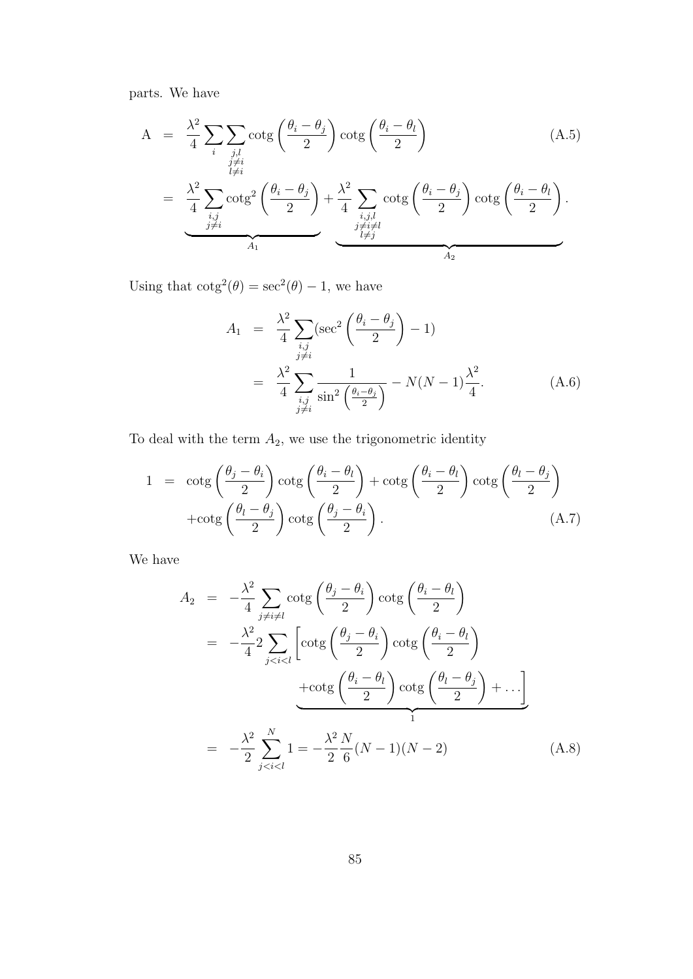parts. We have

$$
A = \frac{\lambda^2}{4} \sum_{\substack{i,j,l \ i \neq i}} \sum_{\substack{j,l \ j \neq i}} \cot g \left( \frac{\theta_i - \theta_j}{2} \right) \cot g \left( \frac{\theta_i - \theta_l}{2} \right) \qquad (A.5)
$$
\n
$$
= \frac{\lambda^2}{4} \sum_{\substack{i,j \ j \neq i}} \cot g^2 \left( \frac{\theta_i - \theta_j}{2} \right) + \frac{\lambda^2}{4} \sum_{\substack{i,j,l \ i \neq j}} \cot g \left( \frac{\theta_i - \theta_j}{2} \right) \cot g \left( \frac{\theta_i - \theta_l}{2} \right).
$$

Using that  $\cot^2(\theta) = \sec^2(\theta) - 1$ , we have

$$
A_1 = \frac{\lambda^2}{4} \sum_{\substack{i,j \\ j \neq i}} (\sec^2 \left( \frac{\theta_i - \theta_j}{2} \right) - 1)
$$
  
= 
$$
\frac{\lambda^2}{4} \sum_{\substack{i,j \\ j \neq i}} \frac{1}{\sin^2 \left( \frac{\theta_i - \theta_j}{2} \right)} - N(N - 1) \frac{\lambda^2}{4}.
$$
 (A.6)

To deal with the term  $A_2$ , we use the trigonometric identity

$$
1 = \cot g \left(\frac{\theta_j - \theta_i}{2}\right) \cot g \left(\frac{\theta_i - \theta_l}{2}\right) + \cot g \left(\frac{\theta_i - \theta_l}{2}\right) \cot g \left(\frac{\theta_l - \theta_j}{2}\right) + \cot g \left(\frac{\theta_l - \theta_j}{2}\right) \cot g \left(\frac{\theta_j - \theta_i}{2}\right).
$$
\n(A.7)

We have

$$
A_2 = -\frac{\lambda^2}{4} \sum_{j \neq i \neq l} \cot g \left( \frac{\theta_j - \theta_i}{2} \right) \cot g \left( \frac{\theta_i - \theta_l}{2} \right)
$$
  
\n
$$
= -\frac{\lambda^2}{4} 2 \sum_{j < i < l} \left[ \cot g \left( \frac{\theta_j - \theta_i}{2} \right) \cot g \left( \frac{\theta_i - \theta_l}{2} \right) \right.
$$
  
\n
$$
+ \cot g \left( \frac{\theta_i - \theta_l}{2} \right) \cot g \left( \frac{\theta_l - \theta_j}{2} \right) + \dots \right]
$$
  
\n
$$
= -\frac{\lambda^2}{2} \sum_{j < i < l}^{N} 1 = -\frac{\lambda^2 N}{2} \frac{N}{6} (N - 1)(N - 2) \tag{A.8}
$$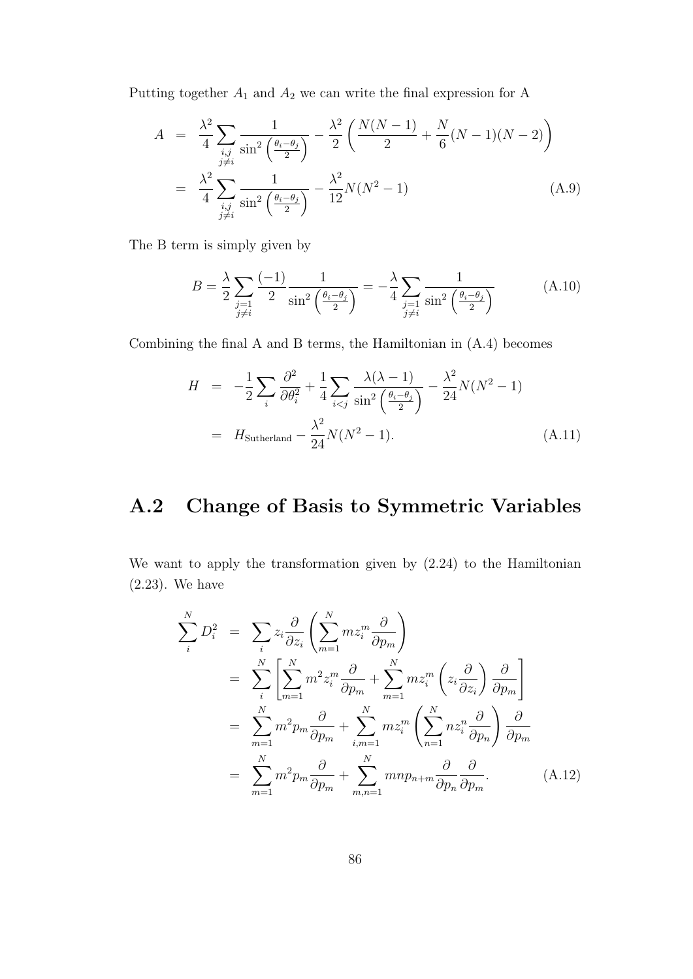Putting together  $A_1$  and  $A_2$  we can write the final expression for A

$$
A = \frac{\lambda^2}{4} \sum_{\substack{i,j \ i \neq i}} \frac{1}{\sin^2\left(\frac{\theta_i - \theta_j}{2}\right)} - \frac{\lambda^2}{2} \left(\frac{N(N-1)}{2} + \frac{N}{6}(N-1)(N-2)\right)
$$
  

$$
= \frac{\lambda^2}{4} \sum_{\substack{i,j \ i \neq i}} \frac{1}{\sin^2\left(\frac{\theta_i - \theta_j}{2}\right)} - \frac{\lambda^2}{12} N(N^2 - 1) \tag{A.9}
$$

The B term is simply given by

$$
B = \frac{\lambda}{2} \sum_{\substack{j=1 \ j \neq i}} \frac{(-1)}{2} \frac{1}{\sin^2 \left(\frac{\theta_i - \theta_j}{2}\right)} = -\frac{\lambda}{4} \sum_{\substack{j=1 \ j \neq i}} \frac{1}{\sin^2 \left(\frac{\theta_i - \theta_j}{2}\right)} \tag{A.10}
$$

Combining the final A and B terms, the Hamiltonian in (A.4) becomes

$$
H = -\frac{1}{2} \sum_{i} \frac{\partial^2}{\partial \theta_i^2} + \frac{1}{4} \sum_{i < j} \frac{\lambda(\lambda - 1)}{\sin^2\left(\frac{\theta_i - \theta_j}{2}\right)} - \frac{\lambda^2}{24} N(N^2 - 1)
$$
\n
$$
= H_{\text{Sutherland}} - \frac{\lambda^2}{24} N(N^2 - 1). \tag{A.11}
$$

# **A.2 Change of Basis to Symmetric Variables**

We want to apply the transformation given by (2.24) to the Hamiltonian (2.23). We have

$$
\sum_{i}^{N} D_{i}^{2} = \sum_{i} z_{i} \frac{\partial}{\partial z_{i}} \left( \sum_{m=1}^{N} m z_{i}^{m} \frac{\partial}{\partial p_{m}} \right)
$$
  
\n
$$
= \sum_{i}^{N} \left[ \sum_{m=1}^{N} m^{2} z_{i}^{m} \frac{\partial}{\partial p_{m}} + \sum_{m=1}^{N} m z_{i}^{m} \left( z_{i} \frac{\partial}{\partial z_{i}} \right) \frac{\partial}{\partial p_{m}} \right]
$$
  
\n
$$
= \sum_{m=1}^{N} m^{2} p_{m} \frac{\partial}{\partial p_{m}} + \sum_{i,m=1}^{N} m z_{i}^{m} \left( \sum_{n=1}^{N} n z_{i}^{n} \frac{\partial}{\partial p_{n}} \right) \frac{\partial}{\partial p_{m}}
$$
  
\n
$$
= \sum_{m=1}^{N} m^{2} p_{m} \frac{\partial}{\partial p_{m}} + \sum_{m,n=1}^{N} m n p_{n+m} \frac{\partial}{\partial p_{n}} \frac{\partial}{\partial p_{m}}.
$$
 (A.12)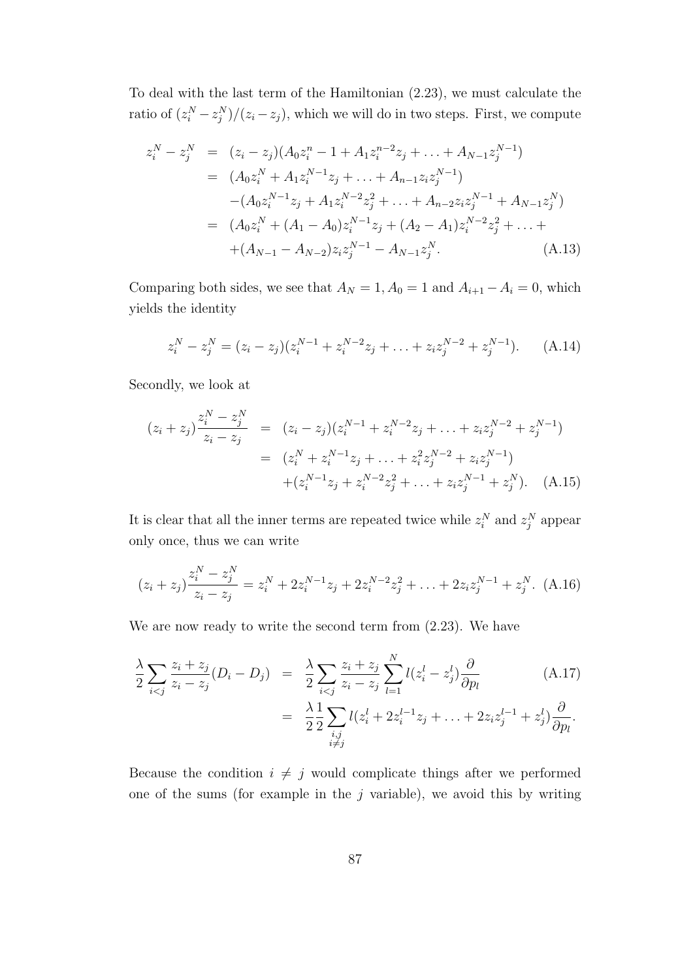To deal with the last term of the Hamiltonian (2.23), we must calculate the ratio of  $(z_i^N - z_j^N)/(z_i - z_j)$ , which we will do in two steps. First, we compute

$$
z_i^N - z_j^N = (z_i - z_j)(A_0 z_i^n - 1 + A_1 z_i^{n-2} z_j + \dots + A_{N-1} z_j^{N-1})
$$
  
\n
$$
= (A_0 z_i^N + A_1 z_i^{N-1} z_j + \dots + A_{n-1} z_i z_j^{N-1})
$$
  
\n
$$
- (A_0 z_i^{N-1} z_j + A_1 z_i^{N-2} z_j^2 + \dots + A_{n-2} z_i z_j^{N-1} + A_{N-1} z_j^N)
$$
  
\n
$$
= (A_0 z_i^N + (A_1 - A_0) z_i^{N-1} z_j + (A_2 - A_1) z_i^{N-2} z_j^2 + \dots + A_{N-1} z_j^N)
$$
  
\n
$$
+ (A_{N-1} - A_{N-2}) z_i z_j^{N-1} - A_{N-1} z_j^N.
$$
 (A.13)

Comparing both sides, we see that  $A_N = 1, A_0 = 1$  and  $A_{i+1} - A_i = 0$ , which yields the identity

$$
z_i^N - z_j^N = (z_i - z_j)(z_i^{N-1} + z_i^{N-2}z_j + \ldots + z_i z_j^{N-2} + z_j^{N-1}).
$$
 (A.14)

Secondly, we look at

$$
(z_i + z_j) \frac{z_i^N - z_j^N}{z_i - z_j} = (z_i - z_j)(z_i^{N-1} + z_i^{N-2}z_j + \dots + z_i z_j^{N-2} + z_j^{N-1})
$$
  

$$
= (z_i^N + z_i^{N-1}z_j + \dots + z_i^2 z_j^{N-2} + z_i z_j^{N-1})
$$
  

$$
+ (z_i^{N-1}z_j + z_i^{N-2}z_j^2 + \dots + z_i z_j^{N-1} + z_j^N). \quad (A.15)
$$

It is clear that all the inner terms are repeated twice while  $z_i^N$  and  $z_j^N$  appear only once, thus we can write

$$
(z_i + z_j) \frac{z_i^N - z_j^N}{z_i - z_j} = z_i^N + 2z_i^{N-1}z_j + 2z_i^{N-2}z_j^2 + \ldots + 2z_i z_j^{N-1} + z_j^N. \tag{A.16}
$$

We are now ready to write the second term from (2.23). We have

$$
\frac{\lambda}{2} \sum_{i < j} \frac{z_i + z_j}{z_i - z_j} (D_i - D_j) = \frac{\lambda}{2} \sum_{i < j} \frac{z_i + z_j}{z_i - z_j} \sum_{l=1}^N l(z_i^l - z_j^l) \frac{\partial}{\partial p_l} \tag{A.17}
$$
\n
$$
= \frac{\lambda}{2} \frac{1}{2} \sum_{\substack{i, j \\ i \neq j}} l(z_i^l + 2z_i^{l-1}z_j + \ldots + 2z_i z_j^{l-1} + z_j^l) \frac{\partial}{\partial p_l}.
$$

Because the condition  $i \neq j$  would complicate things after we performed one of the sums (for example in the *j* variable), we avoid this by writing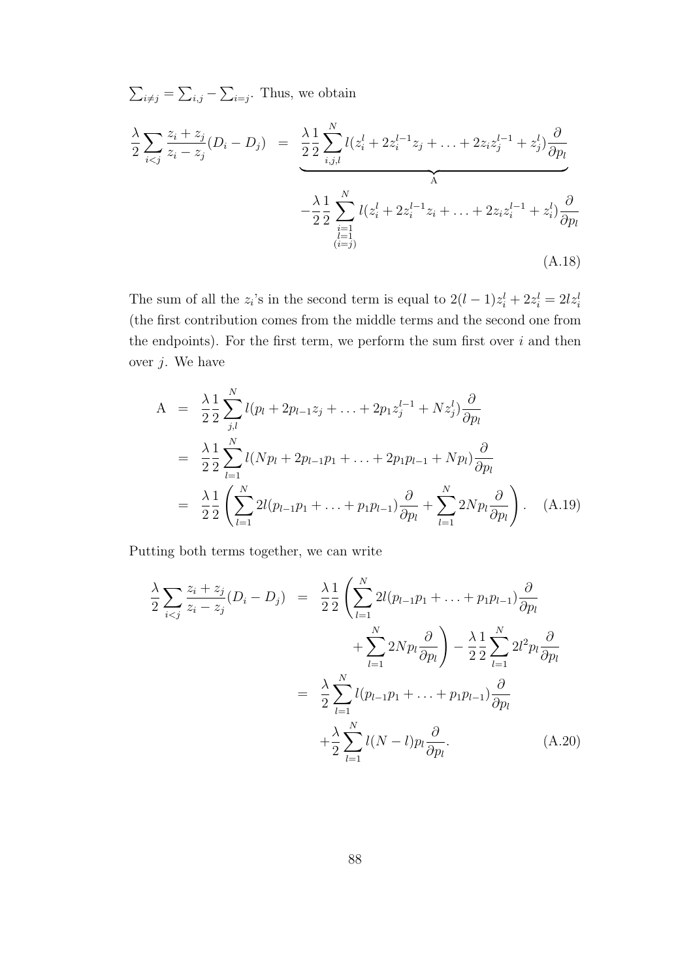$\sum_{i \neq j} = \sum_{i,j} - \sum_{i=j}$ . Thus, we obtain *λ* 2 ∑ *i<j*  $z_i + z_j$ *z<sup>i</sup> − z<sup>j</sup>*  $(D_i - D_j) = \frac{\lambda}{2}$ 1 2 ∑ *N i,j,l*  $l(z_i^l + 2z_i^{l-1}z_j + \ldots + 2z_iz_j^{l-1} + z_j^l)$ *∂ ∂p<sup>l</sup>*  $\overbrace{A}$  $\overbrace{A}$ *− λ* 2 1 2 ∑ *N*  $i=1$ <br>  $(i=1)$ <br>  $(i=1)$  $l(z_i^l + 2z_i^{l-1}z_i + \ldots + 2z_iz_i^{l-1} + z_i^l)$ *∂ ∂p<sup>l</sup>* (A.18)

The sum of all the  $z_i$ 's in the second term is equal to  $2(l-1)z_i^l + 2z_i^l = 2lz_i^l$ (the first contribution comes from the middle terms and the second one from the endpoints). For the first term, we perform the sum first over *i* and then over *j*. We have

$$
A = \frac{\lambda}{2} \frac{1}{2} \sum_{j,l}^{N} l(p_l + 2p_{l-1}z_j + \dots + 2p_1 z_j^{l-1} + N z_j^l) \frac{\partial}{\partial p_l}
$$
  
\n
$$
= \frac{\lambda}{2} \frac{1}{2} \sum_{l=1}^{N} l(Np_l + 2p_{l-1}p_1 + \dots + 2p_1p_{l-1} + Np_l) \frac{\partial}{\partial p_l}
$$
  
\n
$$
= \frac{\lambda}{2} \frac{1}{2} \left( \sum_{l=1}^{N} 2l(p_{l-1}p_1 + \dots + p_1p_{l-1}) \frac{\partial}{\partial p_l} + \sum_{l=1}^{N} 2Np_l \frac{\partial}{\partial p_l} \right). \quad (A.19)
$$

Putting both terms together, we can write

$$
\frac{\lambda}{2} \sum_{i < j} \frac{z_i + z_j}{z_i - z_j} (D_i - D_j) = \frac{\lambda}{2} \frac{1}{2} \left( \sum_{l=1}^N 2l (p_{l-1} p_1 + \ldots + p_1 p_{l-1}) \frac{\partial}{\partial p_l} + \sum_{l=1}^N 2N p_l \frac{\partial}{\partial p_l} \right) - \frac{\lambda}{2} \frac{1}{2} \sum_{l=1}^N 2l^2 p_l \frac{\partial}{\partial p_l} \\
= \frac{\lambda}{2} \sum_{l=1}^N l (p_{l-1} p_1 + \ldots + p_1 p_{l-1}) \frac{\partial}{\partial p_l} \\
+ \frac{\lambda}{2} \sum_{l=1}^N l (N - l) p_l \frac{\partial}{\partial p_l}.\n\tag{A.20}
$$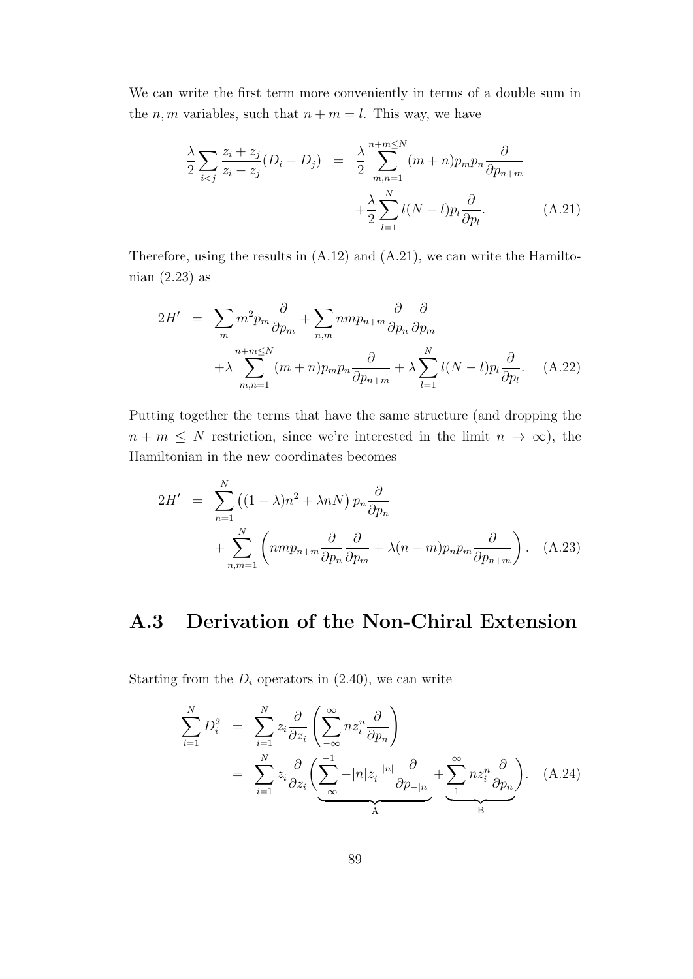We can write the first term more conveniently in terms of a double sum in the *n*, *m* variables, such that  $n + m = l$ . This way, we have

$$
\frac{\lambda}{2} \sum_{i < j} \frac{z_i + z_j}{z_i - z_j} (D_i - D_j) = \frac{\lambda}{2} \sum_{m,n=1}^{n+m \le N} (m+n) p_m p_n \frac{\partial}{\partial p_{n+m}} + \frac{\lambda}{2} \sum_{l=1}^{N} l(N-l) p_l \frac{\partial}{\partial p_l}.
$$
\n(A.21)

Therefore, using the results in (A.12) and (A.21), we can write the Hamiltonian (2.23) as

$$
2H' = \sum_{m} m^{2} p_{m} \frac{\partial}{\partial p_{m}} + \sum_{n,m} n m p_{n+m} \frac{\partial}{\partial p_{n}} \frac{\partial}{\partial p_{m}}
$$
  
+  $\lambda \sum_{m,n=1}^{n+m \le N} (m+n) p_{m} p_{n} \frac{\partial}{\partial p_{n+m}} + \lambda \sum_{l=1}^{N} l(N-l) p_{l} \frac{\partial}{\partial p_{l}}.$  (A.22)

Putting together the terms that have the same structure (and dropping the  $n + m \leq N$  restriction, since we're interested in the limit  $n \to \infty$ ), the Hamiltonian in the new coordinates becomes

$$
2H' = \sum_{n=1}^{N} ((1 - \lambda)n^2 + \lambda nN) p_n \frac{\partial}{\partial p_n} + \sum_{n,m=1}^{N} \left( nmp_{n+m} \frac{\partial}{\partial p_n} \frac{\partial}{\partial p_m} + \lambda (n+m) p_n p_m \frac{\partial}{\partial p_{n+m}} \right). \quad (A.23)
$$

### **A.3 Derivation of the Non-Chiral Extension**

Starting from the  $D_i$  operators in  $(2.40)$ , we can write

$$
\sum_{i=1}^{N} D_i^2 = \sum_{i=1}^{N} z_i \frac{\partial}{\partial z_i} \left( \sum_{-\infty}^{\infty} n z_i^n \frac{\partial}{\partial p_n} \right)
$$
  
= 
$$
\sum_{i=1}^{N} z_i \frac{\partial}{\partial z_i} \left( \sum_{-\infty}^{-1} -|n| z_i^{-|n|} \frac{\partial}{\partial p_{-|n|}} + \sum_{1}^{\infty} n z_i^n \frac{\partial}{\partial p_n} \right).
$$
 (A.24)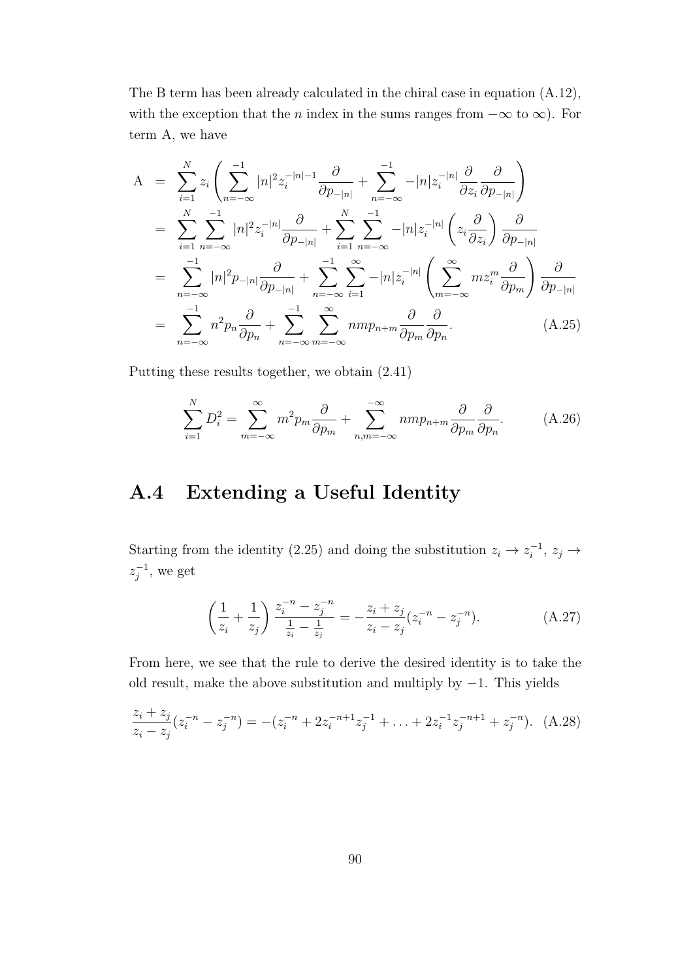The B term has been already calculated in the chiral case in equation (A.12), with the exception that the *n* index in the sums ranges from *−∞* to *∞*). For term A, we have

$$
A = \sum_{i=1}^{N} z_i \left( \sum_{n=-\infty}^{-1} |n|^2 z_i^{-|n|-1} \frac{\partial}{\partial p_{-|n|}} + \sum_{n=-\infty}^{-1} -|n| z_i^{-|n|} \frac{\partial}{\partial z_i} \frac{\partial}{\partial p_{-|n|}} \right)
$$
  
\n
$$
= \sum_{i=1}^{N} \sum_{n=-\infty}^{-1} |n|^2 z_i^{-|n|} \frac{\partial}{\partial p_{-|n|}} + \sum_{i=1}^{N} \sum_{n=-\infty}^{-1} -|n| z_i^{-|n|} \left( z_i \frac{\partial}{\partial z_i} \right) \frac{\partial}{\partial p_{-|n|}}
$$
  
\n
$$
= \sum_{n=-\infty}^{-1} |n|^2 p_{-|n|} \frac{\partial}{\partial p_{-|n|}} + \sum_{n=-\infty}^{-1} \sum_{i=1}^{\infty} -|n| z_i^{-|n|} \left( \sum_{m=-\infty}^{\infty} m z_i^m \frac{\partial}{\partial p_m} \right) \frac{\partial}{\partial p_{-|n|}}
$$
  
\n
$$
= \sum_{n=-\infty}^{-1} n^2 p_n \frac{\partial}{\partial p_n} + \sum_{n=-\infty}^{-1} \sum_{m=-\infty}^{\infty} n m p_{n+m} \frac{\partial}{\partial p_m} \frac{\partial}{\partial p_n}.
$$
 (A.25)

Putting these results together, we obtain (2.41)

$$
\sum_{i=1}^{N} D_i^2 = \sum_{m=-\infty}^{\infty} m^2 p_m \frac{\partial}{\partial p_m} + \sum_{n,m=-\infty}^{-\infty} n m p_{n+m} \frac{\partial}{\partial p_m} \frac{\partial}{\partial p_n}.
$$
 (A.26)

### **A.4 Extending a Useful Identity**

Starting from the identity (2.25) and doing the substitution  $z_i \to z_i^{-1}$ ,  $z_j \to z_j^{-1}$  $z_j^{-1}$ , we get

$$
\left(\frac{1}{z_i} + \frac{1}{z_j}\right) \frac{z_i^{-n} - z_j^{-n}}{\frac{1}{z_i} - \frac{1}{z_j}} = -\frac{z_i + z_j}{z_i - z_j} (z_i^{-n} - z_j^{-n}).\tag{A.27}
$$

From here, we see that the rule to derive the desired identity is to take the old result, make the above substitution and multiply by *−*1. This yields

$$
\frac{z_i + z_j}{z_i - z_j}(z_i^{-n} - z_j^{-n}) = -(z_i^{-n} + 2z_i^{-n+1}z_j^{-1} + \dots + 2z_i^{-1}z_j^{-n+1} + z_j^{-n}). \tag{A.28}
$$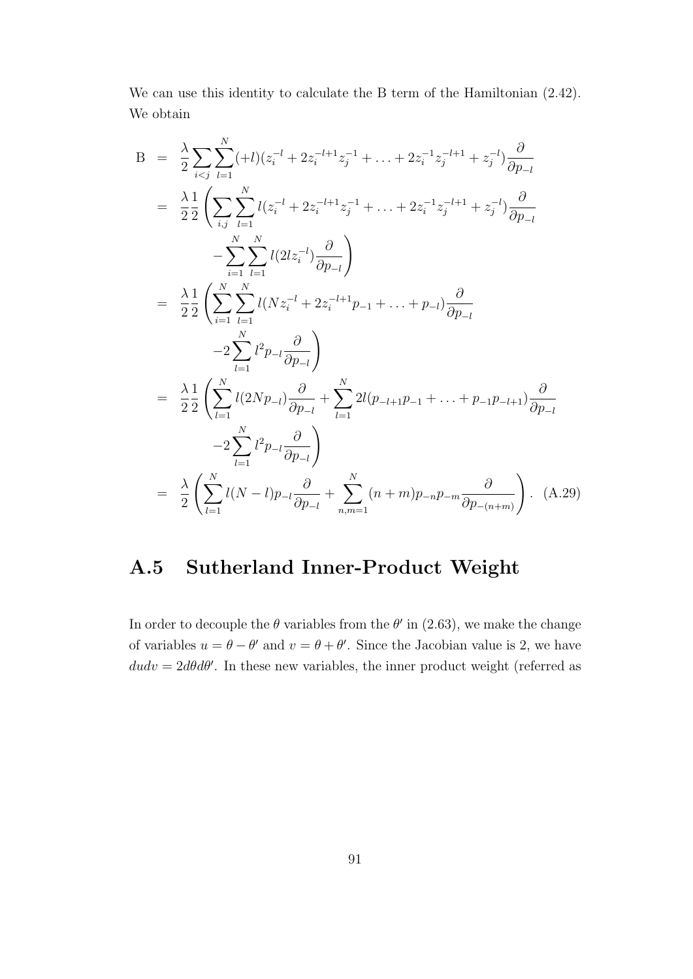We can use this identity to calculate the B term of the Hamiltonian  $(2.42)$ . We obtain

$$
B = \frac{\lambda}{2} \sum_{i < j} \sum_{l=1}^{N} (+l)(z_i^{-l} + 2z_i^{-l+1}z_j^{-1} + \dots + 2z_i^{-1}z_j^{-l+1} + z_j^{-l}) \frac{\partial}{\partial p_{-l}}
$$
\n
$$
= \frac{\lambda}{2} \frac{1}{2} \left( \sum_{i,j} \sum_{l=1}^{N} l(z_i^{-l} + 2z_i^{-l+1}z_j^{-1} + \dots + 2z_i^{-1}z_j^{-l+1} + z_j^{-l}) \frac{\partial}{\partial p_{-l}} - \sum_{i=1}^{N} \sum_{l=1}^{N} l(2lz_i^{-l}) \frac{\partial}{\partial p_{-l}} \right)
$$
\n
$$
= \frac{\lambda}{2} \frac{1}{2} \left( \sum_{i=1}^{N} \sum_{l=1}^{N} l(Nz_i^{-l} + 2z_i^{-l+1}p_{-1} + \dots + p_{-l}) \frac{\partial}{\partial p_{-l}} - 2 \sum_{l=1}^{N} l^2p_{-l} \frac{\partial}{\partial p_{-l}} \right)
$$
\n
$$
= \frac{\lambda}{2} \frac{1}{2} \left( \sum_{l=1}^{N} l(2Np_{-l}) \frac{\partial}{\partial p_{-l}} + \sum_{l=1}^{N} 2l(p_{-l+1}p_{-1} + \dots + p_{-1}p_{-l+1}) \frac{\partial}{\partial p_{-l}} - 2 \sum_{l=1}^{N} l^2p_{-l} \frac{\partial}{\partial p_{-l}} \right)
$$
\n
$$
= \frac{\lambda}{2} \left( \sum_{l=1}^{N} l(N-l)p_{-l} \frac{\partial}{\partial p_{-l}} + \sum_{n,m=1}^{N} (n+m)p_{-n}p_{-m} \frac{\partial}{\partial p_{-(n+m)}} \right). \quad (A.29)
$$

# **A.5 Sutherland Inner-Product Weight**

In order to decouple the  $\theta$  variables from the  $\theta'$  in (2.63), we make the change of variables  $u = \theta - \theta'$  and  $v = \theta + \theta'$ . Since the Jacobian value is 2, we have  $dudv = 2d\theta d\theta'$ . In these new variables, the inner product weight (referred as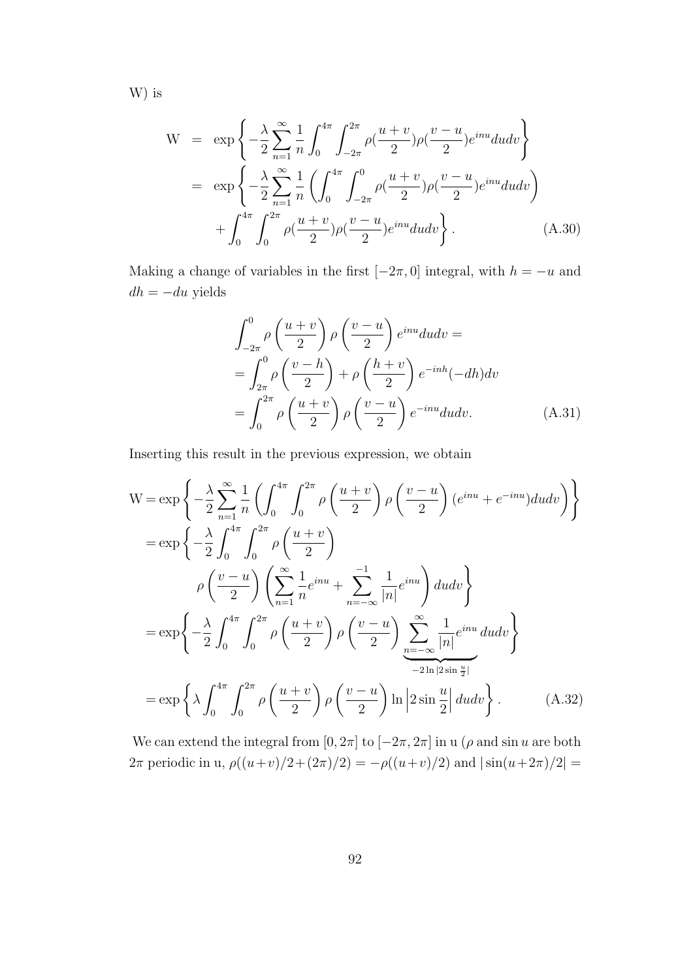W) is

$$
W = \exp\left\{-\frac{\lambda}{2}\sum_{n=1}^{\infty}\frac{1}{n}\int_{0}^{4\pi}\int_{-2\pi}^{2\pi}\rho(\frac{u+v}{2})\rho(\frac{v-u}{2})e^{inu}dudv\right\}
$$
  

$$
= \exp\left\{-\frac{\lambda}{2}\sum_{n=1}^{\infty}\frac{1}{n}\left(\int_{0}^{4\pi}\int_{-2\pi}^{0}\rho(\frac{u+v}{2})\rho(\frac{v-u}{2})e^{inu}dudv\right) + \int_{0}^{4\pi}\int_{0}^{2\pi}\rho(\frac{u+v}{2})\rho(\frac{v-u}{2})e^{inu}dudv\right\}.
$$
(A.30)

Making a change of variables in the first  $[-2\pi, 0]$  integral, with  $h = -u$  and  $dh = -du$  yields

$$
\int_{-2\pi}^{0} \rho\left(\frac{u+v}{2}\right) \rho\left(\frac{v-u}{2}\right) e^{inu} du dv =
$$
\n
$$
= \int_{2\pi}^{0} \rho\left(\frac{v-h}{2}\right) + \rho\left(\frac{h+v}{2}\right) e^{-inh} (-dh) dv
$$
\n
$$
= \int_{0}^{2\pi} \rho\left(\frac{u+v}{2}\right) \rho\left(\frac{v-u}{2}\right) e^{-inu} du dv. \tag{A.31}
$$

Inserting this result in the previous expression, we obtain

$$
W = \exp\left\{-\frac{\lambda}{2}\sum_{n=1}^{\infty}\frac{1}{n}\left(\int_{0}^{4\pi}\int_{0}^{2\pi}\rho\left(\frac{u+v}{2}\right)\rho\left(\frac{v-u}{2}\right)(e^{inu}+e^{-inu})dudv\right)\right\}
$$
  
\n
$$
= \exp\left\{-\frac{\lambda}{2}\int_{0}^{4\pi}\int_{0}^{2\pi}\rho\left(\frac{u+v}{2}\right)
$$
  
\n
$$
\rho\left(\frac{v-u}{2}\right)\left(\sum_{n=1}^{\infty}\frac{1}{n}e^{inu}+\sum_{n=-\infty}^{-1}\frac{1}{|n|}e^{inu}\right)dudv\right\}
$$
  
\n
$$
= \exp\left\{-\frac{\lambda}{2}\int_{0}^{4\pi}\int_{0}^{2\pi}\rho\left(\frac{u+v}{2}\right)\rho\left(\frac{v-u}{2}\right)\sum_{n=-\infty}^{\infty}\frac{1}{|n|}e^{inu}dudv\right\}
$$
  
\n
$$
= \exp\left\{\lambda\int_{0}^{4\pi}\int_{0}^{2\pi}\rho\left(\frac{u+v}{2}\right)\rho\left(\frac{v-u}{2}\right)\ln\left|2\sin\frac{u}{2}\right|dudv\right\}.
$$
 (A.32)

We can extend the integral from  $[0, 2\pi]$  to  $[-2\pi, 2\pi]$  in u ( $\rho$  and sin *u* are both 2*π* periodic in u,  $\rho((u+v)/2+(2\pi)/2) = -\rho((u+v)/2)$  and  $|\sin(u+2\pi)/2|$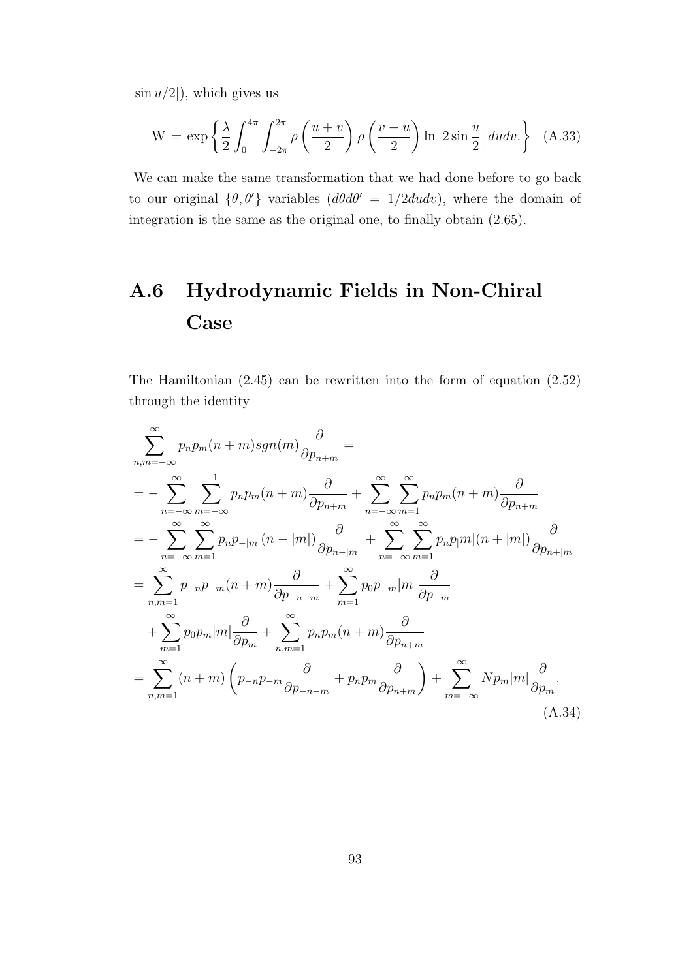*|*sin *u/*2*|*), which gives us

$$
W = \exp\left\{\frac{\lambda}{2} \int_0^{4\pi} \int_{-2\pi}^{2\pi} \rho\left(\frac{u+v}{2}\right) \rho\left(\frac{v-u}{2}\right) \ln\left|2\sin\frac{u}{2}\right| dudv.\right\} (A.33)
$$

We can make the same transformation that we had done before to go back to our original  $\{\theta, \theta'\}$  variables  $(d\theta d\theta' = 1/2dudv)$ , where the domain of integration is the same as the original one, to finally obtain (2.65).

# **A.6 Hydrodynamic Fields in Non-Chiral Case**

The Hamiltonian (2.45) can be rewritten into the form of equation (2.52) through the identity

$$
\sum_{n,m=-\infty}^{\infty} p_n p_m(n+m) sgn(m) \frac{\partial}{\partial p_{n+m}} =
$$
\n
$$
= - \sum_{n=-\infty}^{\infty} \sum_{m=-\infty}^{-1} p_n p_m(n+m) \frac{\partial}{\partial p_{n+m}} + \sum_{n=-\infty}^{\infty} \sum_{m=1}^{\infty} p_n p_m(n+m) \frac{\partial}{\partial p_{n+m}}
$$
\n
$$
= - \sum_{n=-\infty}^{\infty} \sum_{m=1}^{\infty} p_n p_{-|m|}(n-|m|) \frac{\partial}{\partial p_{n-|m|}} + \sum_{n=-\infty}^{\infty} \sum_{m=1}^{\infty} p_n p_m |n| (n+|m|) \frac{\partial}{\partial p_{n+|m|}}
$$
\n
$$
= \sum_{n,m=1}^{\infty} p_{-n} p_{-m}(n+m) \frac{\partial}{\partial p_{-n-m}} + \sum_{m=1}^{\infty} p_0 p_{-m} |m| \frac{\partial}{\partial p_{-m}}
$$
\n
$$
+ \sum_{m=1}^{\infty} p_0 p_m |m| \frac{\partial}{\partial p_m} + \sum_{n,m=1}^{\infty} p_n p_m(n+m) \frac{\partial}{\partial p_{n+m}}
$$
\n
$$
= \sum_{n,m=1}^{\infty} (n+m) \left( p_{-n} p_{-m} \frac{\partial}{\partial p_{-n-m}} + p_n p_m \frac{\partial}{\partial p_{n+m}} \right) + \sum_{m=-\infty}^{\infty} N p_m |m| \frac{\partial}{\partial p_m}.
$$
\n(A.34)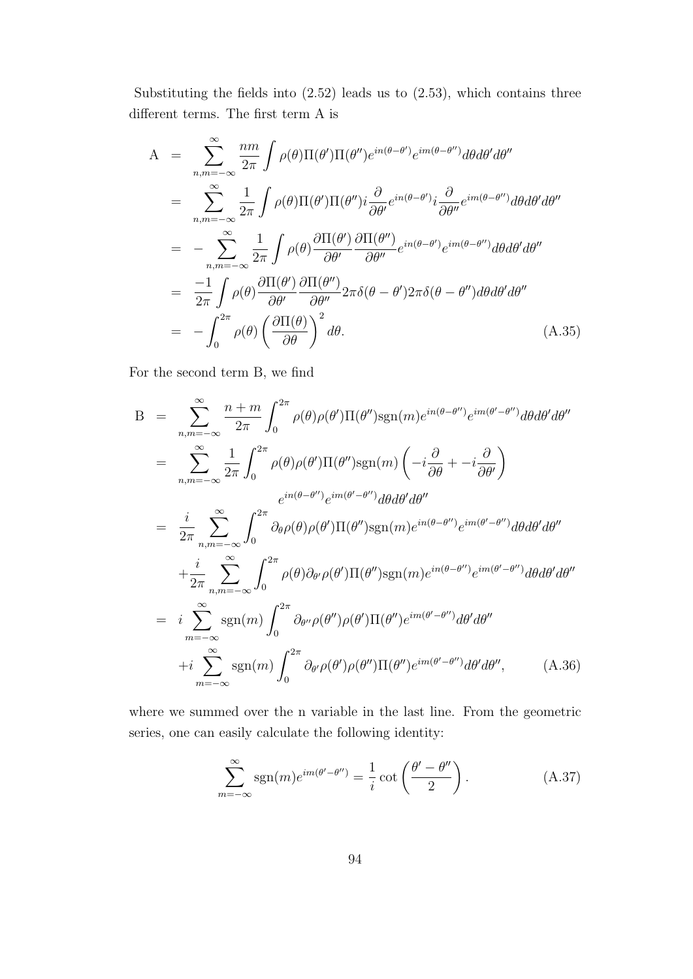Substituting the fields into (2.52) leads us to (2.53), which contains three different terms. The first term A is

$$
A = \sum_{n,m=-\infty}^{\infty} \frac{nm}{2\pi} \int \rho(\theta) \Pi(\theta') \Pi(\theta'') e^{in(\theta-\theta')} e^{im(\theta-\theta'')} d\theta d\theta' d\theta''
$$
  
\n
$$
= \sum_{n,m=-\infty}^{\infty} \frac{1}{2\pi} \int \rho(\theta) \Pi(\theta') \Pi(\theta'') i \frac{\partial}{\partial \theta'} e^{in(\theta-\theta')} i \frac{\partial}{\partial \theta''} e^{im(\theta-\theta'')} d\theta d\theta' d\theta''
$$
  
\n
$$
= - \sum_{n,m=-\infty}^{\infty} \frac{1}{2\pi} \int \rho(\theta) \frac{\partial \Pi(\theta')}{\partial \theta'} \frac{\partial \Pi(\theta'')}{\partial \theta''} e^{in(\theta-\theta')} e^{im(\theta-\theta'')} d\theta d\theta' d\theta''
$$
  
\n
$$
= \frac{-1}{2\pi} \int \rho(\theta) \frac{\partial \Pi(\theta')}{\partial \theta'} \frac{\partial \Pi(\theta'')}{\partial \theta''} 2\pi \delta(\theta - \theta') 2\pi \delta(\theta - \theta'') d\theta d\theta' d\theta''
$$
  
\n
$$
= - \int_{0}^{2\pi} \rho(\theta) \left(\frac{\partial \Pi(\theta)}{\partial \theta}\right)^2 d\theta.
$$
 (A.35)

For the second term B, we find

$$
B = \sum_{n,m=-\infty}^{\infty} \frac{n+m}{2\pi} \int_{0}^{2\pi} \rho(\theta) \rho(\theta') \Pi(\theta'') \text{sgn}(m) e^{in(\theta-\theta'')} e^{im(\theta'-\theta'')} d\theta d\theta' d\theta''
$$
  
\n
$$
= \sum_{n,m=-\infty}^{\infty} \frac{1}{2\pi} \int_{0}^{2\pi} \rho(\theta) \rho(\theta') \Pi(\theta'') \text{sgn}(m) \left( -i \frac{\partial}{\partial \theta} + -i \frac{\partial}{\partial \theta'} \right)
$$
  
\n
$$
= \frac{i}{2\pi} \sum_{n,m=-\infty}^{\infty} \int_{0}^{2\pi} \partial_{\theta} \rho(\theta) \rho(\theta') \Pi(\theta'') \text{sgn}(m) e^{in(\theta-\theta'')} e^{im(\theta'-\theta'')} d\theta d\theta' d\theta''
$$
  
\n
$$
+ \frac{i}{2\pi} \sum_{n,m=-\infty}^{\infty} \int_{0}^{2\pi} \rho(\theta) \partial_{\theta'} \rho(\theta') \Pi(\theta'') \text{sgn}(m) e^{in(\theta-\theta'')} e^{im(\theta'-\theta'')} d\theta d\theta' d\theta''
$$
  
\n
$$
= i \sum_{m=-\infty}^{\infty} \text{sgn}(m) \int_{0}^{2\pi} \partial_{\theta''} \rho(\theta'') \rho(\theta') \Pi(\theta'') e^{im(\theta'-\theta'')} d\theta' d\theta''
$$
  
\n
$$
+ i \sum_{m=-\infty}^{\infty} \text{sgn}(m) \int_{0}^{2\pi} \partial_{\theta'} \rho(\theta') \rho(\theta'') \Pi(\theta'') e^{im(\theta'-\theta'')} d\theta' d\theta'', \qquad (A.36)
$$

where we summed over the n variable in the last line. From the geometric series, one can easily calculate the following identity:

$$
\sum_{m=-\infty}^{\infty} \text{sgn}(m) e^{im(\theta' - \theta'')} = \frac{1}{i} \cot\left(\frac{\theta' - \theta''}{2}\right). \tag{A.37}
$$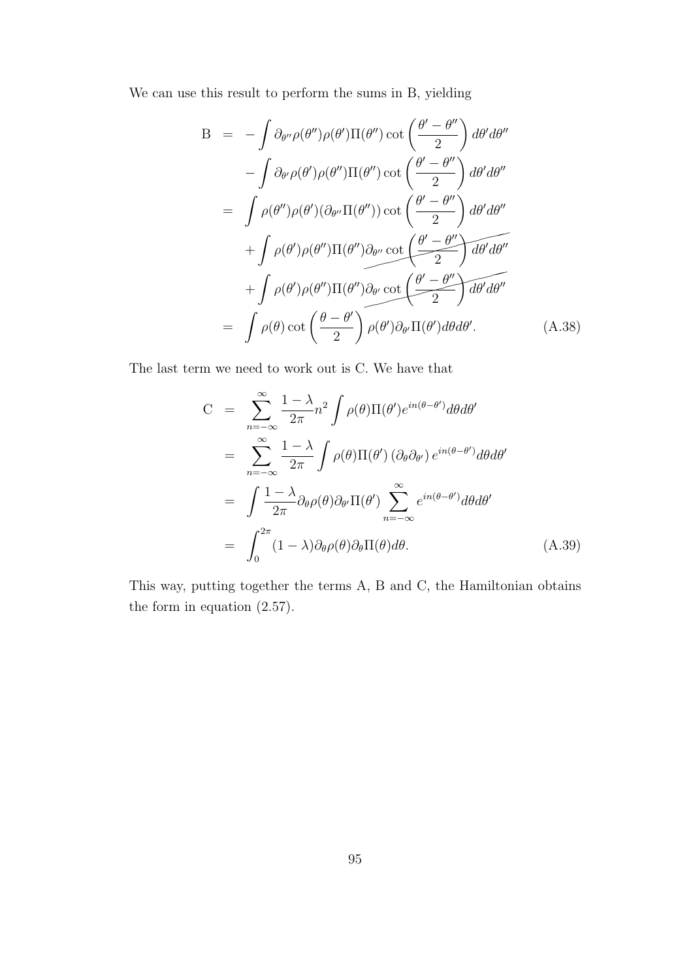We can use this result to perform the sums in B, yielding

$$
B = -\int \partial_{\theta''} \rho(\theta'') \rho(\theta') \Pi(\theta'') \cot\left(\frac{\theta' - \theta''}{2}\right) d\theta' d\theta''
$$
  

$$
- \int \partial_{\theta'} \rho(\theta') \rho(\theta'') \Pi(\theta'') \cot\left(\frac{\theta' - \theta''}{2}\right) d\theta' d\theta''
$$
  

$$
= \int \rho(\theta'') \rho(\theta') (\partial_{\theta''} \Pi(\theta'')) \cot\left(\frac{\theta' - \theta''}{2}\right) d\theta' d\theta''
$$
  

$$
+ \int \rho(\theta') \rho(\theta'') \Pi(\theta'') \partial_{\theta''} \cot\left(\frac{\theta' - \theta''}{2}\right) d\theta' d\theta''
$$
  

$$
+ \int \rho(\theta') \rho(\theta'') \Pi(\theta'') \partial_{\theta'} \cot\left(\frac{\theta' - \theta''}{2}\right) d\theta' d\theta''
$$
  

$$
= \int \rho(\theta) \cot\left(\frac{\theta - \theta'}{2}\right) \rho(\theta') \partial_{\theta'} \Pi(\theta') d\theta d\theta'.
$$
 (A.38)

The last term we need to work out is C. We have that

$$
C = \sum_{n=-\infty}^{\infty} \frac{1-\lambda}{2\pi} n^2 \int \rho(\theta) \Pi(\theta') e^{in(\theta-\theta')} d\theta d\theta'
$$
  
\n
$$
= \sum_{n=-\infty}^{\infty} \frac{1-\lambda}{2\pi} \int \rho(\theta) \Pi(\theta') (\partial_{\theta} \partial_{\theta'}) e^{in(\theta-\theta')} d\theta d\theta'
$$
  
\n
$$
= \int \frac{1-\lambda}{2\pi} \partial_{\theta} \rho(\theta) \partial_{\theta'} \Pi(\theta') \sum_{n=-\infty}^{\infty} e^{in(\theta-\theta')} d\theta d\theta'
$$
  
\n
$$
= \int_{0}^{2\pi} (1-\lambda) \partial_{\theta} \rho(\theta) \partial_{\theta} \Pi(\theta) d\theta.
$$
 (A.39)

This way, putting together the terms A, B and C, the Hamiltonian obtains the form in equation (2.57).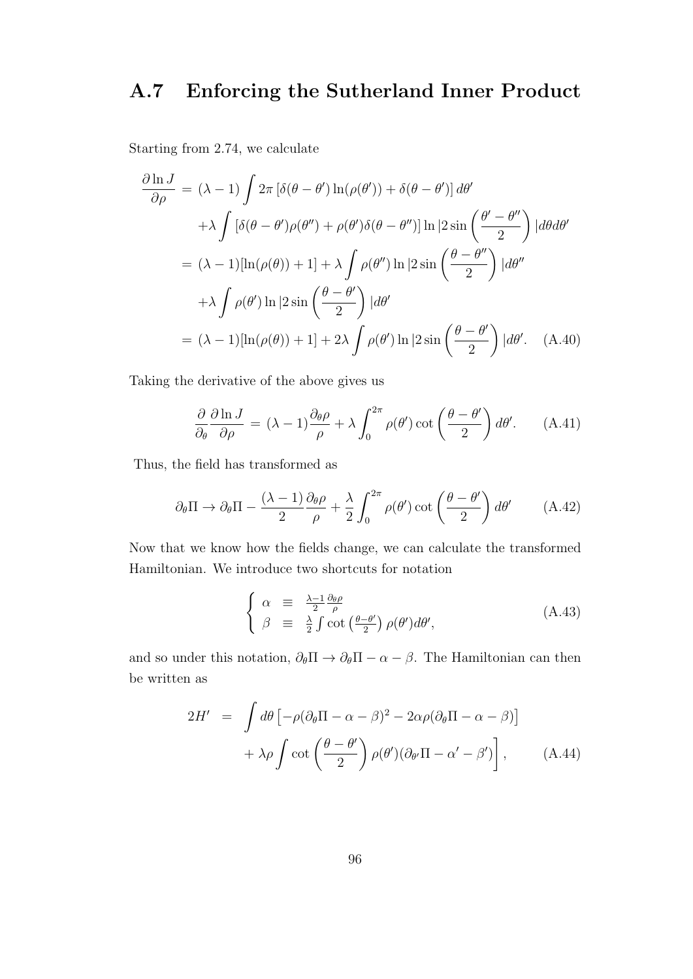# **A.7 Enforcing the Sutherland Inner Product**

Starting from 2.74, we calculate

$$
\frac{\partial \ln J}{\partial \rho} = (\lambda - 1) \int 2\pi \left[ \delta(\theta - \theta') \ln(\rho(\theta')) + \delta(\theta - \theta') \right] d\theta'
$$
  
+  $\lambda \int \left[ \delta(\theta - \theta') \rho(\theta'') + \rho(\theta') \delta(\theta - \theta'') \right] \ln |2 \sin\left(\frac{\theta' - \theta''}{2}\right)| d\theta d\theta'$   
=  $( \lambda - 1) [\ln(\rho(\theta)) + 1] + \lambda \int \rho(\theta'') \ln |2 \sin\left(\frac{\theta - \theta''}{2}\right)| d\theta''$   
+  $\lambda \int \rho(\theta') \ln |2 \sin\left(\frac{\theta - \theta'}{2}\right)| d\theta'$   
=  $( \lambda - 1) [\ln(\rho(\theta)) + 1] + 2\lambda \int \rho(\theta') \ln |2 \sin\left(\frac{\theta - \theta'}{2}\right)| d\theta'.$  (A.40)

Taking the derivative of the above gives us

$$
\frac{\partial}{\partial_{\theta}} \frac{\partial \ln J}{\partial \rho} = (\lambda - 1) \frac{\partial_{\theta} \rho}{\rho} + \lambda \int_{0}^{2\pi} \rho(\theta') \cot \left(\frac{\theta - \theta'}{2}\right) d\theta'. \quad (A.41)
$$

Thus, the field has transformed as

$$
\partial_{\theta} \Pi \to \partial_{\theta} \Pi - \frac{(\lambda - 1)}{2} \frac{\partial_{\theta} \rho}{\rho} + \frac{\lambda}{2} \int_{0}^{2\pi} \rho(\theta') \cot\left(\frac{\theta - \theta'}{2}\right) d\theta' \tag{A.42}
$$

Now that we know how the fields change, we can calculate the transformed Hamiltonian. We introduce two shortcuts for notation

$$
\begin{cases}\n\alpha \equiv \frac{\lambda - 1}{2} \frac{\partial \theta \rho}{\rho} \\
\beta \equiv \frac{\lambda}{2} \int \cot \left(\frac{\theta - \theta'}{2}\right) \rho(\theta') d\theta',\n\end{cases} \tag{A.43}
$$

and so under this notation,  $\partial_{\theta} \Pi \rightarrow \partial_{\theta} \Pi - \alpha - \beta$ . The Hamiltonian can then be written as

$$
2H' = \int d\theta \left[ -\rho (\partial_{\theta} \Pi - \alpha - \beta)^{2} - 2\alpha \rho (\partial_{\theta} \Pi - \alpha - \beta) \right] + \lambda \rho \int \cot \left( \frac{\theta - \theta'}{2} \right) \rho(\theta') (\partial_{\theta'} \Pi - \alpha' - \beta') \right], \quad (A.44)
$$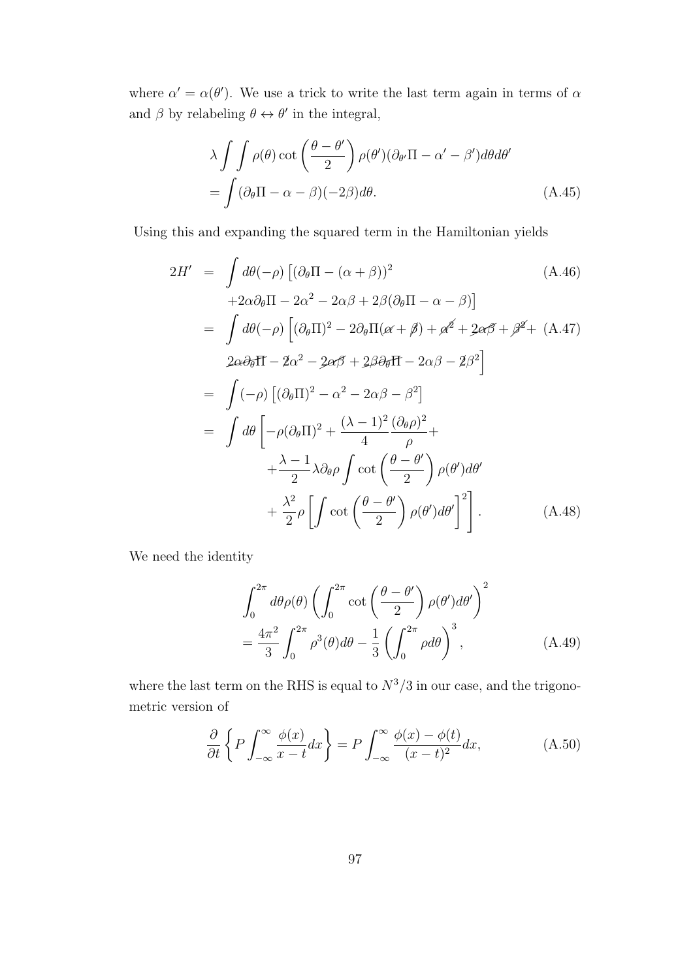where  $\alpha' = \alpha(\theta')$ . We use a trick to write the last term again in terms of  $\alpha$ and  $\beta$  by relabeling  $\theta \leftrightarrow \theta'$  in the integral,

$$
\lambda \int \int \rho(\theta) \cot \left(\frac{\theta - \theta'}{2}\right) \rho(\theta') (\partial_{\theta'} \Pi - \alpha' - \beta') d\theta d\theta'
$$
  
= 
$$
\int (\partial_{\theta} \Pi - \alpha - \beta)(-2\beta) d\theta.
$$
 (A.45)

Using this and expanding the squared term in the Hamiltonian yields

$$
2H' = \int d\theta(-\rho) \left[ (\partial_{\theta} \Pi - (\alpha + \beta))^2 \right] \tag{A.46}
$$
  
\n
$$
+2\alpha \partial_{\theta} \Pi - 2\alpha^2 - 2\alpha \beta + 2\beta (\partial_{\theta} \Pi - \alpha - \beta) \right]
$$
  
\n
$$
= \int d\theta(-\rho) \left[ (\partial_{\theta} \Pi)^2 - 2\partial_{\theta} \Pi(\alpha + \beta) + \alpha^2 + 2\alpha \beta + \beta^2 + (\text{A.47}) \right]
$$
  
\n
$$
2\alpha \partial_{\theta} \Pi - 2\alpha^2 - 2\alpha \beta + 2\beta \partial_{\theta} \Pi - 2\alpha \beta - 2\beta^2 \right]
$$
  
\n
$$
= \int (-\rho) \left[ (\partial_{\theta} \Pi)^2 - \alpha^2 - 2\alpha \beta - \beta^2 \right]
$$
  
\n
$$
= \int d\theta \left[ -\rho (\partial_{\theta} \Pi)^2 + \frac{(\lambda - 1)^2}{4} \frac{(\partial_{\theta} \rho)^2}{\rho} + \frac{\lambda - 1}{2} \lambda \partial_{\theta} \rho \int \cot \left( \frac{\theta - \theta'}{2} \right) \rho(\theta') d\theta' + \frac{\lambda^2}{2} \rho \left[ \int \cot \left( \frac{\theta - \theta'}{2} \right) \rho(\theta') d\theta' \right]^2 \right]. \tag{A.48}
$$

We need the identity

$$
\int_0^{2\pi} d\theta \rho(\theta) \left( \int_0^{2\pi} \cot\left(\frac{\theta - \theta'}{2}\right) \rho(\theta') d\theta' \right)^2
$$
  
= 
$$
\frac{4\pi^2}{3} \int_0^{2\pi} \rho^3(\theta) d\theta - \frac{1}{3} \left( \int_0^{2\pi} \rho d\theta \right)^3,
$$
 (A.49)

where the last term on the RHS is equal to  $N^3/3$  in our case, and the trigonometric version of

$$
\frac{\partial}{\partial t} \left\{ P \int_{-\infty}^{\infty} \frac{\phi(x)}{x - t} dx \right\} = P \int_{-\infty}^{\infty} \frac{\phi(x) - \phi(t)}{(x - t)^2} dx, \tag{A.50}
$$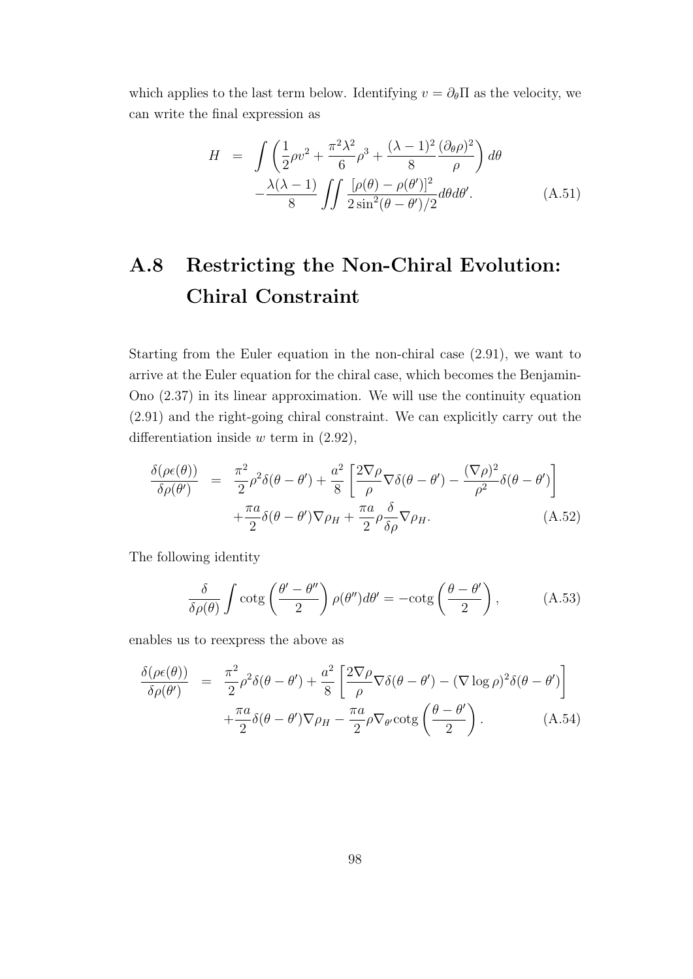which applies to the last term below. Identifying  $v = \partial_{\theta} \Pi$  as the velocity, we can write the final expression as

$$
H = \int \left(\frac{1}{2}\rho v^2 + \frac{\pi^2 \lambda^2}{6} \rho^3 + \frac{(\lambda - 1)^2}{8} \frac{(\partial_\theta \rho)^2}{\rho}\right) d\theta
$$

$$
-\frac{\lambda(\lambda - 1)}{8} \int \int \frac{[\rho(\theta) - \rho(\theta')]^2}{2\sin^2(\theta - \theta')/2} d\theta d\theta'.
$$
(A.51)

# **A.8 Restricting the Non-Chiral Evolution: Chiral Constraint**

Starting from the Euler equation in the non-chiral case (2.91), we want to arrive at the Euler equation for the chiral case, which becomes the Benjamin-Ono (2.37) in its linear approximation. We will use the continuity equation (2.91) and the right-going chiral constraint. We can explicitly carry out the differentiation inside *w* term in (2.92),

$$
\frac{\delta(\rho\epsilon(\theta))}{\delta\rho(\theta')} = \frac{\pi^2}{2}\rho^2\delta(\theta-\theta') + \frac{a^2}{8}\left[\frac{2\nabla\rho}{\rho}\nabla\delta(\theta-\theta') - \frac{(\nabla\rho)^2}{\rho^2}\delta(\theta-\theta')\right] + \frac{\pi a}{2}\delta(\theta-\theta')\nabla\rho_H + \frac{\pi a}{2}\rho\frac{\delta}{\delta\rho}\nabla\rho_H.
$$
\n(A.52)

The following identity

$$
\frac{\delta}{\delta \rho(\theta)} \int \cot g \left( \frac{\theta' - \theta''}{2} \right) \rho(\theta'') d\theta' = -\cot g \left( \frac{\theta - \theta'}{2} \right), \quad (A.53)
$$

enables us to reexpress the above as

$$
\frac{\delta(\rho\epsilon(\theta))}{\delta\rho(\theta')} = \frac{\pi^2}{2}\rho^2\delta(\theta-\theta') + \frac{a^2}{8}\left[\frac{2\nabla\rho}{\rho}\nabla\delta(\theta-\theta') - (\nabla\log\rho)^2\delta(\theta-\theta')\right] \n+ \frac{\pi a}{2}\delta(\theta-\theta')\nabla\rho_H - \frac{\pi a}{2}\rho\nabla_{\theta'}\cot g\left(\frac{\theta-\theta'}{2}\right).
$$
\n(A.54)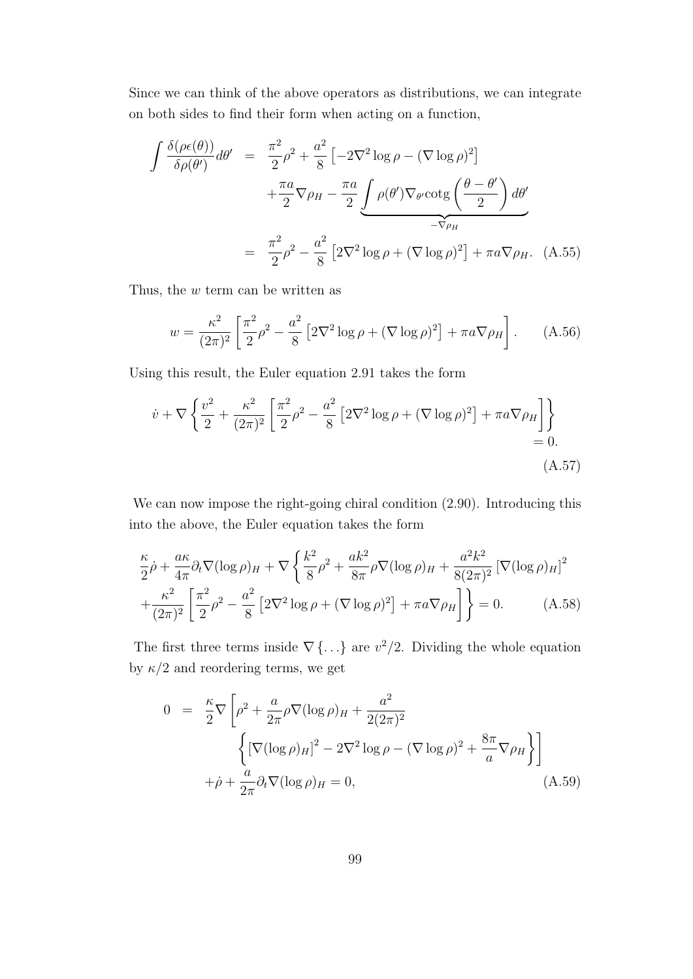Since we can think of the above operators as distributions, we can integrate on both sides to find their form when acting on a function,

$$
\int \frac{\delta(\rho \epsilon(\theta))}{\delta \rho(\theta')} d\theta' = \frac{\pi^2}{2} \rho^2 + \frac{a^2}{8} \left[ -2\nabla^2 \log \rho - (\nabla \log \rho)^2 \right] \n+ \frac{\pi a}{2} \nabla \rho_H - \frac{\pi a}{2} \underbrace{\int \rho(\theta') \nabla_{\theta'} \cot g \left( \frac{\theta - \theta'}{2} \right) d\theta'}_{-\nabla \rho_H} \n= \frac{\pi^2}{2} \rho^2 - \frac{a^2}{8} \left[ 2\nabla^2 \log \rho + (\nabla \log \rho)^2 \right] + \pi a \nabla \rho_H. \tag{A.55}
$$

Thus, the *w* term can be written as

$$
w = \frac{\kappa^2}{(2\pi)^2} \left[ \frac{\pi^2}{2} \rho^2 - \frac{a^2}{8} \left[ 2\nabla^2 \log \rho + (\nabla \log \rho)^2 \right] + \pi a \nabla \rho_H \right].
$$
 (A.56)

Using this result, the Euler equation 2.91 takes the form

$$
\dot{v} + \nabla \left\{ \frac{v^2}{2} + \frac{\kappa^2}{(2\pi)^2} \left[ \frac{\pi^2}{2} \rho^2 - \frac{a^2}{8} \left[ 2\nabla^2 \log \rho + (\nabla \log \rho)^2 \right] + \pi a \nabla \rho_H \right] \right\} = 0.
$$
\n(A.57)

We can now impose the right-going chiral condition  $(2.90)$ . Introducing this into the above, the Euler equation takes the form

$$
\frac{\kappa}{2}\dot{\rho} + \frac{a\kappa}{4\pi}\partial_t\nabla(\log\rho)_H + \nabla\left\{\frac{k^2}{8}\rho^2 + \frac{ak^2}{8\pi}\rho\nabla(\log\rho)_H + \frac{a^2k^2}{8(2\pi)^2}\left[\nabla(\log\rho)_H\right]^2 + \frac{\kappa^2}{(2\pi)^2}\left[\frac{\pi^2}{2}\rho^2 - \frac{a^2}{8}\left[2\nabla^2\log\rho + (\nabla\log\rho)^2\right] + \pi a\nabla\rho_H\right]\right\} = 0.
$$
 (A.58)

The first three terms inside  $\nabla \{\ldots\}$  are  $v^2/2$ . Dividing the whole equation by  $\kappa/2$  and reordering terms, we get

$$
0 = \frac{\kappa}{2} \nabla \left[ \rho^2 + \frac{a}{2\pi} \rho \nabla (\log \rho)_H + \frac{a^2}{2(2\pi)^2} \right]
$$
  

$$
\left\{ \left[ \nabla (\log \rho)_H \right]^2 - 2\nabla^2 \log \rho - (\nabla \log \rho)^2 + \frac{8\pi}{a} \nabla \rho_H \right\} \right]
$$
  

$$
+ \dot{\rho} + \frac{a}{2\pi} \partial_t \nabla (\log \rho)_H = 0,
$$
(A.59)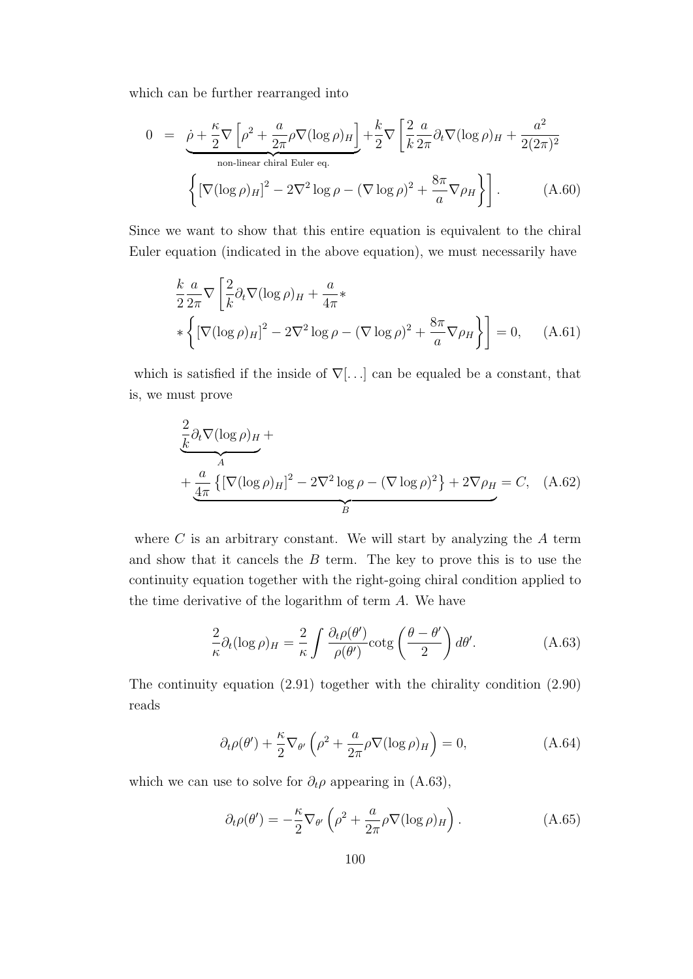which can be further rearranged into

$$
0 = \underbrace{\rho + \frac{\kappa}{2} \nabla \left[ \rho^2 + \frac{a}{2\pi} \rho \nabla (\log \rho)_H \right]}_{\text{non-linear chiral Euler eq.}} + \frac{k}{2} \nabla \left[ \frac{2}{k} \frac{a}{2\pi} \partial_t \nabla (\log \rho)_H + \frac{a^2}{2(2\pi)^2} \right] \tag{A.60}
$$
\n
$$
\left\{ \left[ \nabla (\log \rho)_H \right]^2 - 2 \nabla^2 \log \rho - (\nabla \log \rho)^2 + \frac{8\pi}{a} \nabla \rho_H \right\} \right].
$$

Since we want to show that this entire equation is equivalent to the chiral Euler equation (indicated in the above equation), we must necessarily have

$$
\frac{k}{2} \frac{a}{2\pi} \nabla \left[ \frac{2}{k} \partial_t \nabla (\log \rho)_H + \frac{a}{4\pi} * \right.
$$
  

$$
\left\{ \left[ \nabla (\log \rho)_H \right]^2 - 2 \nabla^2 \log \rho - (\nabla \log \rho)^2 + \frac{8\pi}{a} \nabla \rho_H \right\} \right] = 0, \quad (A.61)
$$

which is satisfied if the inside of *∇*[*. . .*] can be equaled be a constant, that is, we must prove

$$
\frac{\frac{2}{k}\partial_t \nabla (\log \rho)_H + \frac{a}{4\pi} \left\{ \left[ \nabla (\log \rho)_H \right]^2 - 2\nabla^2 \log \rho - (\nabla \log \rho)^2 \right\} + 2\nabla \rho_H = C, \quad (A.62)
$$

where *C* is an arbitrary constant. We will start by analyzing the *A* term and show that it cancels the *B* term. The key to prove this is to use the continuity equation together with the right-going chiral condition applied to the time derivative of the logarithm of term *A*. We have

$$
\frac{2}{\kappa}\partial_t(\log \rho)_H = \frac{2}{\kappa} \int \frac{\partial_t \rho(\theta')}{\rho(\theta')} \cot \left( \frac{\theta - \theta'}{2} \right) d\theta'. \tag{A.63}
$$

The continuity equation (2.91) together with the chirality condition (2.90) reads

$$
\partial_t \rho(\theta') + \frac{\kappa}{2} \nabla_{\theta'} \left( \rho^2 + \frac{a}{2\pi} \rho \nabla (\log \rho)_H \right) = 0, \tag{A.64}
$$

which we can use to solve for  $\partial_t \rho$  appearing in (A.63),

$$
\partial_t \rho(\theta') = -\frac{\kappa}{2} \nabla_{\theta'} \left( \rho^2 + \frac{a}{2\pi} \rho \nabla (\log \rho)_H \right). \tag{A.65}
$$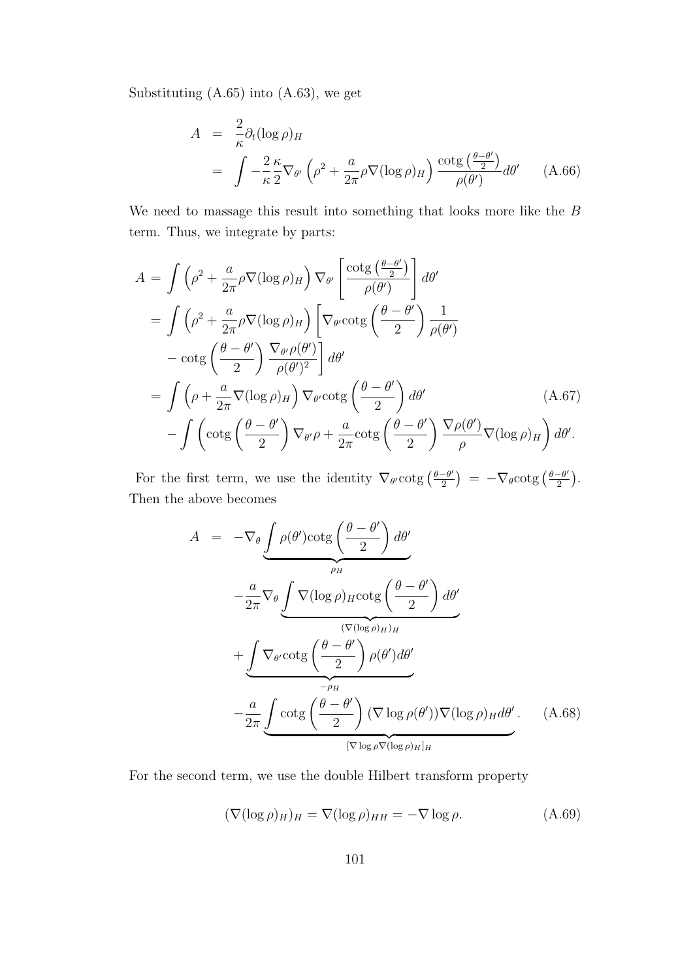Substituting (A.65) into (A.63), we get

$$
A = \frac{2}{\kappa} \partial_t (\log \rho)_H
$$
  
= 
$$
\int -\frac{2}{\kappa} \frac{\kappa}{2} \nabla_{\theta'} \left( \rho^2 + \frac{a}{2\pi} \rho \nabla (\log \rho)_H \right) \frac{\cot g \left( \frac{\theta - \theta'}{2} \right)}{\rho(\theta')} d\theta' \qquad (A.66)
$$

We need to massage this result into something that looks more like the *B* term. Thus, we integrate by parts:

$$
A = \int \left(\rho^2 + \frac{a}{2\pi}\rho \nabla(\log \rho)_H\right) \nabla_{\theta'} \left[\frac{\cot g\left(\frac{\theta - \theta'}{2}\right)}{\rho(\theta')}\right] d\theta'
$$
  
\n
$$
= \int \left(\rho^2 + \frac{a}{2\pi}\rho \nabla(\log \rho)_H\right) \left[\nabla_{\theta'} \cot g\left(\frac{\theta - \theta'}{2}\right) \frac{1}{\rho(\theta')} - \cot g\left(\frac{\theta - \theta'}{2}\right) \frac{\nabla_{\theta'}\rho(\theta')}{\rho(\theta')^2}\right] d\theta'
$$
  
\n
$$
= \int \left(\rho + \frac{a}{2\pi}\nabla(\log \rho)_H\right) \nabla_{\theta'} \cot g\left(\frac{\theta - \theta'}{2}\right) d\theta' \qquad (A.67)
$$
  
\n
$$
- \int \left(\cot g\left(\frac{\theta - \theta'}{2}\right) \nabla_{\theta'}\rho + \frac{a}{2\pi}\cot g\left(\frac{\theta - \theta'}{2}\right) \frac{\nabla \rho(\theta')}{\rho} \nabla(\log \rho)_H\right) d\theta'.
$$

For the first term, we use the identity  $\nabla_{\theta}$  cotg  $\left(\frac{\theta-\theta'}{2}\right)$  $\left(\frac{-\theta'}{2}\right) = -\nabla_{\theta} \cot g \left(\frac{\theta - \theta'}{2}\right)$  $\frac{-\theta'}{2}\Big).$ Then the above becomes

$$
A = -\nabla_{\theta} \underbrace{\int \rho(\theta') \cot g \left(\frac{\theta - \theta'}{2}\right) d\theta'}_{\rho_H}
$$

$$
- \frac{a}{2\pi} \nabla_{\theta} \underbrace{\int \nabla (\log \rho)_{H} \cot g \left(\frac{\theta - \theta'}{2}\right) d\theta'}_{(\nabla(\log \rho)_{H})_{H}}
$$

$$
+ \underbrace{\int \nabla_{\theta'} \cot g \left(\frac{\theta - \theta'}{2}\right) \rho(\theta') d\theta'}_{-\rho_H}
$$

$$
- \frac{a}{2\pi} \underbrace{\int \cot g \left(\frac{\theta - \theta'}{2}\right) (\nabla \log \rho(\theta')) \nabla (\log \rho)_{H} d\theta'}_{[\nabla \log \rho \nabla (\log \rho)_{H}]_{H}}.
$$
(A.68)

For the second term, we use the double Hilbert transform property

$$
(\nabla(\log \rho)_H)_H = \nabla(\log \rho)_{HH} = -\nabla \log \rho.
$$
 (A.69)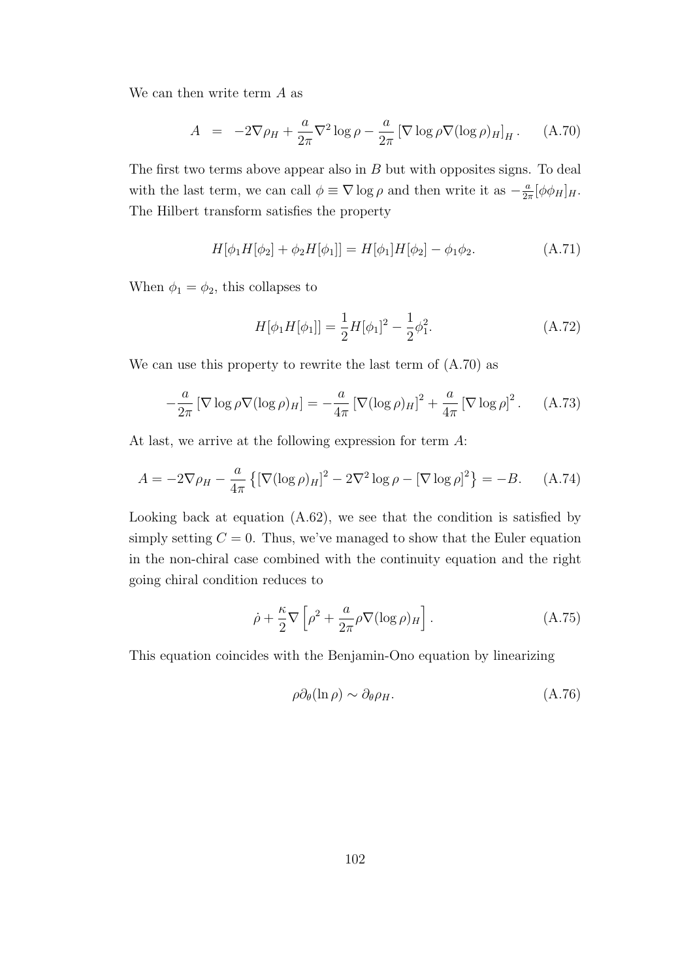We can then write term *A* as

$$
A = -2\nabla\rho_H + \frac{a}{2\pi}\nabla^2\log\rho - \frac{a}{2\pi}\left[\nabla\log\rho\nabla(\log\rho)_{H}\right]_H. \quad (A.70)
$$

The first two terms above appear also in *B* but with opposites signs. To deal with the last term, we can call  $\phi \equiv \nabla \log \rho$  and then write it as  $-\frac{a}{2a}$  $\frac{a}{2\pi}[\phi\phi_H]_H.$ The Hilbert transform satisfies the property

$$
H[\phi_1 H[\phi_2] + \phi_2 H[\phi_1]] = H[\phi_1]H[\phi_2] - \phi_1 \phi_2.
$$
 (A.71)

When  $\phi_1 = \phi_2$ , this collapses to

$$
H[\phi_1 H[\phi_1]] = \frac{1}{2} H[\phi_1]^2 - \frac{1}{2} \phi_1^2.
$$
 (A.72)

We can use this property to rewrite the last term of (A.70) as

$$
-\frac{a}{2\pi} \left[\nabla \log \rho \nabla (\log \rho)_{H}\right] = -\frac{a}{4\pi} \left[\nabla (\log \rho)_{H}\right]^{2} + \frac{a}{4\pi} \left[\nabla \log \rho\right]^{2}.
$$
 (A.73)

At last, we arrive at the following expression for term *A*:

$$
A = -2\nabla\rho_H - \frac{a}{4\pi} \left\{ \left[ \nabla(\log \rho)_H \right]^2 - 2\nabla^2 \log \rho - \left[ \nabla \log \rho \right]^2 \right\} = -B. \tag{A.74}
$$

Looking back at equation (A.62), we see that the condition is satisfied by simply setting  $C = 0$ . Thus, we've managed to show that the Euler equation in the non-chiral case combined with the continuity equation and the right going chiral condition reduces to

$$
\dot{\rho} + \frac{\kappa}{2} \nabla \left[ \rho^2 + \frac{a}{2\pi} \rho \nabla (\log \rho)_H \right]. \tag{A.75}
$$

This equation coincides with the Benjamin-Ono equation by linearizing

$$
\rho \partial_{\theta} (\ln \rho) \sim \partial_{\theta} \rho_H. \tag{A.76}
$$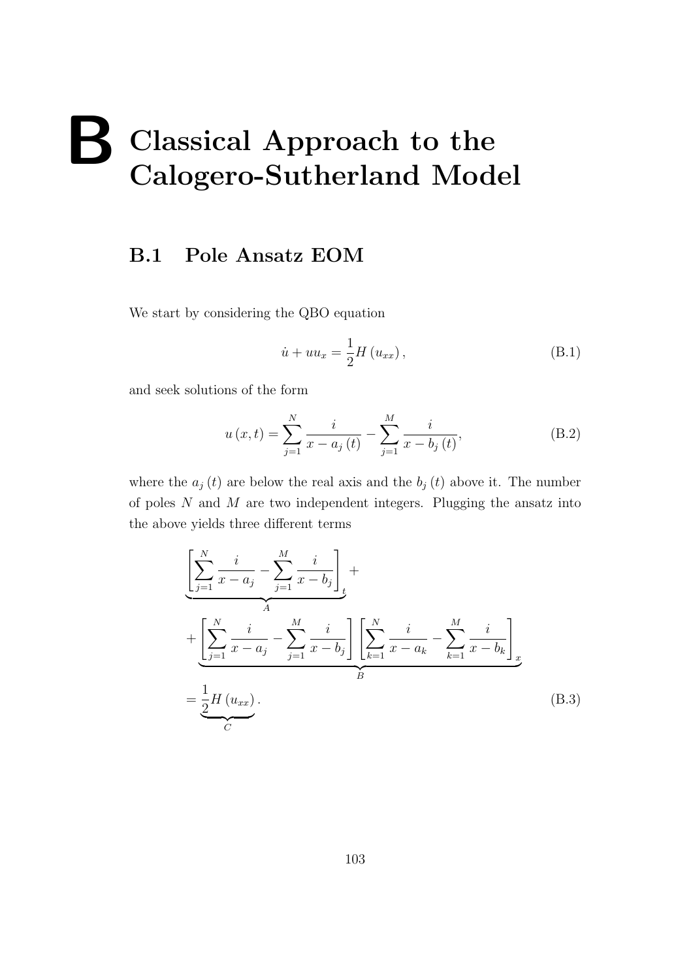## **B Classical Approach to the Calogero-Sutherland Model**

#### **B.1 Pole Ansatz EOM**

We start by considering the QBO equation

$$
\dot{u} + uu_x = \frac{1}{2}H(u_{xx}),\tag{B.1}
$$

and seek solutions of the form

$$
u(x,t) = \sum_{j=1}^{N} \frac{i}{x - a_j(t)} - \sum_{j=1}^{M} \frac{i}{x - b_j(t)},
$$
 (B.2)

where the  $a_j(t)$  are below the real axis and the  $b_j(t)$  above it. The number of poles *N* and *M* are two independent integers. Plugging the ansatz into the above yields three different terms

$$
\left[\sum_{j=1}^{N} \frac{i}{x - a_j} - \sum_{j=1}^{M} \frac{i}{x - b_j}\right]_t + \left[\sum_{j=1}^{N} \frac{i}{x - a_j} - \sum_{j=1}^{M} \frac{i}{x - b_j}\right] \left[\sum_{k=1}^{N} \frac{i}{x - a_k} - \sum_{k=1}^{M} \frac{i}{x - b_k}\right]_x
$$

$$
= \underbrace{\frac{1}{2}H(u_{xx})}_{C}.
$$
(B.3)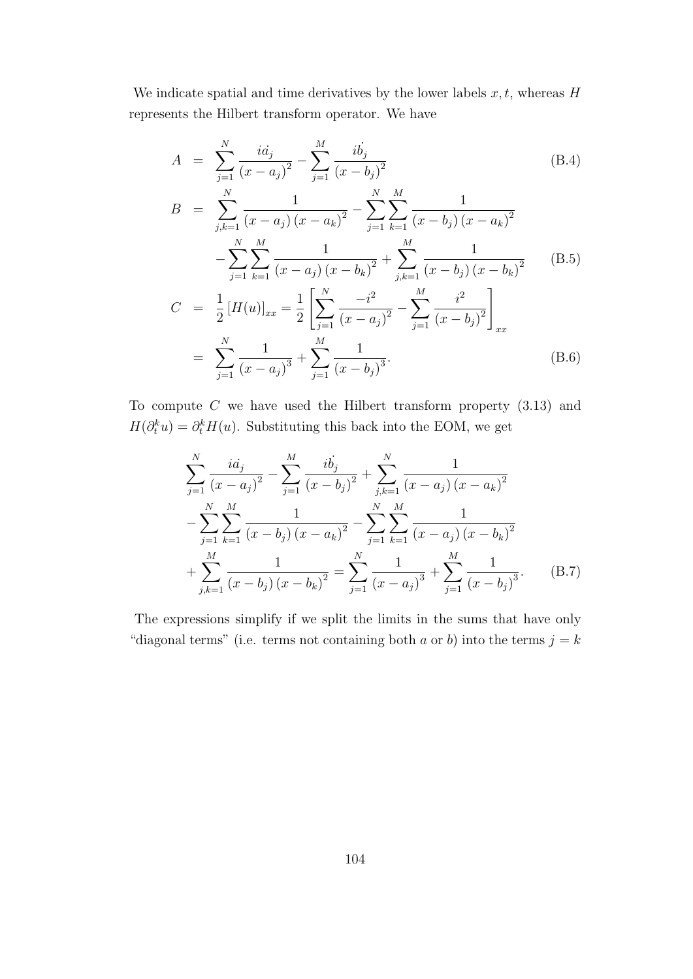We indicate spatial and time derivatives by the lower labels  $x, t$ , whereas  $H$ represents the Hilbert transform operator. We have

$$
A = \sum_{j=1}^{N} \frac{i a_j}{(x - a_j)^2} - \sum_{j=1}^{M} \frac{i b_j}{(x - b_j)^2}
$$
(B.4)

$$
B = \sum_{j,k=1}^{N} \frac{1}{(x - a_j)(x - a_k)^2} - \sum_{j=1}^{N} \sum_{k=1}^{M} \frac{1}{(x - b_j)(x - a_k)^2}
$$

$$
- \sum_{j=1}^{N} \sum_{k=1}^{M} \frac{1}{(x - a_j)(x - b_k)^2} + \sum_{j,k=1}^{M} \frac{1}{(x - b_j)(x - b_k)^2}
$$
(B.5)
$$
C = \frac{1}{2} [H(u)]_{xx} = \frac{1}{2} \left[ \sum_{j=1}^{N} \frac{-i^2}{(x - a_j)^2} - \sum_{j=1}^{M} \frac{i^2}{(x - b_j)^2} \right]_{xx}
$$

$$
= \sum_{j=1}^{N} \frac{1}{(x - a_j)^3} + \sum_{j=1}^{M} \frac{1}{(x - b_j)^3}.
$$
(B.6)

To compute *C* we have used the Hilbert transform property (3.13) and  $H(\partial_t^k u) = \partial_t^k H(u)$ . Substituting this back into the EOM, we get

$$
\sum_{j=1}^{N} \frac{i a_j}{(x - a_j)^2} - \sum_{j=1}^{M} \frac{i b_j}{(x - b_j)^2} + \sum_{j,k=1}^{N} \frac{1}{(x - a_j)(x - a_k)^2}
$$

$$
- \sum_{j=1}^{N} \sum_{k=1}^{M} \frac{1}{(x - b_j)(x - a_k)^2} - \sum_{j=1}^{N} \sum_{k=1}^{M} \frac{1}{(x - a_j)(x - b_k)^2}
$$

$$
+ \sum_{j,k=1}^{M} \frac{1}{(x - b_j)(x - b_k)^2} = \sum_{j=1}^{N} \frac{1}{(x - a_j)^3} + \sum_{j=1}^{M} \frac{1}{(x - b_j)^3}.
$$
(B.7)

The expressions simplify if we split the limits in the sums that have only "diagonal terms" (i.e. terms not containing both *a* or *b*) into the terms  $j = k$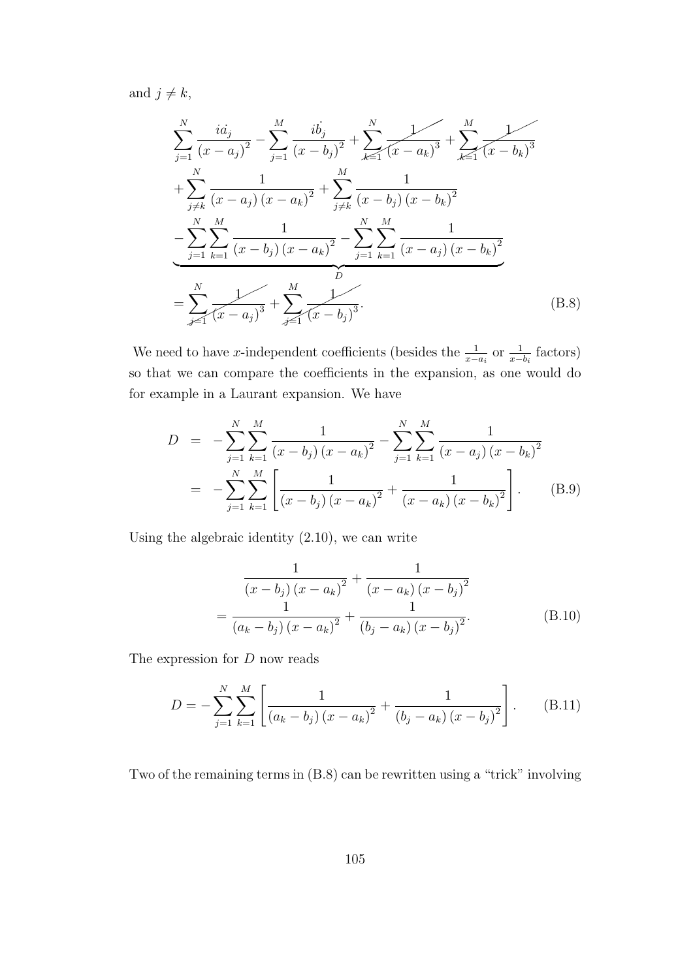and  $j \neq k$ ,

$$
\sum_{j=1}^{N} \frac{i a_j}{(x - a_j)^2} - \sum_{j=1}^{M} \frac{i b_j}{(x - b_j)^2} + \sum_{k=1}^{N} \frac{1}{(x - a_k)^3} + \sum_{k=1}^{M} \frac{1}{(x - b_k)^3}
$$
  
+ 
$$
\sum_{j \neq k}^{N} \frac{1}{(x - a_j)(x - a_k)^2} + \sum_{j \neq k}^{M} \frac{1}{(x - b_j)(x - b_k)^2}
$$
  
- 
$$
\sum_{j=1}^{N} \sum_{k=1}^{M} \frac{1}{(x - b_j)(x - a_k)^2} - \sum_{j=1}^{N} \sum_{k=1}^{M} \frac{1}{(x - a_j)(x - b_k)^2}
$$
  
= 
$$
\sum_{j=1}^{N} \frac{1}{(x - a_j)^3} + \sum_{j=1}^{M} \frac{1}{(x - b_j)^3}.
$$
 (B.8)

We need to have *x*-independent coefficients (besides the  $\frac{1}{x-a_i}$  or  $\frac{1}{x-b_i}$  factors) so that we can compare the coefficients in the expansion, as one would do for example in a Laurant expansion. We have

$$
D = -\sum_{j=1}^{N} \sum_{k=1}^{M} \frac{1}{(x - b_j)(x - a_k)^2} - \sum_{j=1}^{N} \sum_{k=1}^{M} \frac{1}{(x - a_j)(x - b_k)^2}
$$
  
= 
$$
-\sum_{j=1}^{N} \sum_{k=1}^{M} \left[ \frac{1}{(x - b_j)(x - a_k)^2} + \frac{1}{(x - a_k)(x - b_k)^2} \right].
$$
 (B.9)

Using the algebraic identity (2.10), we can write

$$
\frac{1}{(x - b_j)(x - a_k)^2} + \frac{1}{(x - a_k)(x - b_j)^2}
$$

$$
= \frac{1}{(a_k - b_j)(x - a_k)^2} + \frac{1}{(b_j - a_k)(x - b_j)^2}.
$$
(B.10)

The expression for *D* now reads

$$
D = -\sum_{j=1}^{N} \sum_{k=1}^{M} \left[ \frac{1}{(a_k - b_j)(x - a_k)^2} + \frac{1}{(b_j - a_k)(x - b_j)^2} \right].
$$
 (B.11)

Two of the remaining terms in (B.8) can be rewritten using a "trick" involving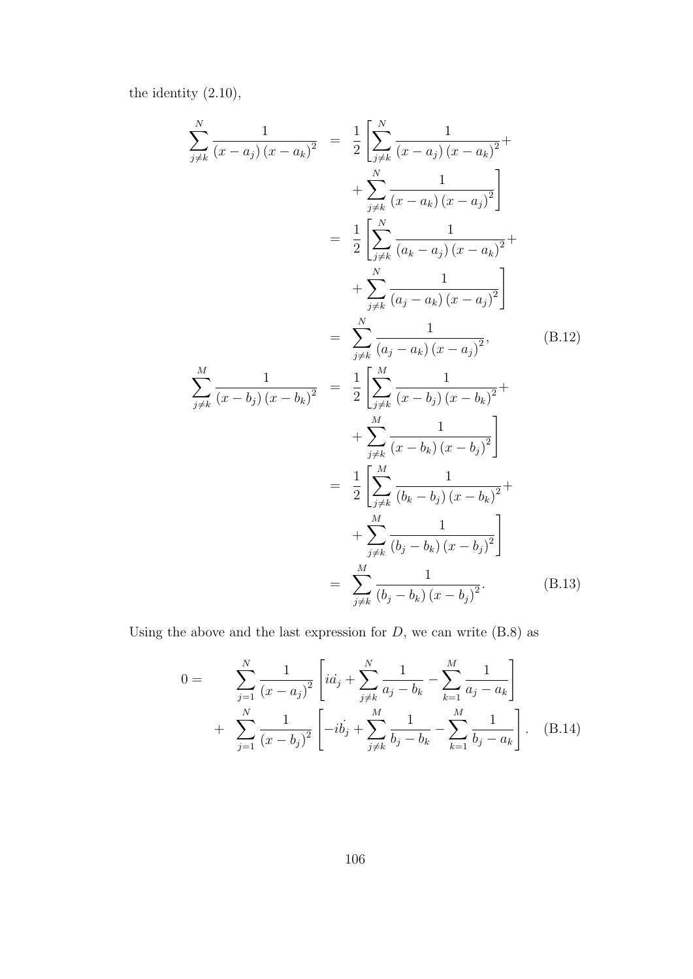the identity (2.10),

$$
\sum_{j\neq k}^{N} \frac{1}{(x - a_j)(x - a_k)^2} = \frac{1}{2} \left[ \sum_{j\neq k}^{N} \frac{1}{(x - a_j)(x - a_k)^2} + \sum_{j\neq k}^{N} \frac{1}{(x - a_k)(x - a_j)^2} \right] \n= \frac{1}{2} \left[ \sum_{j\neq k}^{N} \frac{1}{(a_k - a_j)(x - a_k)^2} + \sum_{j\neq k}^{N} \frac{1}{(a_j - a_k)(x - a_j)^2} \right] \n= \sum_{j\neq k}^{N} \frac{1}{(a_j - a_k)(x - a_j)^2}, \qquad (B.12)
$$
\n
$$
\sum_{j\neq k}^{M} \frac{1}{(x - b_j)(x - b_k)^2} = \frac{1}{2} \left[ \sum_{j\neq k}^{M} \frac{1}{(x - b_j)(x - b_k)^2} + \sum_{j\neq k}^{M} \frac{1}{(x - b_k)(x - b_j)^2} \right] \n= \frac{1}{2} \left[ \sum_{j\neq k}^{M} \frac{1}{(b_k - b_j)(x - b_k)^2} + \sum_{j\neq k}^{M} \frac{1}{(b_j - b_k)(x - b_j)^2} \right] \n= \sum_{j\neq k}^{M} \frac{1}{(b_j - b_k)(x - b_j)^2}.
$$
\n(B.13)

Using the above and the last expression for  $D$ , we can write  $(B.8)$  as

$$
0 = \sum_{j=1}^{N} \frac{1}{(x - a_j)^2} \left[ i a_j + \sum_{j \neq k}^{N} \frac{1}{a_j - b_k} - \sum_{k=1}^{M} \frac{1}{a_j - a_k} \right] + \sum_{j=1}^{N} \frac{1}{(x - b_j)^2} \left[ -i b_j + \sum_{j \neq k}^{M} \frac{1}{b_j - b_k} - \sum_{k=1}^{M} \frac{1}{b_j - a_k} \right].
$$
 (B.14)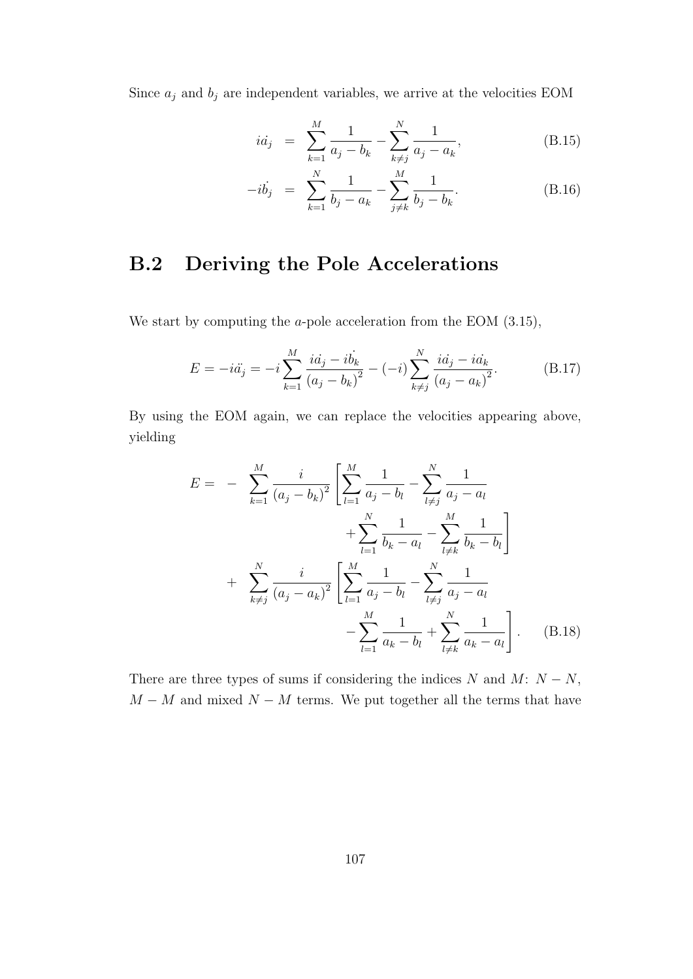Since  $a_j$  and  $b_j$  are independent variables, we arrive at the velocities EOM

$$
ia_j = \sum_{k=1}^{M} \frac{1}{a_j - b_k} - \sum_{k \neq j}^{N} \frac{1}{a_j - a_k},
$$
 (B.15)

$$
-ib_j = \sum_{k=1}^{N} \frac{1}{b_j - a_k} - \sum_{j \neq k}^{M} \frac{1}{b_j - b_k}.
$$
 (B.16)

### **B.2 Deriving the Pole Accelerations**

We start by computing the *a*-pole acceleration from the EOM (3.15),

$$
E = -i\ddot{a_j} = -i\sum_{k=1}^{M} \frac{i\dot{a_j} - i\dot{b_k}}{(a_j - b_k)^2} - (-i)\sum_{k \neq j}^{N} \frac{i\dot{a_j} - i\dot{a_k}}{(a_j - a_k)^2}.
$$
 (B.17)

By using the EOM again, we can replace the velocities appearing above, yielding

$$
E = - \sum_{k=1}^{M} \frac{i}{(a_j - b_k)^2} \left[ \sum_{l=1}^{M} \frac{1}{a_j - b_l} - \sum_{l \neq j}^{N} \frac{1}{a_j - a_l} + \sum_{l=1}^{N} \frac{1}{b_k - a_l} - \sum_{l \neq k}^{M} \frac{1}{b_k - b_l} \right] + \sum_{k \neq j}^{N} \frac{i}{(a_j - a_k)^2} \left[ \sum_{l=1}^{M} \frac{1}{a_j - b_l} - \sum_{l \neq j}^{N} \frac{1}{a_j - a_l} - \sum_{l \neq k}^{N} \frac{1}{a_k - b_l} + \sum_{l \neq k}^{N} \frac{1}{a_k - a_l} \right].
$$
 (B.18)

There are three types of sums if considering the indices  $N$  and  $M: N - N$ ,  $M - M$  and mixed  $N - M$  terms. We put together all the terms that have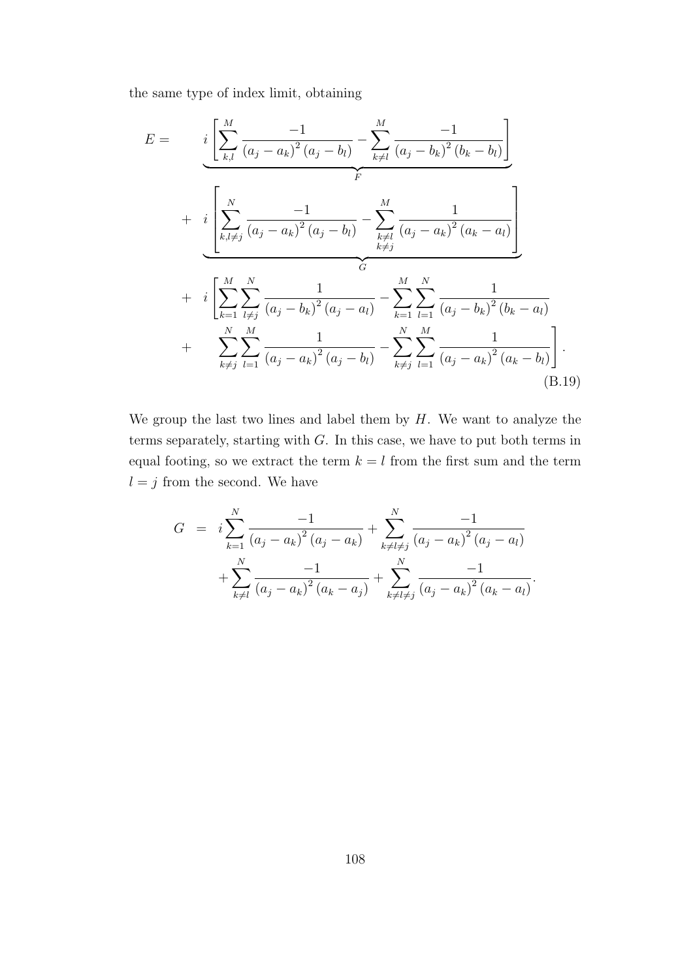the same type of index limit, obtaining

$$
E = \underbrace{i \left[ \sum_{k,l}^{M} \frac{-1}{(a_j - a_k)^2 (a_j - b_l)} - \sum_{k \neq l}^{M} \frac{-1}{(a_j - b_k)^2 (b_k - b_l)} \right]}_{F} + \underbrace{i \left[ \sum_{k,l \neq j}^{N} \frac{-1}{(a_j - a_k)^2 (a_j - b_l)} - \sum_{\substack{k \neq l \ k \neq j}}^{M} \frac{1}{(a_j - a_k)^2 (a_k - a_l)} \right]}_{G} + \underbrace{i \left[ \sum_{k=1}^{M} \sum_{l \neq j}^{N} \frac{1}{(a_j - b_k)^2 (a_j - a_l)} - \sum_{k=1}^{M} \sum_{l=1}^{N} \frac{1}{(a_j - b_k)^2 (b_k - a_l)} \right]}_{F} + \underbrace{\sum_{k \neq j}^{M} \sum_{l=1}^{M} \frac{1}{(a_j - a_k)^2 (a_j - b_l)} - \sum_{k \neq j}^{N} \sum_{l=1}^{M} \frac{1}{(a_j - a_k)^2 (a_k - b_l)}}_{(B.19)}
$$

We group the last two lines and label them by *H*. We want to analyze the terms separately, starting with *G*. In this case, we have to put both terms in equal footing, so we extract the term  $k = l$  from the first sum and the term  $l = j$  from the second. We have

$$
G = i \sum_{k=1}^{N} \frac{-1}{(a_j - a_k)^2 (a_j - a_k)} + \sum_{k \neq l \neq j}^{N} \frac{-1}{(a_j - a_k)^2 (a_j - a_l)} + \sum_{k \neq l}^{N} \frac{-1}{(a_j - a_k)^2 (a_k - a_j)} + \sum_{k \neq l \neq j}^{N} \frac{-1}{(a_j - a_k)^2 (a_k - a_l)}.
$$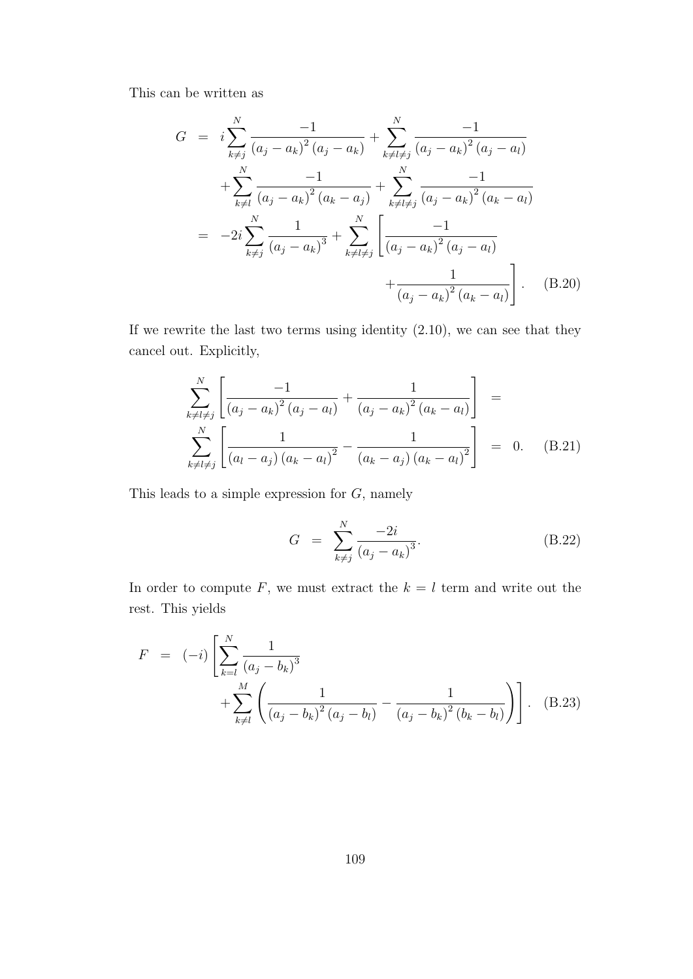This can be written as

$$
G = i \sum_{k \neq j}^{N} \frac{-1}{(a_j - a_k)^2 (a_j - a_k)} + \sum_{k \neq l \neq j}^{N} \frac{-1}{(a_j - a_k)^2 (a_j - a_l)}
$$
  
+ 
$$
\sum_{k \neq l}^{N} \frac{-1}{(a_j - a_k)^2 (a_k - a_j)} + \sum_{k \neq l \neq j}^{N} \frac{-1}{(a_j - a_k)^2 (a_k - a_l)}
$$
  
= 
$$
-2i \sum_{k \neq j}^{N} \frac{1}{(a_j - a_k)^3} + \sum_{k \neq l \neq j}^{N} \left[ \frac{-1}{(a_j - a_k)^2 (a_j - a_l)} + \frac{1}{(a_j - a_k)^2 (a_k - a_l)} \right].
$$
 (B.20)

If we rewrite the last two terms using identity (2.10), we can see that they cancel out. Explicitly,

$$
\sum_{k \neq l \neq j}^{N} \left[ \frac{-1}{(a_j - a_k)^2 (a_j - a_l)} + \frac{1}{(a_j - a_k)^2 (a_k - a_l)} \right] =
$$
\n
$$
\sum_{k \neq l \neq j}^{N} \left[ \frac{1}{(a_l - a_j) (a_k - a_l)^2} - \frac{1}{(a_k - a_j) (a_k - a_l)^2} \right] = 0. \quad (B.21)
$$

This leads to a simple expression for *G*, namely

$$
G = \sum_{k \neq j}^{N} \frac{-2i}{(a_j - a_k)^3}.
$$
 (B.22)

In order to compute  $F$ , we must extract the  $k = l$  term and write out the rest. This yields

$$
F = (-i) \left[ \sum_{k=l}^{N} \frac{1}{(a_j - b_k)^3} + \sum_{k \neq l}^{M} \left( \frac{1}{(a_j - b_k)^2 (a_j - b_l)} - \frac{1}{(a_j - b_k)^2 (b_k - b_l)} \right) \right].
$$
 (B.23)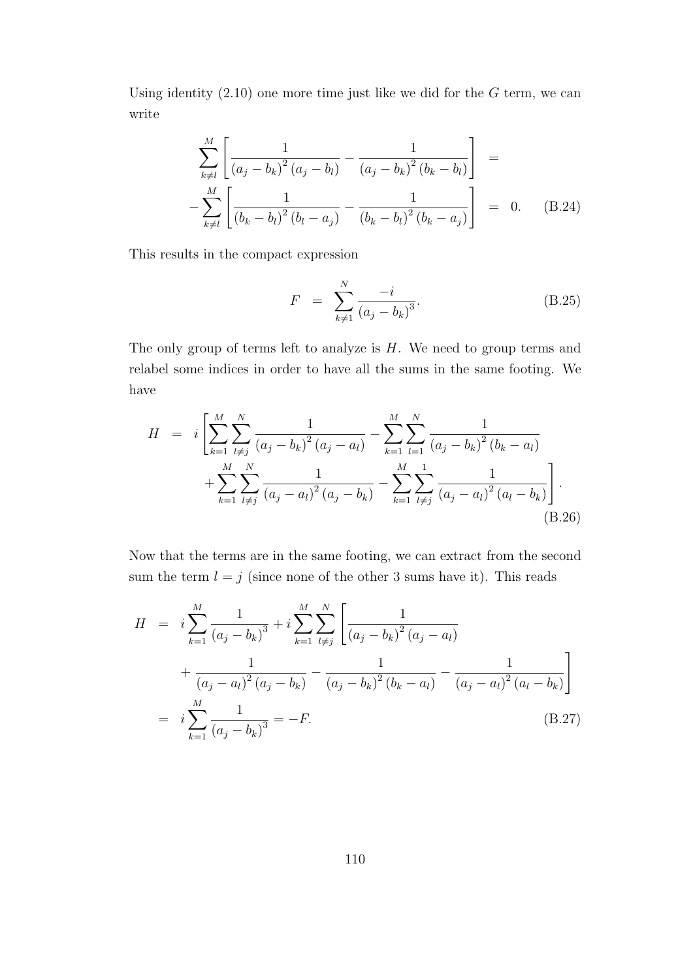Using identity (2.10) one more time just like we did for the *G* term, we can write

$$
\sum_{k \neq l}^{M} \left[ \frac{1}{(a_j - b_k)^2 (a_j - b_l)} - \frac{1}{(a_j - b_k)^2 (b_k - b_l)} \right] = -\sum_{k \neq l}^{M} \left[ \frac{1}{(b_k - b_l)^2 (b_l - a_j)} - \frac{1}{(b_k - b_l)^2 (b_k - a_j)} \right] = 0.
$$
 (B.24)

This results in the compact expression

$$
F = \sum_{k \neq 1}^{N} \frac{-i}{(a_j - b_k)^3}.
$$
 (B.25)

The only group of terms left to analyze is *H*. We need to group terms and relabel some indices in order to have all the sums in the same footing. We have

$$
H = i \left[ \sum_{k=1}^{M} \sum_{l \neq j}^{N} \frac{1}{(a_j - b_k)^2 (a_j - a_l)} - \sum_{k=1}^{M} \sum_{l=1}^{N} \frac{1}{(a_j - b_k)^2 (b_k - a_l)} + \sum_{k=1}^{M} \sum_{l \neq j}^{N} \frac{1}{(a_j - a_l)^2 (a_j - b_k)} - \sum_{k=1}^{M} \sum_{l \neq j}^{1} \frac{1}{(a_j - a_l)^2 (a_l - b_k)} \right].
$$
\n(B.26)

Now that the terms are in the same footing, we can extract from the second sum the term  $l = j$  (since none of the other 3 sums have it). This reads

$$
H = i \sum_{k=1}^{M} \frac{1}{(a_j - b_k)^3} + i \sum_{k=1}^{M} \sum_{l \neq j}^{N} \left[ \frac{1}{(a_j - b_k)^2 (a_j - a_l)} + \frac{1}{(a_j - a_l)^2 (a_j - b_k)} - \frac{1}{(a_j - b_k)^2 (b_k - a_l)} - \frac{1}{(a_j - a_l)^2 (a_l - b_k)} \right]
$$
  
=  $i \sum_{k=1}^{M} \frac{1}{(a_j - b_k)^3} = -F.$  (B.27)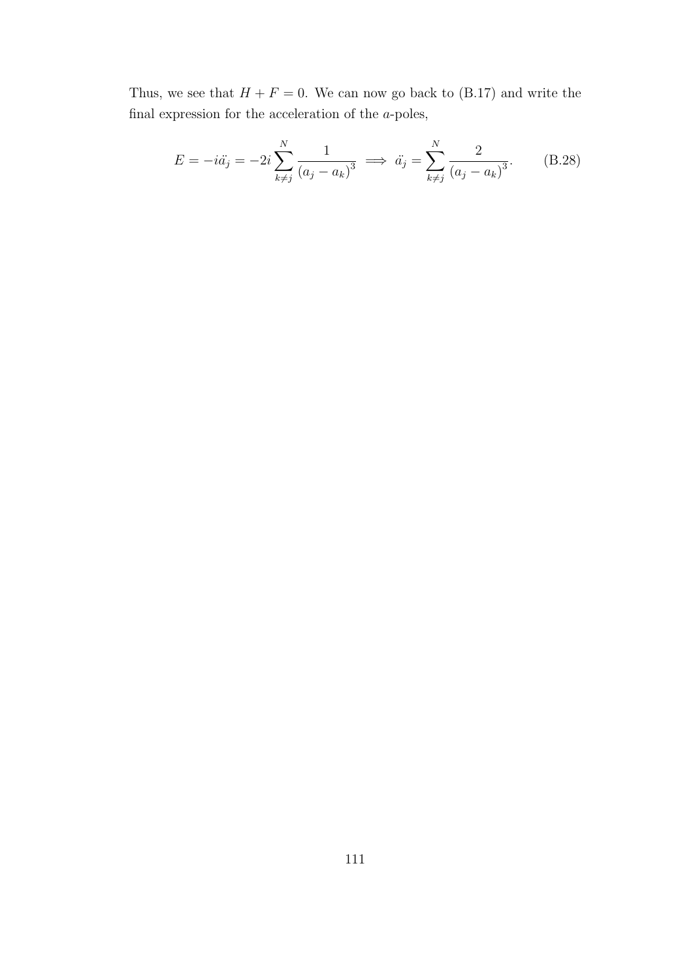Thus, we see that  $H + F = 0$ . We can now go back to (B.17) and write the final expression for the acceleration of the *a*-poles,

$$
E = -i\ddot{a}_j = -2i\sum_{k\neq j}^{N} \frac{1}{(a_j - a_k)^3} \implies \ddot{a}_j = \sum_{k\neq j}^{N} \frac{2}{(a_j - a_k)^3}.
$$
 (B.28)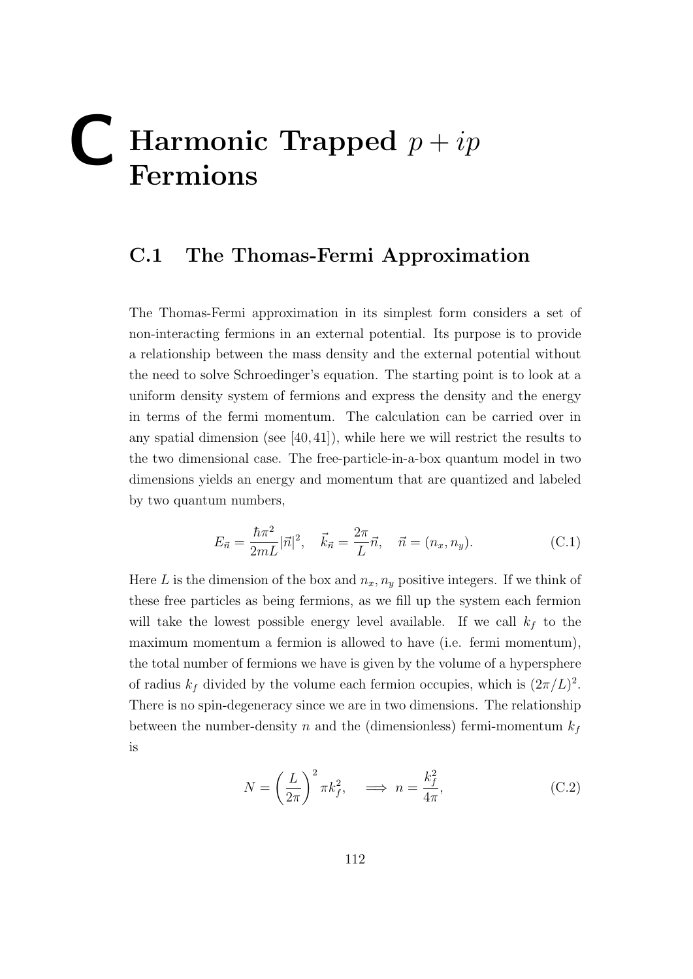# **Harmonic Trapped**  $p + ip$ **Fermions**

#### **C.1 The Thomas-Fermi Approximation**

The Thomas-Fermi approximation in its simplest form considers a set of non-interacting fermions in an external potential. Its purpose is to provide a relationship between the mass density and the external potential without the need to solve Schroedinger's equation. The starting point is to look at a uniform density system of fermions and express the density and the energy in terms of the fermi momentum. The calculation can be carried over in any spatial dimension (see [40, 41]), while here we will restrict the results to the two dimensional case. The free-particle-in-a-box quantum model in two dimensions yields an energy and momentum that are quantized and labeled by two quantum numbers,

$$
E_{\vec{n}} = \frac{\hbar \pi^2}{2mL} |\vec{n}|^2, \quad \vec{k}_{\vec{n}} = \frac{2\pi}{L} \vec{n}, \quad \vec{n} = (n_x, n_y). \tag{C.1}
$$

Here *L* is the dimension of the box and  $n_x, n_y$  positive integers. If we think of these free particles as being fermions, as we fill up the system each fermion will take the lowest possible energy level available. If we call  $k_f$  to the maximum momentum a fermion is allowed to have (i.e. fermi momentum), the total number of fermions we have is given by the volume of a hypersphere of radius  $k_f$  divided by the volume each fermion occupies, which is  $(2\pi/L)^2$ . There is no spin-degeneracy since we are in two dimensions. The relationship between the number-density  $n$  and the (dimensionless) fermi-momentum  $k_f$ is

$$
N = \left(\frac{L}{2\pi}\right)^2 \pi k_f^2, \quad \implies n = \frac{k_f^2}{4\pi},\tag{C.2}
$$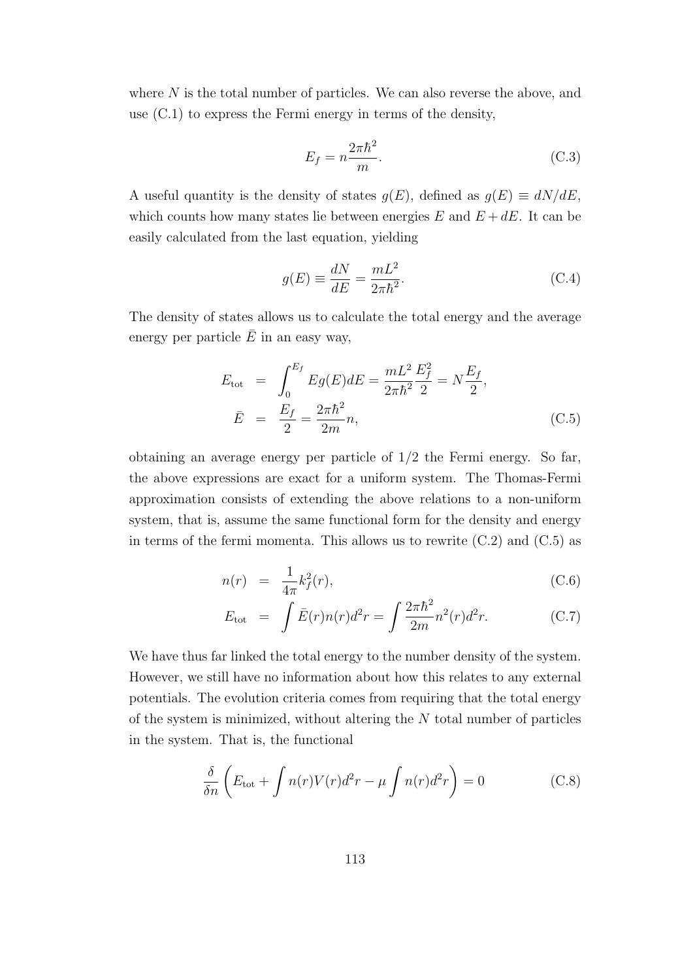where *N* is the total number of particles. We can also reverse the above, and use (C.1) to express the Fermi energy in terms of the density,

$$
E_f = n \frac{2\pi\hbar^2}{m}.
$$
\n(C.3)

A useful quantity is the density of states  $g(E)$ , defined as  $g(E) \equiv dN/dE$ , which counts how many states lie between energies  $E$  and  $E + dE$ . It can be easily calculated from the last equation, yielding

$$
g(E) \equiv \frac{dN}{dE} = \frac{mL^2}{2\pi\hbar^2}.
$$
 (C.4)

The density of states allows us to calculate the total energy and the average energy per particle  $\bar{E}$  in an easy way,

$$
E_{\text{tot}} = \int_0^{E_f} E g(E) dE = \frac{mL^2}{2\pi\hbar^2} \frac{E_f^2}{2} = N \frac{E_f}{2},
$$
  

$$
\bar{E} = \frac{E_f}{2} = \frac{2\pi\hbar^2}{2m} n,
$$
(C.5)

obtaining an average energy per particle of 1*/*2 the Fermi energy. So far, the above expressions are exact for a uniform system. The Thomas-Fermi approximation consists of extending the above relations to a non-uniform system, that is, assume the same functional form for the density and energy in terms of the fermi momenta. This allows us to rewrite  $(C.2)$  and  $(C.5)$  as

$$
n(r) = \frac{1}{4\pi}k_f^2(r),
$$
\n(C.6)

$$
E_{\text{tot}} = \int \bar{E}(r)n(r)d^2r = \int \frac{2\pi\hbar^2}{2m}n^2(r)d^2r.
$$
 (C.7)

We have thus far linked the total energy to the number density of the system. However, we still have no information about how this relates to any external potentials. The evolution criteria comes from requiring that the total energy of the system is minimized, without altering the *N* total number of particles in the system. That is, the functional

$$
\frac{\delta}{\delta n} \left( E_{\text{tot}} + \int n(r)V(r)d^2r - \mu \int n(r)d^2r \right) = 0 \tag{C.8}
$$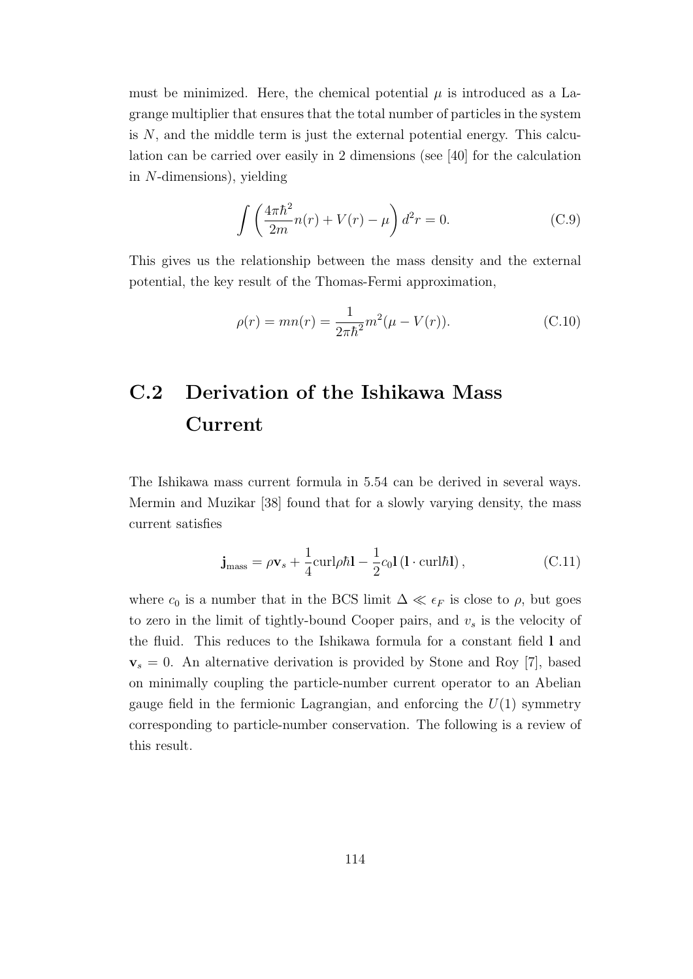must be minimized. Here, the chemical potential  $\mu$  is introduced as a Lagrange multiplier that ensures that the total number of particles in the system is *N*, and the middle term is just the external potential energy. This calculation can be carried over easily in 2 dimensions (see [40] for the calculation in *N*-dimensions), yielding

$$
\int \left(\frac{4\pi\hbar^2}{2m}n(r) + V(r) - \mu\right)d^2r = 0.
$$
 (C.9)

This gives us the relationship between the mass density and the external potential, the key result of the Thomas-Fermi approximation,

$$
\rho(r) = mn(r) = \frac{1}{2\pi\hbar^2}m^2(\mu - V(r)).
$$
\n(C.10)

### **C.2 Derivation of the Ishikawa Mass Current**

The Ishikawa mass current formula in 5.54 can be derived in several ways. Mermin and Muzikar [38] found that for a slowly varying density, the mass current satisfies

$$
\mathbf{j}_{\text{mass}} = \rho \mathbf{v}_s + \frac{1}{4} \text{curl} \rho \hbar \mathbf{l} - \frac{1}{2} c_0 \mathbf{l} \left( \mathbf{l} \cdot \text{curl} \hbar \mathbf{l} \right), \tag{C.11}
$$

where  $c_0$  is a number that in the BCS limit  $\Delta \ll \epsilon_F$  is close to  $\rho$ , but goes to zero in the limit of tightly-bound Cooper pairs, and *v<sup>s</sup>* is the velocity of the fluid. This reduces to the Ishikawa formula for a constant field **l** and  $v_s = 0$ . An alternative derivation is provided by Stone and Roy [7], based on minimally coupling the particle-number current operator to an Abelian gauge field in the fermionic Lagrangian, and enforcing the  $U(1)$  symmetry corresponding to particle-number conservation. The following is a review of this result.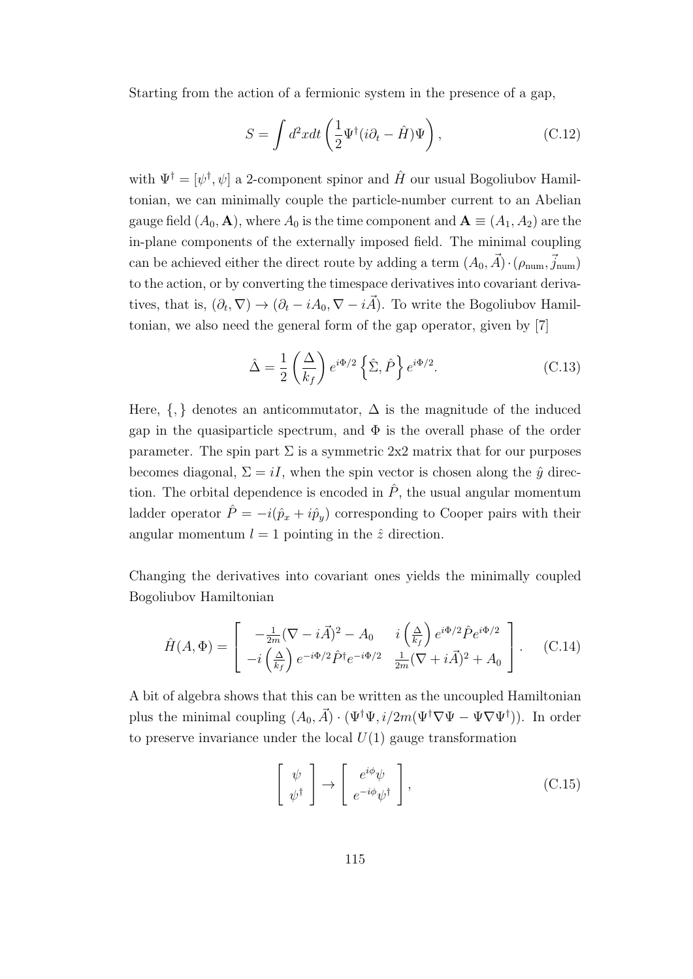Starting from the action of a fermionic system in the presence of a gap,

$$
S = \int d^2x dt \left(\frac{1}{2}\Psi^{\dagger}(i\partial_t - \hat{H})\Psi\right), \qquad (C.12)
$$

with  $\Psi^{\dagger} = [\psi^{\dagger}, \psi]$  a 2-component spinor and  $\hat{H}$  our usual Bogoliubov Hamiltonian, we can minimally couple the particle-number current to an Abelian gauge field  $(A_0, \mathbf{A})$ , where  $A_0$  is the time component and  $\mathbf{A} \equiv (A_1, A_2)$  are the in-plane components of the externally imposed field. The minimal coupling can be achieved either the direct route by adding a term  $(A_0, \vec{A}) \cdot (\rho_{\text{num}}, \vec{j}_{\text{num}})$ to the action, or by converting the timespace derivatives into covariant derivatives, that is,  $(\partial_t, \nabla) \to (\partial_t - iA_0, \nabla - i\vec{A})$ . To write the Bogoliubov Hamiltonian, we also need the general form of the gap operator, given by [7]

$$
\hat{\Delta} = \frac{1}{2} \left( \frac{\Delta}{k_f} \right) e^{i\Phi/2} \left\{ \hat{\Sigma}, \hat{P} \right\} e^{i\Phi/2}.
$$
 (C.13)

Here,  $\{,\}$  denotes an anticommutator,  $\Delta$  is the magnitude of the induced gap in the quasiparticle spectrum, and  $\Phi$  is the overall phase of the order parameter. The spin part  $\Sigma$  is a symmetric 2x2 matrix that for our purposes becomes diagonal,  $\Sigma = iI$ , when the spin vector is chosen along the  $\hat{y}$  direction. The orbital dependence is encoded in  $\hat{P}$ , the usual angular momentum ladder operator  $\hat{P} = -i(\hat{p}_x + i\hat{p}_y)$  corresponding to Cooper pairs with their angular momentum  $l = 1$  pointing in the  $\hat{z}$  direction.

Changing the derivatives into covariant ones yields the minimally coupled Bogoliubov Hamiltonian

$$
\hat{H}(A,\Phi) = \begin{bmatrix}\n-\frac{1}{2m}(\nabla - i\vec{A})^2 - A_0 & i\left(\frac{\Delta}{k_f}\right)e^{i\Phi/2}\hat{P}e^{i\Phi/2} \\
-i\left(\frac{\Delta}{k_f}\right)e^{-i\Phi/2}\hat{P}^\dagger e^{-i\Phi/2} & \frac{1}{2m}(\nabla + i\vec{A})^2 + A_0\n\end{bmatrix}.
$$
\n(C.14)

A bit of algebra shows that this can be written as the uncoupled Hamiltonian plus the minimal coupling  $(A_0, \vec{A}) \cdot (\Psi^{\dagger} \Psi, i/2m(\Psi^{\dagger} \nabla \Psi - \Psi \nabla \Psi^{\dagger}))$ . In order to preserve invariance under the local  $U(1)$  gauge transformation

$$
\left[\begin{array}{c}\psi\\ \psi^{\dagger}\end{array}\right] \rightarrow \left[\begin{array}{c}e^{i\phi}\psi\\ e^{-i\phi}\psi^{\dagger}\end{array}\right],\tag{C.15}
$$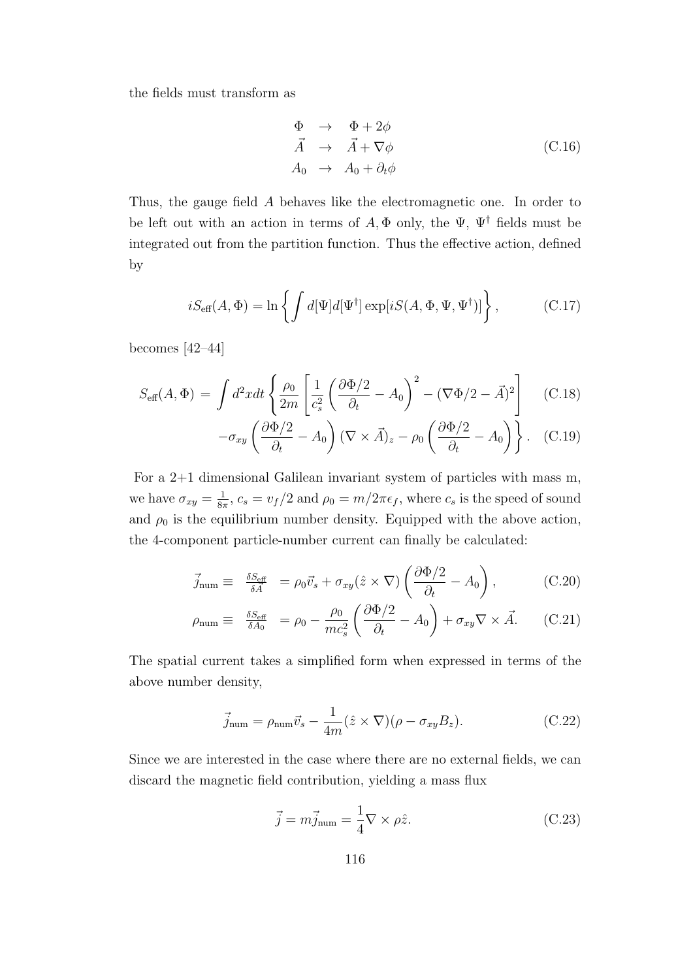the fields must transform as

$$
\begin{array}{rcl}\n\Phi & \to & \Phi + 2\phi \\
\vec{A} & \to & \vec{A} + \nabla\phi \\
A_0 & \to & A_0 + \partial_t\phi\n\end{array} \tag{C.16}
$$

Thus, the gauge field *A* behaves like the electromagnetic one. In order to be left out with an action in terms of  $A, \Phi$  only, the  $\Psi$ ,  $\Psi^{\dagger}$  fields must be integrated out from the partition function. Thus the effective action, defined by

$$
iS_{\text{eff}}(A,\Phi) = \ln\left\{ \int d[\Psi] d[\Psi^{\dagger}] \exp[iS(A,\Phi,\Psi,\Psi^{\dagger})] \right\},\tag{C.17}
$$

becomes [42–44]

$$
S_{\text{eff}}(A,\Phi) = \int d^2x dt \left\{ \frac{\rho_0}{2m} \left[ \frac{1}{c_s^2} \left( \frac{\partial \Phi/2}{\partial_t} - A_0 \right)^2 - (\nabla \Phi/2 - \vec{A})^2 \right] \right\}
$$
 (C.18)

$$
-\sigma_{xy}\left(\frac{\partial \Phi/2}{\partial_t} - A_0\right)(\nabla \times \vec{A})_z - \rho_0\left(\frac{\partial \Phi/2}{\partial_t} - A_0\right)\bigg\}.
$$
 (C.19)

For a 2+1 dimensional Galilean invariant system of particles with mass m, we have  $\sigma_{xy} = \frac{1}{8y}$  $\frac{1}{8\pi}$ ,  $c_s = v_f/2$  and  $\rho_0 = m/2\pi\epsilon_f$ , where  $c_s$  is the speed of sound and  $\rho_0$  is the equilibrium number density. Equipped with the above action, the 4-component particle-number current can finally be calculated:

$$
\vec{j}_{\text{num}} \equiv \frac{\delta S_{\text{eff}}}{\delta \vec{A}} = \rho_0 \vec{v}_s + \sigma_{xy} (\hat{z} \times \nabla) \left( \frac{\partial \Phi/2}{\partial_t} - A_0 \right), \quad (C.20)
$$

$$
\rho_{\text{num}} \equiv \frac{\delta S_{\text{eff}}}{\delta A_0} = \rho_0 - \frac{\rho_0}{mc_s^2} \left( \frac{\partial \Phi/2}{\partial_t} - A_0 \right) + \sigma_{xy} \nabla \times \vec{A}.
$$
 (C.21)

The spatial current takes a simplified form when expressed in terms of the above number density,

$$
\vec{j}_{\text{num}} = \rho_{\text{num}} \vec{v}_s - \frac{1}{4m} (\hat{z} \times \nabla)(\rho - \sigma_{xy} B_z). \tag{C.22}
$$

Since we are interested in the case where there are no external fields, we can discard the magnetic field contribution, yielding a mass flux

$$
\vec{j} = m\vec{j}_{num} = \frac{1}{4}\nabla \times \rho \hat{z}.
$$
 (C.23)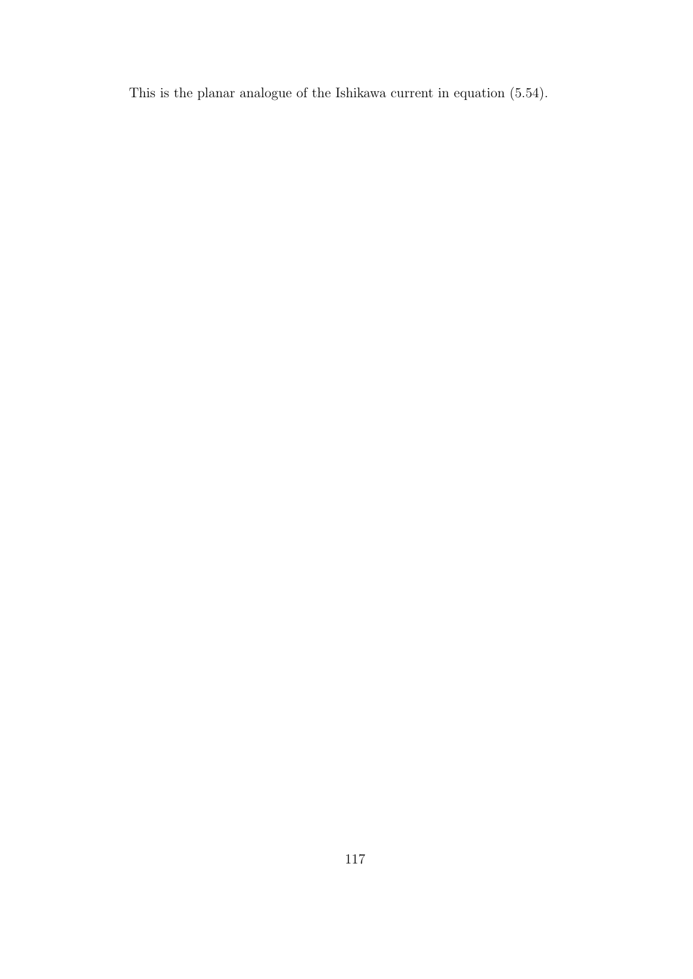This is the planar analogue of the Ishikawa current in equation (5.54).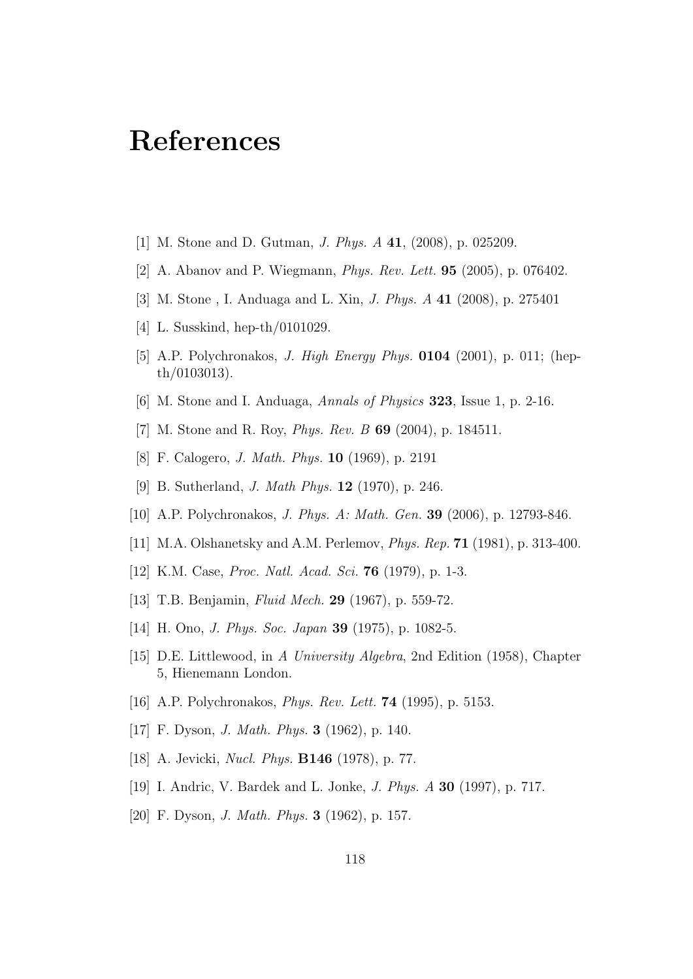### **References**

- [1] M. Stone and D. Gutman, *J. Phys. A* **41**, (2008), p. 025209.
- [2] A. Abanov and P. Wiegmann, *Phys. Rev. Lett.* **95** (2005), p. 076402.
- [3] M. Stone , I. Anduaga and L. Xin, *J. Phys. A* **41** (2008), p. 275401
- [4] L. Susskind, hep-th/0101029.
- [5] A.P. Polychronakos, *J. High Energy Phys.* **0104** (2001), p. 011; (hepth/0103013).
- [6] M. Stone and I. Anduaga, *Annals of Physics* **323**, Issue 1, p. 2-16.
- [7] M. Stone and R. Roy, *Phys. Rev. B* **69** (2004), p. 184511.
- [8] F. Calogero, *J. Math. Phys.* **10** (1969), p. 2191
- [9] B. Sutherland, *J. Math Phys.* **12** (1970), p. 246.
- [10] A.P. Polychronakos, *J. Phys. A: Math. Gen.* **39** (2006), p. 12793-846.
- [11] M.A. Olshanetsky and A.M. Perlemov, *Phys. Rep.* **71** (1981), p. 313-400.
- [12] K.M. Case, *Proc. Natl. Acad. Sci.* **76** (1979), p. 1-3.
- [13] T.B. Benjamin, *Fluid Mech.* **29** (1967), p. 559-72.
- [14] H. Ono, *J. Phys. Soc. Japan* **39** (1975), p. 1082-5.
- [15] D.E. Littlewood, in *A University Algebra*, 2nd Edition (1958), Chapter 5, Hienemann London.
- [16] A.P. Polychronakos, *Phys. Rev. Lett.* **74** (1995), p. 5153.
- [17] F. Dyson, *J. Math. Phys.* **3** (1962), p. 140.
- [18] A. Jevicki, *Nucl. Phys.* **B146** (1978), p. 77.
- [19] I. Andric, V. Bardek and L. Jonke, *J. Phys. A* **30** (1997), p. 717.
- [20] F. Dyson, *J. Math. Phys.* **3** (1962), p. 157.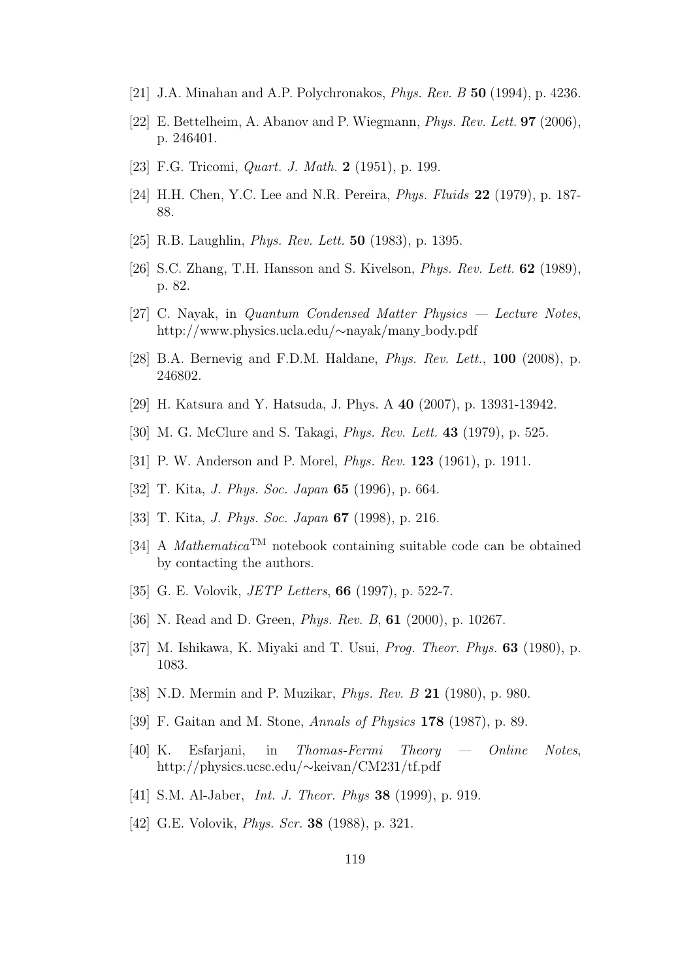- [21] J.A. Minahan and A.P. Polychronakos, *Phys. Rev. B* **50** (1994), p. 4236.
- [22] E. Bettelheim, A. Abanov and P. Wiegmann, *Phys. Rev. Lett.* **97** (2006), p. 246401.
- [23] F.G. Tricomi, *Quart. J. Math.* **2** (1951), p. 199.
- [24] H.H. Chen, Y.C. Lee and N.R. Pereira, *Phys. Fluids* **22** (1979), p. 187- 88.
- [25] R.B. Laughlin, *Phys. Rev. Lett.* **50** (1983), p. 1395.
- [26] S.C. Zhang, T.H. Hansson and S. Kivelson, *Phys. Rev. Lett.* **62** (1989), p. 82.
- [27] C. Nayak, in *Quantum Condensed Matter Physics Lecture Notes*, http://www.physics.ucla.edu/*∼*nayak/many body.pdf
- [28] B.A. Bernevig and F.D.M. Haldane, *Phys. Rev. Lett.*, **100** (2008), p. 246802.
- [29] H. Katsura and Y. Hatsuda, J. Phys. A **40** (2007), p. 13931-13942.
- [30] M. G. McClure and S. Takagi, *Phys. Rev. Lett.* **43** (1979), p. 525.
- [31] P. W. Anderson and P. Morel, *Phys. Rev.* **123** (1961), p. 1911.
- [32] T. Kita, *J. Phys. Soc. Japan* **65** (1996), p. 664.
- [33] T. Kita, *J. Phys. Soc. Japan* **67** (1998), p. 216.
- [34] A *Mathematica*TM notebook containing suitable code can be obtained by contacting the authors.
- [35] G. E. Volovik, *JETP Letters*, **66** (1997), p. 522-7.
- [36] N. Read and D. Green, *Phys. Rev. B*, **61** (2000), p. 10267.
- [37] M. Ishikawa, K. Miyaki and T. Usui, *Prog. Theor. Phys.* **63** (1980), p. 1083.
- [38] N.D. Mermin and P. Muzikar, *Phys. Rev. B* **21** (1980), p. 980.
- [39] F. Gaitan and M. Stone, *Annals of Physics* **178** (1987), p. 89.
- [40] K. Esfarjani, in *Thomas-Fermi Theory Online Notes*, http://physics.ucsc.edu/*∼*keivan/CM231/tf.pdf
- [41] S.M. Al-Jaber, *Int. J. Theor. Phys* **38** (1999), p. 919.
- [42] G.E. Volovik, *Phys. Scr.* **38** (1988), p. 321.